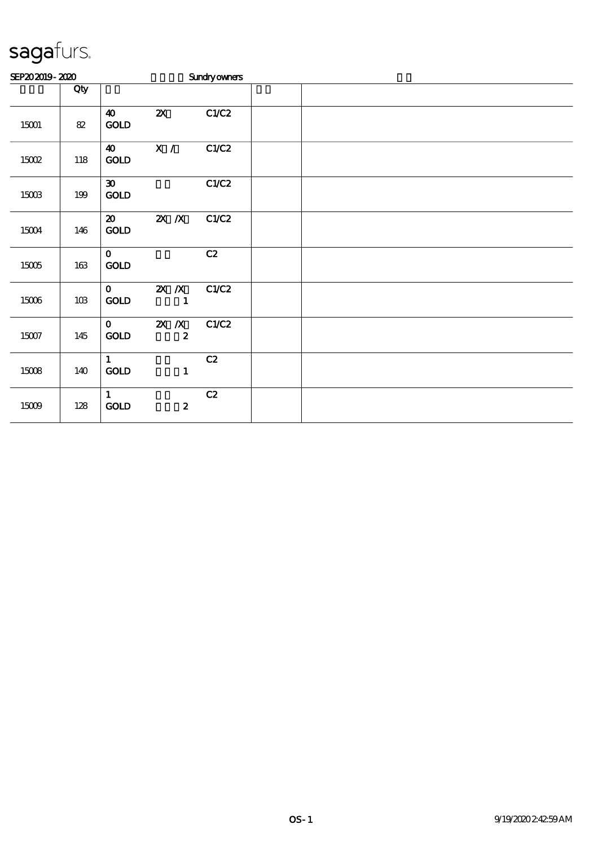| SEP202019-2020 |         |                                             |                             | <b>Sundryowners</b> |  |  |  |
|----------------|---------|---------------------------------------------|-----------------------------|---------------------|--|--|--|
|                | Qty     |                                             |                             |                     |  |  |  |
| 15001          | $8\!2$  | $\boldsymbol{\omega}$<br>$\mathop{\rm GOD}$ | $\boldsymbol{\mathsf{z}}$   | C1/C2               |  |  |  |
| 15002          | $118\,$ | $\boldsymbol{\omega}$<br>$\mathop{\rm GOD}$ | $\mathbf{X}$ /              | C1/C2               |  |  |  |
| $15003$        | $199$   | $\boldsymbol{\mathfrak{D}}$<br>$\rm GOLD$   |                             | C1/C2               |  |  |  |
| 15004          | 146     | $\boldsymbol{\mathfrak{D}}$<br>GOLD         | $X$ $N$                     | C1/C2               |  |  |  |
| $15005\,$      | $163\,$ | $\mathbf{0}$<br>$\mathop{\rm GOD}$          |                             | C2                  |  |  |  |
| $15006\,$      | $10B$   | $\mathbf{O}$<br>$\mathop{\rm GOD}$          | $X$ $N$<br>$\mathbf{1}$     | C1/C2               |  |  |  |
| $15007$        | 145     | $\mathbf{O}$<br>$\mathop{\rm GOD}$          | $X$ $X$<br>$\boldsymbol{z}$ | C1/C2               |  |  |  |
| 15008          | 140     | $\mathbf{1}$<br>$\rm \bf GOLD$              | $\mathbf{1}$                | C2                  |  |  |  |
| $15009$        | $128\,$ | $\mathbf{1}$<br>$\mathop{\rm GOD}$          | $\boldsymbol{z}$            | C2                  |  |  |  |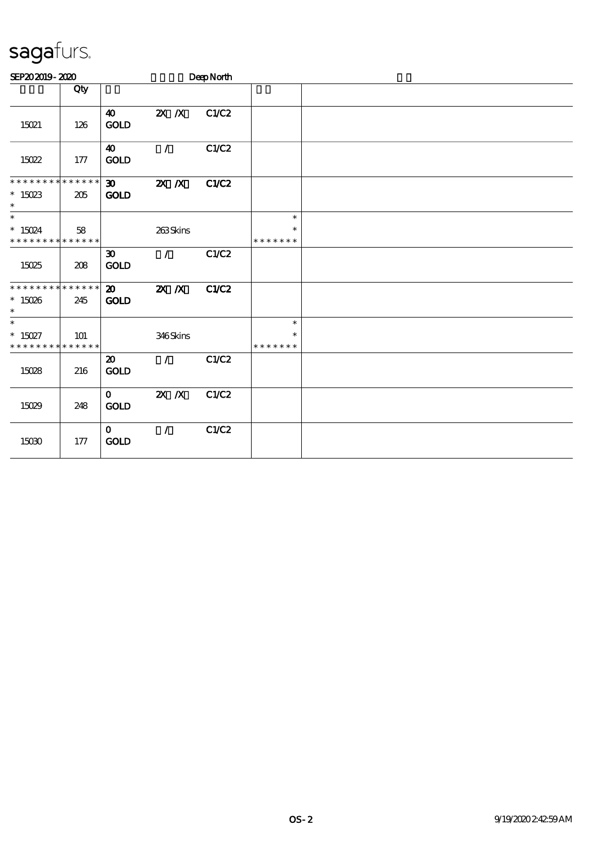| SEP202019-2020                                     |     |                                            |                                 | DeepNorth    |                                   |  |  |
|----------------------------------------------------|-----|--------------------------------------------|---------------------------------|--------------|-----------------------------------|--|--|
|                                                    | Qty |                                            |                                 |              |                                   |  |  |
| 15021                                              | 126 | $\boldsymbol{\omega}$<br><b>GOLD</b>       | $X \, X$                        | C1/C2        |                                   |  |  |
| 15022                                              | 177 | $\boldsymbol{\omega}$<br><b>GOLD</b>       | $\mathcal{L}$                   | C1/C2        |                                   |  |  |
| * * * * * * * * * * * * * *<br>$*15023$<br>$\ast$  | 205 | $\infty$<br><b>GOLD</b>                    | $X$ $N$                         | <b>C1/C2</b> |                                   |  |  |
| $\ast$<br>$* 15024$<br>* * * * * * * * * * * * * * | 58  |                                            | 263Skins                        |              | $\ast$<br>$\ast$<br>* * * * * * * |  |  |
| 15025                                              | 208 | $\boldsymbol{\mathfrak{D}}$<br>GOLD        | $\mathcal{L}$ and $\mathcal{L}$ | C1/C2        |                                   |  |  |
| * * * * * * * * * * * * * *<br>$*15026$<br>$\ast$  | 245 | $\boldsymbol{\mathsf{20}}$<br><b>GOLD</b>  | $X$ $N$                         | C1/C2        |                                   |  |  |
| $\ast$<br>$* 15027$<br>* * * * * * * * * * * * * * | 101 |                                            | 346Skins                        |              | $\ast$<br>$\ast$<br>* * * * * * * |  |  |
| 15028                                              | 216 | $\boldsymbol{\mathfrak{D}}$<br><b>GOLD</b> | $\mathcal{L}$                   | C1/C2        |                                   |  |  |
| 15029                                              | 248 | $\mathbf{O}$<br>$\mathop{\rm GOD}$         | $X$ $X$                         | C1/C2        |                                   |  |  |
| 15030                                              | 177 | $\mathbf{O}$<br><b>GOLD</b>                | $\mathcal{L}$                   | C1/C2        |                                   |  |  |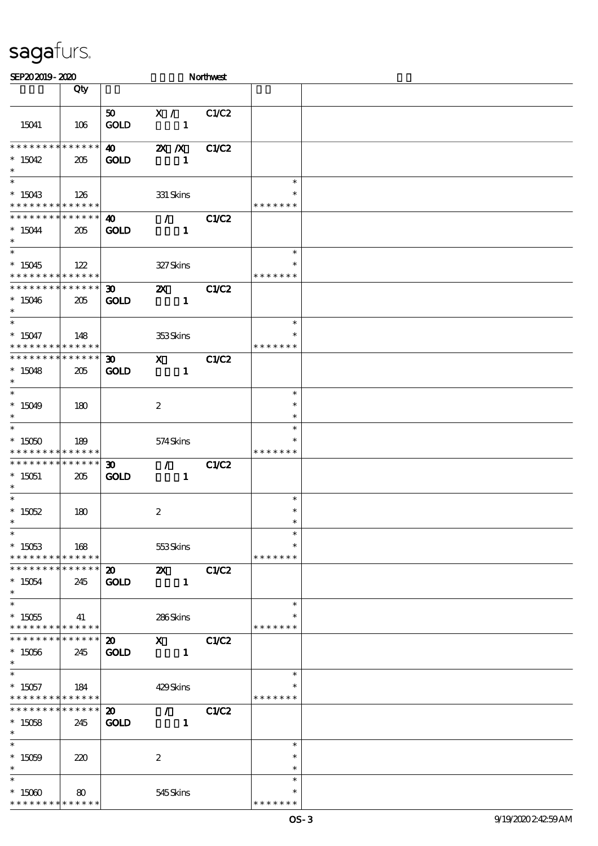| SEP202019-2020                                                              |     |                                            |                                                                                                                                                                                                                                                                                                                                                   | Northwest    |                                   |  |
|-----------------------------------------------------------------------------|-----|--------------------------------------------|---------------------------------------------------------------------------------------------------------------------------------------------------------------------------------------------------------------------------------------------------------------------------------------------------------------------------------------------------|--------------|-----------------------------------|--|
|                                                                             | Qty |                                            |                                                                                                                                                                                                                                                                                                                                                   |              |                                   |  |
| 15041                                                                       | 106 | 50<br><b>GOLD</b>                          | X /<br>$\mathbf{1}$                                                                                                                                                                                                                                                                                                                               | C1/C2        |                                   |  |
| * * * * * * * * * * * * * *<br>$*15042$<br>$\ast$                           | 205 | $\boldsymbol{\omega}$<br><b>GOLD</b>       | $X$ $N$<br>$\mathbf{1}$                                                                                                                                                                                                                                                                                                                           | C1/C2        |                                   |  |
| $\ast$<br>$*15043$<br>* * * * * * * * <mark>* * * * * *</mark>              | 126 |                                            | 331 Skins                                                                                                                                                                                                                                                                                                                                         |              | $\ast$<br>∗<br>* * * * * * *      |  |
| * * * * * * * * * * * * * *<br>$*15044$<br>$\ast$                           | 205 | $\boldsymbol{\omega}$<br><b>GOLD</b>       | $\mathcal{L} = \mathcal{L}$<br>$\mathbf{1}$                                                                                                                                                                                                                                                                                                       | C1/C2        |                                   |  |
| $\overline{\phantom{0}}$<br>$^*$ 15045<br>* * * * * * * * * * * * * *       | 122 |                                            | 327Skins                                                                                                                                                                                                                                                                                                                                          |              | $\ast$<br>* * * * * * *           |  |
| * * * * * * * * * * * * * *<br>$*15046$<br>$\ast$                           | 205 | $\boldsymbol{\mathfrak{D}}$<br><b>GOLD</b> | $\boldsymbol{\mathsf{z}}$<br>$\mathbf{1}$                                                                                                                                                                                                                                                                                                         | C1/C2        |                                   |  |
| $\ast$<br>$^*$ 15047<br>* * * * * * * * * * * * * *                         | 148 |                                            | 353Skins                                                                                                                                                                                                                                                                                                                                          |              | $\ast$<br>$\ast$<br>* * * * * * * |  |
| * * * * * * * * * * * * * *<br>$*15048$<br>$\ast$                           | 205 | $\boldsymbol{\mathfrak{D}}$<br><b>GOLD</b> | $\mathbf{x}$<br>$\mathbf{1}$                                                                                                                                                                                                                                                                                                                      | <b>C1/C2</b> |                                   |  |
| $\ast$<br>$*15049$<br>$\ast$                                                | 180 |                                            | $\boldsymbol{2}$                                                                                                                                                                                                                                                                                                                                  |              | $\ast$<br>$\ast$<br>$\ast$        |  |
| $\ast$<br>$*15050$<br>* * * * * * * * * * * * * *                           | 189 |                                            | 574Skins                                                                                                                                                                                                                                                                                                                                          |              | $\ast$<br>* * * * * * *           |  |
| * * * * * * * * * * * * * *<br>$*15051$<br>$\ast$                           | 205 | $\boldsymbol{\mathfrak{D}}$<br><b>GOLD</b> | $\mathcal{L}$<br>$\mathbf{1}$                                                                                                                                                                                                                                                                                                                     | C1/C2        |                                   |  |
| $\overline{\ast}$<br>$* 15052$<br>$*$                                       | 180 |                                            | $\boldsymbol{2}$                                                                                                                                                                                                                                                                                                                                  |              | $\ast$<br>$\ast$                  |  |
| $\ast$<br>$^*$ 15053 $\,$<br>* * * * * * * * * * * * * *                    | 168 |                                            | 553Skins                                                                                                                                                                                                                                                                                                                                          |              | $\ast$<br>$\ast$<br>* * * * * * * |  |
| * * * * * * * * * * * * * *<br>$^*$ 15054 $\,$<br>$\ast$                    | 245 | $\boldsymbol{\mathsf{20}}$<br><b>GOLD</b>  | $\mathbf{X}$<br>$\mathbf{1}$                                                                                                                                                                                                                                                                                                                      | C1/C2        |                                   |  |
| $\overline{\ast}$<br>$^*$ 15055<br>* * * * * * * * <mark>* * * * * *</mark> | 41  |                                            | 286Skins                                                                                                                                                                                                                                                                                                                                          |              | $\ast$<br>∗<br>* * * * * * *      |  |
| * * * * * * * * <mark>* * * * * *</mark><br>$*15056$<br>$\ast$              | 245 | $\boldsymbol{\mathsf{20}}$<br><b>GOLD</b>  | $\mathbf X$ and $\mathbf X$ and $\mathbf X$ and $\mathbf X$ and $\mathbf X$ and $\mathbf X$ and $\mathbf X$ and $\mathbf X$ and $\mathbf X$ and $\mathbf X$ and $\mathbf X$ and $\mathbf X$ and $\mathbf X$ and $\mathbf X$ and $\mathbf X$ and $\mathbf X$ and $\mathbf X$ and $\mathbf X$ and $\mathbf X$ and $\mathbf X$ and<br>$\blacksquare$ | C1/C2        |                                   |  |
| $\ast$<br>$*15057$<br>* * * * * * * * * * * * * *                           | 184 |                                            | 429Skins                                                                                                                                                                                                                                                                                                                                          |              | $\ast$<br>* * * * * * *           |  |
| * * * * * * * * * * * * * * *<br>$^*$ 15058 $\,$<br>$*$                     | 245 | $\boldsymbol{\mathfrak{D}}$<br><b>GOLD</b> | $\mathcal{L}$ and $\mathcal{L}$<br>$\blacksquare$                                                                                                                                                                                                                                                                                                 | C1/C2        |                                   |  |
| $\ast$<br>$^*$ 15059 $\,$<br>$\ast$                                         | 220 |                                            | $\boldsymbol{2}$                                                                                                                                                                                                                                                                                                                                  |              | $\ast$<br>$\ast$<br>$\ast$        |  |
| $\ast$<br>$*$ 15060 $\,$<br>* * * * * * * * * * * * * *                     | 80  |                                            | 545 Skins                                                                                                                                                                                                                                                                                                                                         |              | $\ast$<br>* * * * *               |  |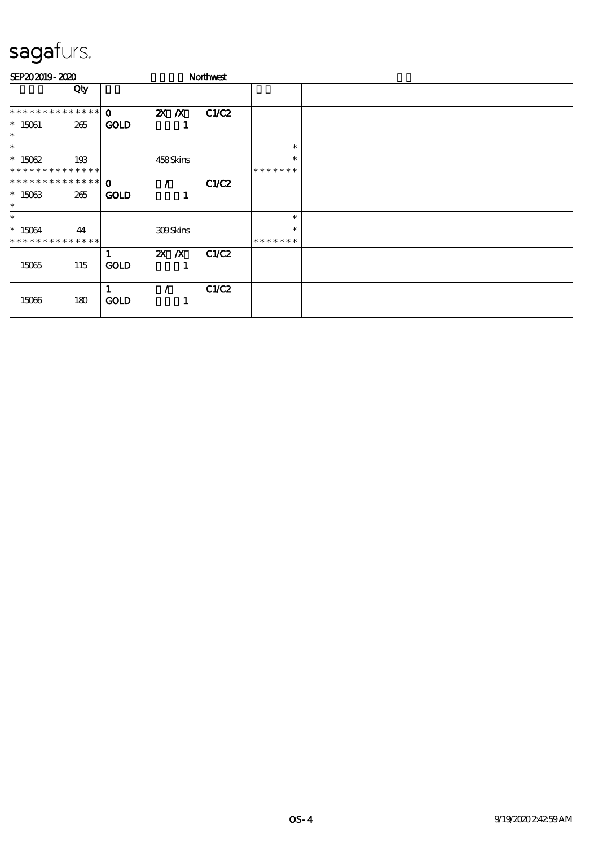| SEP202019-2020                |     |                  |                 | Northwest |               |  |
|-------------------------------|-----|------------------|-----------------|-----------|---------------|--|
|                               | Qty |                  |                 |           |               |  |
| * * * * * * * * * * * * * * * |     | $\Omega$         | $X$ $X$         | C1/C2     |               |  |
| $* 15061$<br>$\ast$           | 265 | <b>GOLD</b>      |                 |           |               |  |
| $\ast$                        |     |                  |                 |           | $\ast$        |  |
| $*15062$                      | 193 |                  | 458Skins        |           | $\ast$        |  |
| * * * * * * * * * * * * * *   |     |                  |                 |           | *******       |  |
| **************                |     | $\Omega$         |                 | C1/C2     |               |  |
| $*15063$<br>$\ast$            | 265 | <b>GOLD</b>      |                 |           |               |  |
| $\ast$                        |     |                  |                 |           | $\ast$        |  |
| $*15064$                      | 44  |                  | <b>309Skins</b> |           | $\ast$        |  |
| * * * * * * * * * * * * * *   |     |                  |                 |           | * * * * * * * |  |
| 15065                         | 115 | 1<br><b>GOLD</b> | $X$ $N$<br>1    | C1/C2     |               |  |
| 15066                         | 180 | <b>GOLD</b>      | 1               | C1/C2     |               |  |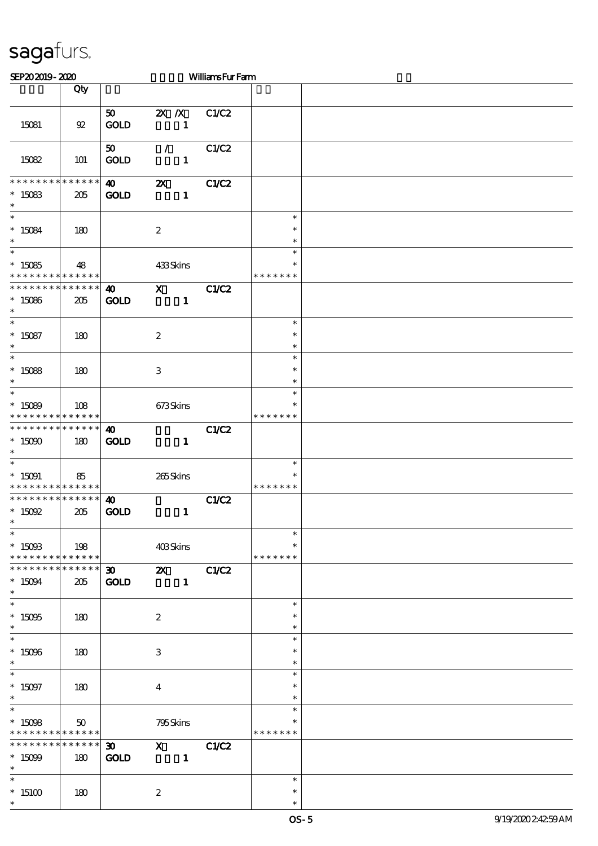| SEP202019-2020                                                               |                |                                            |                                           | WilliamsFurFarm |                                   |  |
|------------------------------------------------------------------------------|----------------|--------------------------------------------|-------------------------------------------|-----------------|-----------------------------------|--|
|                                                                              | Qty            |                                            |                                           |                 |                                   |  |
| 15081                                                                        | $\mathfrak{P}$ | 50<br>GOLD                                 | $2X$ $\Lambda$<br>$\mathbf{1}$            | C1/C2           |                                   |  |
| 15082                                                                        | <b>101</b>     | 50<br><b>GOLD</b>                          | $\mathcal{L}$<br>$\mathbf{1}$             | C1/C2           |                                   |  |
| * * * * * * * * * * * * * *<br>$^\ast$ 15083<br>$\ast$                       | 205            | $\boldsymbol{\omega}$<br><b>GOLD</b>       | $\boldsymbol{\mathsf{X}}$<br>$\mathbf{1}$ | C1/C2           |                                   |  |
| $\ast$<br>$*15084$<br>$\ast$                                                 | 180            |                                            | $\boldsymbol{2}$                          |                 | $\ast$<br>$\ast$<br>$\ast$        |  |
| $\overline{\ast}$<br>$*15085$<br>* * * * * * * * <mark>* * * * * * *</mark>  | 48             |                                            | 433Skins                                  |                 | $\ast$<br>$\ast$<br>* * * * * * * |  |
| * * * * * * * * * * * * * *<br>$*15086$<br>$\ast$                            | 205            | $\boldsymbol{\omega}$<br><b>GOLD</b>       | $\mathbf{x}$<br>$\mathbf{1}$              | C1/C2           |                                   |  |
| $\overline{\ast}$<br>$^*$ 15087<br>$\ast$<br>$\overline{\ast}$               | 180            |                                            | $\boldsymbol{2}$                          |                 | $\ast$<br>$\ast$<br>$\ast$        |  |
| $*15088$<br>$\ast$                                                           | 180            |                                            | $\,3$                                     |                 | $\ast$<br>$\ast$<br>$\ast$        |  |
| $\ast$<br>$*15089$<br>* * * * * * * * * * * * * *                            | 108            |                                            | 673Skins                                  |                 | $\ast$<br>$\ast$<br>* * * * * * * |  |
| * * * * * * * * * * * * * *<br>$*$ 15090 $\,$<br>$\ast$                      | 180            | $\boldsymbol{\omega}$<br><b>GOLD</b>       | $\mathbf{1}$                              | <b>C1/C2</b>    |                                   |  |
| $\ast$<br>$*15091$<br>* * * * * * * * * * * * * *                            | 85             |                                            | 265Skins                                  |                 | $\ast$<br>$\ast$<br>* * * * * * * |  |
| * * * * * * * * * * * * * *<br>$*$ 15092<br>$*$<br>$\overline{\ast}$         | 205            | $\boldsymbol{\omega}$<br>GOLD              | $\mathbf{1}$                              | C1/C2           | $\ast$                            |  |
| $^*$ 15093<br>* * * * * * * * * * * * * * *<br>* * * * * * * * * * * * * * * | 198            |                                            | 403Skins                                  |                 | $\ast$<br>* * * * * * *           |  |
| $*15094$<br>$\ast$<br>$\ast$                                                 | 205            | $\boldsymbol{\mathfrak{D}}$<br><b>GOLD</b> | <b>2X</b> C1/C2<br>$\mathbf{1}$           |                 |                                   |  |
| $^*$ 15095<br>$\ast$<br>$\ast$                                               | 180            |                                            | $\boldsymbol{2}$                          |                 | $\ast$<br>$\ast$<br>$\ast$        |  |
| $^*$ 15096 $\,$<br>$\ast$                                                    | 180            |                                            | 3                                         |                 | $\ast$<br>$\ast$<br>$\ast$        |  |
| $\ast$<br>$* 15097$<br>$\ast$<br>$\ast$                                      | 180            |                                            | $\overline{4}$                            |                 | $\ast$<br>$\ast$<br>$\ast$        |  |
| $*15098$<br>* * * * * * * * * * * * * *                                      | 50             |                                            | 795Skins                                  |                 | $\ast$<br>*<br>* * * * * * *      |  |
| * * * * * * * * * * * * * * *<br>$*15099$<br>$\ast$                          | 180            | $\boldsymbol{\mathfrak{D}}$<br><b>GOLD</b> | $X$ $C1/C2$<br>$\mathbf{1}$               |                 |                                   |  |
| $\ast$<br>$*15100$<br>$\ast$                                                 | 180            |                                            | $\boldsymbol{2}$                          |                 | $\ast$<br>$\ast$<br>$\ast$        |  |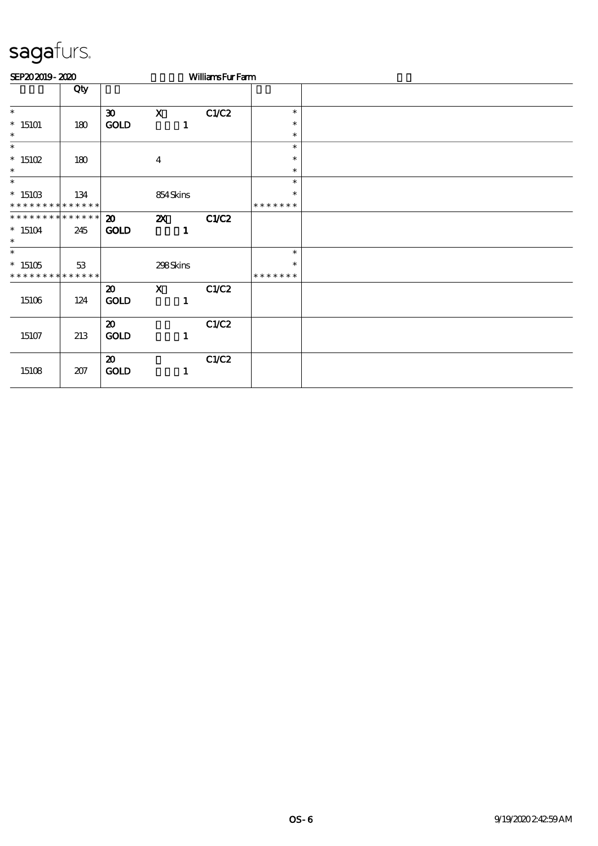| SEP202019-2020               |     |                             |                           | <b>WilliamsFurFarm</b> |                         |  |
|------------------------------|-----|-----------------------------|---------------------------|------------------------|-------------------------|--|
|                              | Qty |                             |                           |                        |                         |  |
| $\ast$                       |     | $\boldsymbol{\mathfrak{D}}$ | $\mathbf{x}$              | C1/C2                  | $\ast$                  |  |
| $*15101$                     | 180 | <b>GOLD</b>                 | 1                         |                        | $\ast$                  |  |
| $\ast$                       |     |                             |                           |                        | $\ast$                  |  |
| $\ast$                       |     |                             |                           |                        | $\ast$                  |  |
| $*15102$                     | 180 |                             | $\boldsymbol{4}$          |                        | $\ast$                  |  |
| $\ast$                       |     |                             |                           |                        | $\ast$                  |  |
| $\ast$                       |     |                             |                           |                        | $\ast$                  |  |
| $^*$ 15103<br>************** | 134 |                             | 854Skins                  |                        | $\ast$<br>* * * * * * * |  |
| ******** <mark>******</mark> |     |                             |                           |                        |                         |  |
|                              |     | $\boldsymbol{\mathfrak{D}}$ | $\boldsymbol{\mathsf{Z}}$ | C1/C2                  |                         |  |
| $*15104$<br>$\ast$           | 245 | <b>GOLD</b>                 | 1                         |                        |                         |  |
| $*$                          |     |                             |                           |                        | $\ast$                  |  |
| $*15105$                     | 53  |                             | 298Skins                  |                        | ∗                       |  |
| * * * * * * * * * * * * * *  |     |                             |                           |                        | * * * * * * *           |  |
|                              |     | $\boldsymbol{\mathfrak{D}}$ | $\mathbf{X}$              | C1/C2                  |                         |  |
| 15106                        | 124 | <b>GOLD</b>                 | 1                         |                        |                         |  |
|                              |     |                             |                           |                        |                         |  |
|                              |     | $\boldsymbol{\mathfrak{D}}$ |                           | C1/C2                  |                         |  |
| 15107                        | 213 | <b>GOLD</b>                 | $\mathbf{1}$              |                        |                         |  |
|                              |     |                             |                           |                        |                         |  |
|                              |     | $\boldsymbol{\mathfrak{D}}$ |                           | C1/C2                  |                         |  |
| 15108                        | 207 | GOLD                        | 1                         |                        |                         |  |
|                              |     |                             |                           |                        |                         |  |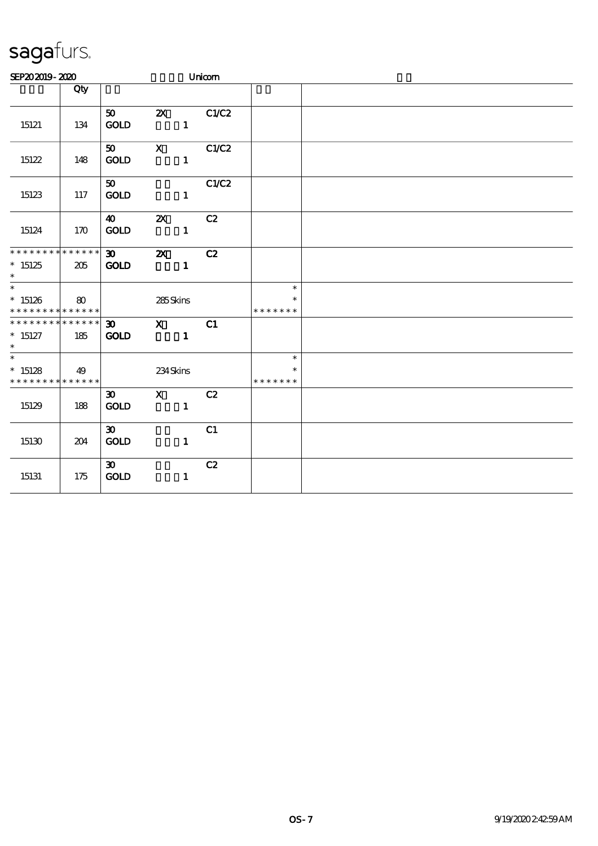| SEP202019-2020                                                      |          |                                            |                           |                | Unicom |                                   |  |
|---------------------------------------------------------------------|----------|--------------------------------------------|---------------------------|----------------|--------|-----------------------------------|--|
|                                                                     | Qty      |                                            |                           |                |        |                                   |  |
| 15121                                                               | 134      | 50<br>GOLD                                 | $\boldsymbol{\mathsf{Z}}$ | $\mathbf{1}$   | C1/C2  |                                   |  |
| 15122                                                               | 148      | 50 <sub>o</sub><br><b>GOLD</b>             | $\mathbf{x}$              | $\mathbf{1}$   | C1/C2  |                                   |  |
| 15123                                                               | 117      | 50<br><b>GOLD</b>                          |                           | $\mathbf{1}$   | C1/C2  |                                   |  |
| 15124                                                               | 170      | $\boldsymbol{\omega}$<br><b>GOLD</b>       | $\boldsymbol{\mathsf{z}}$ | $\mathbf{1}$   | C2     |                                   |  |
| * * * * * * * * * * * * * *<br>$*15125$<br>$\ast$                   | 205      | 30 <sub>o</sub><br><b>GOLD</b>             | $\boldsymbol{\mathsf{Z}}$ | $\mathbf{1}$   | C2     |                                   |  |
| $\ast$<br>$*15126$<br>* * * * * * * * * * * * * *                   | $\bf{8}$ |                                            | 285Skins                  |                |        | $\ast$<br>* * * * * * *           |  |
| * * * * * * * * * * * * * * *<br>$*$ 15127<br>$*$                   | 185      | $\boldsymbol{\mathfrak{D}}$<br><b>GOLD</b> | $\mathbf{X}$              | $\blacksquare$ | C1     |                                   |  |
| $\overline{\phantom{0}}$<br>$*15128$<br>* * * * * * * * * * * * * * | 49       |                                            | 234Skins                  |                |        | $\ast$<br>$\ast$<br>* * * * * * * |  |
| 15129                                                               | 188      | $\boldsymbol{\mathfrak{D}}$<br><b>GOLD</b> | $\mathbf{X}$              | $\mathbf{1}$   | C2     |                                   |  |
| 15130                                                               | 204      | $\boldsymbol{\mathfrak{D}}$<br>GOLD        |                           | $\mathbf{1}$   | C1     |                                   |  |
| 15131                                                               | 175      | $30-1$<br>$\mathop{\rm GOD}$               |                           | $\mathbf{1}$   | C2     |                                   |  |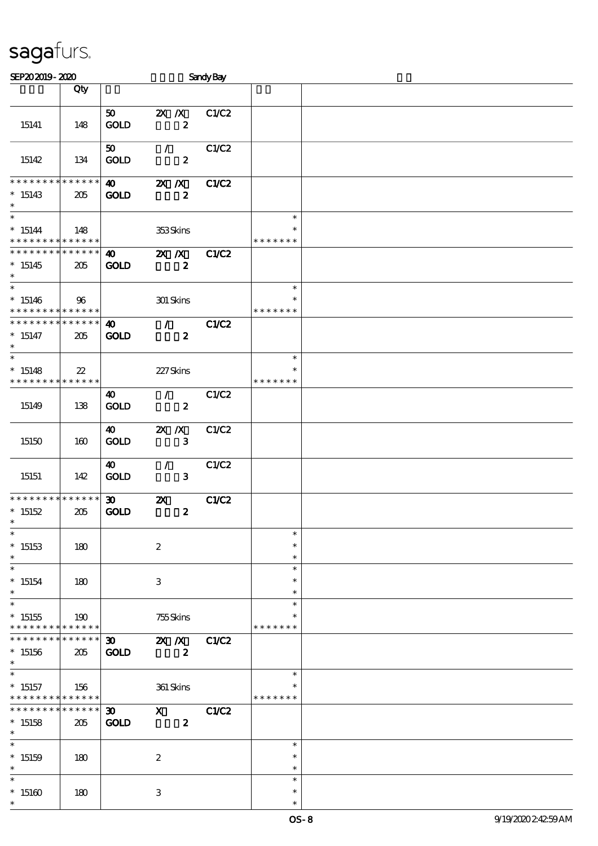| SEP202019-2020                                                      |                        |                                            |                           | Sandy Bay        |              |                                   |  |
|---------------------------------------------------------------------|------------------------|--------------------------------------------|---------------------------|------------------|--------------|-----------------------------------|--|
|                                                                     | Qty                    |                                            |                           |                  |              |                                   |  |
| 15141                                                               | 148                    | 50<br><b>GOLD</b>                          | $X$ $X$                   | $\pmb{2}$        | C1/C2        |                                   |  |
| 15142                                                               | 134                    | 50<br><b>GOLD</b>                          | $\mathcal{T}$             | $\boldsymbol{z}$ | C1/C2        |                                   |  |
| * * * * * * * *<br>$*15143$<br>$\ast$                               | * * * * * *<br>205     | $\boldsymbol{\omega}$<br><b>GOLD</b>       | $\mathbf{X}$ $\mathbf{X}$ | $\boldsymbol{z}$ | <b>C1/C2</b> |                                   |  |
| $\overline{\ast}$<br>$*15144$<br>* * * * * * * * * * * * * *        | 148                    |                                            | 353Skins                  |                  |              | $\ast$<br>$\ast$<br>* * * * * * * |  |
| * * * * * * * * * * * * * *<br>$*15145$<br>$\ast$                   | 205                    | 40<br><b>GOLD</b>                          | $X$ $N$                   | $\boldsymbol{z}$ | C1/C2        |                                   |  |
| $\overline{\phantom{0}}$<br>$*15146$<br>* * * * * * * * * * * * * * | 96                     |                                            | 301 Skins                 |                  |              | $\ast$<br>$\ast$<br>* * * * * * * |  |
| * * * * * * * * * * * * * *<br>$* 15147$<br>$\ast$                  | 205                    | 40<br><b>GOLD</b>                          | $\mathcal{L}$             | $\boldsymbol{z}$ | C1/C2        |                                   |  |
| $\ast$<br>$*15148$<br>* * * * * * * * * * * * * *                   | $22\,$                 |                                            | 227Skins                  |                  |              | $\ast$<br>$\ast$<br>* * * * * * * |  |
| 15149                                                               | 138                    | 40<br><b>GOLD</b>                          | $\mathcal{F}$             | $\boldsymbol{z}$ | C1/C2        |                                   |  |
| 15150                                                               | 160                    | 40<br><b>GOLD</b>                          | $X$ $N$                   | 3                | C1/C2        |                                   |  |
| 15151                                                               | 142                    | 40<br><b>GOLD</b>                          | $\mathcal{L}$             | $\mathbf{3}$     | C1/C2        |                                   |  |
| * * * * * * * * * * * * * *<br>$*15152$<br>$*$                      | 205                    | $\boldsymbol{\mathfrak{D}}$<br><b>GOLD</b> | $\boldsymbol{\mathsf{z}}$ | $\boldsymbol{z}$ | <b>C1/C2</b> |                                   |  |
| $\ast$<br>$*15153$<br>$\ast$                                        | 180                    |                                            | $\boldsymbol{2}$          |                  |              | $\ast$<br>$\ast$<br>$\ast$        |  |
| $\ast$<br>$*15154$<br>$\ast$                                        | 180                    |                                            | 3                         |                  |              | $\ast$<br>$\ast$<br>$\ast$        |  |
| $\ast$<br>$*15155$<br>* * * * * * * *                               | 190<br>* * * * * *     |                                            | 755Skins                  |                  |              | $\ast$<br>* * * * * * *           |  |
| * * * * * * * *<br>$*15156$<br>$\ast$                               | ******<br>205          | $\boldsymbol{\mathfrak{D}}$<br><b>GOLD</b> | $X$ $N$                   | $\boldsymbol{z}$ | C1/C2        |                                   |  |
| $\ast$<br>$*15157$<br>* * * * * * * *                               | 156<br>* * * * * *     |                                            | 361 Skins                 |                  |              | $\ast$<br>* * * * * * *           |  |
| * * * * * * *<br>$*15158$<br>$\ast$                                 | $* * * * * * *$<br>205 | $\boldsymbol{\mathfrak{D}}$<br><b>GOLD</b> | $\mathbf{x}$              | $\boldsymbol{z}$ | C1/C2        |                                   |  |
| $\ast$<br>$*15159$<br>$\ast$                                        | 180                    |                                            | $\boldsymbol{2}$          |                  |              | $\ast$<br>$\ast$<br>$\ast$        |  |
| $\ast$<br>$*15160$<br>$\ast$                                        | 180                    |                                            | 3                         |                  |              | $\ast$<br>$\ast$<br>$\ast$        |  |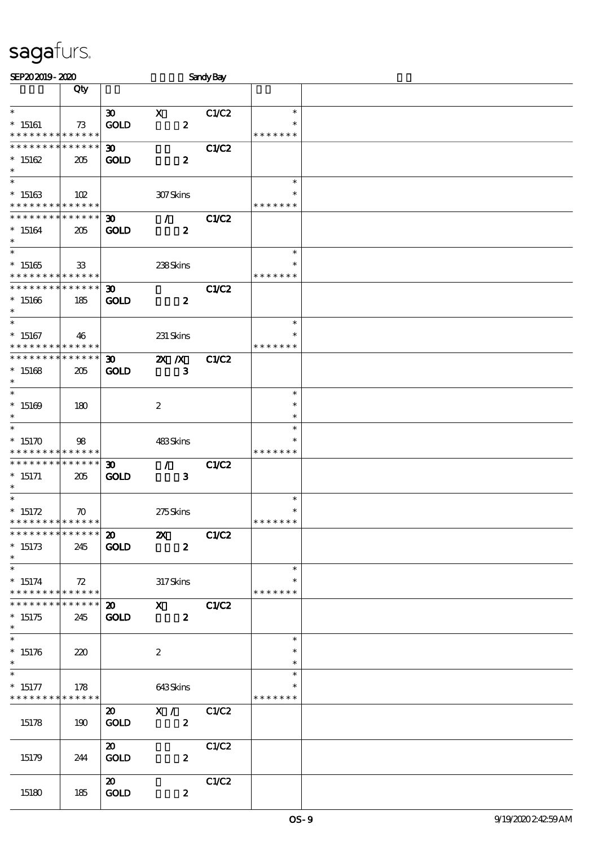| SEP202019-2020                           |                    |                             |                           | <b>Sandy Bay</b> |               |  |
|------------------------------------------|--------------------|-----------------------------|---------------------------|------------------|---------------|--|
|                                          | Qty                |                             |                           |                  |               |  |
|                                          |                    |                             |                           |                  |               |  |
| $\ast$                                   |                    | $\boldsymbol{\mathfrak{D}}$ | $\mathbf X$               | C1/C2            | $\ast$        |  |
| $*15161$                                 | 73                 | <b>GOLD</b>                 | $\pmb{2}$                 |                  |               |  |
| * * * * * * * * * * * * * *              |                    |                             |                           |                  | * * * * * * * |  |
| * * * * * * * * * * * * * *              |                    | $\boldsymbol{\mathfrak{D}}$ |                           | C1/C2            |               |  |
| $*15162$                                 | 205                | <b>GOLD</b>                 | $\boldsymbol{z}$          |                  |               |  |
| $\ast$                                   |                    |                             |                           |                  |               |  |
| $\overline{\ast}$                        |                    |                             |                           |                  | $\ast$        |  |
| $*15163$                                 | 102                |                             | 307Skins                  |                  |               |  |
| * * * * * * * * * * * * * *              |                    |                             |                           |                  | * * * * * * * |  |
| * * * * * * * *                          | * * * * * *        |                             |                           |                  |               |  |
|                                          |                    | $\boldsymbol{\mathfrak{D}}$ | $\mathcal{F}$             | C1/C2            |               |  |
| $*15164$                                 | 205                | <b>GOLD</b>                 | $\boldsymbol{z}$          |                  |               |  |
| $\ast$<br>$\overline{\phantom{0}}$       |                    |                             |                           |                  |               |  |
|                                          |                    |                             |                           |                  | $\ast$        |  |
| $*15165$                                 | 33                 |                             | 238Skins                  |                  | $\ast$        |  |
| * * * * * * * *                          | * * * * * *        |                             |                           |                  | * * * * * * * |  |
| * * * * * * * *                          | * * * * * *        | 30 <sub>o</sub>             |                           | <b>C1/C2</b>     |               |  |
| $*15166$                                 | 185                | <b>GOLD</b>                 | $\boldsymbol{z}$          |                  |               |  |
| $\ast$                                   |                    |                             |                           |                  |               |  |
| $\ast$                                   |                    |                             |                           |                  | $\ast$        |  |
| $*15167$                                 | 46                 |                             | 231 Skins                 |                  | $\ast$        |  |
| * * * * * * * * * * * * * *              |                    |                             |                           |                  | * * * * * * * |  |
| * * * * * * * * * * * * * *              |                    | $\boldsymbol{\mathfrak{D}}$ | $X$ $N$                   | <b>C1/C2</b>     |               |  |
| $*15168$                                 | 205                | <b>GOLD</b>                 | $\mathbf{3}$              |                  |               |  |
| $\ast$                                   |                    |                             |                           |                  |               |  |
| $\ast$                                   |                    |                             |                           |                  | $\ast$        |  |
|                                          |                    |                             |                           |                  | $\ast$        |  |
| $*15169$<br>$\ast$                       | 180                |                             | $\boldsymbol{2}$          |                  | $\ast$        |  |
|                                          |                    |                             |                           |                  |               |  |
| $\ast$                                   |                    |                             |                           |                  | $\ast$        |  |
| $*15170$                                 | 98                 |                             | 483Skins                  |                  |               |  |
| * * * * * * * *                          | * * * * * *        |                             |                           |                  | * * * * * * * |  |
| * * * * * * * *                          | $* * * * * * *$    | 30                          | $\mathcal{L}$             | C1/C2            |               |  |
| $* 15171$                                | 205                | <b>GOLD</b>                 | $\mathbf{3}$              |                  |               |  |
| $\ast$                                   |                    |                             |                           |                  |               |  |
| $\ast$                                   |                    |                             |                           |                  | $\ast$        |  |
| $* 15172$                                | $\boldsymbol{\pi}$ |                             | 275Skins                  |                  | $\ast$        |  |
| * * * * * * * * * * * * * * *            |                    |                             |                           |                  | *******       |  |
| * * * * * * * * <mark>* * * * * *</mark> |                    | $\boldsymbol{\mathsf{20}}$  | $\boldsymbol{\mathsf{z}}$ | C1/C2            |               |  |
| $*15173$                                 | 245                | <b>GOLD</b>                 | $\boldsymbol{z}$          |                  |               |  |
| $\ast$                                   |                    |                             |                           |                  |               |  |
| $\ast$                                   |                    |                             |                           |                  | $\ast$        |  |
| $*15174$                                 | 72                 |                             | 317Skins                  |                  | ∗             |  |
| * * * * * * * * <mark>* * * * * *</mark> |                    |                             |                           |                  | * * * * * * * |  |
| * * * * * * * *                          | * * * * * *        | $\boldsymbol{\mathfrak{D}}$ | $\mathbf X$               | C1/C2            |               |  |
| $*15175$                                 | 245                | <b>GOLD</b>                 | $\boldsymbol{z}$          |                  |               |  |
| $\ast$                                   |                    |                             |                           |                  |               |  |
| $\ast$                                   |                    |                             |                           |                  | $\ast$        |  |
|                                          |                    |                             |                           |                  |               |  |
| $*15176$                                 | 220                |                             | $\boldsymbol{2}$          |                  | $\ast$        |  |
| $\ast$                                   |                    |                             |                           |                  | $\ast$        |  |
| $\ast$                                   |                    |                             |                           |                  | $\ast$        |  |
| $* 15177$                                | 178                |                             | 643Skins                  |                  | ∗             |  |
| * * * * * * * * * * * * * *              |                    |                             |                           |                  | * * * * * * * |  |
|                                          |                    | $\boldsymbol{\mathsf{20}}$  | X / C1/C2                 |                  |               |  |
| 15178                                    | 190                | <b>GOLD</b>                 | $\boldsymbol{z}$          |                  |               |  |
|                                          |                    |                             |                           |                  |               |  |
|                                          |                    | $\boldsymbol{\mathsf{20}}$  |                           | C1/C2            |               |  |
| 15179                                    | 244                | <b>GOLD</b>                 | $\boldsymbol{z}$          |                  |               |  |
|                                          |                    |                             |                           |                  |               |  |
|                                          |                    | $\boldsymbol{\mathfrak{D}}$ |                           | C1/C2            |               |  |
| 15180                                    | 185                | <b>GOLD</b>                 | $\boldsymbol{z}$          |                  |               |  |
|                                          |                    |                             |                           |                  |               |  |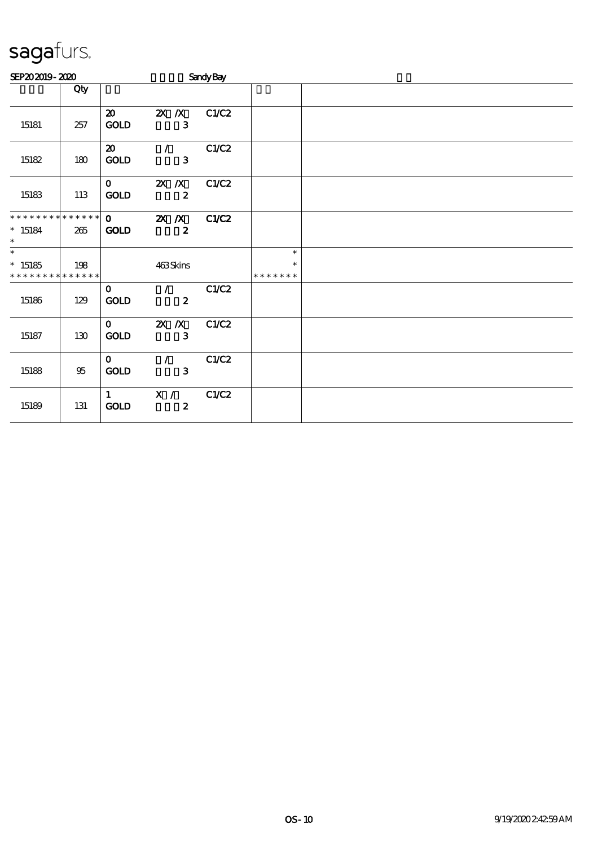| SEP202019-2020                                    |        |                                            |                                                 | <b>Sandy Bay</b>          |                              |  |  |  |
|---------------------------------------------------|--------|--------------------------------------------|-------------------------------------------------|---------------------------|------------------------------|--|--|--|
|                                                   | Qty    |                                            |                                                 |                           |                              |  |  |  |
| 15181                                             | 257    | $\boldsymbol{\mathfrak{D}}$<br><b>GOLD</b> | $X$ $X$                                         | C1/C2<br>$\mathbf{3}$     |                              |  |  |  |
| 15182                                             | 180    | $\boldsymbol{\mathfrak{D}}$<br>GOLD        | $\mathcal{L}$                                   | C1/C2<br>3                |                              |  |  |  |
| 15183                                             | 113    | $\mathbf{O}$<br>GOLD                       | $X$ $X$                                         | C1/C2<br>$\boldsymbol{z}$ |                              |  |  |  |
| **************<br>$* 15184$<br>$\ast$             | 265    | $\mathbf{O}$<br><b>GOLD</b>                | $\overline{\mathbf{X}}$ $\overline{\mathbf{X}}$ | C1/C2<br>$\boldsymbol{z}$ |                              |  |  |  |
| $\ast$<br>$*15185$<br>* * * * * * * * * * * * * * | 198    |                                            | 463Skins                                        |                           | $\ast$<br>*<br>* * * * * * * |  |  |  |
| 15186                                             | 129    | $\mathbf{O}$<br><b>GOLD</b>                | $\mathcal{F}$<br>$\overline{\mathbf{2}}$        | C1/C2                     |                              |  |  |  |
| 15187                                             | 130    | $\mathbf{O}$<br><b>GOLD</b>                | $X$ $X$                                         | C1/C2<br>3                |                              |  |  |  |
| 15188                                             | $95\,$ | $\mathbf{O}$<br>GOLD                       | $\mathcal{L}$                                   | C1/C2<br>$\mathbf{3}$     |                              |  |  |  |
| 15189                                             | 131    | $1 \quad \blacksquare$<br><b>GOLD</b>      | $\mathbf{X}$ /                                  | C1/C2<br>$\boldsymbol{2}$ |                              |  |  |  |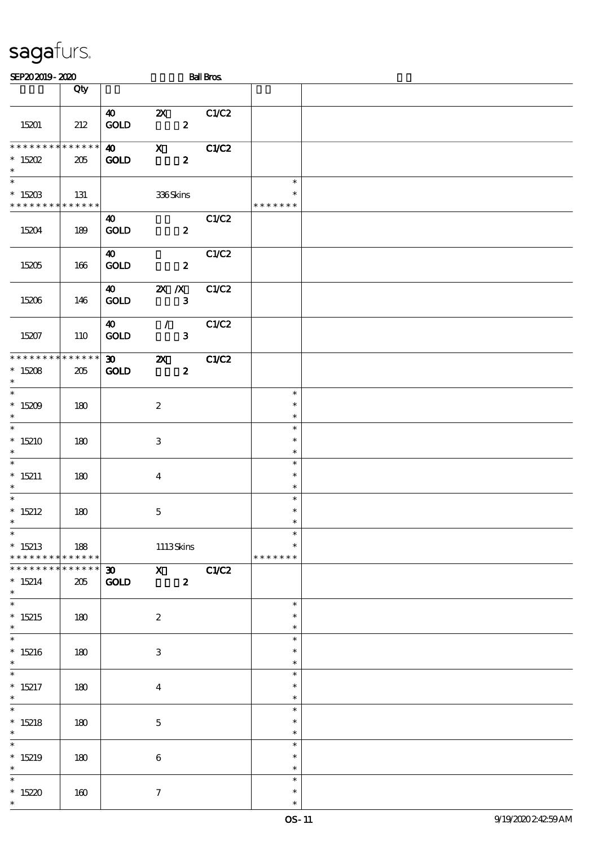| SEP202019-2020                                    |                    |                                            |                                               | <b>Ball Bros</b> |                                   |  |
|---------------------------------------------------|--------------------|--------------------------------------------|-----------------------------------------------|------------------|-----------------------------------|--|
|                                                   | Qty                |                                            |                                               |                  |                                   |  |
| 15201                                             | 212                | $\boldsymbol{\omega}$<br>$\mathbf{GOLD}$   | $\mathbf{x}$<br>$\boldsymbol{z}$              | C1/C2            |                                   |  |
| * * * * * * * *<br>$* 15202$<br>$\ast$            | * * * * * *<br>205 | $\boldsymbol{\omega}$<br><b>GOLD</b>       | $\mathbf X$<br>$\boldsymbol{z}$               | C1/C2            |                                   |  |
| $\ast$<br>$*15203$<br>* * * * * * * * * * * * * * | 131                |                                            | 336Skins                                      |                  | $\ast$<br>$\ast$<br>* * * * * * * |  |
| 15204                                             | 189                | 40<br><b>GOLD</b>                          | $\boldsymbol{z}$                              | C1/C2            |                                   |  |
| 15205                                             | 166                | 40<br>GOLD                                 | $\boldsymbol{z}$                              | C1/C2            |                                   |  |
| 15206                                             | 146                | $\boldsymbol{40}$<br><b>GOLD</b>           | $X$ $X$<br>$\mathbf{3}$                       | C1/C2            |                                   |  |
| 15207                                             | 110                | $\boldsymbol{\omega}$<br><b>GOLD</b>       | $\mathcal{T}$<br>$\mathbf{3}$                 | C1/C2            |                                   |  |
| * * * * * * * *<br>$*15208$<br>$\ast$             | * * * * * *<br>205 | $\boldsymbol{\mathfrak{D}}$<br><b>GOLD</b> | $\boldsymbol{\mathsf{X}}$<br>$\boldsymbol{z}$ | C1/C2            |                                   |  |
| $\overline{\phantom{a}^*}$<br>$*15209$<br>$\ast$  | 180                |                                            | $\boldsymbol{2}$                              |                  | $\ast$<br>$\ast$<br>$\ast$        |  |
| $\overline{\phantom{a}^*}$<br>$*15210$<br>$\ast$  | 180                |                                            | $\,3\,$                                       |                  | $\ast$<br>$\ast$<br>$\ast$        |  |
| $\ast$<br>$* 15211$<br>$\ast$                     | 180                |                                            | $\overline{4}$                                |                  | $\ast$<br>$\ast$<br>$\ast$        |  |
| $\overline{\phantom{a}^*}$<br>$*15212$<br>$\ast$  | 180                |                                            | $\mathbf 5$                                   |                  | $\ast$<br>$\ast$<br>$\ast$        |  |
| $\ast$<br>$*15213$<br>* * * * * * * * * * * * * * | 188                |                                            | $1113$ Skins                                  |                  | $\ast$<br>$\ast$<br>* * * * * * * |  |
| __<br>* * * * * * * *<br>$*15214$<br>$\ast$       | * * * * * *<br>205 | $\mathop{\rm GOD}$                         | 30 X C1/C2<br>$\mathbf{z}$                    |                  |                                   |  |
| $\overline{\phantom{0}}$<br>$*15215$<br>$\ast$    | 180                |                                            | $\boldsymbol{2}$                              |                  | $\ast$<br>$\ast$<br>$\ast$        |  |
| $\overline{\phantom{0}}$<br>$*15216$<br>$\ast$    | 180                |                                            | 3                                             |                  | $\ast$<br>$\ast$<br>$\ast$        |  |
| $\overline{\ast}$<br>$* 15217$<br>$\ast$          | 180                |                                            | $\overline{4}$                                |                  | $\ast$<br>$\ast$<br>$\ast$        |  |
| $\ast$<br>$*15218$<br>$\ast$                      | 180                |                                            | $\mathbf{5}$                                  |                  | $\ast$<br>$\ast$<br>$\ast$        |  |
| $\ast$<br>$*15219$<br>$\ast$                      | 180                |                                            | $\bf 6$                                       |                  | $\ast$<br>$\ast$<br>$\ast$        |  |
| $\ast$<br>$*15220$<br>$\ast$                      | 160                |                                            | $\tau$                                        |                  | $\ast$<br>$\ast$<br>$\ast$        |  |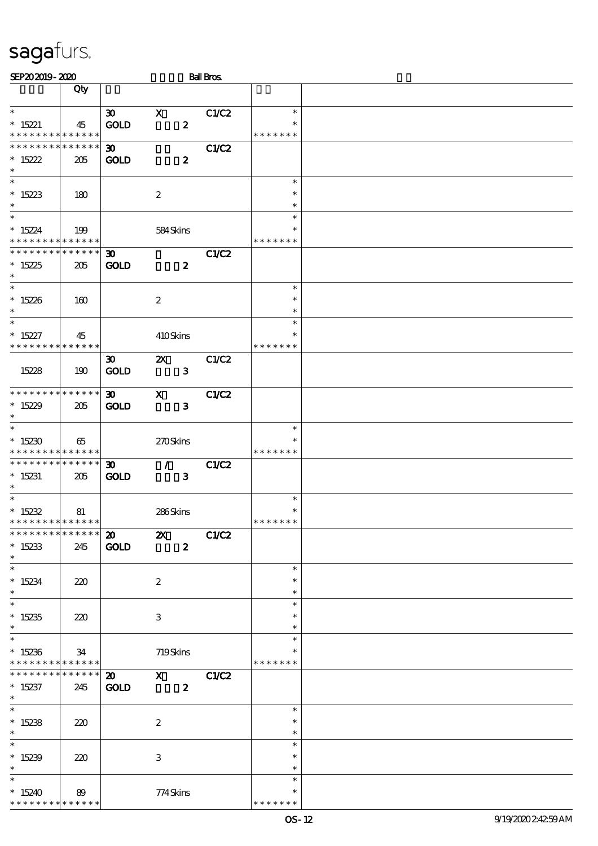| SEP202019-2020                                                        |                                   |                                            |                                                                                                                                         | <b>Ball Bros</b> |                                   |  |
|-----------------------------------------------------------------------|-----------------------------------|--------------------------------------------|-----------------------------------------------------------------------------------------------------------------------------------------|------------------|-----------------------------------|--|
|                                                                       | Qty                               |                                            |                                                                                                                                         |                  |                                   |  |
| $\ast$                                                                |                                   | $\boldsymbol{\mathfrak{D}}$                | $\mathbf X$                                                                                                                             | C1/C2            | $\ast$                            |  |
| $* 15221$<br>* * * * * * * * * * * * * *                              | 45                                | <b>GOLD</b>                                | $\boldsymbol{z}$                                                                                                                        |                  | $\ast$<br>* * * * * * *           |  |
| * * * * * * * *<br>$*15222$<br>$\ast$                                 | * * * * * *<br>205                | 30 <sub>1</sub><br><b>GOLD</b>             | $\boldsymbol{z}$                                                                                                                        | C1/C2            |                                   |  |
| $\ast$<br>$*15223$<br>$\ast$                                          | 180                               |                                            | $\boldsymbol{2}$                                                                                                                        |                  | $\ast$<br>$\ast$<br>$\ast$        |  |
| $\overline{\ast}$<br>$*15224$<br>* * * * * * * * * * * * * *          | 199                               |                                            | 584Skins                                                                                                                                |                  | $\ast$<br>$\ast$<br>* * * * * * * |  |
| * * * * * * * *<br>$*15225$<br>$\ast$                                 | * * * * * *<br>205                | $\boldsymbol{\mathfrak{D}}$<br><b>GOLD</b> | $\boldsymbol{z}$                                                                                                                        | C1/C2            |                                   |  |
| $\overline{\ast}$<br>$*15226$<br>$\ast$                               | 160                               |                                            | $\boldsymbol{2}$                                                                                                                        |                  | $\ast$<br>$\ast$<br>$\ast$        |  |
| $\ast$<br>$* 15227$<br>* * * * * * * *                                | 45<br>* * * * * *                 |                                            | 410Skins                                                                                                                                |                  | $\ast$<br>$\ast$<br>* * * * * * * |  |
| 15228                                                                 | 190                               | $\boldsymbol{\mathfrak{D}}$<br><b>GOLD</b> | $\boldsymbol{\mathsf{Z}}$<br>$\mathbf{3}$                                                                                               | C1/C2            |                                   |  |
| * * * * * * * * * * * * * *<br>$*15229$<br>$\ast$                     | 205                               | 30 <sub>o</sub><br><b>GOLD</b>             | $\mathbf{x}$<br>$\mathbf{3}$                                                                                                            | C1/C2            |                                   |  |
| $\ast$<br>$*15230$<br>* * * * * * * * * * * * * *                     | 65                                |                                            | 270Skins                                                                                                                                |                  | $\ast$<br>$\ast$<br>* * * * * * * |  |
| * * * * * * * *<br>$*15231$<br>$\ast$                                 | $\ast\ast\ast\ast\ast\ast$<br>205 | $\boldsymbol{\mathfrak{D}}$<br><b>GOLD</b> | $\mathcal{T} = \mathcal{I}$<br>$\mathbf{3}$                                                                                             | C1/C2            |                                   |  |
| $\overline{\phantom{0}}$<br>$*15232$<br>* * * * * * * * * * * * * * * | 81                                |                                            | 286Skins                                                                                                                                |                  | $\ast$<br>$\ast$<br>* * * * * * * |  |
| * * * * * * * * * * * * * *<br>$*15233$<br>$\ast$                     | 245                               | $\boldsymbol{\mathsf{a}}$<br><b>GOLD</b>   | $\boldsymbol{\mathsf{Z}}$<br>$\boldsymbol{z}$                                                                                           | C1/C2            |                                   |  |
| $\ast$<br>$*15234$<br>$\ast$                                          | 220                               |                                            | $\boldsymbol{2}$                                                                                                                        |                  | $\ast$<br>$\ast$<br>$\ast$        |  |
| $\overline{\ast}$<br>$*15235$<br>$\ast$                               | 220                               |                                            | 3                                                                                                                                       |                  | $\ast$<br>$\ast$<br>$\ast$        |  |
| $\ast$<br>$*15236$<br>* * * * * * * *                                 | 34<br>$\ast\ast\ast\ast\ast\ast$  |                                            | 719Skins                                                                                                                                |                  | $\ast$<br>* * * * * * *           |  |
| * * * * * * *<br>$*15237$<br>$\ast$                                   | * * * * * *<br>245                | $\boldsymbol{\mathfrak{D}}$<br><b>GOLD</b> | $\boldsymbol{\mathrm{X}}$ and $\boldsymbol{\mathrm{X}}$ and $\boldsymbol{\mathrm{X}}$ and $\boldsymbol{\mathrm{X}}$<br>$\boldsymbol{z}$ | C1/C2            |                                   |  |
| $\overline{\phantom{0}}$<br>$*15238$<br>$\ast$                        | 220                               |                                            | $\boldsymbol{2}$                                                                                                                        |                  | $\ast$<br>$\ast$<br>$\ast$        |  |
| $\ast$<br>$*15239$<br>$\ast$                                          | 220                               |                                            | 3                                                                                                                                       |                  | $\ast$<br>$\ast$<br>$\ast$        |  |
| $\ast$<br>$*15240$<br>* * * * * * * *                                 | 89<br>* * * * * *                 |                                            | 774Skins                                                                                                                                |                  | $\ast$<br>* * * * * *             |  |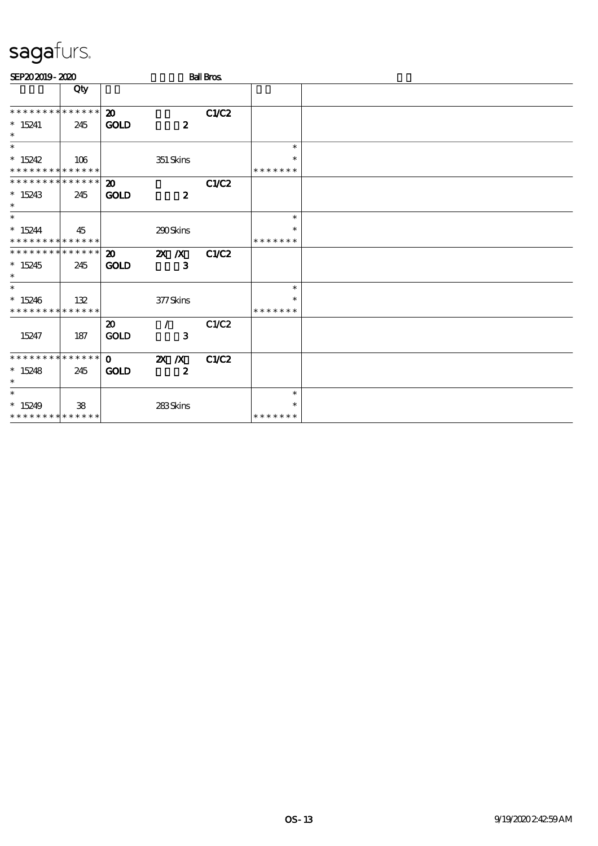| SEP202019-2020              |     |                             |                  | <b>Ball Bros</b> |               |  |
|-----------------------------|-----|-----------------------------|------------------|------------------|---------------|--|
|                             | Qty |                             |                  |                  |               |  |
| * * * * * * * * * * * * * * |     | $\boldsymbol{\mathfrak{D}}$ |                  | C1/C2            |               |  |
| $*15241$<br>$\ast$          | 245 | <b>GOLD</b>                 | $\boldsymbol{z}$ |                  |               |  |
| $\ast$                      |     |                             |                  |                  | $\ast$        |  |
| $*15242$                    | 106 |                             | 351 Skins        |                  | $\ast$        |  |
| * * * * * * * * * * * * * * |     |                             |                  |                  | * * * * * * * |  |
| * * * * * * * * * * * * * * |     | $\boldsymbol{\mathbf{z}}$   |                  | C1/C2            |               |  |
| $*15243$<br>$\ast$          | 245 | <b>GOLD</b>                 | $\boldsymbol{z}$ |                  |               |  |
| $\ast$                      |     |                             |                  |                  | $\ast$        |  |
| $*15244$                    | 45  |                             | 290Skins         |                  | ∗             |  |
| **************              |     |                             |                  |                  | * * * * * * * |  |
| * * * * * * * * * * * * * * |     | $\boldsymbol{\mathfrak{D}}$ | $X$ $X$          | C1/C2            |               |  |
| $*15245$<br>$\ast$          | 245 | <b>GOLD</b>                 | $\mathbf{3}$     |                  |               |  |
| $\overline{\phantom{0}}$    |     |                             |                  |                  | $\ast$        |  |
| $*15246$                    | 132 |                             | 377Skins         |                  | $\ast$        |  |
| * * * * * * * * * * * * * * |     |                             |                  |                  | * * * * * * * |  |
|                             |     | $\boldsymbol{\mathfrak{D}}$ | $\mathcal{L}$    | C1/C2            |               |  |
| 15247                       | 187 | <b>GOLD</b>                 | 3                |                  |               |  |
| * * * * * * * * * * * * * * |     | $\mathbf{0}$                | $X$ $N$          | C1/C2            |               |  |
| $*15248$<br>$\ast$          | 245 | <b>GOLD</b>                 | $\boldsymbol{z}$ |                  |               |  |
| $\ast$                      |     |                             |                  |                  | $\ast$        |  |
| $*15249$                    | 38  |                             | 283Skins         |                  | $\ast$        |  |
| * * * * * * * * * * * * * * |     |                             |                  |                  | *******       |  |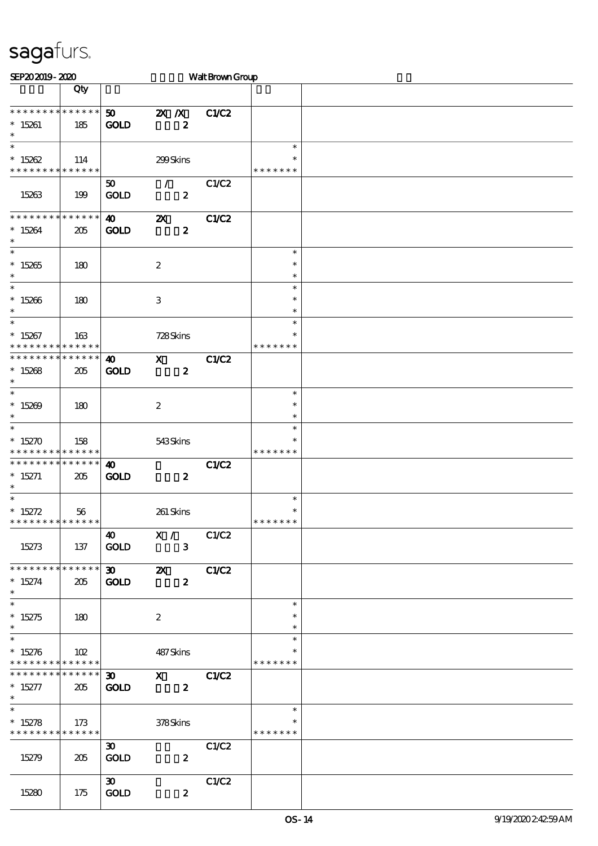| SEP202019-2020                                          |             |                             |                           | Walt Brown Group |               |  |
|---------------------------------------------------------|-------------|-----------------------------|---------------------------|------------------|---------------|--|
|                                                         | Qty         |                             |                           |                  |               |  |
|                                                         |             |                             |                           |                  |               |  |
| * * * * * * * * * * * * * *                             |             | 50                          | $\mathbf{X}$ $\mathbf{X}$ | C1/C2            |               |  |
| $*15261$                                                | 185         | <b>GOLD</b>                 | $\boldsymbol{z}$          |                  |               |  |
| $\ast$                                                  |             |                             |                           |                  |               |  |
| $\overline{\ast}$                                       |             |                             |                           |                  | $\ast$        |  |
| $* 15262$                                               | 114         |                             | 299Skins                  |                  |               |  |
| * * * * * * * * <mark>* * * * * *</mark>                |             |                             |                           |                  | * * * * * * * |  |
|                                                         |             | 50                          | $\mathcal{L}$             | C1/C2            |               |  |
| 15263                                                   | 199         | <b>GOLD</b>                 | $\boldsymbol{z}$          |                  |               |  |
|                                                         |             |                             |                           |                  |               |  |
| * * * * * * * * * * * * * *                             |             | $\boldsymbol{\omega}$       | $\boldsymbol{\mathsf{z}}$ | C1/C2            |               |  |
| $* 15264$                                               | 205         | <b>GOLD</b>                 | $\boldsymbol{z}$          |                  |               |  |
| $\ast$                                                  |             |                             |                           |                  |               |  |
| $\overline{\ast}$                                       |             |                             |                           |                  | $\ast$        |  |
| $*15265$                                                | 180         |                             | $\boldsymbol{2}$          |                  | $\ast$        |  |
| $\ast$                                                  |             |                             |                           |                  | $\ast$        |  |
| $\ast$                                                  |             |                             |                           |                  | $\ast$        |  |
| $*15266$                                                | 180         |                             | $\,3$                     |                  | $\ast$        |  |
| $\ast$                                                  |             |                             |                           |                  | $\ast$        |  |
| $\overline{\phantom{0}}$                                |             |                             |                           |                  | $\ast$        |  |
| $*15267$                                                | 163         |                             | 728Skins                  |                  | ∗             |  |
| * * * * * * * *                                         | * * * * * * |                             |                           |                  | * * * * * * * |  |
| * * * * * * * * * * * * * *                             |             | $\boldsymbol{\omega}$       | $\mathbf{x}$              | <b>C1/C2</b>     |               |  |
| $*15268$                                                | 205         | <b>GOLD</b>                 | $\boldsymbol{z}$          |                  |               |  |
| $\ast$                                                  |             |                             |                           |                  |               |  |
| $\ast$                                                  |             |                             |                           |                  | $\ast$        |  |
| $*15209$                                                | 180         |                             | $\boldsymbol{2}$          |                  | $\ast$        |  |
| $\ast$                                                  |             |                             |                           |                  | $\ast$        |  |
| $\ast$                                                  |             |                             |                           |                  | $\ast$        |  |
| $*15270$                                                | 158         |                             | 543Skins                  |                  | ∗             |  |
| * * * * * * * * <mark>* * * * * *</mark>                |             |                             |                           |                  | * * * * * * * |  |
| * * * * * * * * * * * * * *                             |             | 40                          |                           | C1/C2            |               |  |
|                                                         |             |                             |                           |                  |               |  |
| $* 15271$<br>$\ast$                                     | 205         | <b>GOLD</b>                 | $\boldsymbol{z}$          |                  |               |  |
| $\ast$                                                  |             |                             |                           |                  | $\ast$        |  |
|                                                         |             |                             |                           |                  | $\ast$        |  |
| $* 15272$<br>* * * * * * * * <mark>* * * * * *</mark> * | 56          |                             | 261 Skins                 |                  | * * * * * * * |  |
|                                                         |             |                             |                           |                  |               |  |
| 15273                                                   |             | 40                          | X / C1/C2                 |                  |               |  |
|                                                         | 137         | GOLD                        | 3 <sup>5</sup>            |                  |               |  |
| * * * * * * * * * * * * * * *                           |             |                             |                           |                  |               |  |
|                                                         |             | $30 - 1$                    | $\mathbf{x}$              | C1/C2            |               |  |
| $*15274$                                                | 205         | <b>GOLD</b>                 | $\boldsymbol{z}$          |                  |               |  |
| $*$<br>$\overline{\ast}$                                |             |                             |                           |                  |               |  |
|                                                         |             |                             |                           |                  | $\ast$        |  |
| $*15275$                                                | 180         |                             | $\boldsymbol{2}$          |                  | $\ast$        |  |
| $\ast$<br>$\ast$                                        |             |                             |                           |                  | $\ast$        |  |
|                                                         |             |                             |                           |                  | $\ast$        |  |
| $*15276$                                                | 102         |                             | 487 Skins                 |                  | ∗             |  |
| * * * * * * * * * * * * * * *                           |             |                             |                           |                  | * * * * * * * |  |
| * * * * * * * * * * * * * * *                           |             |                             | 30 X C1/C2                |                  |               |  |
| $*15277$                                                | 205         | <b>GOLD</b>                 | $\mathbf{z}$              |                  |               |  |
| $\ast$                                                  |             |                             |                           |                  |               |  |
| $\overline{\ast}$                                       |             |                             |                           |                  | $\ast$        |  |
| $* 15278$                                               | 173         |                             | $378\mathrm{S}$ kins      |                  | ∗             |  |
| * * * * * * * * * * * * * *                             |             |                             |                           |                  | * * * * * * * |  |
|                                                         |             | $\boldsymbol{\mathfrak{D}}$ |                           | C1/C2            |               |  |
| 15279                                                   | 205         | <b>GOLD</b>                 | $\boldsymbol{z}$          |                  |               |  |
|                                                         |             |                             |                           |                  |               |  |
|                                                         |             | $\infty$                    |                           | C1/C2            |               |  |
| 15280                                                   | 175         | <b>GOLD</b>                 | $\boldsymbol{z}$          |                  |               |  |
|                                                         |             |                             |                           |                  |               |  |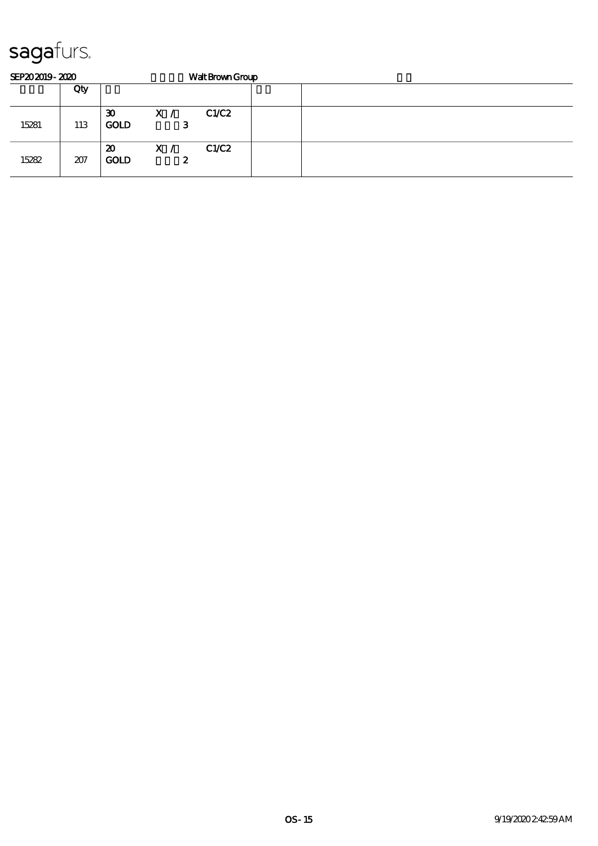| SEP202019-2020 |     |                                            |          | Walt Brown Group |  |  |  |  |
|----------------|-----|--------------------------------------------|----------|------------------|--|--|--|--|
|                | Qty |                                            |          |                  |  |  |  |  |
| 15281          | 113 | $\boldsymbol{\mathfrak{D}}$<br><b>GOLD</b> | X /<br>З | C1/C2            |  |  |  |  |
| 15282          | 207 | $\boldsymbol{\mathfrak{D}}$<br><b>GOLD</b> | X /<br>2 | C1/C2            |  |  |  |  |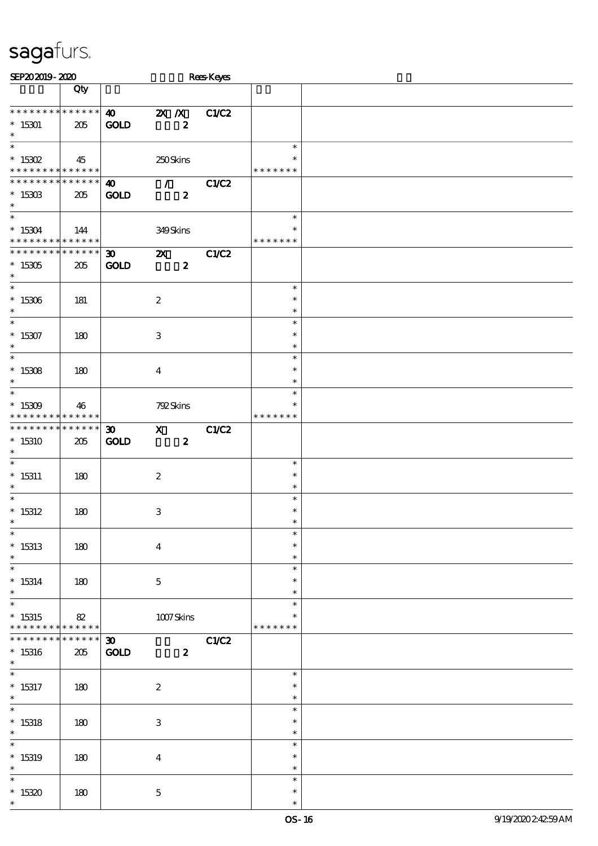| SEP202019-2020                          |             |                             |                           |                  | <b>Rees Keyes</b> |               |  |
|-----------------------------------------|-------------|-----------------------------|---------------------------|------------------|-------------------|---------------|--|
|                                         | Qty         |                             |                           |                  |                   |               |  |
|                                         |             |                             |                           |                  |                   |               |  |
| * * * * * * * * * * * * * *             |             | $\boldsymbol{\omega}$       | $X$ $X$                   |                  | C1/C2             |               |  |
| $^*$ 15301 $\,$                         | 205         | <b>GOLD</b>                 |                           | $\pmb{2}$        |                   |               |  |
| $\ast$                                  |             |                             |                           |                  |                   |               |  |
| $\ast$                                  |             |                             |                           |                  |                   | $\ast$        |  |
| $^*$ 15302 $\,$                         | 45          |                             | 250Skins                  |                  |                   | $\ast$        |  |
| * * * * * * * * * * * * * *             |             |                             |                           |                  |                   | * * * * * * * |  |
| * * * * * * * * * * * * * *             |             |                             |                           |                  |                   |               |  |
|                                         |             | $\boldsymbol{\omega}$       | $\mathcal{T}=\mathcal{I}$ |                  | C1/C2             |               |  |
| $*1530B$                                | 205         | <b>GOLD</b>                 |                           | $\boldsymbol{z}$ |                   |               |  |
| $\ast$                                  |             |                             |                           |                  |                   |               |  |
| $\overline{\ast}$                       |             |                             |                           |                  |                   | $\ast$        |  |
| $* 15304$                               | 144         |                             | 349Skins                  |                  |                   | $\ast$        |  |
| * * * * * * * * * * * * * *             |             |                             |                           |                  |                   | * * * * * * * |  |
| * * * * * * * * * * * * * *             |             | $\boldsymbol{\mathfrak{D}}$ | $\boldsymbol{\mathsf{X}}$ |                  | C1/C2             |               |  |
| $*15305$                                | 205         | <b>GOLD</b>                 |                           | $\boldsymbol{z}$ |                   |               |  |
| $\ast$                                  |             |                             |                           |                  |                   |               |  |
| $\overline{\phantom{0}}$                |             |                             |                           |                  |                   | $\ast$        |  |
| $^\ast$ 15306                           | 181         |                             | $\boldsymbol{2}$          |                  |                   | $\ast$        |  |
| $\ast$                                  |             |                             |                           |                  |                   | $\ast$        |  |
| $\overline{\ast}$                       |             |                             |                           |                  |                   | $\ast$        |  |
|                                         |             |                             |                           |                  |                   |               |  |
| $* 15307$                               | 180         |                             | $\,3$                     |                  |                   | $\ast$        |  |
| $\ast$                                  |             |                             |                           |                  |                   | $\ast$        |  |
| $\ast$                                  |             |                             |                           |                  |                   | $\ast$        |  |
| $^*$ 15308 $\,$                         | 180         |                             | $\boldsymbol{4}$          |                  |                   | $\ast$        |  |
| $\ast$                                  |             |                             |                           |                  |                   | $\ast$        |  |
| $\ast$                                  |             |                             |                           |                  |                   | $\ast$        |  |
| $*15309$                                | 46          |                             | 792Skins                  |                  |                   | $\ast$        |  |
| * * * * * * * * * * * * * *             |             |                             |                           |                  |                   | * * * * * * * |  |
| * * * * * * * * * * * * * *             |             | $\boldsymbol{\mathfrak{D}}$ | $\mathbf{x}$              |                  | C1/C2             |               |  |
| $*15310$                                | 205         | <b>GOLD</b>                 |                           | $\boldsymbol{z}$ |                   |               |  |
| $\ast$                                  |             |                             |                           |                  |                   |               |  |
| $\ast$                                  |             |                             |                           |                  |                   | $\ast$        |  |
|                                         |             |                             |                           |                  |                   | $\ast$        |  |
| $* 15311$                               | 180         |                             | $\boldsymbol{2}$          |                  |                   |               |  |
| $\ast$<br>$\overline{\ast}$             |             |                             |                           |                  |                   | $\ast$        |  |
|                                         |             |                             |                           |                  |                   | $\ast$        |  |
| $^*$ 15312 $\,$                         | 180         |                             | $\,3$                     |                  |                   | $\ast$        |  |
| $*$                                     |             |                             |                           |                  |                   | $\ast$        |  |
| $\ast$                                  |             |                             |                           |                  |                   | $\ast$        |  |
| $*15313$                                | 180         |                             | $\boldsymbol{4}$          |                  |                   | $\ast$        |  |
| $\ast$                                  |             |                             |                           |                  |                   | $\ast$        |  |
| $\ast$                                  |             |                             |                           |                  |                   | $\ast$        |  |
| $* 15314$                               | 180         |                             | $\mathbf 5$               |                  |                   | $\ast$        |  |
| $\ast$                                  |             |                             |                           |                  |                   | $\ast$        |  |
| $\ast$                                  |             |                             |                           |                  |                   | $\ast$        |  |
|                                         |             |                             |                           |                  |                   |               |  |
| $*15315$<br>* * * * * * * * * * * * * * | 82          |                             | 1007Skins                 |                  |                   |               |  |
|                                         |             |                             |                           |                  |                   | * * * * * * * |  |
| * * * * * * * *                         | * * * * * * | $\boldsymbol{\mathfrak{D}}$ |                           |                  | C1/C2             |               |  |
| $*15316$                                | 205         | <b>GOLD</b>                 |                           | $\boldsymbol{z}$ |                   |               |  |
| $*$                                     |             |                             |                           |                  |                   |               |  |
| $\overline{\phantom{0}}$                |             |                             |                           |                  |                   | $\ast$        |  |
| $*$ 15317                               | 180         |                             | $\boldsymbol{2}$          |                  |                   | $\ast$        |  |
| $*$                                     |             |                             |                           |                  |                   | $\ast$        |  |
| $\overline{\phantom{1}}$                |             |                             |                           |                  |                   | $\ast$        |  |
| $*$ 15318                               | 180         |                             | $\ensuremath{\mathbf{3}}$ |                  |                   | $\ast$        |  |
| $\ast$                                  |             |                             |                           |                  |                   | $\ast$        |  |
| $\ast$                                  |             |                             |                           |                  |                   | $\ast$        |  |
|                                         |             |                             |                           |                  |                   | $\ast$        |  |
| $*$ 15319                               | 180         |                             | $\boldsymbol{4}$          |                  |                   |               |  |
| $\ast$                                  |             |                             |                           |                  |                   | $\ast$        |  |
| $\ast$                                  |             |                             |                           |                  |                   | $\ast$        |  |
| $*15320$                                | 180         |                             | $\mathbf 5$               |                  |                   | $\ast$        |  |
| $\ast$                                  |             |                             |                           |                  |                   | $\ast$        |  |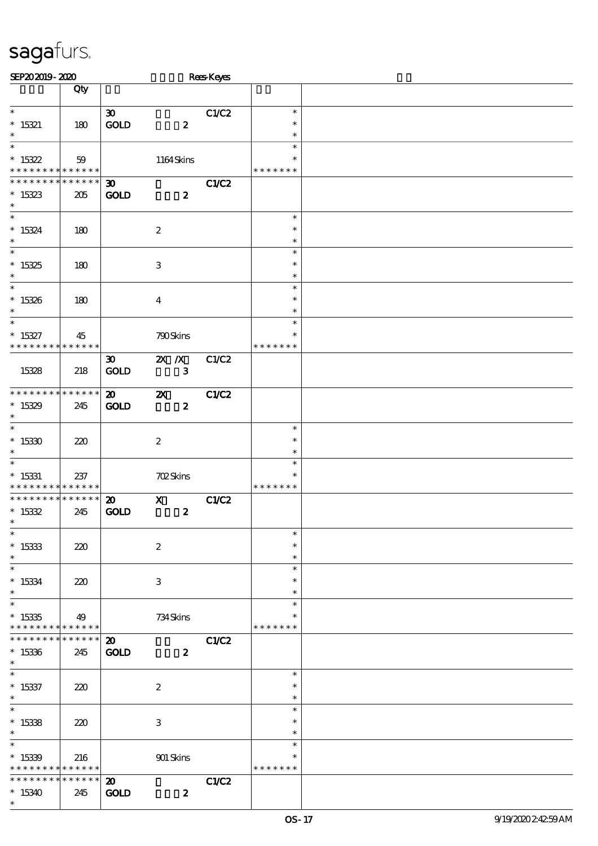| SEP202019-2020                                                          |                    |                                            |                           | <b>Rees</b> Keyes |                         |  |
|-------------------------------------------------------------------------|--------------------|--------------------------------------------|---------------------------|-------------------|-------------------------|--|
|                                                                         | Qty                |                                            |                           |                   |                         |  |
| $\ast$                                                                  |                    | $\boldsymbol{\mathfrak{D}}$                |                           | C1/C2             | $\ast$                  |  |
| $* 15321$                                                               | 180                | GOLD                                       | $\pmb{2}$                 |                   | $\ast$                  |  |
| $\ast$                                                                  |                    |                                            |                           |                   | $\ast$                  |  |
| $\ast$                                                                  |                    |                                            |                           |                   | $\ast$                  |  |
| $*15322$                                                                | 59                 |                                            | 1164Skins                 |                   | $\ast$                  |  |
| * * * * * * * * <mark>* * * * * *</mark><br>* * * * * * * * * * * * * * |                    |                                            |                           |                   | * * * * * * *           |  |
| $*15323$                                                                | 205                | $\boldsymbol{\mathfrak{D}}$<br><b>GOLD</b> | $\boldsymbol{z}$          | <b>C1/C2</b>      |                         |  |
| $\ast$                                                                  |                    |                                            |                           |                   |                         |  |
| $\overline{\ast}$                                                       |                    |                                            |                           |                   | $\ast$                  |  |
| $* 15324$                                                               | 180                |                                            | $\boldsymbol{2}$          |                   | $\ast$                  |  |
| $\ast$<br>$\overline{\phantom{0}}$                                      |                    |                                            |                           |                   | $\ast$<br>$\ast$        |  |
| $*15325$                                                                | 180                |                                            | $\,3$                     |                   | $\ast$                  |  |
| $\ast$                                                                  |                    |                                            |                           |                   | $\ast$                  |  |
| $*$                                                                     |                    |                                            |                           |                   | $\ast$                  |  |
| $* 15326$                                                               | 180                |                                            | $\boldsymbol{4}$          |                   | $\ast$                  |  |
| $\ast$                                                                  |                    |                                            |                           |                   | $\ast$                  |  |
| $\ast$                                                                  |                    |                                            |                           |                   | $\ast$<br>$\ast$        |  |
| $* 15327$<br>* * * * * * * *                                            | 45<br>* * * * * *  |                                            | 790Skins                  |                   | * * * * * * *           |  |
|                                                                         |                    | $\boldsymbol{\mathfrak{D}}$                | $X$ $N$                   | C1/C2             |                         |  |
| 15328                                                                   | 218                | <b>GOLD</b>                                | $\mathbf{3}$              |                   |                         |  |
|                                                                         |                    |                                            |                           |                   |                         |  |
| * * * * * * * * * * * * * *                                             |                    | $\boldsymbol{\mathbf{z}}$                  | $\boldsymbol{\alpha}$     | <b>C1/C2</b>      |                         |  |
| $*15329$<br>$\ast$                                                      | 245                | <b>GOLD</b>                                | $\boldsymbol{2}$          |                   |                         |  |
| $\overline{\ast}$                                                       |                    |                                            |                           |                   | $\ast$                  |  |
| $*15330$                                                                | 220                |                                            | $\boldsymbol{2}$          |                   | $\ast$                  |  |
| $\ast$                                                                  |                    |                                            |                           |                   | $\ast$                  |  |
| $\ast$                                                                  |                    |                                            |                           |                   | $\ast$                  |  |
| $*$ 15331<br>* * * * * * * *                                            | 237<br>* * * * * * |                                            | <b>702Skins</b>           |                   | $\ast$<br>* * * * * * * |  |
| * * * * * * * *                                                         | $* * * * * * *$    | $\boldsymbol{\mathfrak{D}}$                | $\boldsymbol{\mathrm{X}}$ | <b>C1/C2</b>      |                         |  |
| $* 15332$                                                               | 245                | <b>GOLD</b>                                | $\pmb{2}$                 |                   |                         |  |
| $*$                                                                     |                    |                                            |                           |                   |                         |  |
| $\ast$                                                                  |                    |                                            |                           |                   | $\ast$                  |  |
| $^\ast$ 15333<br>$\ast$                                                 | 220                |                                            | $\boldsymbol{2}$          |                   | $\ast$<br>$\ast$        |  |
| $\ast$                                                                  |                    |                                            |                           |                   | $\ast$                  |  |
| $* 15334$                                                               | 220                |                                            | $\,3$                     |                   | $\ast$                  |  |
| $\ast$                                                                  |                    |                                            |                           |                   | $\ast$                  |  |
| $\ast$                                                                  |                    |                                            |                           |                   | $\ast$                  |  |
| $*15335$<br>* * * * * * * *                                             | 49<br>******       |                                            | 734 Skins                 |                   | $\ast$<br>* * * * * * * |  |
| * * * * * * *                                                           | * * * * * *        | $\boldsymbol{\mathfrak{D}}$                |                           | <b>C1/C2</b>      |                         |  |
| $*15336$                                                                | 245                | <b>GOLD</b>                                | $\boldsymbol{z}$          |                   |                         |  |
| $\ast$                                                                  |                    |                                            |                           |                   |                         |  |
| $\ast$                                                                  |                    |                                            |                           |                   | $\ast$                  |  |
| $* 15337$                                                               | 220                |                                            | $\boldsymbol{2}$          |                   | $\ast$                  |  |
| $\ast$<br>$\overline{\phantom{0}}$                                      |                    |                                            |                           |                   | $\ast$<br>$\ast$        |  |
| $*15338$                                                                | 220                |                                            | $\,3$                     |                   | $\ast$                  |  |
| $\ast$                                                                  |                    |                                            |                           |                   | $\ast$                  |  |
| $\ast$                                                                  |                    |                                            |                           |                   | $\ast$                  |  |
| $*15339$                                                                | 216                |                                            | $901$ Skins               |                   | $\ast$                  |  |
| * * * * * * * *                                                         | ******             |                                            |                           |                   | * * * * * * *           |  |
| * * * * * * *                                                           | $******$           | $\boldsymbol{\mathfrak{D}}$                |                           | C1/C2             |                         |  |
| $*15340$<br>$\ast$                                                      | 245                | <b>GOLD</b>                                | $\boldsymbol{z}$          |                   |                         |  |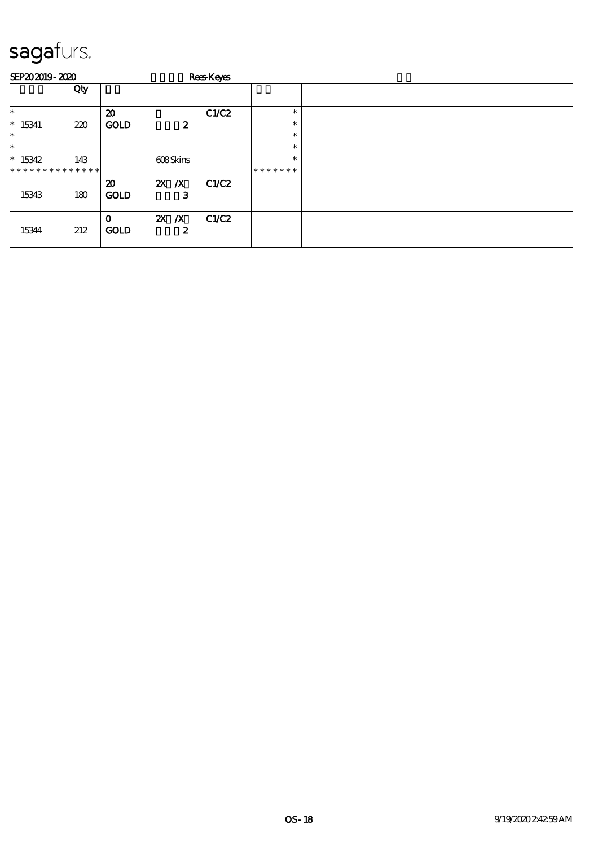|                             | SEP202019-2020 |                                            |                  | Rees-Keyes |                  |  |  |  |  |  |
|-----------------------------|----------------|--------------------------------------------|------------------|------------|------------------|--|--|--|--|--|
|                             | Qty            |                                            |                  |            |                  |  |  |  |  |  |
| $\ast$                      |                | $\boldsymbol{\mathbf{z}}$                  |                  | C1/C2      | $\ast$           |  |  |  |  |  |
| $* 15341$<br>$\ast$         | 220            | <b>GOLD</b>                                | $\boldsymbol{z}$ |            | $\ast$<br>$\ast$ |  |  |  |  |  |
| $\ast$                      |                |                                            |                  |            | $\ast$           |  |  |  |  |  |
| $*15342$                    | 143            |                                            | 608Skins         |            | $\ast$           |  |  |  |  |  |
| * * * * * * * * * * * * * * |                |                                            |                  |            | *******          |  |  |  |  |  |
| 15343                       | 180            | $\boldsymbol{\mathfrak{D}}$<br><b>GOLD</b> | $X$ $N$<br>з     | C1/C2      |                  |  |  |  |  |  |
| 15344                       | 212            | $\mathbf 0$<br><b>GOLD</b>                 | $X$ $N$<br>2     | C1/C2      |                  |  |  |  |  |  |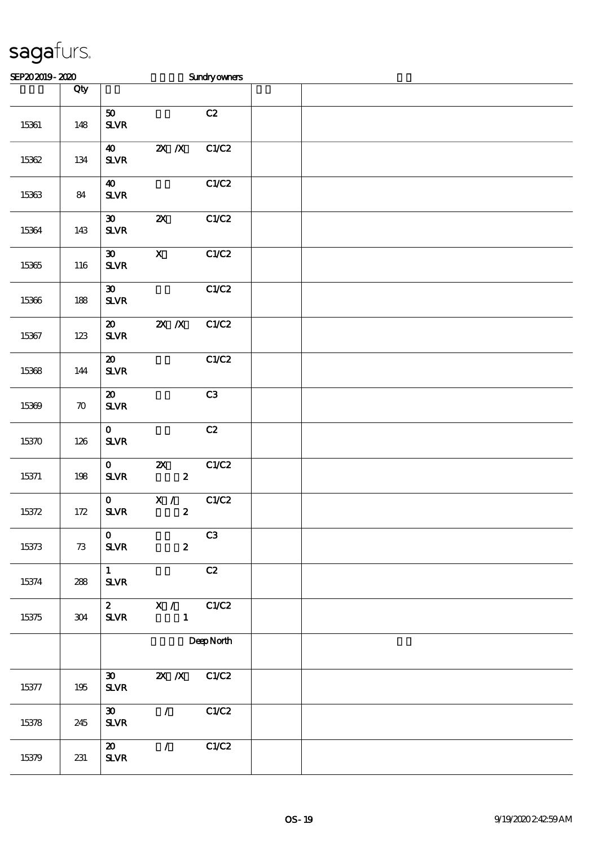| SEP202019-2020 |                    |                                                                     |                                               | <b>Sundryowners</b> |  |  |  |
|----------------|--------------------|---------------------------------------------------------------------|-----------------------------------------------|---------------------|--|--|--|
|                | Qty                |                                                                     |                                               |                     |  |  |  |
| 15361          | 148                | 50<br>${\bf S\!L}\!{\bf V\!R}$                                      |                                               | C2                  |  |  |  |
| 15362          | $134\,$            | $\boldsymbol{40}$<br>${\bf S\!L}\!{\bf V\!R}$                       | $X$ $X$                                       | C1/C2               |  |  |  |
| 15363          | 84                 | $\boldsymbol{40}$<br>${\bf S\!L}\!{\bf V\!R}$                       |                                               | C1/C2               |  |  |  |
| 15364          | 143                | $\boldsymbol{\mathfrak{D}}$<br>$S\!L\!V\!R$                         | $\boldsymbol{\mathsf{z}}$                     | C1/C2               |  |  |  |
| 15365          | 116                | $\boldsymbol{\mathfrak{D}}$<br>$S\!L\!V\!R$                         | $\mathbf X$                                   | C1/C2               |  |  |  |
| 15366          | 188                | $\pmb{\mathfrak{D}}$<br>${\bf S\!L}\!{\bf V\!R}$                    |                                               | C1/C2               |  |  |  |
| 15367          | $123$              | $\boldsymbol{\mathsf{20}}$<br>${\bf S\!L}\!{\bf V\!R}$              | $\overline{zx}$ $\overline{X}$                | C1/C2               |  |  |  |
| 15368          | 144                | $\boldsymbol{\boldsymbol{\mathrm{20}}}$<br>${\bf S\!L}\!{\bf V\!R}$ |                                               | C1/C2               |  |  |  |
| 15369          | $\boldsymbol{\pi}$ | $\boldsymbol{\mathfrak{D}}$<br>${\bf S\!L}\!{\bf V\!R}$             |                                               | C3                  |  |  |  |
| 15370          | 126                | $\mathbf{o}$<br>${\bf S\!L}\!{\bf V\!R}$                            |                                               | C2                  |  |  |  |
| 15371          | 198                | $\mathbf O$<br>$S\!L\!V\!R$                                         | $\boldsymbol{\mathsf{Z}}$<br>$\boldsymbol{z}$ | C1/C2               |  |  |  |
| 15372          | $172$              | $\mathbf{o}$<br>$S\!L\!V\!R$                                        | X /<br>$\boldsymbol{z}$                       | C1/C2               |  |  |  |
| 15373          | $7\!3$             | $\mathbf{O}$<br>$S\!L\!V\!R$                                        | $\boldsymbol{z}$                              | C3                  |  |  |  |
| 15374          | 288                | $1 -$<br>${\bf S\!L}\!{\bf V\!R}$                                   |                                               | C2                  |  |  |  |
| 15375          | 304                | $\mathbf{2}$<br>${\bf S\!L}\!{\bf V\!R}$                            | $\mathbf{X}$ /<br>$\mathbf{1}$                | C1/C2               |  |  |  |
|                |                    |                                                                     |                                               | DeepNorth           |  |  |  |
| 15377          | $195\,$            | $\boldsymbol{\mathfrak{D}}$<br>${\bf S\!L}\!{\bf V\!R}$             | $X$ $N$                                       | C1/C2               |  |  |  |
| 15378          | 245                | $\boldsymbol{\mathfrak{D}}$<br>$S\!L\!V\!R$                         | $\mathcal{L}$                                 | C1/C2               |  |  |  |
| 15379          | 231                | $\boldsymbol{\mathsf{20}}$<br>$S\!L\!V\!R$                          | $\mathcal{L}$                                 | C1/C2               |  |  |  |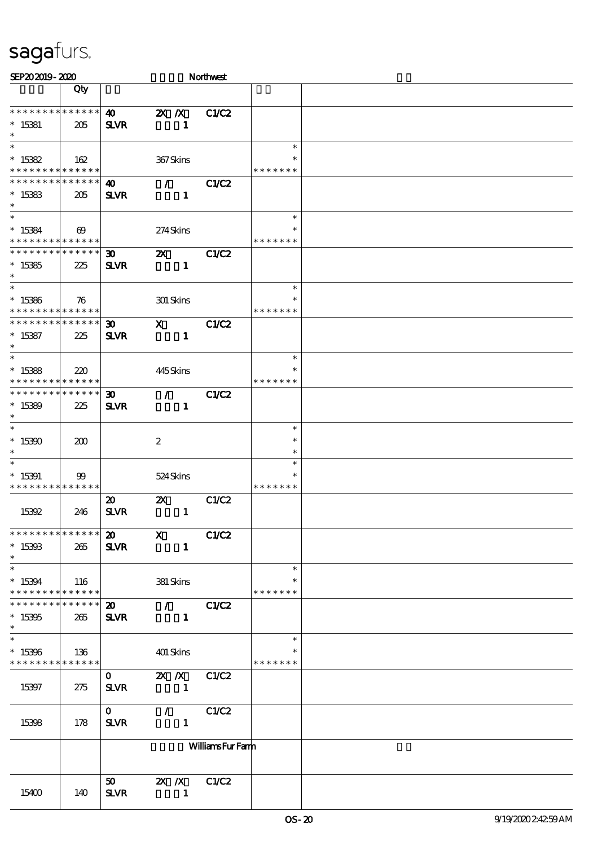| SEP202019-2020                             |                       |                             |                             | Northwest              |               |  |
|--------------------------------------------|-----------------------|-----------------------------|-----------------------------|------------------------|---------------|--|
|                                            | Qty                   |                             |                             |                        |               |  |
|                                            |                       |                             |                             |                        |               |  |
| * * * * * * * * * * * * * *                |                       | $\boldsymbol{\omega}$       | $\mathbf{X}$ $\mathbf{X}$   | C1/C2                  |               |  |
| $* 15381$                                  | 205                   | <b>SLVR</b>                 | $\mathbf{1}$                |                        |               |  |
| $\ast$                                     |                       |                             |                             |                        |               |  |
| $\ast$                                     |                       |                             |                             |                        | $\ast$        |  |
| $^*$ 15382 $\,$                            | 162                   |                             | 367Skins                    |                        | ∗             |  |
| * * * * * * * * <mark>* * * * * *</mark>   |                       |                             |                             |                        | * * * * * * * |  |
| * * * * * * * *                            | * * * * * *           | 40                          | $\mathcal{T} = \mathcal{I}$ | <b>C1/C2</b>           |               |  |
| $*15383$                                   | 205                   | <b>SLVR</b>                 | $\mathbf{1}$                |                        |               |  |
| $\ast$                                     |                       |                             |                             |                        |               |  |
| $\overline{\ast}$                          |                       |                             |                             |                        | $\ast$        |  |
| $*15384$                                   | $\boldsymbol{\omega}$ |                             | 274Skins                    |                        | $\ast$        |  |
| * * * * * * * * * * * * * *                |                       |                             |                             |                        | * * * * * * * |  |
| * * * * * * * * * * * * * *                |                       | $\boldsymbol{\mathfrak{D}}$ | $\boldsymbol{\alpha}$       | <b>C1/C2</b>           |               |  |
| $*15385$                                   | 225                   | <b>SLVR</b>                 | $\mathbf{1}$                |                        |               |  |
| $\ast$                                     |                       |                             |                             |                        |               |  |
| $\overline{\phantom{0}}$                   |                       |                             |                             |                        | $\ast$        |  |
| $*15386$                                   |                       |                             |                             |                        |               |  |
| * * * * *                                  | 76<br>* * * * * *     |                             | 301 Skins                   |                        | * * * * * * * |  |
| * * * * * * * * * * * * * *                |                       |                             | $\mathbf{x}$                |                        |               |  |
|                                            |                       | $\boldsymbol{\mathfrak{D}}$ |                             | C1/C2                  |               |  |
| $* 15387$<br>$\ast$                        | 225                   | <b>SLVR</b>                 | $\mathbf{1}$                |                        |               |  |
| $\ast$                                     |                       |                             |                             |                        | $\ast$        |  |
|                                            |                       |                             |                             |                        | ∗             |  |
| $*15388$                                   | 220                   |                             | 445Skins                    |                        |               |  |
| * * * * * * * *                            | ******                |                             |                             |                        | * * * * * * * |  |
| * * * * * * * * <mark>* * * * * * *</mark> |                       | $\boldsymbol{\mathfrak{D}}$ | $\mathcal{T}$               | C1/C2                  |               |  |
| $*15389$                                   | 225                   | <b>SLVR</b>                 | $\mathbf{1}$                |                        |               |  |
| $\ast$<br>$\overline{\ast}$                |                       |                             |                             |                        |               |  |
|                                            |                       |                             |                             |                        | $\ast$        |  |
| $*15390$                                   | 200                   |                             | $\boldsymbol{z}$            |                        | $\ast$        |  |
| $\ast$                                     |                       |                             |                             |                        | $\ast$        |  |
| $\ast$                                     |                       |                             |                             |                        | ∗             |  |
| $*15391$                                   | $99$                  |                             | 524Skins                    |                        |               |  |
| * * * * * * * * * * * * * *                |                       |                             |                             |                        | * * * * * * * |  |
|                                            |                       | $\boldsymbol{\mathfrak{D}}$ | $\boldsymbol{\mathsf{Z}}$   | C1/C2                  |               |  |
| 15392                                      | 246                   | <b>SLVR</b>                 | $\mathbf{1}$                |                        |               |  |
|                                            |                       |                             |                             |                        |               |  |
| ******************* 20 X                   |                       |                             |                             | C1/C2                  |               |  |
| $^*$ 15393 $\,$                            | 265                   | <b>SLVR</b>                 | $\mathbf{1}$                |                        |               |  |
| $\ast$                                     |                       |                             |                             |                        |               |  |
| $\ast$                                     |                       |                             |                             |                        | $\ast$        |  |
| $*15394$                                   | 116                   |                             | 381 Skins                   |                        |               |  |
| * * * * * * * * <mark>* * * * * * *</mark> |                       |                             |                             |                        | * * * * * * * |  |
| * * * * * * * *                            | $* * * * * * *$       |                             | 20 / C1/C2                  |                        |               |  |
| $*15395$                                   | 265                   | <b>SLVR</b>                 | $\sim$ 1                    |                        |               |  |
| $\ast$                                     |                       |                             |                             |                        |               |  |
| $\overline{\ast}$                          |                       |                             |                             |                        | $\ast$        |  |
| $*15396$                                   | 136                   |                             | 401 Skins                   |                        |               |  |
| * * * * * * * * * * * * * * *              |                       |                             |                             |                        | * * * * * * * |  |
|                                            |                       | $\mathbf{O}$                | 2X /X C1/C2                 |                        |               |  |
| 15397                                      | 275                   | <b>SLVR</b>                 |                             |                        |               |  |
|                                            |                       |                             |                             |                        |               |  |
|                                            |                       | $\mathbf{O}$                | $\sqrt{C1/C2}$              |                        |               |  |
| 15398                                      | 178                   | <b>SLVR</b>                 | $\mathbf{1}$                |                        |               |  |
|                                            |                       |                             |                             |                        |               |  |
|                                            |                       |                             |                             | <b>WilliamsFurFamm</b> |               |  |
|                                            |                       |                             |                             |                        |               |  |
|                                            |                       |                             |                             |                        |               |  |
|                                            |                       | 50                          | 2X / X C1/C2                |                        |               |  |
| 15400                                      | 140                   | <b>SLVR</b>                 | $\overline{\phantom{a}}$    |                        |               |  |
|                                            |                       |                             |                             |                        |               |  |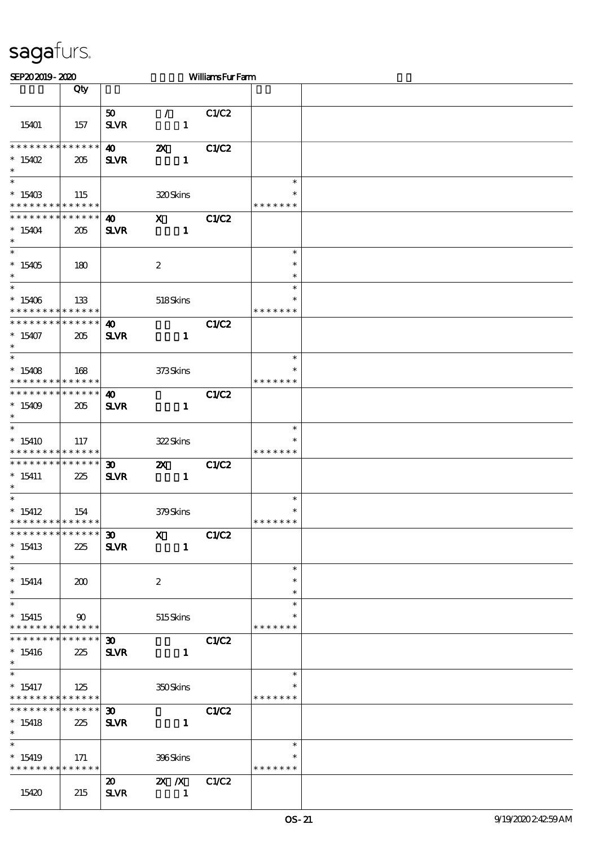| SEP202019-2020                                                   |                    |                                            |                                                       | <b>WilliamsFurFarm</b> |                                   |  |
|------------------------------------------------------------------|--------------------|--------------------------------------------|-------------------------------------------------------|------------------------|-----------------------------------|--|
|                                                                  | Qty                |                                            |                                                       |                        |                                   |  |
| 15401                                                            | 157                | 50<br><b>SLVR</b>                          | $\mathcal{F}$<br>$\mathbf{1}$                         | C1/C2                  |                                   |  |
| * * * * * * * * * * * * * *<br>$*15402$<br>$\ast$                | 205                | $\boldsymbol{\omega}$<br><b>SLVR</b>       | $\boldsymbol{\mathsf{z}}$<br>$\mathbf{1}$             | C1/C2                  |                                   |  |
| $\ast$<br>$*15403$<br>* * * * * * * * * * * * * *                | 115                |                                            | 320Skins                                              |                        | $\ast$<br>∗<br>* * * * * * *      |  |
| * * * * * * * * * * * * * *<br>$*15404$<br>$\ast$                | 205                | 40<br><b>SLVR</b>                          | $\mathbf{x}$<br>$\mathbf{1}$                          | C1/C2                  |                                   |  |
| $\ast$<br>$*15405$<br>$\ast$<br>$\overline{\phantom{0}}$         | 180                |                                            | $\boldsymbol{2}$                                      |                        | $\ast$<br>$\ast$<br>$\ast$        |  |
| $*15406$<br>* * * * * * * * * * * * * *                          | 133                |                                            | 518Skins                                              |                        | $\ast$<br>∗<br>* * * * *<br>* *   |  |
| * * * * * * * * * * * * * *<br>$*15407$<br>$\ast$                | 205                | $\boldsymbol{\omega}$<br><b>SLVR</b>       | $\mathbf{1}$                                          | <b>C1/C2</b>           |                                   |  |
| $\ast$<br>$*15408$<br>* * * * * * * * * * * * * *                | 168                |                                            | 373Skins                                              |                        | $\ast$<br>$\ast$<br>* * * * * * * |  |
| * * * * * * * * * * * * * *<br>$*15409$<br>$\ast$<br>$\ast$      | 205                | $\boldsymbol{\omega}$<br><b>SLVR</b>       | $\mathbf{1}$                                          | C1/C2                  |                                   |  |
| $*15410$<br>* * * * * * * * * * * * * *                          | 117                |                                            | 322Skins                                              |                        | $\ast$<br>* * * * * * *           |  |
| * * * * * * * * * * * * * *<br>$* 15411$<br>$\ast$               | 225                | 30 <sub>o</sub><br><b>SLVR</b>             | $\mathbf{z}$<br>$\mathbf{1}$                          | C1/C2                  |                                   |  |
| $*$ 15412<br>* * * * * * * * * * * * * *                         | 154                |                                            | 379Skins                                              |                        | $\ast$<br>$\ast$<br>* * * * * * * |  |
| * * * * * * * * * * * * * *<br>$*15413$<br>$\ast$                | 225                | $\boldsymbol{\mathfrak{D}}$<br><b>SLVR</b> | $\mathbf{x}$<br>$\mathbf{1}$                          | C1/C2                  |                                   |  |
| $\ast$<br>$*15414$<br>$\ast$                                     | 200                |                                            | $\boldsymbol{2}$                                      |                        | $\ast$<br>$\ast$<br>$\ast$        |  |
| $\ast$<br>$*15415$<br>* * * * * * * * <mark>* * * * * * *</mark> | $\infty$           |                                            | 515Skins                                              |                        | $\ast$<br>∗<br>* * * * * * *      |  |
| * * * * * * * *<br>$*15416$<br>$\ast$                            | * * * * * *<br>225 | 30 <sub>o</sub><br><b>SLVR</b>             | $\mathbf{1}$                                          | C1/C2                  |                                   |  |
| $\ast$<br>$*15417$<br>* * * * * * * * * * * * * *                | 125                |                                            | 350Skins                                              |                        | $\ast$<br>* * * * * * *           |  |
| * * * * * * * *<br>$*15418$<br>$*$                               | ******<br>225      | $\boldsymbol{\mathfrak{D}}$<br><b>SLVR</b> | $\mathbf{1}$                                          | C1/C2                  |                                   |  |
| $\overline{\ast}$<br>$*15419$<br>* * * * * * * * * * * * * *     | 171                |                                            | 396Skins                                              |                        | $\ast$<br>* * * * * * *           |  |
| 15420                                                            | 215                | $\boldsymbol{\mathfrak{D}}$<br><b>SLVR</b> | $\mathbf{X}$ $\mathbf{X}$<br>$\overline{\phantom{a}}$ | C1/C2                  |                                   |  |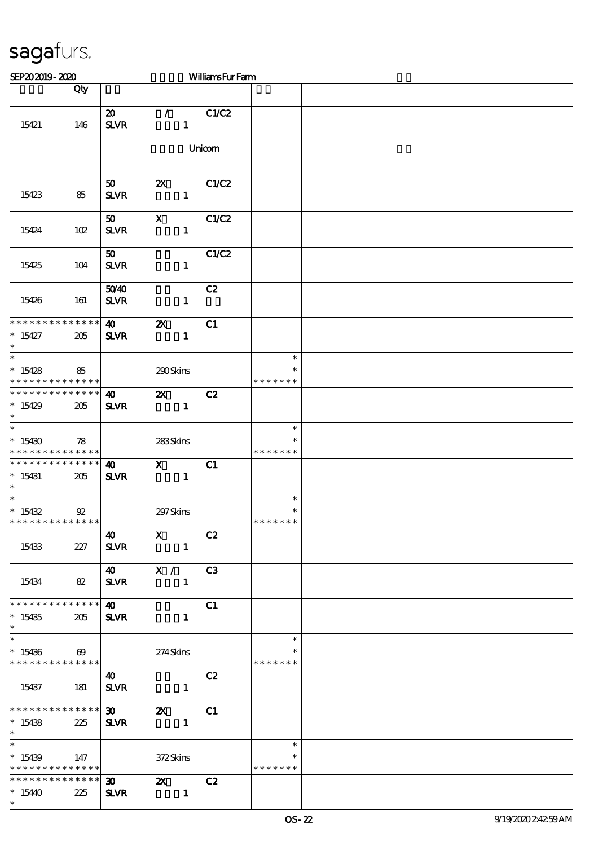| SEP202019-2020                                               |                       |                             |                                                                                                                                                                                                                                                                                                                                                                                                                                                                                 | <b>WilliamsFurFarm</b> |               |  |
|--------------------------------------------------------------|-----------------------|-----------------------------|---------------------------------------------------------------------------------------------------------------------------------------------------------------------------------------------------------------------------------------------------------------------------------------------------------------------------------------------------------------------------------------------------------------------------------------------------------------------------------|------------------------|---------------|--|
|                                                              | Qty                   |                             |                                                                                                                                                                                                                                                                                                                                                                                                                                                                                 |                        |               |  |
|                                                              |                       |                             |                                                                                                                                                                                                                                                                                                                                                                                                                                                                                 |                        |               |  |
|                                                              |                       | $\boldsymbol{\mathfrak{D}}$ | $\mathcal{L}$                                                                                                                                                                                                                                                                                                                                                                                                                                                                   | C1/C2                  |               |  |
| 15421                                                        | 146                   | <b>SLVR</b>                 | $\mathbf{1}$                                                                                                                                                                                                                                                                                                                                                                                                                                                                    |                        |               |  |
|                                                              |                       |                             |                                                                                                                                                                                                                                                                                                                                                                                                                                                                                 |                        |               |  |
|                                                              |                       |                             |                                                                                                                                                                                                                                                                                                                                                                                                                                                                                 | Unicom                 |               |  |
|                                                              |                       |                             |                                                                                                                                                                                                                                                                                                                                                                                                                                                                                 |                        |               |  |
|                                                              |                       |                             |                                                                                                                                                                                                                                                                                                                                                                                                                                                                                 |                        |               |  |
|                                                              |                       | 50                          | $\boldsymbol{\alpha}$                                                                                                                                                                                                                                                                                                                                                                                                                                                           | C1/C2                  |               |  |
| 15423                                                        | 85                    | <b>SLVR</b>                 | $\mathbf{1}$                                                                                                                                                                                                                                                                                                                                                                                                                                                                    |                        |               |  |
|                                                              |                       |                             |                                                                                                                                                                                                                                                                                                                                                                                                                                                                                 |                        |               |  |
|                                                              |                       | 50                          | $\mathbf x$                                                                                                                                                                                                                                                                                                                                                                                                                                                                     | C1/C2                  |               |  |
| 15424                                                        | 102                   | <b>SLVR</b>                 | $\mathbf{1}$                                                                                                                                                                                                                                                                                                                                                                                                                                                                    |                        |               |  |
|                                                              |                       | 50 <sub>o</sub>             |                                                                                                                                                                                                                                                                                                                                                                                                                                                                                 | C1/C2                  |               |  |
| 15425                                                        | 104                   | <b>SLVR</b>                 | $\mathbf{1}$                                                                                                                                                                                                                                                                                                                                                                                                                                                                    |                        |               |  |
|                                                              |                       |                             |                                                                                                                                                                                                                                                                                                                                                                                                                                                                                 |                        |               |  |
|                                                              |                       | 5040                        |                                                                                                                                                                                                                                                                                                                                                                                                                                                                                 | C2                     |               |  |
| 15426                                                        | 161                   | <b>SLVR</b>                 | $\mathbf{1}$                                                                                                                                                                                                                                                                                                                                                                                                                                                                    |                        |               |  |
|                                                              |                       |                             |                                                                                                                                                                                                                                                                                                                                                                                                                                                                                 |                        |               |  |
| * * * * * * * * * * * * * *                                  |                       | $\boldsymbol{\omega}$       | $\boldsymbol{\mathsf{z}}$                                                                                                                                                                                                                                                                                                                                                                                                                                                       | C1                     |               |  |
| $*15427$                                                     | 205                   | <b>SLVR</b>                 | $\mathbf{1}$                                                                                                                                                                                                                                                                                                                                                                                                                                                                    |                        |               |  |
| $\ast$                                                       |                       |                             |                                                                                                                                                                                                                                                                                                                                                                                                                                                                                 |                        |               |  |
| $\overline{\ast}$                                            |                       |                             |                                                                                                                                                                                                                                                                                                                                                                                                                                                                                 |                        | $\ast$        |  |
| $*15428$                                                     | 85                    |                             | 290Skins                                                                                                                                                                                                                                                                                                                                                                                                                                                                        |                        | $\ast$        |  |
| * * * * * * * * * * * * * * *<br>* * * * * * * * * * * * * * |                       |                             |                                                                                                                                                                                                                                                                                                                                                                                                                                                                                 |                        | * * * * * * * |  |
|                                                              |                       | $\boldsymbol{\omega}$       | $\boldsymbol{\mathsf{Z}}$                                                                                                                                                                                                                                                                                                                                                                                                                                                       | C2                     |               |  |
| $*15429$<br>$*$                                              | 205                   | <b>SLVR</b>                 | $\mathbf{1}$                                                                                                                                                                                                                                                                                                                                                                                                                                                                    |                        |               |  |
| $\ast$                                                       |                       |                             |                                                                                                                                                                                                                                                                                                                                                                                                                                                                                 |                        | $\ast$        |  |
| $*15430$                                                     | 78                    |                             | 283Skins                                                                                                                                                                                                                                                                                                                                                                                                                                                                        |                        |               |  |
| * * * * * * * * <mark>* * * * * * *</mark>                   |                       |                             |                                                                                                                                                                                                                                                                                                                                                                                                                                                                                 |                        | * * * * * * * |  |
| * * * * * * * * * * * * * * *                                |                       | $\boldsymbol{\omega}$       | $\mathbf{X}$                                                                                                                                                                                                                                                                                                                                                                                                                                                                    | C1                     |               |  |
| $*15431$                                                     | 205                   | <b>SLVR</b>                 | $\mathbf{1}$                                                                                                                                                                                                                                                                                                                                                                                                                                                                    |                        |               |  |
| $\ast$                                                       |                       |                             |                                                                                                                                                                                                                                                                                                                                                                                                                                                                                 |                        |               |  |
| $\ast$                                                       |                       |                             |                                                                                                                                                                                                                                                                                                                                                                                                                                                                                 |                        | $\ast$        |  |
| $*15432$                                                     | 92                    |                             | 297 Skins                                                                                                                                                                                                                                                                                                                                                                                                                                                                       |                        | $\ast$        |  |
| * * * * * * * * * * * * * *                                  |                       |                             |                                                                                                                                                                                                                                                                                                                                                                                                                                                                                 |                        | * * * * * * * |  |
|                                                              |                       | 40                          | $\mathbf X$                                                                                                                                                                                                                                                                                                                                                                                                                                                                     | C2                     |               |  |
| 15433                                                        | 227                   | <b>SLVR</b>                 | $\sim$ 1                                                                                                                                                                                                                                                                                                                                                                                                                                                                        |                        |               |  |
|                                                              |                       |                             | $\overline{40}$ X /                                                                                                                                                                                                                                                                                                                                                                                                                                                             | C3                     |               |  |
| 15434                                                        | 82                    | <b>SLVR</b>                 | $\overline{\phantom{a}}$ $\overline{\phantom{a}}$ $\overline{\phantom{a}}$ $\overline{\phantom{a}}$ $\overline{\phantom{a}}$ $\overline{\phantom{a}}$ $\overline{\phantom{a}}$ $\overline{\phantom{a}}$ $\overline{\phantom{a}}$ $\overline{\phantom{a}}$ $\overline{\phantom{a}}$ $\overline{\phantom{a}}$ $\overline{\phantom{a}}$ $\overline{\phantom{a}}$ $\overline{\phantom{a}}$ $\overline{\phantom{a}}$ $\overline{\phantom{a}}$ $\overline{\phantom{a}}$ $\overline{\$ |                        |               |  |
|                                                              |                       |                             |                                                                                                                                                                                                                                                                                                                                                                                                                                                                                 |                        |               |  |
| * * * * * * * * * * * * * *                                  |                       | $\boldsymbol{\omega}$       |                                                                                                                                                                                                                                                                                                                                                                                                                                                                                 | C1                     |               |  |
| $*15435$                                                     | 205                   | <b>SLVR</b>                 | $\mathbf{1}$                                                                                                                                                                                                                                                                                                                                                                                                                                                                    |                        |               |  |
| $*$                                                          |                       |                             |                                                                                                                                                                                                                                                                                                                                                                                                                                                                                 |                        |               |  |
| $\overline{\ast}$                                            |                       |                             |                                                                                                                                                                                                                                                                                                                                                                                                                                                                                 |                        | $\ast$        |  |
| $*15436$                                                     | $\boldsymbol{\omega}$ |                             | 274Skins                                                                                                                                                                                                                                                                                                                                                                                                                                                                        |                        | ∗             |  |
| * * * * * * * * * * * * * * *                                |                       |                             |                                                                                                                                                                                                                                                                                                                                                                                                                                                                                 |                        | * * * * * * * |  |
|                                                              |                       | $\boldsymbol{\omega}$       |                                                                                                                                                                                                                                                                                                                                                                                                                                                                                 | C2                     |               |  |
| 15437                                                        | 181                   | <b>SLVR</b>                 | $\mathbf{1}$                                                                                                                                                                                                                                                                                                                                                                                                                                                                    |                        |               |  |
| **************                                               |                       |                             |                                                                                                                                                                                                                                                                                                                                                                                                                                                                                 |                        |               |  |
| $*15438$                                                     | 225                   | 30                          | $\mathbb{Z}$<br>$\sim$ $\sim$ 1                                                                                                                                                                                                                                                                                                                                                                                                                                                 | C1                     |               |  |
| $*$                                                          |                       | <b>SLVR</b>                 |                                                                                                                                                                                                                                                                                                                                                                                                                                                                                 |                        |               |  |
| $\ast$                                                       |                       |                             |                                                                                                                                                                                                                                                                                                                                                                                                                                                                                 |                        | $\ast$        |  |
| $*15439$                                                     | 147                   |                             | 372Skins                                                                                                                                                                                                                                                                                                                                                                                                                                                                        |                        |               |  |
| * * * * * * * * * * * * * *                                  |                       |                             |                                                                                                                                                                                                                                                                                                                                                                                                                                                                                 |                        | * * * * * * * |  |
| * * * * * * * * * * * * * * *                                |                       | $\boldsymbol{\mathfrak{D}}$ | $\mathbf{x}$                                                                                                                                                                                                                                                                                                                                                                                                                                                                    | C2                     |               |  |
| $*1540$                                                      | 225                   | <b>SLVR</b>                 | $\sim$ $\sim$ 1.                                                                                                                                                                                                                                                                                                                                                                                                                                                                |                        |               |  |
| $\ast$                                                       |                       |                             |                                                                                                                                                                                                                                                                                                                                                                                                                                                                                 |                        |               |  |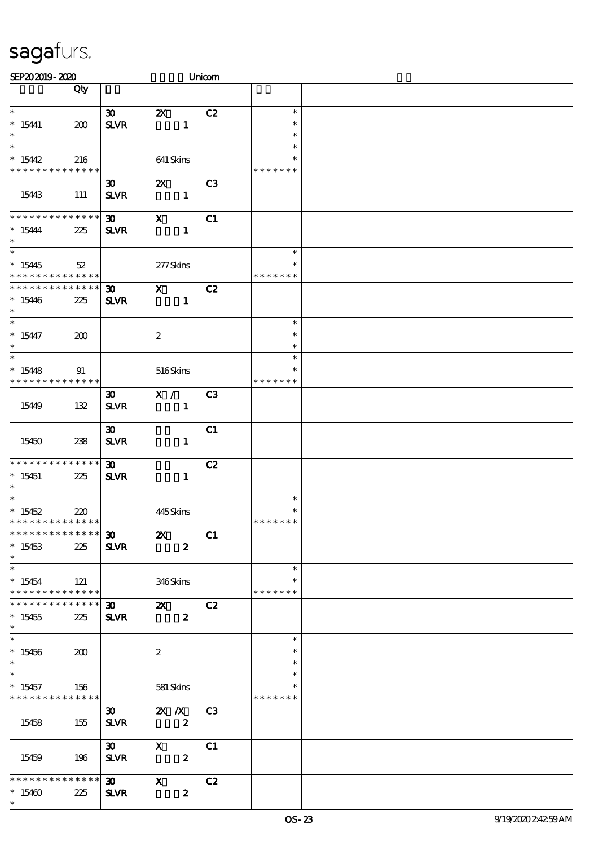| SEP202019-2020                             |        |                             |                           | Unicom           |                  |  |
|--------------------------------------------|--------|-----------------------------|---------------------------|------------------|------------------|--|
|                                            | Qty    |                             |                           |                  |                  |  |
|                                            |        |                             |                           |                  |                  |  |
| $\ast$                                     |        | $\boldsymbol{\mathfrak{D}}$ | $\boldsymbol{\mathsf{Z}}$ | C2               | $\ast$           |  |
| $*15441$                                   | 200    | <b>SLVR</b>                 |                           | $\mathbf{1}$     | $\ast$           |  |
| $\ast$                                     |        |                             |                           |                  | $\ast$           |  |
| $\ast$                                     |        |                             |                           |                  | $\ast$           |  |
| $*15442$                                   | 216    |                             | 641 Skins                 |                  |                  |  |
| * * * * * * * * * * * * * *                |        |                             |                           |                  | * * * * * * *    |  |
|                                            |        | $\boldsymbol{\mathfrak{D}}$ | $\boldsymbol{\alpha}$     | C <sub>3</sub>   |                  |  |
| 15443                                      | 111    | ${\bf S\!L}\!{\bf V\!R}$    |                           | $\mathbf{1}$     |                  |  |
| * * * * * * * * * * * * * *                |        |                             |                           |                  |                  |  |
|                                            |        | 30 <sub>o</sub>             | $\mathbf x$               | C1               |                  |  |
| $* 15444$<br>$\ast$                        | 225    | <b>SLVR</b>                 |                           | $\mathbf{1}$     |                  |  |
| $\overline{\ast}$                          |        |                             |                           |                  | $\ast$           |  |
|                                            |        |                             |                           |                  | $\ast$           |  |
| $*15445$<br>* * * * * * * * * * * * * *    | $52\,$ |                             | 277Skins                  |                  | * * * * * * *    |  |
| * * * * * * * * * * * * * *                |        | $\boldsymbol{\mathfrak{D}}$ | $\mathbf{x}$              | C2               |                  |  |
| $*15446$                                   | 225    | <b>SLVR</b>                 |                           | $\mathbf{1}$     |                  |  |
| $\ast$                                     |        |                             |                           |                  |                  |  |
| $*$                                        |        |                             |                           |                  | $\ast$           |  |
| $* 15447$                                  | 200    |                             | $\boldsymbol{2}$          |                  | $\ast$           |  |
| $\ast$                                     |        |                             |                           |                  | $\ast$           |  |
| $\ast$                                     |        |                             |                           |                  | $\ast$           |  |
| $*15448$                                   | 91     |                             | 516Skins                  |                  | ∗                |  |
| * * * * * * * * <mark>* * * * * * *</mark> |        |                             |                           |                  | * * * * * * *    |  |
|                                            |        | $\boldsymbol{\mathfrak{D}}$ | X /                       | C <sub>3</sub>   |                  |  |
| 15449                                      | 132    | <b>SLVR</b>                 |                           | $\mathbf{1}$     |                  |  |
|                                            |        |                             |                           |                  |                  |  |
|                                            |        | $\boldsymbol{\mathfrak{D}}$ |                           | C1               |                  |  |
| 15450                                      | 238    | <b>SLVR</b>                 |                           | $\mathbf{1}$     |                  |  |
|                                            |        |                             |                           |                  |                  |  |
| * * * * * * * * * * * * * *                |        | $\boldsymbol{\mathfrak{D}}$ |                           | C2               |                  |  |
| $*15451$                                   | 225    | <b>SLVR</b>                 |                           | $\mathbf{1}$     |                  |  |
| $\ast$                                     |        |                             |                           |                  |                  |  |
|                                            |        |                             |                           |                  | $\ast$           |  |
| $*15452$                                   | 220    |                             | 445Skins                  |                  | $\ast$           |  |
| * * * * * * * * * * * * * *                |        |                             |                           |                  | * * * * * * *    |  |
| ******** <mark>******</mark>               |        | $30 - 1$                    | $\boldsymbol{\mathsf{Z}}$ | C1               |                  |  |
| $*15453$                                   | 225    | <b>SLVR</b>                 |                           | $\boldsymbol{z}$ |                  |  |
| $*$                                        |        |                             |                           |                  |                  |  |
| $\ast$                                     |        |                             |                           |                  | $\ast$           |  |
| $*15454$                                   | 121    |                             | 346Skins                  |                  | $\ast$           |  |
| * * * * * * * * * * * * * * *              |        |                             |                           |                  | * * * * * * *    |  |
| * * * * * * * * * * * * * * *              |        | $30 - 1$                    |                           | 2X C2            |                  |  |
| $*15455$                                   | 225    | <b>SLVR</b>                 |                           | $\boldsymbol{z}$ |                  |  |
| $\ast$<br>$\overline{\phantom{0}}$         |        |                             |                           |                  |                  |  |
|                                            |        |                             |                           |                  | $\ast$<br>$\ast$ |  |
| $*15456$<br>$\ast$                         | 200    |                             | $\boldsymbol{2}$          |                  |                  |  |
| $\overline{\ast}$                          |        |                             |                           |                  | $\ast$<br>$\ast$ |  |
| $*15457$                                   | 156    |                             |                           |                  | $\ast$           |  |
| * * * * * * * * <mark>* * * * * * *</mark> |        |                             | 581 Skins                 |                  | * * * * * * *    |  |
|                                            |        | $\infty$                    |                           | <b>2X X</b> C3   |                  |  |
| 15458                                      | 155    | <b>SLVR</b>                 | $\overline{\mathbf{2}}$   |                  |                  |  |
|                                            |        |                             |                           |                  |                  |  |
|                                            |        | $\infty$                    | $\mathbf X$               | C1               |                  |  |
| 15459                                      | 196    | <b>SLVR</b>                 |                           | $\boldsymbol{z}$ |                  |  |
|                                            |        |                             |                           |                  |                  |  |
| * * * * * * * * * * * * * * *              |        | $\boldsymbol{\mathfrak{D}}$ | $\mathbf{X}$              | C2               |                  |  |
| $*15460$                                   | 225    | <b>SLVR</b>                 |                           | $\boldsymbol{z}$ |                  |  |
| $\ast$                                     |        |                             |                           |                  |                  |  |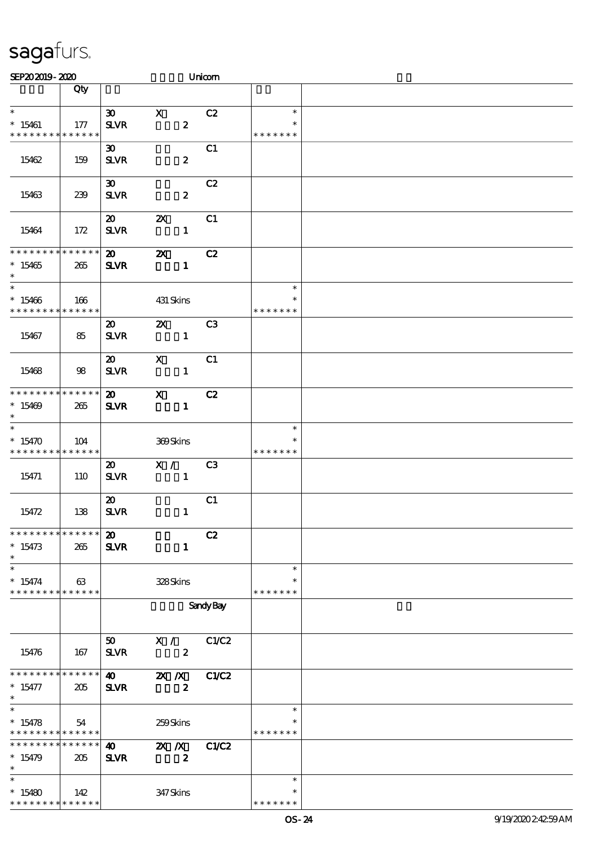| SEP202019-2020                             |                    |                             |                           | Unicom           |                         |  |
|--------------------------------------------|--------------------|-----------------------------|---------------------------|------------------|-------------------------|--|
|                                            | Qty                |                             |                           |                  |                         |  |
|                                            |                    |                             |                           |                  |                         |  |
| $\ast$                                     |                    | $\boldsymbol{\mathfrak{D}}$ | $\mathbf X$               | C2               | $\ast$                  |  |
| $*15461$                                   | 177                | <b>SLVR</b>                 | $\pmb{2}$                 |                  | $\ast$                  |  |
| * * * * * * * * * * * * * *                |                    |                             |                           |                  | * * * * * * *           |  |
|                                            |                    | $\boldsymbol{\mathfrak{D}}$ |                           | C1               |                         |  |
| 15462                                      | 159                | <b>SLVR</b>                 | $\boldsymbol{z}$          |                  |                         |  |
|                                            |                    | $\boldsymbol{\mathfrak{D}}$ |                           | C2               |                         |  |
| 15463                                      | 239                | <b>SLVR</b>                 | $\boldsymbol{z}$          |                  |                         |  |
|                                            |                    |                             |                           |                  |                         |  |
|                                            |                    | $\boldsymbol{\mathsf{20}}$  | $\boldsymbol{\mathsf{z}}$ | C1               |                         |  |
| 15464                                      | 172                | <b>SLVR</b>                 | $\mathbf{1}$              |                  |                         |  |
|                                            |                    |                             |                           |                  |                         |  |
| * * * * * * * *                            | * * * * * *        | $\boldsymbol{\mathfrak{D}}$ | $\boldsymbol{\mathsf{z}}$ | C2               |                         |  |
| $*15465$                                   | 265                | <b>SLVR</b>                 | $\mathbf{1}$              |                  |                         |  |
| $\ast$                                     |                    |                             |                           |                  |                         |  |
| $\overline{\ast}$                          |                    |                             |                           |                  | $\ast$                  |  |
| $*15466$<br>* * * * * * * *                | 166<br>* * * * * * |                             | 431 Skins                 |                  | $\ast$<br>* * * * * * * |  |
|                                            |                    | $\boldsymbol{\mathfrak{D}}$ | $\boldsymbol{\mathsf{Z}}$ | C <sub>3</sub>   |                         |  |
| 15467                                      | 85                 | <b>SLVR</b>                 | $\mathbf{1}$              |                  |                         |  |
|                                            |                    |                             |                           |                  |                         |  |
|                                            |                    | $\boldsymbol{\mathfrak{D}}$ | $\boldsymbol{\mathsf{X}}$ | C1               |                         |  |
| 15468                                      | 98                 | <b>SLVR</b>                 | $\mathbf{1}$              |                  |                         |  |
|                                            |                    |                             |                           |                  |                         |  |
| * * * * * * * * * * * * * *                |                    | $\boldsymbol{\mathfrak{D}}$ | $\mathbf{x}$              | C2               |                         |  |
| $*15469$                                   | 265                | <b>SLVR</b>                 | $\mathbf{1}$              |                  |                         |  |
| $\ast$                                     |                    |                             |                           |                  |                         |  |
| $\ast$                                     |                    |                             |                           |                  | $\ast$                  |  |
| $*15470$<br>* * * * * * * * * * * * * *    | 104                |                             | 369Skins                  |                  | ∗<br>* * * * * * *      |  |
|                                            |                    | $\boldsymbol{\mathfrak{D}}$ | X /                       | C3               |                         |  |
| 15471                                      | 110                | <b>SLVR</b>                 | $\mathbf{1}$              |                  |                         |  |
|                                            |                    |                             |                           |                  |                         |  |
|                                            |                    | $\boldsymbol{\mathfrak{D}}$ |                           | C1               |                         |  |
| 15472                                      | 138                | <b>SLVR</b>                 | $\mathbf{1}$              |                  |                         |  |
|                                            |                    |                             |                           |                  |                         |  |
| * * * * * * * * * * * * * *                |                    | $\boldsymbol{\mathfrak{D}}$ |                           | C2               |                         |  |
| $* 15473$                                  | 265                | <b>SLVR</b>                 | $\mathbf{1}$              |                  |                         |  |
| $\ast$<br>$\ast$                           |                    |                             |                           |                  |                         |  |
|                                            |                    |                             |                           |                  | $\ast$<br>$\ast$        |  |
| $* 15474$<br>* * * * * * * * * * * * * *   | 63                 |                             | 328Skins                  |                  | * * * * * * *           |  |
|                                            |                    |                             |                           | <b>Sandy Bay</b> |                         |  |
|                                            |                    |                             |                           |                  |                         |  |
|                                            |                    |                             |                           |                  |                         |  |
|                                            |                    | 50 <sub>1</sub>             | X /                       | C1/C2            |                         |  |
| 15476                                      | 167                | <b>SLVR</b>                 | $\boldsymbol{z}$          |                  |                         |  |
|                                            |                    |                             |                           |                  |                         |  |
| * * * * * * * * * * * * * *                |                    | $\boldsymbol{\omega}$       | $\mathbf{X}$ $\mathbf{X}$ | C1/C2            |                         |  |
| $* 15477$<br>$\ast$                        | 205                | <b>SLVR</b>                 | $\boldsymbol{z}$          |                  |                         |  |
| $\overline{\ast}$                          |                    |                             |                           |                  | $\ast$                  |  |
| $* 15478$                                  | 54                 |                             | 259Skins                  |                  | $\ast$                  |  |
| * * * * * * * * <mark>* * * * * * *</mark> |                    |                             |                           |                  | * * * * * * *           |  |
| * * * * * * * * * * * * * *                |                    | $\boldsymbol{\omega}$       | $\mathbf{X}$ $\mathbf{X}$ | C1/C2            |                         |  |
| $*15479$                                   | 205                | <b>SLVR</b>                 | $\boldsymbol{z}$          |                  |                         |  |
| $\ast$                                     |                    |                             |                           |                  |                         |  |
| $\ast$                                     |                    |                             |                           |                  | $\ast$                  |  |
| $*15480$                                   | 142                |                             | 347Skins                  |                  |                         |  |
| * * * * * * * * * * * * * *                |                    |                             |                           |                  | * * * * * * *           |  |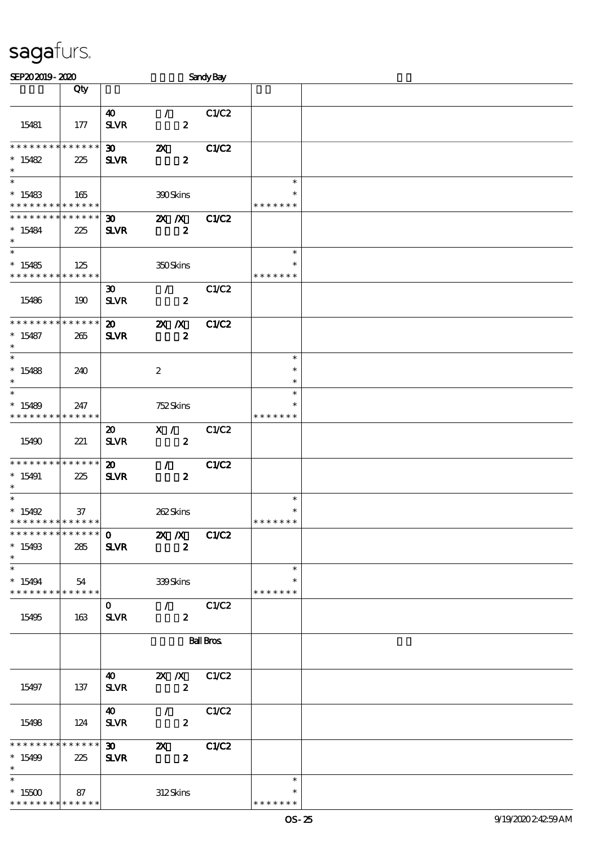| SEP202019-2020                             |     |                             |                                                     | <b>Sandy Bay</b> |               |  |
|--------------------------------------------|-----|-----------------------------|-----------------------------------------------------|------------------|---------------|--|
|                                            | Qty |                             |                                                     |                  |               |  |
|                                            |     |                             |                                                     |                  |               |  |
|                                            |     | $\boldsymbol{\omega}$       | $\mathcal{L}$                                       | C1/C2            |               |  |
| 15481                                      | 177 | <b>SLVR</b>                 | $\boldsymbol{z}$                                    |                  |               |  |
|                                            |     |                             |                                                     |                  |               |  |
| * * * * * * * * * * * * * *                |     | $\boldsymbol{\mathfrak{D}}$ | $\boldsymbol{\mathsf{z}}$                           | <b>C1/C2</b>     |               |  |
| $*15482$<br>$\ast$                         | 225 | <b>SLVR</b>                 | $\boldsymbol{z}$                                    |                  |               |  |
| $\ast$                                     |     |                             |                                                     |                  | $\ast$        |  |
| $*15483$                                   | 165 |                             | 390Skins                                            |                  | $\ast$        |  |
| * * * * * * * * <mark>* * * * * *</mark> * |     |                             |                                                     |                  | * * * * * * * |  |
| * * * * * * * * <mark>* * * * * * *</mark> |     | $\boldsymbol{\mathfrak{D}}$ | $X$ $X$                                             | <b>C1/C2</b>     |               |  |
| $*15484$                                   | 225 | <b>SLVR</b>                 | $\boldsymbol{z}$                                    |                  |               |  |
| $\ast$                                     |     |                             |                                                     |                  |               |  |
| $\ast$                                     |     |                             |                                                     |                  | $\ast$        |  |
| $*15485$                                   | 125 |                             | 350Skins                                            |                  | $\ast$        |  |
| * * * * * * * * <mark>* * * * * *</mark> * |     |                             |                                                     |                  | * * * * * * * |  |
|                                            |     | $\boldsymbol{\mathfrak{D}}$ | $\mathcal{L}$                                       | C1/C2            |               |  |
| 15486                                      | 190 | <b>SLVR</b>                 | $\boldsymbol{z}$                                    |                  |               |  |
| * * * * * * * * * * * * * *                |     |                             |                                                     |                  |               |  |
| $*15487$                                   |     | $\boldsymbol{\mathfrak{D}}$ | $X$ $X$                                             | <b>C1/C2</b>     |               |  |
| $\ast$                                     | 265 | <b>SLVR</b>                 | $\boldsymbol{z}$                                    |                  |               |  |
| $\ast$                                     |     |                             |                                                     |                  | $\ast$        |  |
| * 15488                                    | 240 |                             | $\boldsymbol{2}$                                    |                  | $\ast$        |  |
| $\ast$                                     |     |                             |                                                     |                  | $\ast$        |  |
| $\ast$                                     |     |                             |                                                     |                  | $\ast$        |  |
| $*15489$                                   | 247 |                             | 752Skins                                            |                  | $\ast$        |  |
| * * * * * * * * * * * * * *                |     |                             |                                                     |                  | * * * * * * * |  |
|                                            |     | $\boldsymbol{\mathfrak{D}}$ | X /                                                 | C1/C2            |               |  |
| 15490                                      | 221 | <b>SLVR</b>                 | $\boldsymbol{z}$                                    |                  |               |  |
|                                            |     |                             |                                                     |                  |               |  |
| * * * * * * * * * * * * * *                |     | $\boldsymbol{\mathsf{20}}$  | $\mathcal{F}$                                       | C1/C2            |               |  |
| $*15491$<br>$\ast$                         | 225 | <b>SLVR</b>                 | $\boldsymbol{z}$                                    |                  |               |  |
| $\ast$                                     |     |                             |                                                     |                  | $\ast$        |  |
| * $15492$                                  | 37  |                             | 262Skins                                            |                  | $\ast$        |  |
| * * * * * * * * * * * * * *                |     |                             |                                                     |                  | * * * * * * * |  |
| **************                             |     |                             | $\overline{0}$ $\overline{X}$ $\overline{X}$ $C1C2$ |                  |               |  |
| $*15493$                                   | 285 | <b>SLVR</b>                 | $\boldsymbol{z}$                                    |                  |               |  |
| $\ast$                                     |     |                             |                                                     |                  |               |  |
| $\ast$                                     |     |                             |                                                     |                  | $\ast$        |  |
| $*15494$                                   | 54  |                             | 339Skins                                            |                  | $\ast$        |  |
| * * * * * * * * * * * * * * *              |     |                             |                                                     |                  | * * * * * * * |  |
| 15495                                      |     | $\mathbf{O}$                | $\sqrt{C1/C2}$<br>$\mathbf{z}$                      |                  |               |  |
|                                            | 163 | <b>SLVR</b>                 |                                                     |                  |               |  |
|                                            |     |                             |                                                     | <b>Ball Bros</b> |               |  |
|                                            |     |                             |                                                     |                  |               |  |
|                                            |     |                             |                                                     |                  |               |  |
|                                            |     | <b>40</b>                   | 2X / X C1/C2                                        |                  |               |  |
| 15497                                      | 137 | <b>SLVR</b>                 | $\boldsymbol{z}$                                    |                  |               |  |
|                                            |     |                             |                                                     |                  |               |  |
|                                            |     | $\boldsymbol{40}$           | $\mathcal{T}$                                       | C1/C2            |               |  |
| 15498                                      | 124 | <b>SLVR</b>                 | $\boldsymbol{z}$                                    |                  |               |  |
| * * * * * * * * * * * * * *                |     |                             |                                                     |                  |               |  |
| $*15499$                                   | 225 | $\boldsymbol{\mathfrak{D}}$ | $\mathbf{z}$<br>$\boldsymbol{z}$                    | C1/C2            |               |  |
| $\ast$                                     |     | <b>SLVR</b>                 |                                                     |                  |               |  |
| $\ast$                                     |     |                             |                                                     |                  | $\ast$        |  |
| $*15500$                                   | 87  |                             | 312Skins                                            |                  | *             |  |
| * * * * * * * * * * * * * *                |     |                             |                                                     |                  | * * * * * * * |  |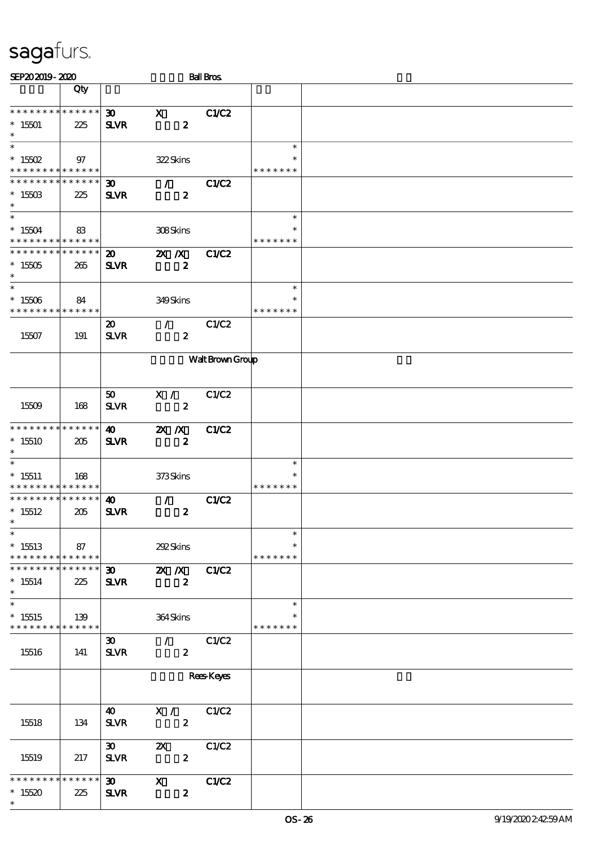| SEP202019-2020                                                          |     |                                             |                                                 | <b>Ball Bros</b>  |                                   |  |
|-------------------------------------------------------------------------|-----|---------------------------------------------|-------------------------------------------------|-------------------|-----------------------------------|--|
|                                                                         | Qty |                                             |                                                 |                   |                                   |  |
| ***************<br>$*15501$<br>$\ast$                                   | 225 | $\boldsymbol{\mathfrak{D}}$<br><b>SLVR</b>  | $\boldsymbol{\mathrm{X}}$<br>$\boldsymbol{z}$   | C1/C2             |                                   |  |
| $\ast$<br>$^*$ 15502 $\,$<br>* * * * * * * * <mark>* * * * * *</mark> * | 97  |                                             | 322Skins                                        |                   | $\ast$<br>∗<br>* * * * * * *      |  |
| * * * * * * * * <mark>* * * * * *</mark> *<br>$^*$ 15503 $\,$<br>$\ast$ | 225 | 30 <sub>o</sub><br><b>SLVR</b>              | $\mathcal{F}$ and<br>$\boldsymbol{z}$           | C1/C2             |                                   |  |
| $\overline{\ast}$<br>$^*$ 15504 $\,$<br>* * * * * * * * * * * * * *     | 83  |                                             | 308Skins                                        |                   | $\ast$<br>$\ast$<br>* * * * * * * |  |
| * * * * * * * * * * * * * *<br>$*15505$<br>$\ast$                       | 265 | $\boldsymbol{\mathfrak{D}}$<br><b>SLVR</b>  | $X$ $X$<br>$\boldsymbol{z}$                     | <b>C1/C2</b>      |                                   |  |
| $\ast$<br>$^\ast$ 15506<br>* * * * * * * * <mark>* * * * * * *</mark>   | 84  |                                             | 349Skins                                        |                   | $\ast$<br>$\ast$<br>* * * * * * * |  |
| 15507                                                                   | 191 | $\boldsymbol{\mathfrak{D}}$<br>$S\!L\!V\!R$ | $\mathcal{L}$<br>$\boldsymbol{z}$               | C1/C2             |                                   |  |
|                                                                         |     |                                             |                                                 | Walt Brown Group  |                                   |  |
| 15509                                                                   | 168 | 50<br><b>SLVR</b>                           | X /<br>$\boldsymbol{z}$                         | C1/C2             |                                   |  |
| * * * * * * * * * * * * * *<br>$*15510$<br>$\ast$                       | 205 | $\boldsymbol{\omega}$<br><b>SLVR</b>        | $X$ $N$<br>$\boldsymbol{z}$                     | <b>C1/C2</b>      |                                   |  |
| $\ast$<br>$*15511$<br>* * * * * * * * * * * * * *                       | 168 |                                             | 373Skins                                        |                   | $\ast$<br>* * * * * * *           |  |
| * * * * * * * * * * * * * *<br>$*15512$<br>$*$                          | 205 | $\boldsymbol{\omega}$<br><b>SLVR</b>        | $\mathcal{L}$<br>$\boldsymbol{z}$               | <b>C1/C2</b>      |                                   |  |
| $\ast$<br>$*15513$<br>* * * * * * * * * * * * * *                       | 87  |                                             | 292Skins                                        |                   | $\ast$<br>$\ast$<br>* * * * * * * |  |
| * * * * * * * * * * * * * *<br>$*15514$<br>$\ast$                       | 225 | $\infty$<br><b>SLVR</b>                     | $X$ $N$<br>$\boldsymbol{z}$                     | C1/C2             |                                   |  |
| $\overline{\ast}$<br>$*15515$<br>* * * * * * * * * * * * * *            | 139 |                                             | $364$ Skins                                     |                   | $\ast$<br>$\ast$<br>* * * * * * * |  |
| 15516                                                                   | 141 | $\infty$<br><b>SLVR</b>                     | $\mathcal{T} = \mathcal{I}$<br>$\boldsymbol{z}$ | C1/C2             |                                   |  |
|                                                                         |     |                                             |                                                 | <b>Rees Keyes</b> |                                   |  |
| 15518                                                                   | 134 | $\boldsymbol{\omega}$<br><b>SLVR</b>        | X / C1/C2<br>$\boldsymbol{z}$                   |                   |                                   |  |
| 15519                                                                   | 217 | $\boldsymbol{\mathfrak{D}}$<br>$S\!L\!V\!R$ | $\boldsymbol{\mathsf{Z}}$<br>$\boldsymbol{z}$   | C1/C2             |                                   |  |
| * * * * * * * * * * * * * *<br>$*15520$<br>$\ast$                       | 225 | $\infty$<br><b>SLVR</b>                     | $\mathbf{x}$<br>$\boldsymbol{z}$                | C1/C2             |                                   |  |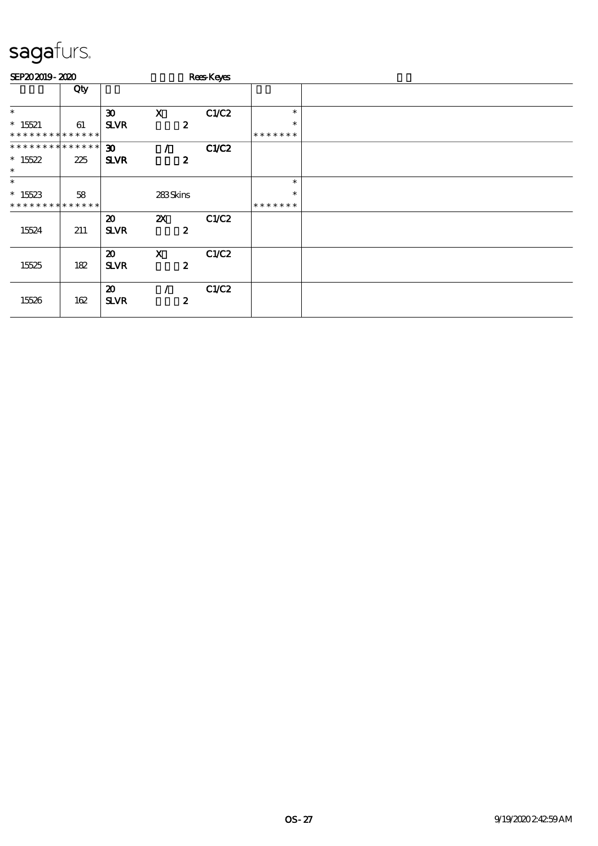| SEP202019-2020              |             |                                            |                           |                  | <b>Rees</b> Keyes |               |  |
|-----------------------------|-------------|--------------------------------------------|---------------------------|------------------|-------------------|---------------|--|
|                             | Qty         |                                            |                           |                  |                   |               |  |
| $\ast$                      |             | $\boldsymbol{\mathfrak{D}}$                | $\mathbf X$               |                  | C1/C2             | $\ast$        |  |
| $* 15521$                   | 61          | <b>SLVR</b>                                |                           | $\boldsymbol{z}$ |                   | $\ast$        |  |
| * * * * * * * *             | * * * * * * |                                            |                           |                  |                   | * * * * * * * |  |
| * * * * * * * * * * * * * * |             | $\boldsymbol{\mathfrak{D}}$                |                           |                  | C1/C2             |               |  |
| $*15522$<br>$\ast$          | 225         | <b>SLVR</b>                                |                           | $\boldsymbol{z}$ |                   |               |  |
| $\ast$                      |             |                                            |                           |                  |                   | $\ast$        |  |
| $*15523$                    | 58          |                                            | 283Skins                  |                  |                   | $\ast$        |  |
| * * * * * * * * * * * * * * |             |                                            |                           |                  |                   | *******       |  |
|                             |             | $\boldsymbol{\mathfrak{D}}$                | $\boldsymbol{\mathsf{z}}$ |                  | C1/C2             |               |  |
| 15524                       | 211         | <b>SLVR</b>                                |                           | $\boldsymbol{z}$ |                   |               |  |
| 15525                       | 182         | $\boldsymbol{\mathfrak{D}}$<br><b>SLVR</b> | $\boldsymbol{\mathsf{X}}$ | $\boldsymbol{2}$ | C1/C2             |               |  |
| 15526                       | 162         | $\boldsymbol{\mathfrak{D}}$<br><b>SLVR</b> |                           | $\boldsymbol{z}$ | C1/C2             |               |  |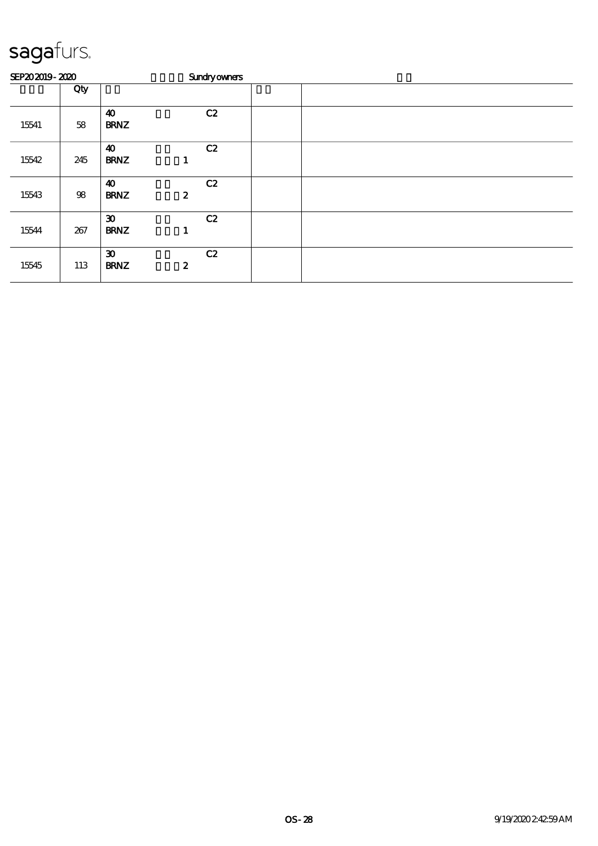| SEP202019-2020 |        |                                            | <b>Sundryowners</b>    |  |  |  |  |  |  |  |
|----------------|--------|--------------------------------------------|------------------------|--|--|--|--|--|--|--|
|                | Qty    |                                            |                        |  |  |  |  |  |  |  |
| 15541          | 58     | $\boldsymbol{\omega}$<br><b>BRNZ</b>       | C2                     |  |  |  |  |  |  |  |
| 15542          | 245    | $\boldsymbol{\omega}$<br><b>BRNZ</b>       | C2<br>1                |  |  |  |  |  |  |  |
| 15543          | $98\,$ | $\boldsymbol{\omega}$<br><b>BRNZ</b>       | C2<br>$\boldsymbol{z}$ |  |  |  |  |  |  |  |
| 15544          | 267    | $\boldsymbol{\mathfrak{D}}$<br><b>BRNZ</b> | C2<br>1                |  |  |  |  |  |  |  |
| 15545          | 113    | $\boldsymbol{\mathfrak{D}}$<br><b>BRNZ</b> | C2<br>$\boldsymbol{2}$ |  |  |  |  |  |  |  |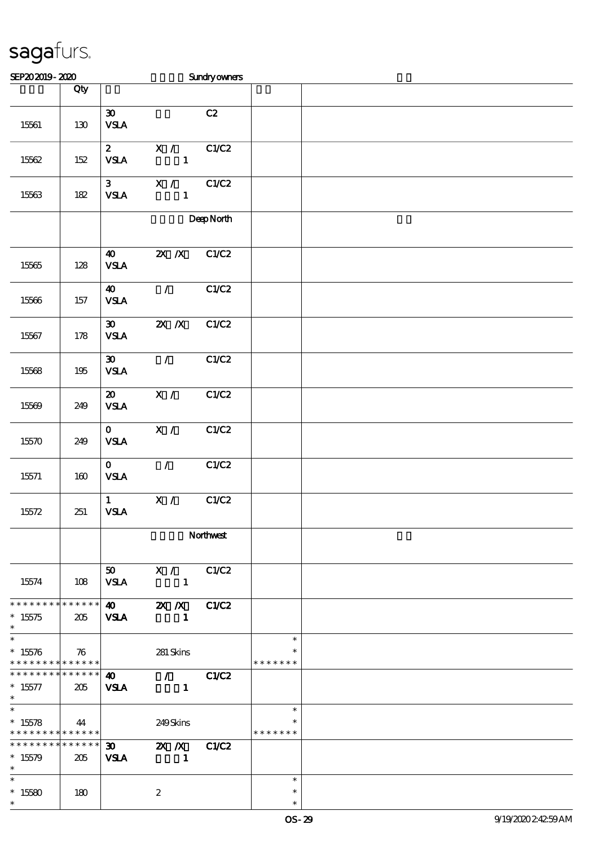| SEP202019-2020                                                 |         |                                                            |                                               | <b>Sundryowners</b> |                                   |  |
|----------------------------------------------------------------|---------|------------------------------------------------------------|-----------------------------------------------|---------------------|-----------------------------------|--|
|                                                                | Qty     |                                                            |                                               |                     |                                   |  |
| 15561                                                          | 130     | $\boldsymbol{\mathfrak{D}}$<br><b>VSLA</b>                 |                                               | C2                  |                                   |  |
| 15562                                                          | $152\,$ | $\mathbf{z}$<br><b>VSLA</b>                                | X /<br>$\mathbf{1}$                           | C1/C2               |                                   |  |
| 15563                                                          | $182\,$ | 3 <sup>1</sup><br><b>VSLA</b>                              | X /<br>$\mathbf{1}$                           | C1/C2               |                                   |  |
|                                                                |         |                                                            |                                               | DeepNorth           |                                   |  |
| 15565                                                          | 128     | $\boldsymbol{\omega}$<br><b>VSLA</b>                       | $X$ $N$                                       | C1/C2               |                                   |  |
| 15566                                                          | 157     | $\boldsymbol{\omega}$<br>$\ensuremath{\mathsf{VSA}}$       | $\mathcal{T}$                                 | C1/C2               |                                   |  |
| 15567                                                          | 178     | $\boldsymbol{\mathfrak{D}}$<br><b>VSLA</b>                 | $X$ $X$                                       | C1/C2               |                                   |  |
| 15568                                                          | $195\,$ | $\boldsymbol{\mathfrak{D}}$<br>${\bf VSA}$                 | $\mathcal{L}$                                 | C1/C2               |                                   |  |
| 15569                                                          | 249     | $\boldsymbol{\mathfrak{D}}$<br>$\ensuremath{\mathsf{VSA}}$ | X /                                           | C1/C2               |                                   |  |
| 15570                                                          | 249     | $\mathbf{O}$<br><b>VSLA</b>                                | $\overline{\mathbf{X}$ /                      | C1/C2               |                                   |  |
| 15571                                                          | 160     | $\mathbf{o}$<br><b>VSLA</b>                                | $\mathcal{F}$                                 | C1/C2               |                                   |  |
| 15572                                                          | 251     | $\mathbf{1}$<br><b>VSLA</b>                                | X /                                           | C1/C2               |                                   |  |
|                                                                |         | Northwest                                                  |                                               |                     |                                   |  |
| 15574                                                          | 108     | 50 <sub>o</sub><br><b>VSLA</b>                             | $\mathbf{X}$ /<br>$\sim$ 1                    | C1/C2               |                                   |  |
| * * * * * * * * * * * * * * *<br>$*15575$<br>$\ast$            | 205     | <b>VSLA</b>                                                | 40 $2X/X$<br>$\blacksquare$                   | C1/C2               |                                   |  |
| $\overline{\ast}$<br>$*15576$<br>* * * * * * * * * * * * * * * | 76      |                                                            | 281 Skins                                     |                     | $\ast$<br>$\ast$<br>* * * * * * * |  |
| * * * * * * * * * * * * * * *<br>$* 15577$<br>$\ast$           | 205     | 40<br><b>VSLA</b>                                          | $\mathcal{L} = \mathcal{L}$<br>$\blacksquare$ | C1/C2               |                                   |  |
| $\overline{\ast}$<br>$*15578$<br>* * * * * * * * * * * * * *   | 44      |                                                            | 249Skins                                      |                     | $\ast$<br>* * * * * * *           |  |
| * * * * * * * * * * * * * * *<br>$*15579$<br>$\ast$            | 205     | $\boldsymbol{\mathfrak{D}}$<br><b>VSLA</b>                 | ZX X<br>$\sim$ 1                              | C1/C2               |                                   |  |
| $\ast$<br>$^\ast$ 15580<br>$\ast$                              | 180     |                                                            | $\boldsymbol{2}$                              |                     | $\ast$<br>$\ast$<br>$\ast$        |  |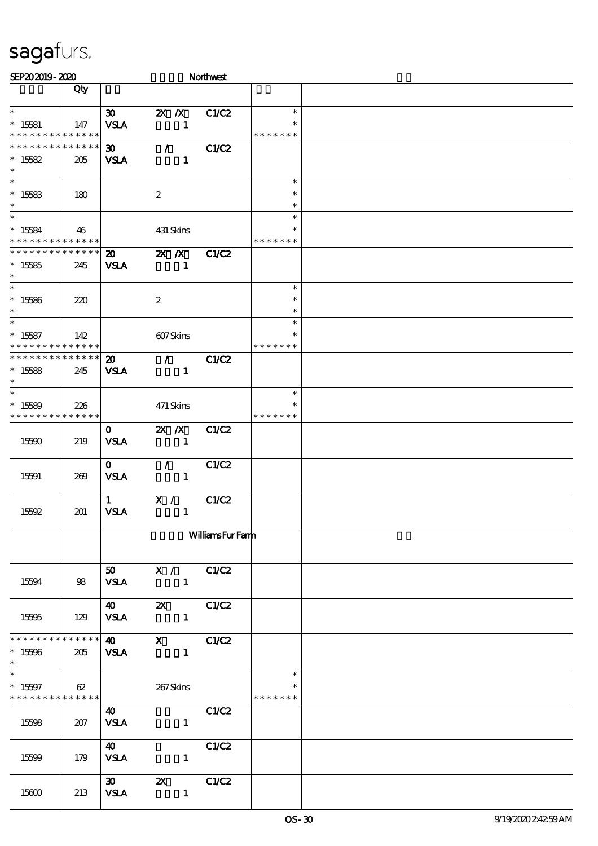| SEP202019-2020                                                                    |     |                                            |                               | Northwest              |                                   |  |
|-----------------------------------------------------------------------------------|-----|--------------------------------------------|-------------------------------|------------------------|-----------------------------------|--|
|                                                                                   | Qty |                                            |                               |                        |                                   |  |
| $\ast$<br>$*15581$<br>* * * * * * * * * * * * * *                                 | 147 | 30 <sub>o</sub><br><b>VSLA</b>             | $X$ $X$<br>$\mathbf{1}$       | C1/C2                  | $\ast$<br>$\ast$<br>* * * * * * * |  |
| * * * * * * * * * * * * * *<br>$*15582$<br>$\ast$                                 | 205 | 30 <sub>o</sub><br><b>VSLA</b>             | $\mathcal{T}$<br>$\mathbf{1}$ | C1/C2                  |                                   |  |
| $\overline{\phantom{0}}$<br>$*15583$<br>$\ast$                                    | 180 |                                            | $\boldsymbol{2}$              |                        | $\ast$<br>$\ast$<br>$\ast$        |  |
| $\overline{\ast}$<br>$*15584$<br>* * * * * * * * * * * * * *                      | 46  |                                            | 431 Skins                     |                        | $\ast$<br>$\ast$<br>* * * * * * * |  |
| * * * * * * * * * * * * * *<br>$*15585$<br>$\ast$                                 | 245 | $\boldsymbol{\mathfrak{D}}$<br><b>VSLA</b> | $X$ $N$<br>$\mathbf{1}$       | C1/C2                  |                                   |  |
| $\overline{\ast}$<br>$^\ast$ 15586<br>$\ast$                                      | 220 |                                            | $\boldsymbol{2}$              |                        | $\ast$<br>$\ast$<br>$\ast$        |  |
| $\ast$<br>$* 15587$<br>* * * * * * * * * * * * * *                                | 142 |                                            | 607Skins                      |                        | $\ast$<br>$\ast$<br>* * * * * * * |  |
| * * * * * * * * * * * * * *<br>$*15588$<br>$\ast$                                 | 245 | 20<br><b>VSLA</b>                          | $\mathcal{T}$<br>$\mathbf{1}$ | C1/C2                  |                                   |  |
| $\ast$<br>$*15589$<br>* * * * * * * * * * * * * *                                 | 226 |                                            | 471 Skins                     |                        | $\ast$<br>* * * * * * *           |  |
| 15590                                                                             | 219 | $\mathbf{o}$<br><b>VSLA</b>                | $X$ $N$<br>$\mathbf{1}$       | C1/C2                  |                                   |  |
| 15591                                                                             | 269 | $\mathbf{O}$<br><b>VSLA</b>                | $\mathcal{F}$<br>$\mathbf{1}$ | C1/C2                  |                                   |  |
| 15592                                                                             | 201 | $\mathbf{1}$<br><b>VSLA</b>                | X /<br>$\mathbf{1}$           | C1/C2                  |                                   |  |
|                                                                                   |     |                                            |                               | <b>WilliamsFurFamm</b> |                                   |  |
| 15594                                                                             | 98  | <b>VSLA</b>                                | 50 X / C1/C2                  |                        |                                   |  |
| 15595                                                                             | 129 | <b>VSLA</b>                                | 40 2X C1/C2<br>$\mathbf{1}$   |                        |                                   |  |
| * * * * * * * * * * * * * * *<br>$*15596$<br>$\ast$<br>$\overline{\phantom{a}^*}$ | 205 |                                            | 40 X C1/C2<br>$VSA$ 1         |                        |                                   |  |
| $*15597$<br>* * * * * * * * <mark>* * * * * * *</mark>                            | 62  |                                            | 267Skins                      |                        | $\ast$<br>* * * * * * *           |  |
| 15598                                                                             | 207 | <b>40</b><br><b>VSLA</b>                   | $\mathbf{1}$                  | C1/C2                  |                                   |  |
| 15599                                                                             | 179 | <b>40</b><br><b>VSLA</b>                   | $\mathbf{1}$                  | C1/C2                  |                                   |  |
| 15600                                                                             | 213 | <b>VSLA</b>                                | $\mathbf{1}$                  |                        |                                   |  |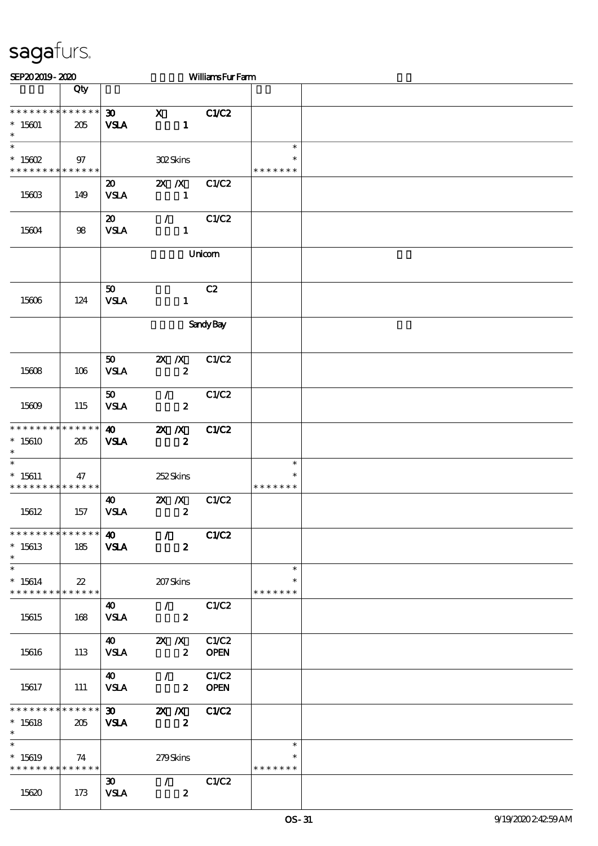| SEP202019-2020                                                              |        |                                            |                                                            | <b>WilliamsFurFarm</b> |                                   |  |
|-----------------------------------------------------------------------------|--------|--------------------------------------------|------------------------------------------------------------|------------------------|-----------------------------------|--|
|                                                                             | Qty    |                                            |                                                            |                        |                                   |  |
| * * * * * * * * * * * * * *<br>$^*$ 15601 $\,$<br>$\ast$                    | 205    | $\boldsymbol{\mathfrak{D}}$<br><b>VSLA</b> | $\mathbf x$<br>$\mathbf{1}$                                | C1/C2                  |                                   |  |
| $\ast$<br>$^*$ 15602 $\,$<br>* * * * * * * * * * * * * *                    | 97     |                                            | $30\!\mathrm{2S}$                                          |                        | $\ast$<br>$\ast$<br>* * * * * * * |  |
| 15603                                                                       | 149    | $\boldsymbol{\mathfrak{D}}$<br><b>VSLA</b> | $X$ $X$<br>$\mathbf{1}$                                    | C1/C2                  |                                   |  |
| 15604                                                                       | 98     | $\boldsymbol{\mathfrak{D}}$<br><b>VSLA</b> | $\mathcal{L}$<br>$\mathbf{1}$                              | C1/C2                  |                                   |  |
|                                                                             |        |                                            |                                                            | Unicom                 |                                   |  |
| 15606                                                                       | 124    | 50<br><b>VSLA</b>                          | $\mathbf{1}$                                               | C2                     |                                   |  |
|                                                                             |        |                                            |                                                            | <b>Sandy Bay</b>       |                                   |  |
| 15608                                                                       | 106    | 50<br><b>VSLA</b>                          | $X$ $N$<br>$\boldsymbol{z}$                                | C1/C2                  |                                   |  |
| 15609                                                                       | 115    | 50 <sub>o</sub><br><b>VSLA</b>             | $\mathcal{L}$<br>$\boldsymbol{z}$                          | C1/C2                  |                                   |  |
| * * * * * * * * * * * * * *<br>$*15610$<br>$\ast$                           | 205    | $\boldsymbol{\omega}$<br><b>VSLA</b>       | $\mathbf{X}$ $\mathbf{X}$<br>$\boldsymbol{z}$              | C1/C2                  |                                   |  |
| $\ast$<br>$* 15611$<br>* * * * * * * * <mark>* * * * * * *</mark>           | 47     |                                            | 252Skins                                                   |                        | $\ast$<br>∗<br>* * * * * * *      |  |
| 15612                                                                       | 157    | $\boldsymbol{\omega}$<br><b>VSLA</b>       | $X$ $X$<br>$\boldsymbol{z}$                                | C1/C2                  |                                   |  |
| * * * * * * * * * * * * * *<br>$*15613$<br>$\ast$                           | 185    | 40<br><b>VSLA</b>                          | $\mathcal{L}$<br>$\boldsymbol{z}$                          | <b>C1/C2</b>           |                                   |  |
| $\ast$<br>$*15614$<br>* * * * * * * * * * * * * *                           | $22\,$ |                                            | 207Skins                                                   |                        | $\ast$<br>$\ast$<br>* * * * * * * |  |
| 15615                                                                       | 168    | <b>40</b><br><b>VSLA</b>                   | $\mathcal{L}(\mathcal{L})$<br>$\boldsymbol{z}$             | C1/C2                  |                                   |  |
| 15616                                                                       | 113    | $\boldsymbol{40}$<br><b>VSLA</b>           | $2X$ $\Lambda$<br>$\boldsymbol{z}$                         | C1/C2<br><b>OPEN</b>   |                                   |  |
| 15617                                                                       | 111    | $\boldsymbol{\omega}$<br><b>VSLA</b>       | $\sim$ 1 $\sim$<br>$\mathbf{2}$                            | C1/C2<br><b>OPEN</b>   |                                   |  |
| * * * * * * * * * * * * * *<br>$*15618$<br>$\ast$                           | 205    | 30<br><b>VSLA</b>                          | $\mathbb{Z}$ $\mathbb{Z}$ $\mathbb{Z}$<br>$\boldsymbol{z}$ | C1/C2                  |                                   |  |
| $\overline{\ast}$<br>$*15619$<br>* * * * * * * * <mark>* * * * * * *</mark> | 74     |                                            | 279Skins                                                   |                        | $\ast$<br>$\ast$<br>* * * * * * * |  |
| 15620                                                                       | 173    | $\infty$<br><b>VSLA</b>                    | $\mathcal{T}$<br>$\boldsymbol{z}$                          | C1/C2                  |                                   |  |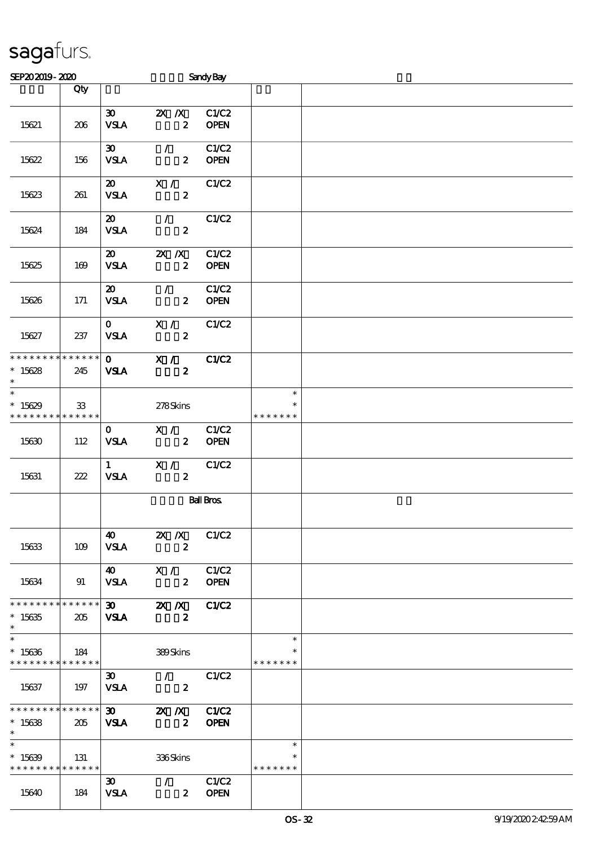| SEP202019-2020                |                  |                             |                                                                      | <b>Sandy Bay</b> |               |  |
|-------------------------------|------------------|-----------------------------|----------------------------------------------------------------------|------------------|---------------|--|
|                               | Qty              |                             |                                                                      |                  |               |  |
|                               |                  |                             |                                                                      |                  |               |  |
|                               |                  | $\boldsymbol{\mathfrak{D}}$ | $X$ $X$                                                              | C1/C2            |               |  |
| 15621                         | 206              | <b>VSLA</b>                 | $\boldsymbol{z}$                                                     | <b>OPEN</b>      |               |  |
|                               |                  |                             |                                                                      |                  |               |  |
|                               |                  | $\boldsymbol{\mathfrak{D}}$ | $\mathcal{T}$                                                        | C1/C2            |               |  |
| 15622                         | 156              | <b>VSLA</b>                 | $\boldsymbol{z}$                                                     | <b>OPEN</b>      |               |  |
|                               |                  |                             |                                                                      |                  |               |  |
|                               |                  | $\boldsymbol{\mathfrak{D}}$ | X /                                                                  | C1/C2            |               |  |
| 15623                         | 261              | <b>VSLA</b>                 | $\boldsymbol{z}$                                                     |                  |               |  |
|                               |                  | $\boldsymbol{\mathsf{20}}$  | $\mathcal{F}$ and $\mathcal{F}$                                      | C1/C2            |               |  |
| 15624                         | 184              | <b>VSLA</b>                 | $\boldsymbol{z}$                                                     |                  |               |  |
|                               |                  |                             |                                                                      |                  |               |  |
|                               |                  | $\boldsymbol{\mathfrak{D}}$ | $X$ $N$                                                              | C1/C2            |               |  |
| 15625                         | 169              | <b>VSLA</b>                 | $\boldsymbol{z}$                                                     | <b>OPEN</b>      |               |  |
|                               |                  |                             |                                                                      |                  |               |  |
|                               |                  | $\boldsymbol{\mathfrak{D}}$ | $\mathcal{L}$                                                        | C1/C2            |               |  |
| 15626                         | 171              | <b>VSLA</b>                 | $\boldsymbol{z}$                                                     | <b>OPEN</b>      |               |  |
|                               |                  |                             |                                                                      |                  |               |  |
|                               |                  | $\mathbf{O}$                | X /                                                                  | C1/C2            |               |  |
| 15627                         | 237              | <b>VSLA</b>                 | $\boldsymbol{z}$                                                     |                  |               |  |
|                               |                  |                             |                                                                      |                  |               |  |
| * * * * * * * * * * * * * *   |                  | $\mathbf{0}$                | X /                                                                  | C1/C2            |               |  |
| $*15628$                      | 245              | <b>VSLA</b>                 | $\boldsymbol{z}$                                                     |                  |               |  |
| $\ast$<br>$\overline{\ast}$   |                  |                             |                                                                      |                  | $\ast$        |  |
| $*15629$                      |                  |                             |                                                                      |                  |               |  |
| * * * * * * * * * * * * * *   | 33               |                             | 278Skins                                                             |                  | * * * * * * * |  |
|                               |                  | $\mathbf{O}$                | X /                                                                  | C1/C2            |               |  |
| 15630                         | 112              | <b>VSLA</b>                 | $\mathbf{z}$                                                         | <b>OPEN</b>      |               |  |
|                               |                  |                             |                                                                      |                  |               |  |
|                               |                  | $1 \quad \blacksquare$      | X /                                                                  | C1/C2            |               |  |
| 15631                         | 222              | <b>VSLA</b>                 | $\boldsymbol{2}$                                                     |                  |               |  |
|                               |                  |                             |                                                                      |                  |               |  |
|                               | <b>Ball Bros</b> |                             |                                                                      |                  |               |  |
|                               |                  |                             |                                                                      |                  |               |  |
|                               |                  |                             |                                                                      |                  |               |  |
|                               |                  |                             | $\overline{40}$ $\overline{2}$ $\overline{X}$ $\overline{X}$ $C1/C2$ |                  |               |  |
| 15633                         | 109              | <b>VSLA</b>                 | $\boldsymbol{z}$                                                     |                  |               |  |
|                               |                  |                             | 40 X / C1/C2                                                         |                  |               |  |
| 15634                         |                  |                             | $2$ OPEN                                                             |                  |               |  |
|                               | 91               | VSLA                        |                                                                      |                  |               |  |
| * * * * * * * * * * * * * * * |                  |                             | $\overline{30}$ $\overline{2X}$ $\overline{X}$ $C1/C2$               |                  |               |  |
| $*15635$                      | 205              | <b>VSLA</b>                 | $\boldsymbol{z}$                                                     |                  |               |  |
| $\ast$                        |                  |                             |                                                                      |                  |               |  |
| $\overline{\phantom{0}}$      |                  |                             |                                                                      |                  | $\ast$        |  |
| $*15636$                      | $\vert$ 184      |                             | 389Skins                                                             |                  |               |  |
| * * * * * * * * * * * * * *   |                  |                             |                                                                      |                  | * * * * * * * |  |
|                               |                  | $\boldsymbol{\mathfrak{D}}$ | $\mathcal{L}$                                                        | C1/C2            |               |  |
| 15637                         | 197              | <b>VSLA</b>                 | $\sim$ 2                                                             |                  |               |  |
|                               |                  |                             |                                                                      |                  |               |  |
|                               |                  |                             | ******************* 30 <b>2X /X C1/C2</b>                            |                  |               |  |
| $*15638$<br>$*$ $-$           | 205              | <b>VSLA</b>                 | $\overline{\mathbf{z}}$                                              | <b>OPEN</b>      |               |  |
| $\ast$                        |                  |                             |                                                                      |                  | $\ast$        |  |
| $*15639$                      | 131              |                             | 336Skins                                                             |                  | $\ast$        |  |
| * * * * * * * * * * * * * *   |                  |                             |                                                                      |                  | * * * * * * * |  |
|                               |                  | $\infty$                    | $\sqrt{C1/C2}$                                                       |                  |               |  |
| 15640                         | 184              | <b>VSLA</b>                 | $2$ OPEN                                                             |                  |               |  |
|                               |                  |                             |                                                                      |                  |               |  |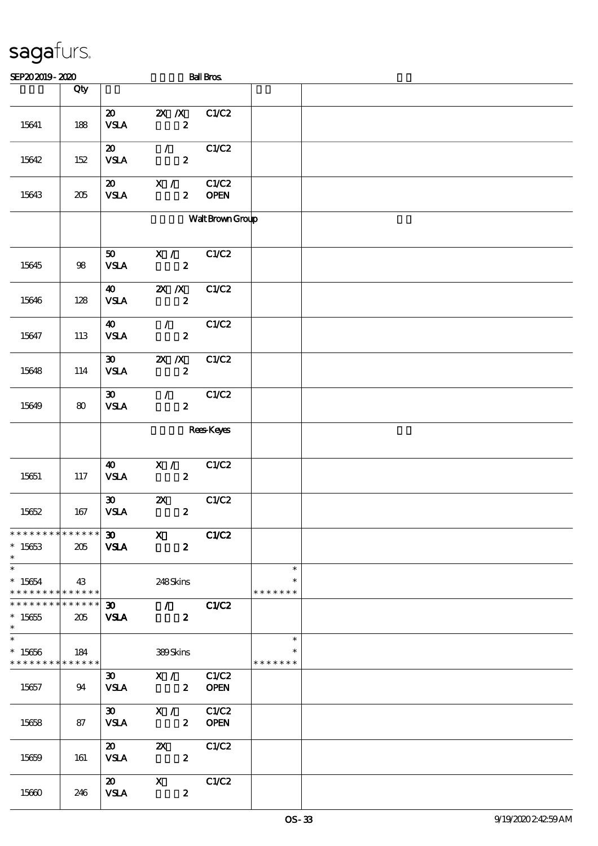| SEP202019-2020                                             |             |                                            |                                                                        | <b>Ball Bros</b>     |                                   |  |
|------------------------------------------------------------|-------------|--------------------------------------------|------------------------------------------------------------------------|----------------------|-----------------------------------|--|
|                                                            | Qty         |                                            |                                                                        |                      |                                   |  |
| 15641                                                      | 188         | $\boldsymbol{\mathfrak{D}}$<br><b>VSLA</b> | $X$ $N$<br>$\boldsymbol{z}$                                            | C1/C2                |                                   |  |
| 15642                                                      | 152         | $\boldsymbol{\mathfrak{D}}$<br><b>VSLA</b> | $\mathcal{L}$<br>$\boldsymbol{z}$                                      | C1/C2                |                                   |  |
| 15643                                                      | 205         | $\boldsymbol{\mathfrak{D}}$<br><b>VSLA</b> | X /<br>$\boldsymbol{2}$                                                | C1/C2<br><b>OPEN</b> |                                   |  |
|                                                            |             |                                            |                                                                        | Walt Brown Group     |                                   |  |
| 15645                                                      | 98          | 50<br><b>VSLA</b>                          | X /<br>$\boldsymbol{z}$                                                | C1/C2                |                                   |  |
| 15646                                                      | 128         | 40<br><b>VSLA</b>                          | $X$ $N$<br>$\boldsymbol{z}$                                            | C1/C2                |                                   |  |
| 15647                                                      | 113         | $\boldsymbol{\omega}$<br><b>VSLA</b>       | $\mathcal{L}_{\mathcal{L}}$<br>$\boldsymbol{z}$                        | C1/C2                |                                   |  |
| 15648                                                      | 114         | $\boldsymbol{\mathfrak{D}}$<br><b>VSLA</b> | $X$ $X$<br>$\boldsymbol{z}$                                            | C1/C2                |                                   |  |
| 15649                                                      | 80          | $\boldsymbol{\mathfrak{D}}$<br><b>VSLA</b> | $\mathcal{L}$<br>$\boldsymbol{z}$                                      | C1/C2                |                                   |  |
|                                                            |             |                                            |                                                                        | <b>Rees</b> Keyes    |                                   |  |
| 15651                                                      | 117         | $\boldsymbol{\omega}$<br><b>VSLA</b>       | X /<br>$\boldsymbol{z}$                                                | C1/C2                |                                   |  |
| 15652                                                      | 167         | $\boldsymbol{\mathfrak{D}}$<br><b>VSLA</b> | $\boldsymbol{\mathsf{z}}$<br>$\boldsymbol{z}$                          | C1/C2                |                                   |  |
| ****************** 30 X<br>$*15653$<br>$*$                 | 205         | <b>VSLA</b>                                | $\boldsymbol{z}$                                                       | C1/C2                |                                   |  |
| $\ast$<br>$* 15654$<br>* * * * * * * * * * * * * * *       | $\vert$ 43  |                                            | 248Skins                                                               |                      | $\ast$<br>$\ast$<br>* * * * * * * |  |
| * * * * * * * * * * * * * * *<br>$^*$ 15655 $\,$<br>$\ast$ | 205         |                                            | $\overline{30}$ / $\overline{C1}C2$<br><b>VSLA</b><br>$\boldsymbol{z}$ |                      |                                   |  |
| $*15656$<br>* * * * * * * * * * * * * * *                  | $\vert$ 184 |                                            | 389Skins                                                               |                      | $\ast$<br>* * * * * * *           |  |
| 15657                                                      | 94          | 30                                         | X / C1/C2<br>VSLA 2 OPEN                                               |                      |                                   |  |
| 15658                                                      | 87          | <b>VSLA</b>                                | 30 $X / C1/C2$<br>2 OPEN                                               |                      |                                   |  |
| 15659                                                      | 161         | $\boldsymbol{\mathsf{20}}$<br><b>VSLA</b>  | <b>2X</b> C1/C2<br>$\boldsymbol{z}$                                    |                      |                                   |  |
| 15660                                                      | 246         | <b>VSLA</b>                                | 20 X<br>$\boldsymbol{z}$                                               | C1/C2                |                                   |  |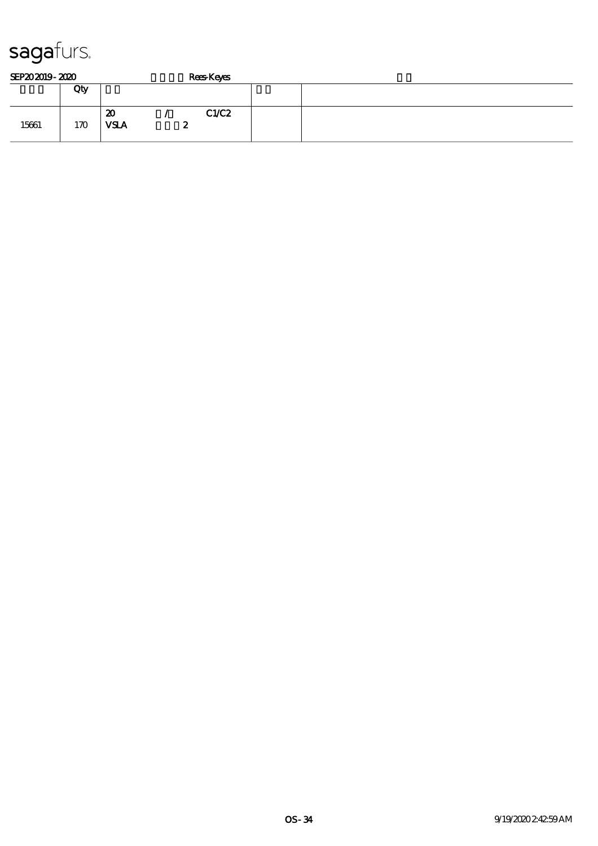| SEP202019-2020 |     |                                            | <b>Rees Keyes</b> |  |
|----------------|-----|--------------------------------------------|-------------------|--|
|                | Qty |                                            |                   |  |
| 15661          | 170 | $\boldsymbol{\mathfrak{D}}$<br><b>VSLA</b> | C1/C2<br>∼        |  |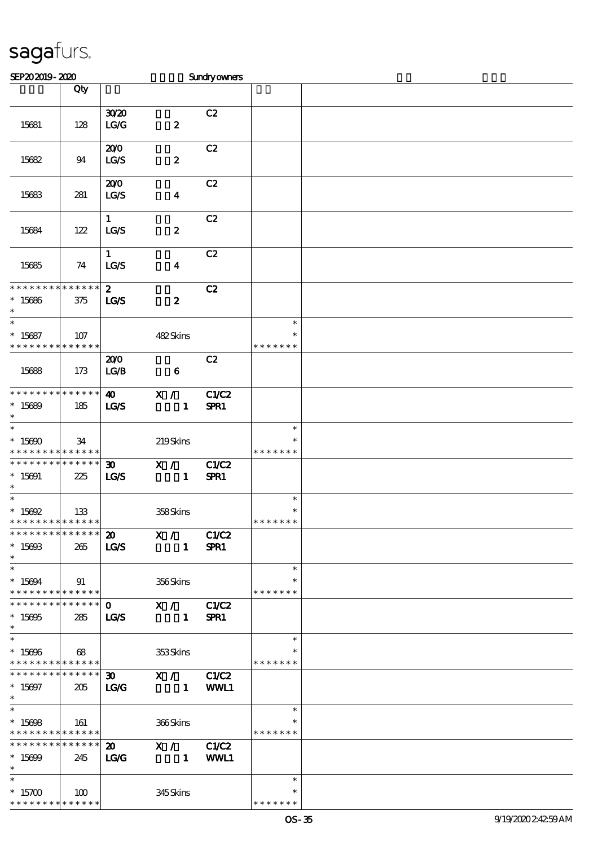| SEP202019-2020                                                               |                    |                                                         |                                                             | Sundryowners  |                                   |  |
|------------------------------------------------------------------------------|--------------------|---------------------------------------------------------|-------------------------------------------------------------|---------------|-----------------------------------|--|
|                                                                              | Qty                |                                                         |                                                             |               |                                   |  |
| 15681                                                                        | 128                | 3020<br>LG/G                                            | $\pmb{2}$                                                   | C2            |                                   |  |
| 15682                                                                        | 94                 | 200<br>LGS                                              | $\pmb{2}$                                                   | C2            |                                   |  |
| 15683                                                                        | 281                | 200<br>LGS                                              | $\boldsymbol{4}$                                            | C2            |                                   |  |
| 15684                                                                        | 122                | $\mathbf{1}$<br>LG/S                                    | $\pmb{2}$                                                   | C2            |                                   |  |
| 15685                                                                        | 74                 | $\mathbf{1}$<br><b>LG/S</b>                             | $\boldsymbol{4}$                                            | C2            |                                   |  |
| * * * * * * * * <mark>* * * * * * *</mark><br>$*15686$<br>$\ast$             | 375                | $\boldsymbol{z}$<br><b>LG/S</b>                         | $\boldsymbol{z}$                                            | C2            |                                   |  |
| $\overline{\ast}$<br>$* 15687$<br>* * * * * * * *                            | 107<br>* * * * * * |                                                         | 482Skins                                                    |               | $\ast$<br>$\ast$<br>* * * *       |  |
| 15688                                                                        | 173                | 200<br>LG/B                                             | $\bf{6}$                                                    | C2            |                                   |  |
| * * * * * * * * * * * * * *<br>$*15689$<br>$\ast$                            | 185                | $\boldsymbol{\omega}$<br>LGS                            | X /<br>$\mathbf{1}$                                         | C1/C2<br>SPR1 |                                   |  |
| $\ast$<br>$*15690$<br>* * * * * * * * <mark>* * * * * *</mark>               | 34                 |                                                         | 219Skins                                                    |               | $\ast$<br>$\ast$<br>* * * * * * * |  |
| * * * * * * * *<br>$* 15691$<br>$\ast$                                       | * * * * * *<br>225 | $\boldsymbol{\mathfrak{D}}$<br><b>LG/S</b>              | X /<br>$\mathbf{1}$                                         | C1/C2<br>SPR1 |                                   |  |
| $\ast$<br>$^*$ 15692                                                         | 133<br>* * * * * * |                                                         | 358Skins                                                    |               | $\ast$<br>$\ast$<br>* * * * * * * |  |
| ***************<br>$* 15693$<br>$*$                                          | 265                | <b>LG/S</b>                                             | 20 X / C1/C2<br>$\sim$ 1                                    | SPR1          |                                   |  |
| $\ast$<br>$* 15694$<br>* * * * * * * * * * * * * *                           | 91                 |                                                         | 356Skins                                                    |               | $\ast$<br>* * * * * * *           |  |
| * * * * * * * * * * * * * * *<br>$*15695$<br>$\ast$                          | 285                | $\mathbf{O}$<br><b>LG/S</b>                             | X / C1/C2<br>$\sim$ $\sim$ $\sim$ $\sim$ $\sim$ $\sim$      | SPR1          |                                   |  |
| $\overline{\ast}$<br>$* 15696$<br>* * * * * * * * <mark>* * * * * * *</mark> | 68                 |                                                         | 353Skins                                                    |               | $\ast$<br>∗<br>* * * * * * *      |  |
| * * * * * * * * * * * * * * *<br>$* 15697$<br>$\ast$                         | 205                | LG/G                                                    | 30 $X / C1/C2$<br>$\sim$ $\sim$ $\sim$ $\sim$ $\sim$ $\sim$ | WWL1          |                                   |  |
| $\overline{\ast}$<br>$*15698$<br>* * * * * * * * * * * * * *                 | 161                |                                                         | 366Skins                                                    |               | $\ast$<br>* * * * * * *           |  |
| * * * * * * * * * * * * * * *<br>$*15699$<br>$*$ and $*$                     | 245                | $\boldsymbol{\mathfrak{D}}$<br>$\mathbf{TC} \mathbf{C}$ | X / C1/C2<br><b>1</b> WWL1                                  |               |                                   |  |
| $*$<br>$^*$ 15700 $\,$<br>* * * * * * * * * * * * * *                        | 100                |                                                         | 345Skins                                                    |               | $\ast$<br>* * * * * * *           |  |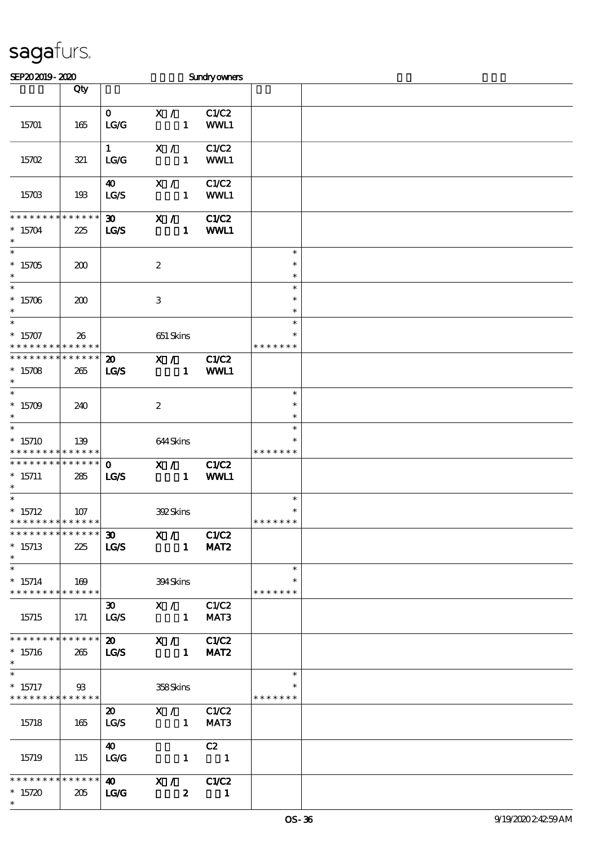| SEP202019-2020                                                                      |                    |                                                                  |                                                                          | <b>Sundryowners</b>  |                                   |  |
|-------------------------------------------------------------------------------------|--------------------|------------------------------------------------------------------|--------------------------------------------------------------------------|----------------------|-----------------------------------|--|
|                                                                                     | Qty                |                                                                  |                                                                          |                      |                                   |  |
| 15701                                                                               | 165                | $\mathbf{0}$<br>LG                                               | X /<br>$\mathbf{1}$                                                      | C1/C2<br>WWL1        |                                   |  |
| 15702                                                                               | 321                | $\mathbf{1}$<br>LG/G                                             | X /<br>$\mathbf{1}$                                                      | C1/C2<br>WWL1        |                                   |  |
| 15703                                                                               | 193                | $\boldsymbol{\omega}$<br>LGS                                     | X /<br>$\mathbf{1}$                                                      | C1/C2<br>WWL1        |                                   |  |
| * * * * * * * *                                                                     | * * * * * *        | $\boldsymbol{\mathfrak{D}}$                                      | X /                                                                      | <b>C1/C2</b>         |                                   |  |
| $*15704$<br>$\ast$<br>$\ast$                                                        | 225                | <b>LG/S</b>                                                      | $\mathbf{1}$                                                             | WWL1                 | $\ast$                            |  |
| $*15705$<br>$\ast$<br>$\overline{\phantom{0}}$                                      | 200                |                                                                  | $\boldsymbol{2}$                                                         |                      | $\ast$<br>$\ast$                  |  |
| $*15706$<br>$\ast$                                                                  | 200                |                                                                  | $\,3\,$                                                                  |                      | $\ast$<br>$\ast$<br>$\ast$        |  |
| $\overline{\phantom{0}}$<br>$* 15707$<br>* * * * * * * *                            | 26<br>* * * * * *  |                                                                  | 651 Skins                                                                |                      | $\ast$<br>* * * * * * *           |  |
| * * * * * * * *<br>$*15708$<br>$\ast$                                               | * * * * * *<br>265 | $\boldsymbol{\mathfrak{D}}$<br>LGS                               | X /<br>$\mathbf{1}$                                                      | <b>C1/C2</b><br>WWL1 |                                   |  |
| $\ast$<br>$*15709$<br>$\ast$                                                        | 240                |                                                                  | $\boldsymbol{2}$                                                         |                      | $\ast$<br>$\ast$<br>$\ast$        |  |
| $\ast$<br>$*15710$<br>* * * * * * * *                                               | 139<br>* * * * * * |                                                                  | 644Skins                                                                 |                      | $\ast$<br>* * * * * *             |  |
| * * * * * * * *<br>$*15711$<br>$\ast$                                               | * * * * * *<br>285 | $\mathbf 0$<br>LGS                                               | X /<br>$\mathbf{1}$                                                      | C1/C2<br>WWL1        |                                   |  |
| $\overline{\phantom{0}}$<br>$*$ 15712<br>* * * * * * * * <mark>* * * * * *</mark> * | 107                |                                                                  | 392Skins                                                                 |                      | $\ast$<br>$\ast$<br>* * * * * * * |  |
| **************<br>$*15713$<br>$*$                                                   | 225                | LG/S                                                             | $\overline{30}$ $\overline{X}$ / $\overline{C1}$ $C2$<br>$\sim$ 1 $\sim$ | MAT <sub>2</sub>     |                                   |  |
| $\ast$<br>$*15714$<br>* * * * * * * * * * * * * * *                                 | 169                |                                                                  | 394Skins                                                                 |                      | $\ast$<br>$\ast$<br>* * * * * * * |  |
| 15715                                                                               | 171                | 30<br>LG/S                                                       | X / C1/C2<br>$\sim$ $\sim$ $\sim$ $\sim$ $\sim$ $\sim$                   | MAT3                 |                                   |  |
| * * * * * * * * * * * * * * *<br>$*15716$<br>$\ast$                                 | 265                | LG/S                                                             | 20 X / C1/C2<br>$\sim$ $\sim$ $\sim$ $\sim$ $\sim$ $\sim$                | MAT <sub>2</sub>     |                                   |  |
| $\ast$<br>$*15717$<br>* * * * * * * * <mark>* * * * * * *</mark>                    | $\mathfrak{B}$     |                                                                  | 358Skins                                                                 |                      | $\ast$<br>* * * * * * *           |  |
| 15718                                                                               | 165                | $\boldsymbol{\mathfrak{D}}$<br>$\mathbf{L}\mathbf{C}\mathbf{/S}$ | X / C1/C2<br>$\sim$ $\sim$ $\sim$ $\sim$ $\sim$                          | MAT3                 |                                   |  |
| 15719                                                                               | 115                | $\boldsymbol{\omega}$<br>LG/G                                    | $\begin{array}{cccc} 1 & 1 & 1 \end{array}$                              | C2                   |                                   |  |
| * * * * * * * * * * * * * * *<br>$*15720$<br>$\ast$                                 | 205                | $\bullet$<br>LG                                                  | X / C1/C2<br>$\boldsymbol{z}$                                            | $\blacksquare$       |                                   |  |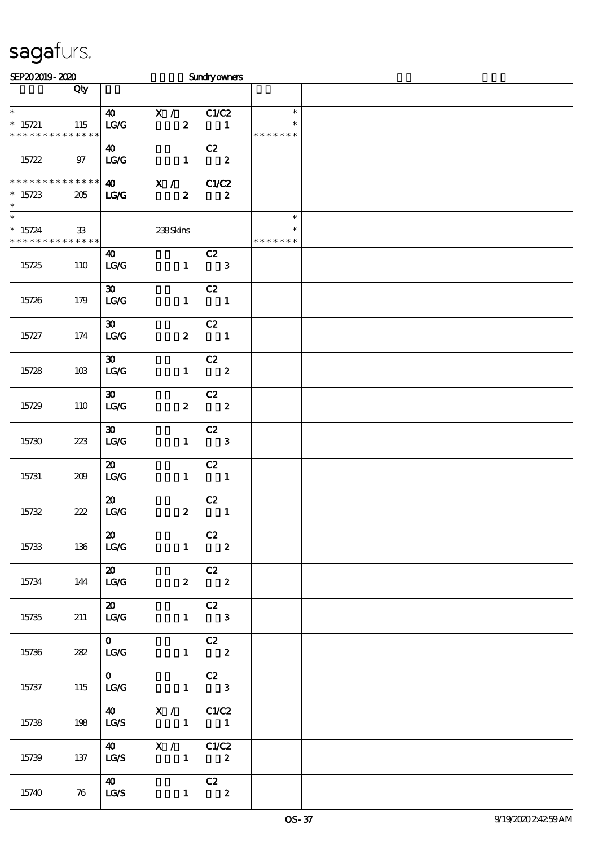| SEP202019-2020                                     |                       |                                                                 |                                                                                                                                          | <b>Sundryowners</b>            |                         |  |
|----------------------------------------------------|-----------------------|-----------------------------------------------------------------|------------------------------------------------------------------------------------------------------------------------------------------|--------------------------------|-------------------------|--|
|                                                    | Qty                   |                                                                 |                                                                                                                                          |                                |                         |  |
| $\ast$<br>$* 15721$<br>* * * * * * * * * * * * * * | 115                   | $\boldsymbol{\omega}$<br>$\mathbf{L}\mathbf{G}/\mathbf{G}$      | X / C1/C2<br>$\boldsymbol{z}$                                                                                                            | $\blacksquare$                 | $\ast$<br>* * * * * * * |  |
| 15722                                              | $97\,$                | $\boldsymbol{40}$<br>$\mathbf{LG}\mathbf{G}$                    | $\mathbf{1}$                                                                                                                             | C2<br>$\overline{\mathbf{2}}$  |                         |  |
| **************<br>$*15723$<br>$\ast$               | 205                   | $\boldsymbol{\omega}$<br><b>LG/G</b>                            | $\mathbf{X}$ /<br>$\boldsymbol{z}$                                                                                                       | C1/C2<br>$\boldsymbol{z}$      |                         |  |
| $\overline{\ast}$<br>$* 15724$<br>* * * * * * * *  | $33\,$<br>* * * * * * |                                                                 | 238Skins                                                                                                                                 |                                | $\ast$<br>* * * * * * * |  |
| 15725                                              | 110                   | $\boldsymbol{\omega}$<br>LG/G                                   |                                                                                                                                          | C2<br>$1 \qquad 3$             |                         |  |
| 15726                                              | 179                   | $\boldsymbol{\mathfrak{D}}$<br>LG/G                             | $\mathbf{1}$                                                                                                                             | C2<br>$\overline{\mathbf{1}}$  |                         |  |
| 15727                                              | 174                   | $\boldsymbol{\mathfrak{D}}$<br>LG/G                             | $\boldsymbol{z}$                                                                                                                         | C2<br>$\blacksquare$           |                         |  |
| 15728                                              | 10B                   | $\boldsymbol{\mathfrak{D}}$<br>LG/G                             | $\mathbf{1}$                                                                                                                             | C2<br>$\overline{\mathbf{2}}$  |                         |  |
| 15729                                              | 110                   | $\boldsymbol{\mathfrak{D}}$<br>LG/G                             | $\boldsymbol{z}$                                                                                                                         | C2<br>$\overline{\mathbf{2}}$  |                         |  |
| 15730                                              | 223                   | $\boldsymbol{\mathfrak{D}}$<br>LG/G                             |                                                                                                                                          | C2<br>$1 \qquad 3$             |                         |  |
| 15731                                              | 209                   | $\boldsymbol{\mathfrak{D}}$<br>$\mathbf{LG}\mathbf{G}$          |                                                                                                                                          | C2<br>$1 \quad 1$              |                         |  |
| 15732                                              | 222                   | $\boldsymbol{\mathfrak{D}}$<br>$\mathbf{LG}\mathbf{G}$          | $\boldsymbol{z}$                                                                                                                         | C2<br>$\blacksquare$           |                         |  |
| 15733                                              | 136                   | $\boldsymbol{\mathfrak{D}}$<br>$\vert$ LG/G                     |                                                                                                                                          | C2<br>$1 \t 2$                 |                         |  |
| 15734                                              | 144                   | $\boldsymbol{\mathsf{20}}$<br>LG/G                              |                                                                                                                                          | $\overline{C}$<br>$2\qquad 2$  |                         |  |
| 15735                                              | 211                   | $\boldsymbol{\mathsf{20}}$<br>$\overline{\mathbf{L}\mathbf{C}}$ |                                                                                                                                          | $\overline{C}$<br>$1 \qquad 3$ |                         |  |
| 15736                                              | 282                   | $\mathbf{0}$<br>LG/G                                            |                                                                                                                                          | C2<br>$1 \t 2$                 |                         |  |
| 15737                                              | 115                   | $\overline{0}$                                                  | $LG/G$ 1 3                                                                                                                               | $\overline{C}$                 |                         |  |
| 15738                                              | 198                   |                                                                 | $\begin{array}{ccccc}\n\textbf{40} & \textbf{X} & / & \textbf{C1} & \textbf{C2} \\ \textbf{LG} & \textbf{1} & & \textbf{1}\n\end{array}$ |                                |                         |  |
| 15739                                              | 137                   |                                                                 | 40 X / C1/C2<br>$LG/S$ 1 2                                                                                                               |                                |                         |  |
| 15740                                              | 76                    | $\boldsymbol{40}$<br>LG/S                                       | $\mathbf{1}$                                                                                                                             | $\frac{C2}{2}$                 |                         |  |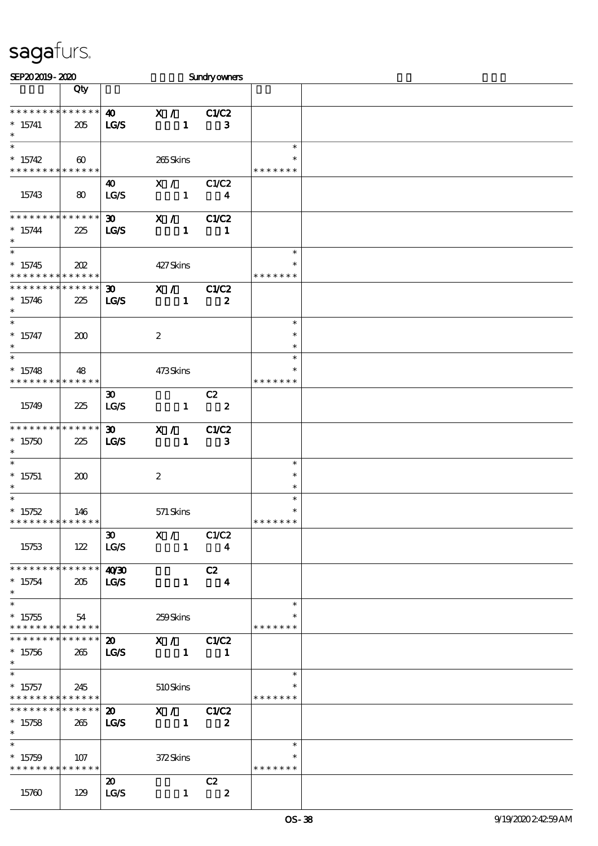| SEP202019-2020                |                       |                             |                  | <b>Sundryowners</b>     |               |  |
|-------------------------------|-----------------------|-----------------------------|------------------|-------------------------|---------------|--|
|                               | Qty                   |                             |                  |                         |               |  |
|                               |                       |                             |                  |                         |               |  |
| * * * * * * * * * * * * * *   |                       | $\boldsymbol{40}$           | $\mathbf{X}$ /   | C1/C2                   |               |  |
| $*15741$                      | 205                   | LGS                         | $\mathbf{1}$     | 3                       |               |  |
| $\ast$                        |                       |                             |                  |                         |               |  |
| $\ast$                        |                       |                             |                  |                         | $\ast$        |  |
| $*15742$                      | $\boldsymbol{\omega}$ |                             | 265Skins         |                         | ∗             |  |
| * * * * * * * * * * * * * *   |                       |                             |                  |                         | * * * * * * * |  |
|                               |                       | 40                          | X /              | C1/C2                   |               |  |
| 15743                         | $\bf{8}$              | LG/S                        | $\mathbf{1}$     | $\overline{\mathbf{4}}$ |               |  |
|                               |                       |                             |                  |                         |               |  |
| * * * * * * * * * * * * * *   |                       | $\boldsymbol{\mathfrak{D}}$ | X /              | C1/C2                   |               |  |
| $*15744$                      | 225                   | <b>LG/S</b>                 | $\mathbf{1}$     |                         |               |  |
| $\ast$                        |                       |                             |                  | 1                       |               |  |
| $\overline{\ast}$             |                       |                             |                  |                         | $\ast$        |  |
|                               |                       |                             |                  |                         |               |  |
| $*15745$                      | 202                   |                             | 427Skins         |                         |               |  |
| * * * * * * * * * * * * * *   |                       |                             |                  |                         | * * * * * * * |  |
| ******** <mark>******</mark>  |                       | 30 <sub>o</sub>             | $\mathbf{X}$ /   | C1/C2                   |               |  |
| $*15746$                      | 225                   | IGS                         | $\mathbf{1}$     | $\boldsymbol{z}$        |               |  |
| $\ast$                        |                       |                             |                  |                         |               |  |
| $\ast$                        |                       |                             |                  |                         | $\ast$        |  |
| $* 15747$                     | 200                   |                             | $\boldsymbol{z}$ |                         | $\ast$        |  |
| $\ast$                        |                       |                             |                  |                         | $\ast$        |  |
| $\ast$                        |                       |                             |                  |                         | $\ast$        |  |
| $*15748$                      | 48                    |                             | 473Skins         |                         |               |  |
| * * * * * * * * * * * * * *   |                       |                             |                  |                         | * * * * * * * |  |
|                               |                       | $\boldsymbol{\mathfrak{D}}$ |                  | C2                      |               |  |
| 15749                         | 225                   | LG/S                        | $\mathbf{1}$     | $\overline{\mathbf{2}}$ |               |  |
|                               |                       |                             |                  |                         |               |  |
| * * * * * * * * * * * * * *   |                       | $\boldsymbol{\mathfrak{D}}$ | X /              | C1/C2                   |               |  |
| $*15750$                      | 225                   | <b>LG/S</b>                 | $\mathbf{1}$     | $\mathbf{3}$            |               |  |
| $\ast$                        |                       |                             |                  |                         |               |  |
|                               |                       |                             |                  |                         | $\ast$        |  |
|                               |                       |                             |                  |                         | $\ast$        |  |
| $*15751$<br>$\ast$            | 200                   |                             | $\boldsymbol{2}$ |                         | $\ast$        |  |
| $\overline{\ast}$             |                       |                             |                  |                         | $\ast$        |  |
|                               |                       |                             |                  |                         |               |  |
| $*15752$                      | 146                   |                             | $571$ Skins      |                         | $\ast$        |  |
| **************                |                       |                             |                  |                         | * * * * * * * |  |
|                               |                       | $\infty$                    | X /              | C1/C2                   |               |  |
| 15753                         | 122                   | LG/S                        | $\mathbf{1}$     | $\overline{\mathbf{4}}$ |               |  |
|                               |                       |                             |                  |                         |               |  |
| * * * * * * * * * * * * * *   |                       | 40'30                       |                  | C2                      |               |  |
| $*15754$                      | 205                   | <b>LG/S</b>                 | $\mathbf{1}$     | $\overline{\mathbf{4}}$ |               |  |
| $\ast$                        |                       |                             |                  |                         |               |  |
| $\ast$                        |                       |                             |                  |                         | $\ast$        |  |
| $*15755$                      | 54                    |                             | 259Skins         |                         |               |  |
| * * * * * * * * * * * * * *   |                       |                             |                  |                         | * * * * * * * |  |
| * * * * * * * * * * * * * * * |                       | $\boldsymbol{\mathfrak{D}}$ | X / C1/C2        |                         |               |  |
| $*15756$                      | 265                   | <b>LG/S</b>                 | $\blacksquare$   | $\blacksquare$          |               |  |
| $\ast$                        |                       |                             |                  |                         |               |  |
|                               |                       |                             |                  |                         | $\ast$        |  |
| $*15757$                      | 245                   |                             | 510Skins         |                         |               |  |
| * * * * * * * * * * * * * *   |                       |                             |                  |                         | * * * * * * * |  |
| * * * * * * * * * * * * * * * |                       | $\boldsymbol{\mathfrak{D}}$ | X / C1/C2        |                         |               |  |
|                               |                       |                             |                  |                         |               |  |
| $*15758$<br>$\ast$            | 265                   | <b>LG/S</b>                 | $\blacksquare$   | $\boldsymbol{z}$        |               |  |
| $\ast$                        |                       |                             |                  |                         | $\ast$        |  |
|                               |                       |                             |                  |                         |               |  |
| $*15759$                      | 107                   |                             | 372Skins         |                         |               |  |
| * * * * * * * * * * * * * *   |                       |                             |                  |                         | * * * * * * * |  |
|                               |                       | $\boldsymbol{\mathfrak{D}}$ |                  | C2                      |               |  |
| 15760                         | 129                   | LG/S                        | $\mathbf{1}$     | $\boldsymbol{z}$        |               |  |
|                               |                       |                             |                  |                         |               |  |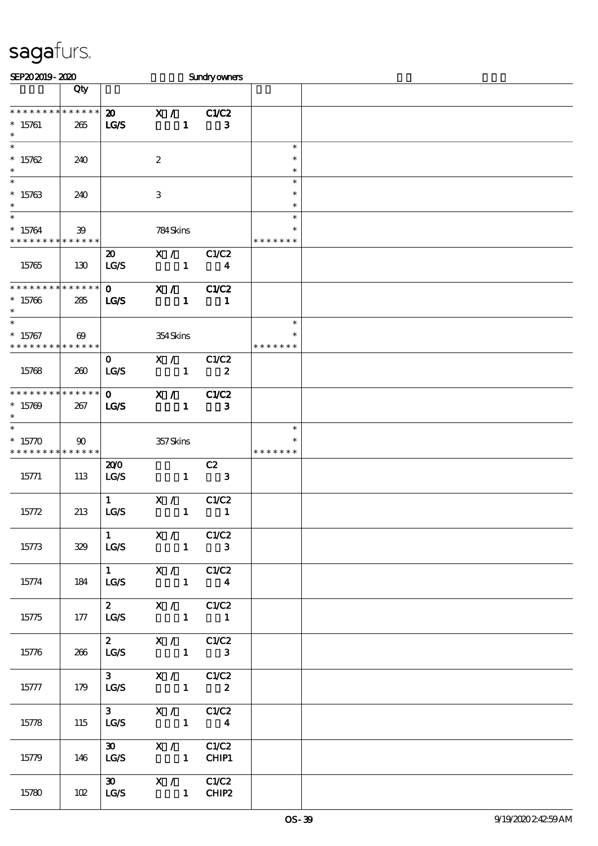| SEP202019-2020                                       |                       |                                            |                                                                                           | <b>Sundryowners</b>              |                              |  |
|------------------------------------------------------|-----------------------|--------------------------------------------|-------------------------------------------------------------------------------------------|----------------------------------|------------------------------|--|
|                                                      | Qty                   |                                            |                                                                                           |                                  |                              |  |
| * * * * * * * * * * * * * *<br>$*15761$<br>$\ast$    | 265                   | $\boldsymbol{\mathfrak{D}}$<br><b>LG/S</b> | $\mathbf{X}$ /<br>$\mathbf{1}$                                                            | C1/C2<br>3                       |                              |  |
| $\ast$<br>$*15762$<br>$\ast$                         | 240                   |                                            | $\boldsymbol{2}$                                                                          |                                  | $\ast$<br>$\ast$<br>$\ast$   |  |
| $\ast$<br>$*15763$<br>$\ast$                         | 240                   |                                            | $\,3$                                                                                     |                                  | $\ast$<br>$\ast$<br>$\ast$   |  |
| $\ast$<br>$* 15764$<br>* * * * * * * *               | 39<br>* * * * * *     |                                            | 784Skins                                                                                  |                                  | $\ast$<br>*<br>* * * * * * * |  |
| 15765                                                | 130                   | $\boldsymbol{\mathfrak{D}}$<br>LG/S        | X /<br>$\mathbf{1}$                                                                       | C1/C2<br>$\overline{\mathbf{4}}$ |                              |  |
| * * * * * * * * * * * * * *<br>$*15766$<br>$\ast$    | 285                   | $\mathbf{O}$<br><b>LG/S</b>                | X /<br>$\mathbf{1}$                                                                       | C1/C2<br>$\blacksquare$          |                              |  |
| $\ast$<br>$* 15767$<br>* * * * * * * * * * * * * * * | $\boldsymbol{\omega}$ |                                            | 354Skins                                                                                  |                                  | $\ast$<br>*<br>* * * * * * * |  |
| 15768                                                | 260                   | $\mathbf{O}$<br><b>LG/S</b>                | X /<br>$\mathbf{1}$                                                                       | C1/C2<br>$\boldsymbol{z}$        |                              |  |
| * * * * * * * * * * * * * *<br>$*15709$<br>$\ast$    | 267                   | $\mathbf{O}$<br><b>LG/S</b>                | X /<br>$\mathbf{1}$                                                                       | C1/C2<br>3                       |                              |  |
| $*15770$<br>* * * * * * * * <mark>* * * * * *</mark> | $\infty$              |                                            | 357Skins                                                                                  |                                  | $\ast$<br>* * * * * * *      |  |
| 15771                                                | 113                   | 200<br>LG/S                                | $\mathbf{1}$                                                                              | C2<br>$\overline{\mathbf{3}}$    |                              |  |
| 15772                                                | 213                   | $\mathbf{1}$<br>LG/S                       | X /<br>$\mathbf{1}$                                                                       | C1/C2<br>1                       |                              |  |
| 15773                                                | 329                   |                                            | $1$ X / C1/C2<br>$LG/S$ 1 3                                                               |                                  |                              |  |
| 15774                                                | 184                   |                                            | $1$ X / C1/C2<br>$LG/S$ 1 4                                                               |                                  |                              |  |
| 15775                                                | 177                   |                                            | 2 $X / C1/C2$<br>$LG/S$ 1 1                                                               |                                  |                              |  |
| 15776                                                | 266                   |                                            | 2 $X / C1/C2$<br>$LG/S$ 1 3                                                               |                                  |                              |  |
| 15777                                                | 179                   |                                            | 3 $X / C1/C2$<br>$LG/S$ 1 2                                                               |                                  |                              |  |
| 15778                                                | 115                   |                                            | $\begin{array}{ccccc}\n3 & & X & / & \text{CLC2} \\ \text{LG/S} & & 1 & & 4\n\end{array}$ |                                  |                              |  |
| 15779                                                | 146                   |                                            | 30 X / C1/C2<br>$LG/S$ 1 $CHIP1$                                                          |                                  |                              |  |
| 15780                                                | 102                   |                                            | 30 X / C1/C2<br>$LG/S$ 1 CHIP2                                                            |                                  |                              |  |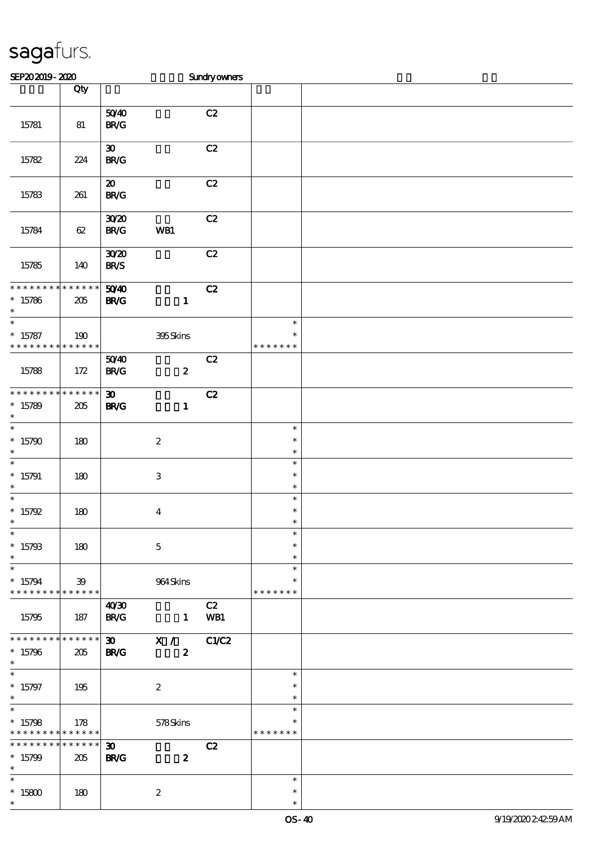| SEP202019-2020                                           |                        |                                            |                                  | Sundryowners |                                   |  |
|----------------------------------------------------------|------------------------|--------------------------------------------|----------------------------------|--------------|-----------------------------------|--|
|                                                          | Qty                    |                                            |                                  |              |                                   |  |
| 15781                                                    | 81                     | 5040<br>$\mathbf{B}\mathbf{R}/\mathbf{G}$  |                                  | C2           |                                   |  |
| 15782                                                    | 224                    | $\boldsymbol{\mathfrak{D}}$<br><b>BR/G</b> |                                  | C2           |                                   |  |
| 15783                                                    | 261                    | $\boldsymbol{\mathfrak{D}}$<br><b>BR/G</b> |                                  | C2           |                                   |  |
| 15784                                                    | 62                     | 3020<br>$\mathbf{B}\mathbf{R}/\mathbf{G}$  | WB1                              | C2           |                                   |  |
| 15785                                                    | 140                    | 3020<br><b>BR/S</b>                        |                                  | C2           |                                   |  |
| * * * * * * * *<br>$*15786$<br>$\ast$                    | * * * * * *<br>$205\,$ | 5040<br><b>BR/G</b>                        | $\mathbf{1}$                     | C2           |                                   |  |
| $\overline{\phantom{1}}$<br>$* 15787$<br>* * * * * * * * | 190<br>* * * * * *     |                                            | 395Skins                         |              | $\ast$<br>$\ast$<br>* * * * * * * |  |
| 15788                                                    | 172                    | 5040<br><b>BR/G</b>                        | $\boldsymbol{z}$                 | C2           |                                   |  |
| * * * * * * * *<br>$*15789$<br>$\ast$                    | * * * * * *<br>205     | $\boldsymbol{\mathfrak{D}}$<br><b>BR/G</b> | $\mathbf{1}$                     | C2           |                                   |  |
| $\overline{\ast}$<br>$*15790$<br>$\ast$                  | 180                    |                                            | $\boldsymbol{2}$                 |              | $\ast$<br>$\ast$<br>$\ast$        |  |
| $\ast$<br>$*15791$<br>$\ast$                             | 180                    |                                            | $\,3\,$                          |              | $\ast$<br>$\ast$<br>$\ast$        |  |
| $\ast$<br>$* 15792$<br>$\overline{\phantom{0}}$          | 180                    |                                            | $\boldsymbol{4}$                 |              | $\ast$<br>$\ast$                  |  |
| $*15793$<br>$\ast$                                       | 180                    |                                            | $\mathbf 5$                      |              | $\ast$<br>$\ast$<br>$\ast$        |  |
| $\ast$<br>$*15794$<br>******** <mark>******</mark>       | 39                     |                                            | 964Skins                         |              | $\ast$<br>$\ast$<br>* * * * * * * |  |
| 15795                                                    | 187                    | 40'30<br><b>BR/G</b>                       | $\mathbf{1}$                     | C2<br>WB1    |                                   |  |
| * * * * * * * * * * * * * *<br>$*15796$<br>$\ast$        | 205                    | <b>BR/G</b>                                | 30 X / C1/C2<br>$\boldsymbol{z}$ |              |                                   |  |
| $\ast$<br>$* 15797$<br>$\ast$                            | 195                    |                                            | $\boldsymbol{z}$                 |              | $\ast$<br>$\ast$<br>$\ast$        |  |
| $\ast$<br>$*15798$<br>* * * * * * * * * * * * * *        | 178                    |                                            | 578Skins                         |              | $\ast$<br>$\ast$<br>* * * * * * * |  |
| * * * * * * *<br>$*15799$<br>$\ast$                      | $******$<br>205        | $\boldsymbol{\mathfrak{D}}$<br><b>BR/G</b> | $\boldsymbol{z}$                 | C2           |                                   |  |
| $\ast$<br>$^*$ 15800 $\,$<br>$\ast$                      | 180                    |                                            | $\boldsymbol{2}$                 |              | $\ast$<br>$\ast$<br>$\ast$        |  |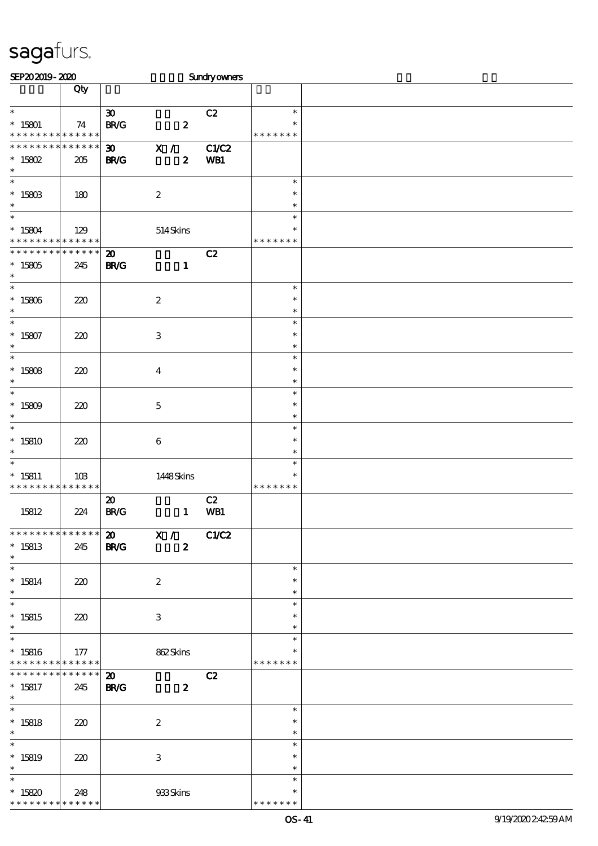| SEP202019-2020                                      |                    |                                                                         | Sundryowners                            |                                   |  |
|-----------------------------------------------------|--------------------|-------------------------------------------------------------------------|-----------------------------------------|-----------------------------------|--|
|                                                     | Qty                |                                                                         |                                         |                                   |  |
| $\ast$<br>$*15801$<br>* * * * * * * * * * * * * *   | 74                 | $\boldsymbol{\mathfrak{D}}$<br>$\mathbf{B}\mathbf{R}/\mathbf{G}$        | C2<br>$\boldsymbol{z}$                  | $\ast$<br>$\ast$<br>* * * * * * * |  |
| * * * * * * * * * * * * * *<br>$*$ 15802<br>$\ast$  | 205                | $\overline{\mathbf{x}}$ /<br>$\boldsymbol{\mathfrak{D}}$<br><b>BR/G</b> | <b>C1/C2</b><br>$\boldsymbol{z}$<br>WB1 |                                   |  |
| $\ast$<br>$^*$ 15803 $\,$<br>$\ast$                 | 180                | $\boldsymbol{2}$                                                        |                                         | $\ast$<br>$\ast$<br>$\ast$        |  |
| $\ast$<br>$* 15804$<br>* * * * * * * * * * * * * *  | 129                | 514Skins                                                                |                                         | $\ast$<br>$\ast$<br>* * * * * * * |  |
| * * * * * * * *<br>$*15805$<br>$\ast$               | * * * * * *<br>245 | $\boldsymbol{\mathbf{z}}$<br><b>BR/G</b>                                | C2<br>$\mathbf{1}$                      |                                   |  |
| $\overline{\phantom{0}}$<br>$*15806$<br>$\ast$      | 220                | $\boldsymbol{2}$                                                        |                                         | $\ast$<br>$\ast$<br>$\ast$        |  |
| $\ast$<br>$* 15807$<br>$\ast$                       | 220                | $\ensuremath{\mathbf{3}}$                                               |                                         | $\ast$<br>$\ast$<br>$\ast$        |  |
| $\ast$<br>$*15808$<br>$\ast$                        | 220                | $\boldsymbol{4}$                                                        |                                         | $\ast$<br>$\ast$<br>$\ast$        |  |
| $\ast$<br>$*15809$<br>$\ast$                        | 220                | $\mathbf 5$                                                             |                                         | $\ast$<br>$\ast$<br>$\ast$        |  |
| $\ast$<br>$*15810$<br>$\ast$                        | 220                | $\boldsymbol{6}$                                                        |                                         | $\ast$<br>$\ast$<br>$\ast$        |  |
| $\ast$<br>$* 15811$<br>* * * * * * * *              | 10B<br>* * * * * * | 1448Skins                                                               |                                         | $\ast$<br>$\ast$<br>* * * * * * * |  |
| 15812                                               | 224                | $\boldsymbol{\mathfrak{D}}$<br>$\mathbf{B}\mathbf{R}/\mathbf{G}$        | C2<br>WB1<br>$\mathbf{1}$               |                                   |  |
| ******** <mark>*******</mark><br>$*15813$<br>$\ast$ | 245                | $\overline{20}$ $\overline{X}$ / $C1/C2$<br><b>BR/G</b>                 | $\boldsymbol{z}$                        |                                   |  |
| $\ast$<br>$* 15814$<br>$\ast$                       | 220                | $\boldsymbol{2}$                                                        |                                         | $\ast$<br>$\ast$<br>$\ast$        |  |
| $\ast$<br>$*15815$<br>$\ast$                        | 220                | 3                                                                       |                                         | $\ast$<br>$\ast$<br>$\ast$        |  |
| $\ast$<br>$*15816$<br>* * * * * * * * * * * * * *   | 177                | 862Skins                                                                |                                         | $\ast$<br>* * * * * * *           |  |
| * * * * * * * *<br>$* 15817$<br>$*$                 | $******$<br>245    | $\boldsymbol{\mathfrak{D}}$<br><b>BR/G</b>                              | C2<br>$\boldsymbol{z}$                  |                                   |  |
| $\overline{\phantom{0}}$<br>$* 15818$<br>$*$        | 220                | $\boldsymbol{2}$                                                        |                                         | $\ast$<br>$\ast$<br>$\ast$        |  |
| $\ast$<br>$*15819$<br>$\ast$                        | 220                | $\ensuremath{\mathbf{3}}$                                               |                                         | $\ast$<br>$\ast$<br>$\ast$        |  |
| $\ast$<br>$*15820$<br>* * * * * * * * * * * * * *   | 248                | 933Skins                                                                |                                         | $\ast$<br>$\ast$<br>* * * * * * * |  |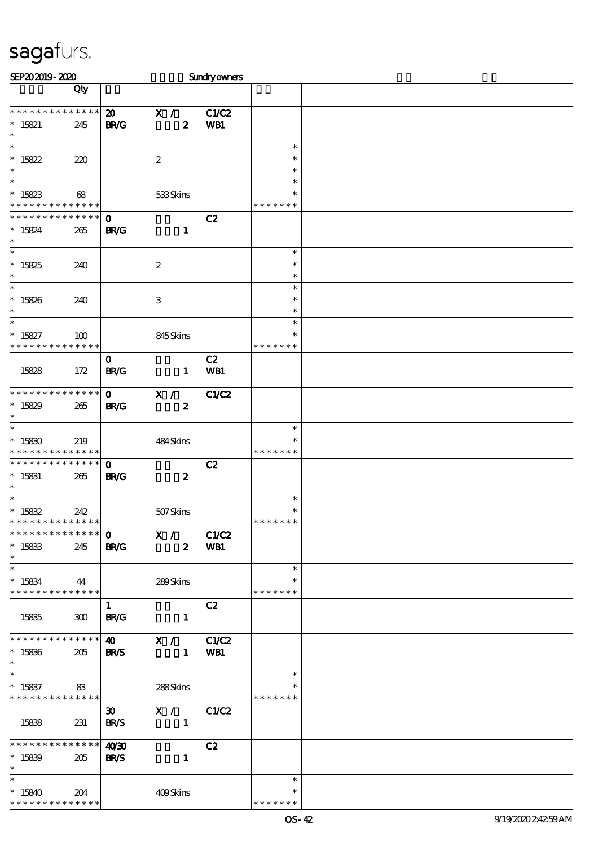| SEP202019-2020                           |          |                             |                  | <b>Sundryowners</b> |                         |  |
|------------------------------------------|----------|-----------------------------|------------------|---------------------|-------------------------|--|
|                                          | Qty      |                             |                  |                     |                         |  |
|                                          |          |                             |                  |                     |                         |  |
| * * * * * * * * * * * * * *              |          | $\boldsymbol{\mathfrak{D}}$ | X /              | C1/C2               |                         |  |
| $* 15821$                                | 245      | <b>BR/G</b>                 | $\boldsymbol{z}$ | WB1                 |                         |  |
| $\ast$                                   |          |                             |                  |                     |                         |  |
| $\ast$                                   |          |                             |                  |                     | $\ast$                  |  |
| $* 15822$                                | 220      |                             | $\boldsymbol{2}$ |                     | $\ast$                  |  |
| $\ast$                                   |          |                             |                  |                     | $\ast$                  |  |
| $\overline{\phantom{0}}$                 |          |                             |                  |                     | $\ast$                  |  |
| $* 15823$                                | 68       |                             | 533Skins         |                     |                         |  |
| * * * * * * * * * * * * * *              |          |                             |                  |                     | * * * * * * *           |  |
| * * * * * * * * * * * * * *              |          | $\mathbf{o}$                |                  | C2                  |                         |  |
| $* 15824$                                | 265      | <b>BR/G</b>                 | $\mathbf{1}$     |                     |                         |  |
| $\ast$                                   |          |                             |                  |                     |                         |  |
| $\overline{\phantom{0}}$                 |          |                             |                  |                     | $\ast$                  |  |
| $*15825$                                 |          |                             |                  |                     | $\ast$                  |  |
| $\ast$                                   | 240      |                             | $\boldsymbol{2}$ |                     | $\ast$                  |  |
| $\overline{\ast}$                        |          |                             |                  |                     | $\ast$                  |  |
|                                          |          |                             |                  |                     | $\ast$                  |  |
| $*15826$<br>$\ast$                       | 240      |                             | $\,3$            |                     | $\ast$                  |  |
| $\ast$                                   |          |                             |                  |                     | $\ast$                  |  |
|                                          |          |                             |                  |                     | $\ast$                  |  |
| $* 15827$<br>* * * * * * * * * * * * * * | 100      |                             | 845Skins         |                     | * * * * * * *           |  |
|                                          |          |                             |                  |                     |                         |  |
|                                          |          | $\mathbf 0$                 |                  | C2                  |                         |  |
| 15828                                    | 172      | <b>BR/G</b>                 | $\mathbf{1}$     | WB1                 |                         |  |
|                                          |          |                             |                  |                     |                         |  |
| * * * * * * * * * * * * * *              |          | $\mathbf{o}$                | X /              | <b>C1/C2</b>        |                         |  |
| $*15829$                                 | 265      | <b>BR/G</b>                 | $\boldsymbol{z}$ |                     |                         |  |
| $\ast$<br>$\ast$                         |          |                             |                  |                     |                         |  |
|                                          |          |                             |                  |                     | $\ast$                  |  |
| $*15830$                                 | 219      |                             | 484Skins         |                     | ∗                       |  |
| * * * * * * * * <mark>* * * * * *</mark> |          |                             |                  |                     | * * * * * * *           |  |
| * * * * * * * * * * * * * *              |          | $\mathbf{o}$                |                  | C2                  |                         |  |
| $* 15831$                                | 265      | <b>BR/G</b>                 | $\boldsymbol{z}$ |                     |                         |  |
| $\ast$                                   |          |                             |                  |                     |                         |  |
|                                          |          |                             |                  |                     | $\ast$                  |  |
| $^*$ 15832                               | 242      |                             | 507Skins         |                     | $\ast$<br>* * * * * * * |  |
| * * * * * * * * * * * * * *              |          |                             |                  |                     |                         |  |
|                                          |          |                             |                  |                     |                         |  |
| $* 15833$                                | 245      | <b>BR/G</b>                 |                  | 2 WB1               |                         |  |
| $\ast$                                   |          |                             |                  |                     |                         |  |
| $\ast$                                   |          |                             |                  |                     | $\ast$                  |  |
| $* 15834$                                | 44       |                             | 289Skins         |                     |                         |  |
| * * * * * * * * * * * * * * *            |          |                             |                  |                     | * * * * * * *           |  |
|                                          |          | $\mathbf{1}$                |                  | C2                  |                         |  |
| 15835                                    | $\infty$ | <b>BR/G</b>                 | $\mathbf{1}$     |                     |                         |  |
|                                          |          |                             |                  |                     |                         |  |
| **************                           |          |                             | 40 X / C1/C2     |                     |                         |  |
| $*15836$                                 | 205      | <b>BR/S</b>                 |                  | 1 WB1               |                         |  |
| $*$                                      |          |                             |                  |                     |                         |  |
| $\ast$                                   |          |                             |                  |                     | $\ast$                  |  |
| $*15837$                                 | 83       |                             | 288Skins         |                     |                         |  |
| * * * * * * * * * * * * * *              |          |                             |                  |                     | * * * * * * *           |  |
|                                          |          | $\infty$                    | X / C1/C2        |                     |                         |  |
| 15838                                    | 231      | <b>BR/S</b>                 | $\blacksquare$   |                     |                         |  |
|                                          |          |                             |                  |                     |                         |  |
| **************                           |          | 40'30                       |                  | C2                  |                         |  |
| $*15839$                                 | 205      | <b>BR/S</b>                 | $\blacksquare$   |                     |                         |  |
| $\ast$                                   |          |                             |                  |                     |                         |  |
| $\ast$                                   |          |                             |                  |                     | $\ast$                  |  |
| $*15840$                                 | 204      |                             | 409Skins         |                     |                         |  |
| * * * * * * * * * * * * * *              |          |                             |                  |                     | * * * * * * *           |  |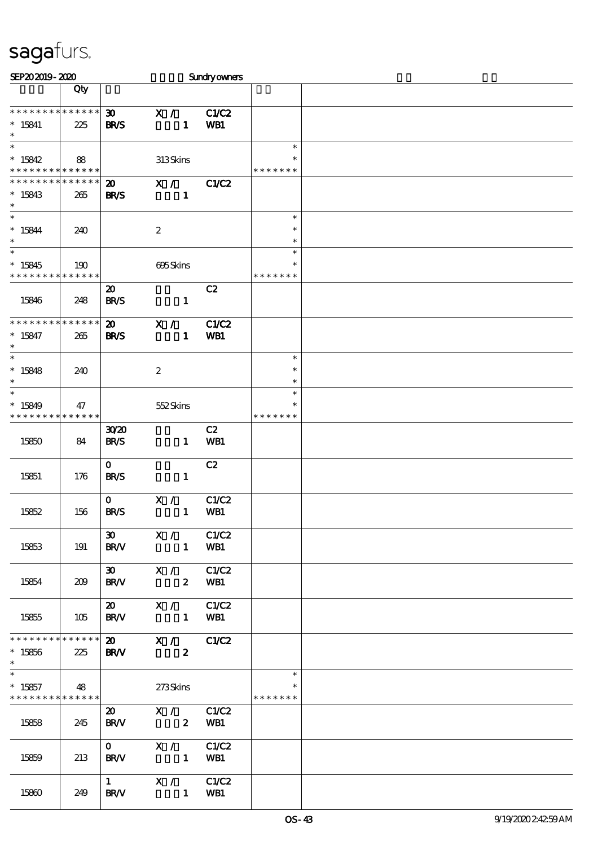| SEP202019-2020                                                   |                    |                                            |                                | <b>Sundryowners</b> |                                      |  |
|------------------------------------------------------------------|--------------------|--------------------------------------------|--------------------------------|---------------------|--------------------------------------|--|
|                                                                  | Qty                |                                            |                                |                     |                                      |  |
| * * * * * * * * * * * * * *<br>$* 15841$<br>$\ast$               | 225                | $\boldsymbol{\mathfrak{D}}$<br><b>BR/S</b> | X /<br>$\mathbf{1}$            | C1/C2<br>WB1        |                                      |  |
| $\ast$<br>$*15842$<br>* * * * * * * * <mark>* * * * * * *</mark> | 88                 |                                            | 313Skins                       |                     | $\ast$<br>*<br>* * * * * * *         |  |
| * * * * * * * * * * * * * *<br>$*15843$<br>$\ast$                | 265                | $\boldsymbol{\mathfrak{D}}$<br><b>BR/S</b> | $\mathbf{X}$ /<br>$\mathbf{1}$ | C1/C2               |                                      |  |
| $\ast$<br>$* 15844$<br>$\ast$<br>$\overline{\phantom{0}}$        | 240                |                                            | $\boldsymbol{2}$               |                     | $\ast$<br>$\ast$<br>$\ast$<br>$\ast$ |  |
| $*15845$<br>* * * * * * * *                                      | 190<br>* * * * * * |                                            | 695Skins                       |                     | $\ast$<br>* * * * * * *              |  |
| 15846                                                            | 248                | $\boldsymbol{\mathfrak{D}}$<br><b>BR/S</b> | $\mathbf{1}$                   | C2                  |                                      |  |
| * * * * * * * * * * * * * *<br>$* 15847$<br>$\ast$               | 265                | $\boldsymbol{\mathfrak{D}}$<br><b>BR/S</b> | X /<br>$\mathbf{1}$            | <b>C1/C2</b><br>WB1 |                                      |  |
| $\ast$<br>$*15848$<br>$\ast$                                     | 240                |                                            | $\boldsymbol{2}$               |                     | $\ast$<br>$\ast$<br>$\ast$           |  |
| $\ast$<br>$*15849$<br>* * * * * * * *                            | 47<br>* * * * * *  |                                            | 552Skins                       |                     | $\ast$<br>$\ast$<br>* * * * * * *    |  |
| 15850                                                            | 84                 | 30 <sup>20</sup><br><b>BR/S</b>            | $\mathbf{1}$                   | C2<br>WB1           |                                      |  |
| 15851                                                            | 176                | $\mathbf{O}$<br><b>BR/S</b>                | $\mathbf{1}$                   | C2                  |                                      |  |
| 15852                                                            | 156                | $\mathbf{O}$<br><b>BR/S</b>                | $X / \sqrt{2}$<br>$\mathbf{1}$ | C1/C2<br>WB1        |                                      |  |
| 15853                                                            | 191                | <b>BR/V</b>                                | 30 X / C1/C2<br>1 WB1          |                     |                                      |  |
| 15854                                                            | 209                | 30<br><b>BR/V</b>                          | X / C1/C2<br>2 WB1             |                     |                                      |  |
| 15855                                                            | 105                | <b>BR/V</b>                                | 20 X / C1/C2<br>1 WB1          |                     |                                      |  |
| * * * * * * * * * * * * * * *<br>$*15856$<br>$\ast$<br>$\ast$    | 225                | 20 X / C1/C2<br><b>BRAV</b>                | $\mathbf{2}$                   |                     |                                      |  |
| $*15857$<br>* * * * * * * * * * * * * *                          | 48                 |                                            | 273Skins                       |                     | $\ast$<br>* * * * * * *              |  |
| 15858                                                            | 245                | $\boldsymbol{\mathsf{20}}$<br><b>BR/V</b>  | X / C1/C2<br>2 WB1             |                     |                                      |  |
| 15859                                                            | 213                | $\mathbf{0}$<br><b>BR/V</b>                | X / C1/C2<br>1 WB1             |                     |                                      |  |
| 15860                                                            | 249                | <b>BR/V</b>                                | $1$ X / C1/C2<br>1 WB1         |                     |                                      |  |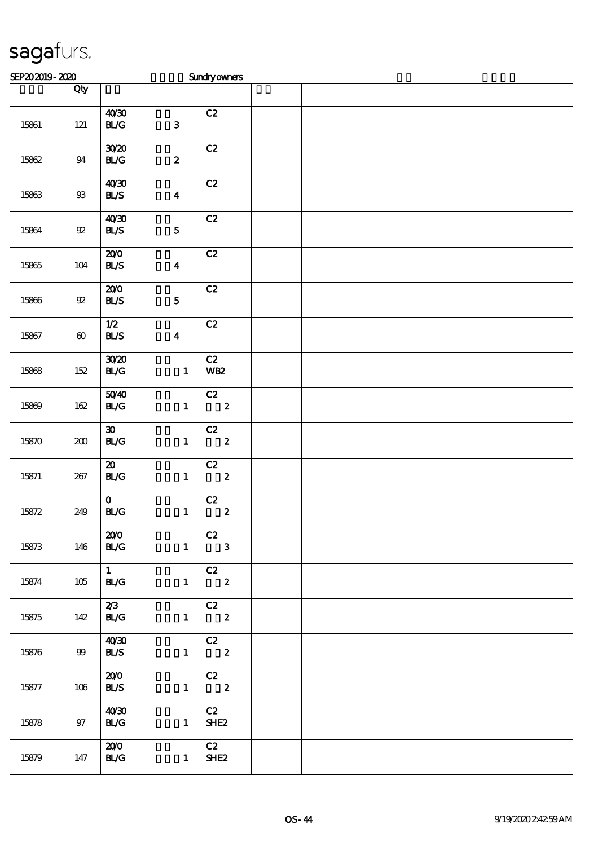| SEP202019-2020 |                       |                                                   |                  | <b>Sundryowners</b>                       |  |
|----------------|-----------------------|---------------------------------------------------|------------------|-------------------------------------------|--|
|                | Qty                   |                                                   |                  |                                           |  |
| 15861          | $121$                 | 40'30<br>$\mathbf{B}\mathcal{L}\mathbf{G}$        | ${\bf 3}$        | C2                                        |  |
| 15862          | $94\,$                | 3020<br>$\mathbf{B}\mathcal{L}\mathbf{G}$         | $\boldsymbol{z}$ | C2                                        |  |
| 15863          | $9\!\!3$              | 40'30<br>BLS                                      | $\boldsymbol{4}$ | C2                                        |  |
| 15864          | $9\!2$                | 40'30<br>BLS                                      | ${\bf 5}$        | $\mathbf{C2}$                             |  |
| 15865          | 104                   | 200<br><b>BL/S</b>                                | $\boldsymbol{4}$ | C2                                        |  |
| 15866          | $9\!2$                | 200<br>BLS                                        | ${\bf 5}$        | C2                                        |  |
| 15867          | $\boldsymbol{\omega}$ | $1/2$<br>BLS                                      | $\boldsymbol{4}$ | C2                                        |  |
| 15868          | 152                   | 3020<br>$\mathbf{B}\mathcal{L}\mathbf{G}$         | $\mathbf{1}$     | C2<br><b>WB2</b>                          |  |
| 15869          | 162                   | 5040<br>BLG                                       | $\mathbf{1}$     | $\overline{c}$<br>$\overline{\mathbf{2}}$ |  |
| 15870          | 200                   | $\boldsymbol{\mathfrak{D}}$<br>BLG                | $\mathbf{1}$     | C2<br>$\overline{\mathbf{2}}$             |  |
| 15871          | 267                   | $\boldsymbol{\mathfrak{D}}$<br><b>BL/G</b>        |                  | C2<br>$1 \t 2$                            |  |
| 15872          | 249                   | $\mathbf{O}$<br>$\mathbf{B}\mathcal{L}\mathbf{G}$ | $\mathbf{1}$     | C2<br>$\pmb{2}$                           |  |
| 15873          | 146                   | 200<br><b>BL/G</b>                                |                  | C2<br>$1 \qquad 3$                        |  |
| 15874          | 105                   | $1 \quad \blacksquare$<br>BLG                     |                  | $\overline{c}z$<br>$1 \t 2$               |  |
| 15875          | 142                   | 2/3<br><b>BL/G</b>                                |                  | C2<br>$1 \t 2$                            |  |
| 15876          | 99                    | 40'30<br><b>BL/S</b>                              |                  | $\overline{C}$<br>$1 \t2$                 |  |
| 15877          | 106                   | 200<br><b>BL/S</b>                                |                  | $\overline{C}$<br>$1 \t 2$                |  |
| 15878          | 97                    | 40'30<br><b>BL/G</b>                              | $\mathbf{1}$     | C2<br>SHE <sub>2</sub>                    |  |
| 15879          | 147                   | 200<br><b>BL/G</b>                                |                  | C2<br>$1$ SHE2                            |  |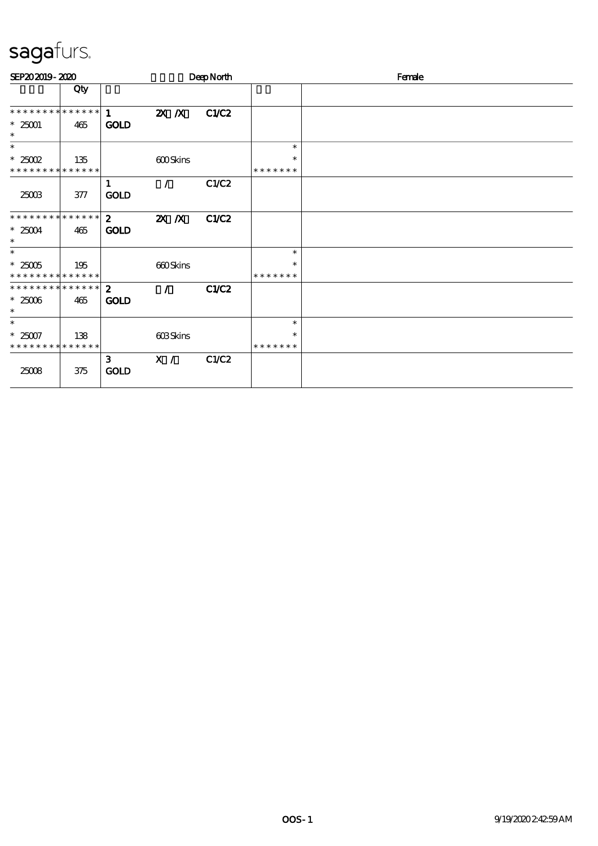| SEP202019-2020                 |     |                             |                           | DeepNorth    |               | Female |
|--------------------------------|-----|-----------------------------|---------------------------|--------------|---------------|--------|
|                                | Qty |                             |                           |              |               |        |
| **************                 |     | $\mathbf{1}$                | $X$ $N$                   | C1/C2        |               |        |
| $*25001$<br>$\ast$             | 465 | <b>GOLD</b>                 |                           |              |               |        |
| $\ast$                         |     |                             |                           |              | $\ast$        |        |
| $*25002$                       | 135 |                             | <b>600Skins</b>           |              | $\ast$        |        |
| * * * * * * * * * * * * * *    |     |                             |                           |              | * * * * * * * |        |
|                                |     | 1                           | $\prime$                  | C1/C2        |               |        |
| 25003                          | 377 | <b>GOLD</b>                 |                           |              |               |        |
| **************                 |     | $\mathbf{2}$                | $\mathbf{X}$ $\mathbf{X}$ | <b>C1/C2</b> |               |        |
| $*25004$<br>$\ast$             | 465 | <b>GOLD</b>                 |                           |              |               |        |
| $\ast$                         |     |                             |                           |              | $\ast$        |        |
| $*25005$                       | 195 |                             | 660Skins                  |              | $\ast$        |        |
| * * * * * * * * * * * * * *    |     |                             |                           |              | * * * * * * * |        |
| ******** <mark>******</mark> 2 |     |                             | $\mathcal{L}$             | <b>C1/C2</b> |               |        |
| $*25006$                       | 465 | <b>GOLD</b>                 |                           |              |               |        |
| $\ast$                         |     |                             |                           |              |               |        |
| $\ast$                         |     |                             |                           |              | $\ast$        |        |
| $*25007$                       | 138 |                             | 603Skins                  |              | $\ast$        |        |
| * * * * * * * * * * * * * *    |     |                             |                           |              | * * * * * * * |        |
| 25008                          | 375 | $\mathbf{3}$<br><b>GOLD</b> | X /                       | C1/C2        |               |        |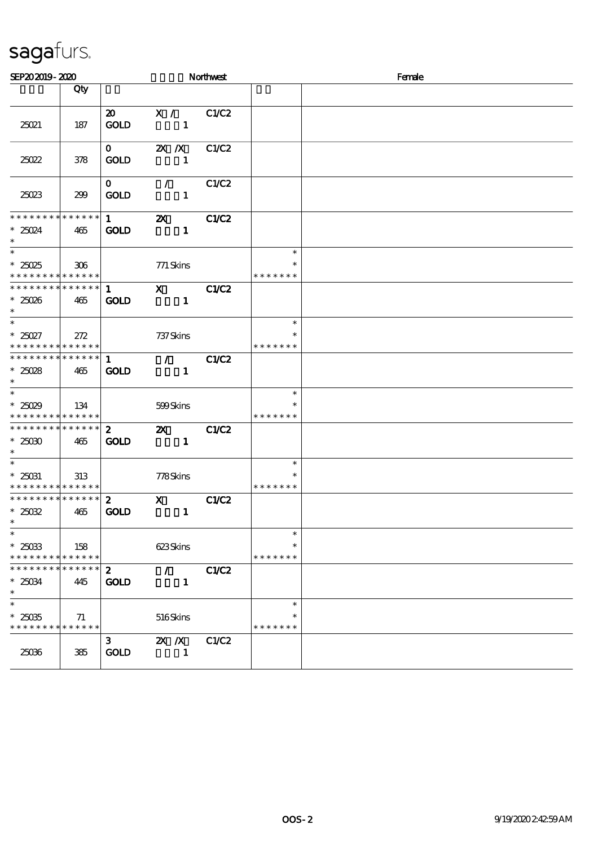| SEP202019-2020                                              |     |                                            |                                                 | Northwest    |                                   | Female |  |  |  |
|-------------------------------------------------------------|-----|--------------------------------------------|-------------------------------------------------|--------------|-----------------------------------|--------|--|--|--|
|                                                             | Qty |                                            |                                                 |              |                                   |        |  |  |  |
| 25021                                                       | 187 | $\boldsymbol{\mathfrak{D}}$<br><b>GOLD</b> | $\mathbf{X}$ /<br>$\mathbf{1}$                  | C1/C2        |                                   |        |  |  |  |
| 25022                                                       | 378 | $\mathbf{0}$<br><b>GOLD</b>                | $\mathbb{Z}$ X<br>$\mathbf{1}$                  | C1/C2        |                                   |        |  |  |  |
| 25023                                                       | 299 | $\mathbf{O}$<br><b>GOLD</b>                | $\mathcal{L}$<br>$\mathbf{1}$                   | C1/C2        |                                   |        |  |  |  |
| * * * * * * * * * * * * * *<br>$*25024$<br>$\ast$<br>$\ast$ | 465 | $1 \quad \blacksquare$<br><b>GOLD</b>      | $\boldsymbol{\mathsf{Z}}$<br>$\mathbf{1}$       | C1/C2        |                                   |        |  |  |  |
| * $25025$<br>* * * * * * * * * * * * * *                    | 306 |                                            | 771 Skins                                       |              | $\ast$<br>*<br>* * * * * * *      |        |  |  |  |
| **************<br>$*25026$<br>$\ast$                        | 465 | $1 \quad \blacksquare$<br><b>GOLD</b>      | $\overline{X}$ <sub>1</sub>                     | C1/C2        |                                   |        |  |  |  |
| $\ast$<br>$*25027$<br>* * * * * * * * * * * * * * *         | 272 |                                            | 737 Skins                                       |              | $\ast$<br>* * * * * * *           |        |  |  |  |
| * * * * * * * * * * * * * * *<br>$*25028$<br>$\ast$         | 465 | $\mathbf{1}$<br><b>GOLD</b>                | $\mathcal{L}$ and $\mathcal{L}$<br>$\mathbf{1}$ | C1/C2        |                                   |        |  |  |  |
| $*25029$<br>* * * * * * * * * * * * * *                     | 134 |                                            | 599Skins                                        |              | $\ast$<br>$\ast$<br>* * * * * * * |        |  |  |  |
| * * * * * * * * * * * * * *<br>$*2500$<br>$\ast$            | 465 | $\mathbf{2}$<br><b>GOLD</b>                | $\mathbf{X}$<br>$\mathbf{1}$                    | C1/C2        |                                   |        |  |  |  |
| $\ast$<br>$* 25031$<br>* * * * * * * * * * * * * *          | 313 |                                            | 778Skins                                        |              | $\ast$<br>$\ast$<br>* * * * * * * |        |  |  |  |
| ******** <mark>******</mark><br>$*25032$<br>$\ast$          | 465 | $\mathbf{2}$<br><b>GOLD</b>                | $\mathbf{X}$<br>$\mathbf{1}$                    | <b>C1/C2</b> |                                   |        |  |  |  |
| $\ast$<br>$*25033$<br>* * * * * * * * * * * * * *           | 158 |                                            | 623Skins                                        |              | $\ast$<br>$\ast$<br>* * * * * * * |        |  |  |  |
| * * * * * * * * * * * * * *<br>$*25034$<br>$\ast$           | 445 | $\boldsymbol{z}$<br><b>GOLD</b>            | $\mathcal{L}$<br>$\mathbf{1}$                   | <b>C1/C2</b> |                                   |        |  |  |  |
| $\ast$<br>$*25035$<br>* * * * * * * * * * * * * *           | 71  |                                            | 516Skins                                        |              | $\ast$<br>$\ast$<br>* * * * * * * |        |  |  |  |
| 25036                                                       | 385 | 3<br><b>GOLD</b>                           | $X$ $X$<br>1                                    | <b>C1/C2</b> |                                   |        |  |  |  |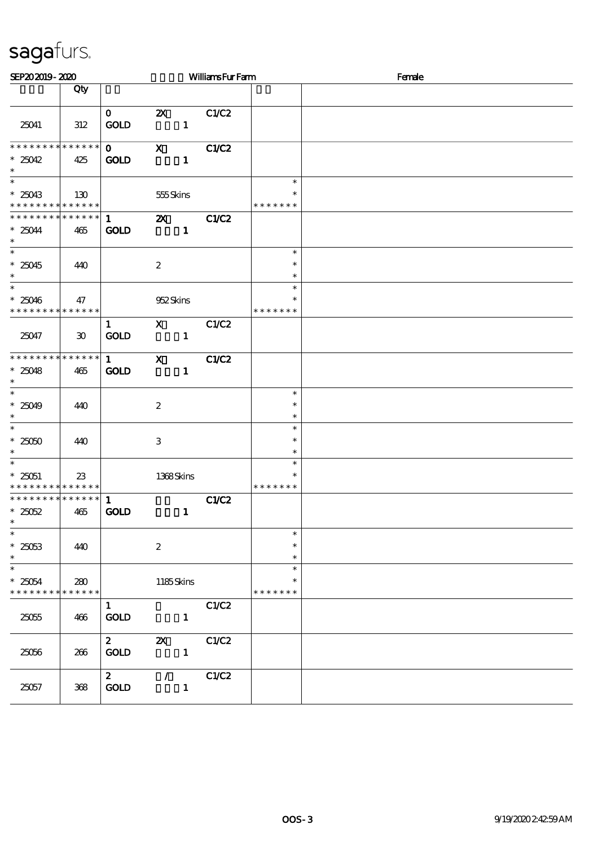| SEP202019-2020                                                      |                             |                                       |                    |                                                                                                                                                                                                                                                                                                                                                                                                                                                                               | <b>WilliamsFurFarm</b> |                                   | Female |  |  |
|---------------------------------------------------------------------|-----------------------------|---------------------------------------|--------------------|-------------------------------------------------------------------------------------------------------------------------------------------------------------------------------------------------------------------------------------------------------------------------------------------------------------------------------------------------------------------------------------------------------------------------------------------------------------------------------|------------------------|-----------------------------------|--------|--|--|
|                                                                     | Qty                         |                                       |                    |                                                                                                                                                                                                                                                                                                                                                                                                                                                                               |                        |                                   |        |  |  |
| 25041                                                               | 312                         | $\mathbf{0}$<br><b>GOLD</b>           | $\mathbf{X}$       | $\mathbf{1}$                                                                                                                                                                                                                                                                                                                                                                                                                                                                  | C1/C2                  |                                   |        |  |  |
| * * * * * * * *<br>$*25042$<br>$\ast$                               | $******$<br>425             | $\mathbf{O}$<br><b>GOLD</b>           |                    | $\boldsymbol{\mathrm{X}}$ and $\boldsymbol{\mathrm{X}}$ and $\boldsymbol{\mathrm{X}}$ and $\boldsymbol{\mathrm{X}}$ and $\boldsymbol{\mathrm{X}}$ and $\boldsymbol{\mathrm{X}}$ and $\boldsymbol{\mathrm{X}}$ and $\boldsymbol{\mathrm{X}}$ and $\boldsymbol{\mathrm{X}}$ and $\boldsymbol{\mathrm{X}}$ and $\boldsymbol{\mathrm{X}}$ and $\boldsymbol{\mathrm{X}}$ and $\boldsymbol{\mathrm{X}}$ and $\boldsymbol{\mathrm{X}}$ and $\boldsymbol{\mathrm{X}}$<br>$\mathbf{1}$ | C1/C2                  |                                   |        |  |  |
| $\overline{\phantom{0}}$<br>$*25043$<br>* * * * * * * * * * * * * * | 130                         |                                       | 555Skins           |                                                                                                                                                                                                                                                                                                                                                                                                                                                                               |                        | $\ast$<br>*<br>* * * * * * *      |        |  |  |
| * * * * * * * *<br>$*25044$<br>$\ast$                               | $* * * * * * *$<br>465      | $1 \quad$<br><b>GOLD</b>              |                    | $\mathbf{1}$                                                                                                                                                                                                                                                                                                                                                                                                                                                                  | <b>2X</b> C1/C2        |                                   |        |  |  |
| $\overline{\ast}$<br>$*25045$<br>$\ast$                             | 440                         |                                       | $\boldsymbol{z}$   |                                                                                                                                                                                                                                                                                                                                                                                                                                                                               |                        | $\ast$<br>$\ast$<br>$\ast$        |        |  |  |
| $\ast$<br>$*25046$<br>* * * * * * * * * * * * * *                   | 47                          |                                       | 952Skins           |                                                                                                                                                                                                                                                                                                                                                                                                                                                                               |                        | $\ast$<br>$\ast$<br>* * * * * * * |        |  |  |
| 25047                                                               | $\boldsymbol{\mathfrak{D}}$ | $\mathbf{1}$<br>GOLD                  | $\mathbf{x}$       | $\mathbf{1}$                                                                                                                                                                                                                                                                                                                                                                                                                                                                  | C1/C2                  |                                   |        |  |  |
| **************<br>$*25048$<br>$\ast$                                | 465                         | $1 \quad \blacksquare$<br><b>GOLD</b> | $\mathbf{x}$       | $\mathbf{1}$                                                                                                                                                                                                                                                                                                                                                                                                                                                                  | C1/C2                  |                                   |        |  |  |
| $*25049$<br>$\ast$                                                  | 440                         |                                       | $\boldsymbol{2}$   |                                                                                                                                                                                                                                                                                                                                                                                                                                                                               |                        | $\ast$<br>$\ast$<br>$\ast$        |        |  |  |
| $\overline{\ast}$<br>$^\ast$ 25050<br>$\ast$                        | 440                         |                                       | $\,3$              |                                                                                                                                                                                                                                                                                                                                                                                                                                                                               |                        | $\ast$<br>$\ast$<br>$\ast$        |        |  |  |
| $\ast$<br>$* 25051$<br>* * * * * * * * * * * * * *                  | 23                          |                                       | 1368Skins          |                                                                                                                                                                                                                                                                                                                                                                                                                                                                               |                        | $\ast$<br>$\ast$<br>* * * * * * * |        |  |  |
| * * * * * * * * * * * * * *<br>$*25052$<br>$\ast$                   | 465                         | $\mathbf{1}$<br><b>GOLD</b>           |                    | $\mathbf{1}$                                                                                                                                                                                                                                                                                                                                                                                                                                                                  | C1/C2                  |                                   |        |  |  |
| $\ast$<br>$*25053$<br>$\ast$                                        | 440                         |                                       | $\boldsymbol{2}$   |                                                                                                                                                                                                                                                                                                                                                                                                                                                                               |                        | $\ast$<br>$\ast$<br>$\ast$        |        |  |  |
| $\ast$<br>$*25054$<br>* * * * * * * *                               | 280<br>* * * * * *          |                                       | 1185Skins          |                                                                                                                                                                                                                                                                                                                                                                                                                                                                               |                        | $\ast$<br>$\ast$<br>* * * * * * * |        |  |  |
| 25055                                                               | 466                         | $\mathbf{1}$<br><b>GOLD</b>           |                    | $\mathbf{1}$                                                                                                                                                                                                                                                                                                                                                                                                                                                                  | C1/C2                  |                                   |        |  |  |
| 25056                                                               | 266                         | $\boldsymbol{z}$<br>GOLD              | $\pmb{\mathsf{Z}}$ | $\mathbf{1}$                                                                                                                                                                                                                                                                                                                                                                                                                                                                  | C1/C2                  |                                   |        |  |  |
| 25057                                                               | 368                         | $\mathbf{2}$<br><b>GOLD</b>           | $\mathcal{L}$      | $\mathbf{1}$                                                                                                                                                                                                                                                                                                                                                                                                                                                                  | C1/C2                  |                                   |        |  |  |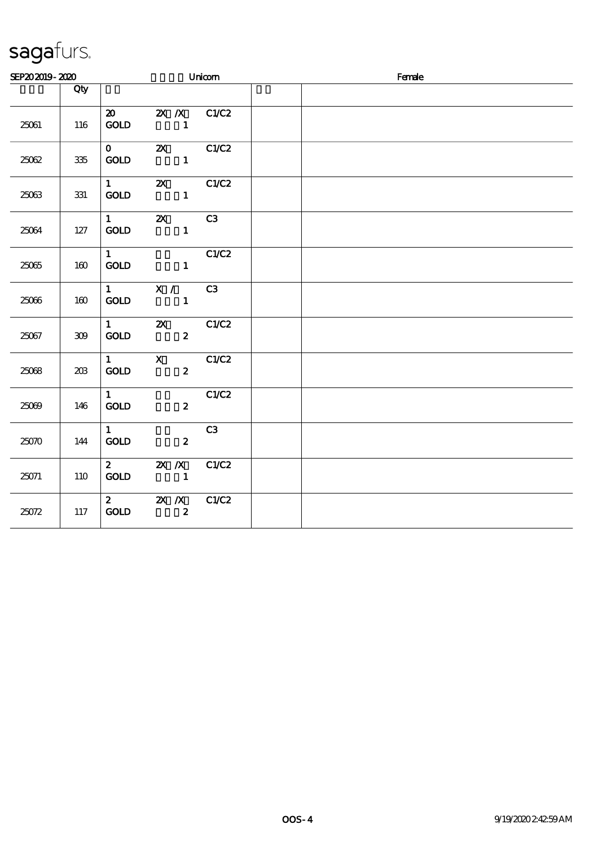| SEP202019-2020 |         |                                                 |                                                                                                                                                                                                                                                                                                                                                                                                                                                                                           | Unicom | Female |  |
|----------------|---------|-------------------------------------------------|-------------------------------------------------------------------------------------------------------------------------------------------------------------------------------------------------------------------------------------------------------------------------------------------------------------------------------------------------------------------------------------------------------------------------------------------------------------------------------------------|--------|--------|--|
|                | Qty     |                                                 |                                                                                                                                                                                                                                                                                                                                                                                                                                                                                           |        |        |  |
| 25061          | 116     | <b>GOLD</b>                                     | 20 2X /X C1/C2                                                                                                                                                                                                                                                                                                                                                                                                                                                                            |        |        |  |
| 25062          | 335     | $\mathbf 0$<br>GOLD                             | <b>2X</b> C1/C2<br>$\sim$ $\sim$ $\sim$ $\sim$ $\sim$ $\sim$ $\sim$                                                                                                                                                                                                                                                                                                                                                                                                                       |        |        |  |
| 25063          | 331     | $1 \quad \blacksquare$<br>$\operatorname{GOLD}$ | <b>2X</b> C1/C2<br>$\mathbf{1}$                                                                                                                                                                                                                                                                                                                                                                                                                                                           |        |        |  |
| 25064          | 127     | $1 \qquad \qquad$<br>GOLD                       | $Z\!X$<br>$\overline{\phantom{a}}$ $\overline{\phantom{a}}$ $\overline{\phantom{a}}$ $\overline{\phantom{a}}$ $\overline{\phantom{a}}$ $\overline{\phantom{a}}$ $\overline{\phantom{a}}$ $\overline{\phantom{a}}$ $\overline{\phantom{a}}$ $\overline{\phantom{a}}$ $\overline{\phantom{a}}$ $\overline{\phantom{a}}$ $\overline{\phantom{a}}$ $\overline{\phantom{a}}$ $\overline{\phantom{a}}$ $\overline{\phantom{a}}$ $\overline{\phantom{a}}$ $\overline{\phantom{a}}$ $\overline{\$ | C3     |        |  |
| 25065          | 160     | $1 \qquad \qquad$<br>GOLD                       | $\mathbf{1}$                                                                                                                                                                                                                                                                                                                                                                                                                                                                              | C1/C2  |        |  |
| 25066          | 160     | $1 \qquad \qquad$<br><b>GOLD</b>                | X / C3                                                                                                                                                                                                                                                                                                                                                                                                                                                                                    |        |        |  |
| 25067          | $309\,$ | $\mathbf 1$<br><b>GOLD</b>                      | $\mathbf{X}$<br>$\mathbf{z}$                                                                                                                                                                                                                                                                                                                                                                                                                                                              | C1/C2  |        |  |
| 25068          | 203     | <b>GOLD</b>                                     | $1$ X C1/C2<br>$\mathbf{2}$                                                                                                                                                                                                                                                                                                                                                                                                                                                               |        |        |  |
| 25069          | 146     | $1 \quad \blacksquare$<br>$\mathop{\rm GOD}$    | $\mathbf{z}$                                                                                                                                                                                                                                                                                                                                                                                                                                                                              | C1/C2  |        |  |
| 25070          | 144     | $1 \quad$<br><b>GOLD</b>                        | $\boldsymbol{z}$                                                                                                                                                                                                                                                                                                                                                                                                                                                                          | C3     |        |  |
| 25071          | 110     | <b>GOLD</b>                                     | 2 $\mathbb{Z}$ $\mathbb{Z}$ $\mathbb{Z}$                                                                                                                                                                                                                                                                                                                                                                                                                                                  | C1/C2  |        |  |
| 25072          | 117     | <b>GOLD</b>                                     | 2 2X X C1/C2<br>$\boldsymbol{z}$                                                                                                                                                                                                                                                                                                                                                                                                                                                          |        |        |  |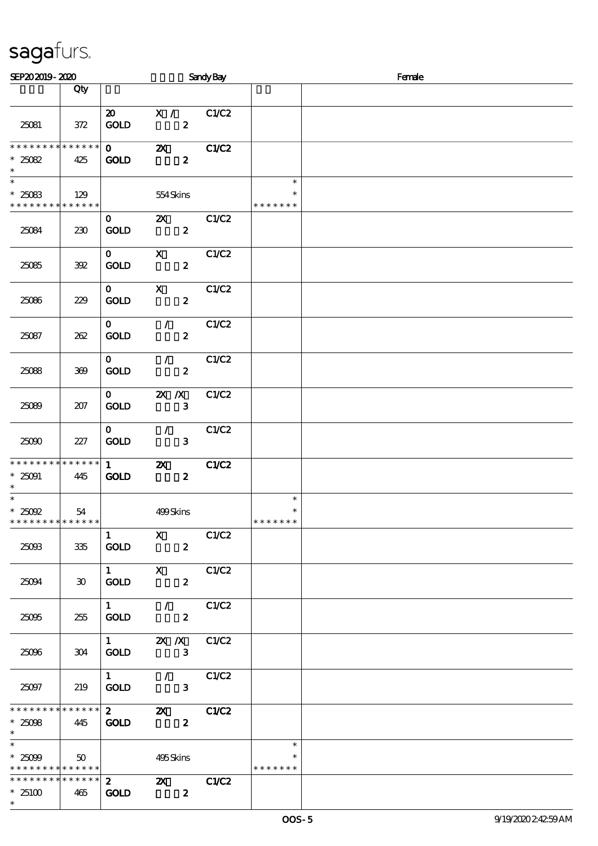| SEP202019-2020                                                        |                    |                                       |                                                     | <b>Sandy Bay</b> |                                   | Female |
|-----------------------------------------------------------------------|--------------------|---------------------------------------|-----------------------------------------------------|------------------|-----------------------------------|--------|
|                                                                       | Qty                |                                       |                                                     |                  |                                   |        |
| 25081                                                                 | 372                | $\boldsymbol{\mathfrak{D}}$<br>GOLD   | X / C1/C2<br>$\boldsymbol{z}$                       |                  |                                   |        |
| **************<br>$*25082$<br>$\ast$                                  | 425                | $\mathbf{O}$<br><b>GOLD</b>           | $\mathbf{x}$<br>$\boldsymbol{z}$                    | C1/C2            |                                   |        |
| $\ast$<br>$*25083$<br>* * * * * * * * * * * * * *                     | 129                |                                       | 554Skins                                            |                  | $\ast$<br>*<br>* * * * * * *      |        |
| 25084                                                                 | 230                | $\mathbf{O}$<br><b>GOLD</b>           | $\mathbf{X}$<br>$\boldsymbol{z}$                    | C1/C2            |                                   |        |
| 25085                                                                 | 392                | $\mathbf{O}$<br><b>GOLD</b>           | $\mathbf{x}$<br>$\boldsymbol{z}$                    | C1/C2            |                                   |        |
| 25086                                                                 | 229                | $\mathbf{O}$<br><b>GOLD</b>           | $\mathbf{x}$<br>$\boldsymbol{z}$                    | C1/C2            |                                   |        |
| 25087                                                                 | 262                | $\mathbf{O}$<br><b>GOLD</b>           | $\mathcal{F}$ and $\mathcal{F}$<br>$\boldsymbol{z}$ | C1/C2            |                                   |        |
| 25088                                                                 | 369                | $\mathbf{O}$<br><b>GOLD</b>           | $\mathcal{L}$<br>$\boldsymbol{z}$                   | C1/C2            |                                   |        |
| 25089                                                                 | 207                | $\mathbf{O}$<br><b>GOLD</b>           | $\mathbf{X}$ $\mathbf{X}$<br>$\mathbf{3}$           | C1/C2            |                                   |        |
| 25000                                                                 | 227                | $\mathbf{O}$<br><b>GOLD</b>           | $\mathcal{L}$<br>$\mathbf{3}$                       | C1/C2            |                                   |        |
| * * * * * * * * * * * * * *<br>$^*$ 25091 $\,$<br>$\ast$              | 445                | $1 \quad \blacksquare$<br><b>GOLD</b> | $\boldsymbol{\alpha}$<br>$\boldsymbol{z}$           | C1/C2            |                                   |        |
| $\ast$<br>$*25092$<br>* * * * * * * * * * * * * *                     | 54                 |                                       | 499Skins                                            |                  | $\ast$<br>$\ast$<br>* * * * * * * |        |
| 25093                                                                 | $335\,$            | $\mathbf{1}$<br>GOLD                  | $\mathbf{X}$<br>$\boldsymbol{z}$                    | C1/C2            |                                   |        |
| 25094                                                                 | $30^{\circ}$       | $1 \qquad \qquad$<br><b>GOLD</b>      | $\mathbf{X}$<br>$\boldsymbol{2}$                    | C1/C2            |                                   |        |
| 25095                                                                 | 255                | $1 \quad$<br><b>GOLD</b>              | $\mathcal{L}$<br>$\boldsymbol{z}$                   | C1/C2            |                                   |        |
| 25096                                                                 | 304                | $1 \qquad \qquad$<br><b>GOLD</b>      | $X$ $X$<br>$\mathbf{3}$                             | C1/C2            |                                   |        |
| 25097                                                                 | 219                | $1 \quad \blacksquare$<br><b>GOLD</b> | $\mathcal{L}$<br>$\mathbf{3}$                       | C1/C2            |                                   |        |
| * * * * * * * *<br>$*25098$<br>$\ast$                                 | * * * * * *<br>445 | $\mathbf{2}$<br><b>GOLD</b>           | $\boldsymbol{\mathsf{Z}}$<br>$\boldsymbol{z}$       | C1/C2            |                                   |        |
| $\overline{\phantom{a}^*}$<br>$*25099$<br>* * * * * * * * * * * * * * | $50^{\circ}$       |                                       | 495Skins                                            |                  | $\ast$<br>*<br>* * * * * * *      |        |
| * * * * * * * * * * * * * *<br>$*25100$<br>$\ast$                     | 465                | $\mathbf{2}$<br><b>GOLD</b>           | $\boldsymbol{\mathsf{Z}}$<br>$\boldsymbol{z}$       | C1/C2            |                                   |        |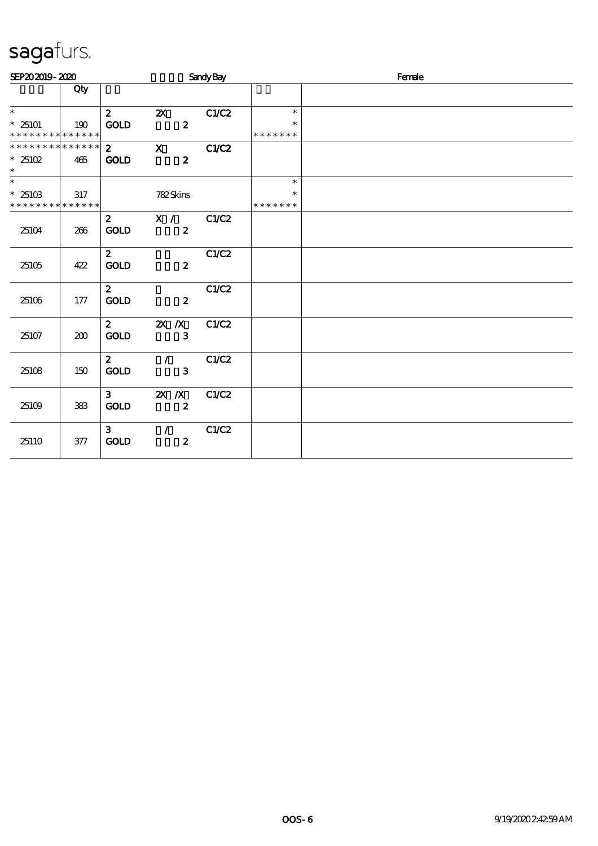| SEP202019-2020                          |     |                |                           | Sandy Bay |                         | Female |
|-----------------------------------------|-----|----------------|---------------------------|-----------|-------------------------|--------|
|                                         | Qty |                |                           |           |                         |        |
| $\ast$                                  |     | $\mathbf{2}$   | $\mathbf{X}$              | C1/C2     | $\ast$                  |        |
| $*25101$<br>* * * * * * * * * * * * * * | 190 | <b>GOLD</b>    | $\boldsymbol{z}$          |           | $\ast$<br>* * * * * * * |        |
| * * * * * * * * * * * * * *             |     | $\mathbf{2}$   | $\mathbf{X}$              | C1/C2     |                         |        |
| $*25102$<br>$\ast$                      | 465 | <b>GOLD</b>    | $\boldsymbol{2}$          |           |                         |        |
| $\ast$                                  |     |                |                           |           | $\ast$                  |        |
| $*2510B$<br>* * * * * * * * * * * * * * | 317 |                | 782Skins                  |           | $\ast$<br>* * * * * * * |        |
|                                         |     | $\mathbf{2}$   | X / C1/C2                 |           |                         |        |
| 25104                                   | 266 | <b>GOLD</b>    | $\boldsymbol{z}$          |           |                         |        |
|                                         |     | $\mathbf{2}$   |                           | C1/C2     |                         |        |
| 25105                                   | 422 | <b>GOLD</b>    | $\boldsymbol{z}$          |           |                         |        |
|                                         |     | $\mathbf{2}$   |                           | C1/C2     |                         |        |
| 25106                                   | 177 | <b>GOLD</b>    | $\boldsymbol{z}$          |           |                         |        |
|                                         |     | $\mathbf{2}$   | $X \, X$                  | C1/C2     |                         |        |
| 25107                                   | 200 | GOLD           | $\mathbf{3}$              |           |                         |        |
|                                         |     | $\mathbf{2}$   | $\mathcal{L}$             | C1/C2     |                         |        |
| 25108                                   | 150 | GOLD           | $\mathbf{3}$              |           |                         |        |
|                                         |     | 3 <sup>1</sup> | $\mathbf{X}$ $\mathbf{X}$ | C1/C2     |                         |        |
| 25109                                   | 383 | GOLD           | $\boldsymbol{z}$          |           |                         |        |
|                                         |     | 3 <sub>1</sub> | $\mathcal{L}$             | C1/C2     |                         |        |
| 25110                                   | 377 | <b>GOLD</b>    | $\boldsymbol{z}$          |           |                         |        |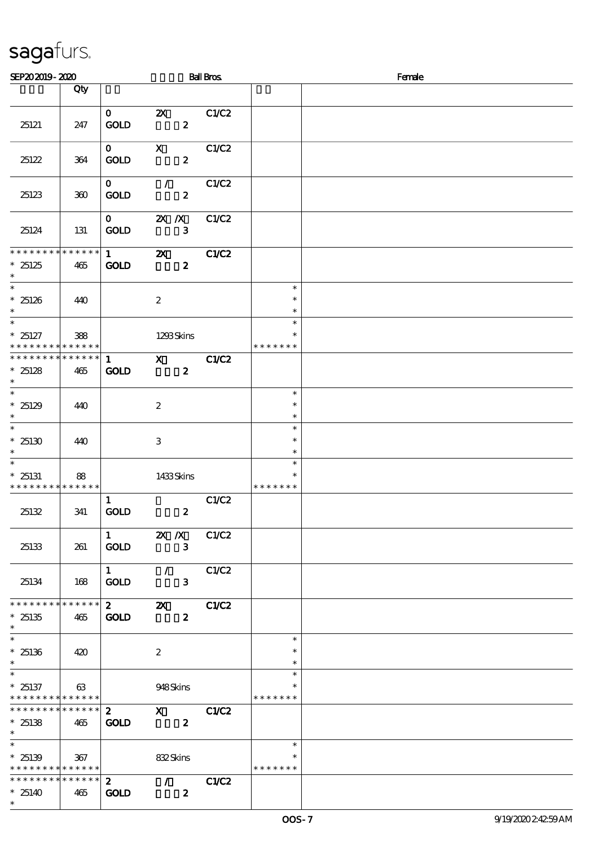| SEP202019-2020                                                                     |     |                                       |                           | <b>Ball Bros</b>                 |                                   | Female |
|------------------------------------------------------------------------------------|-----|---------------------------------------|---------------------------|----------------------------------|-----------------------------------|--------|
|                                                                                    | Qty |                                       |                           |                                  |                                   |        |
| 25121                                                                              | 247 | $\mathbf{O}$<br><b>GOLD</b>           | $\boldsymbol{\mathsf{Z}}$ | C1/C2<br>$\boldsymbol{z}$        |                                   |        |
| 25122                                                                              | 364 | $\mathbf{O}$<br><b>GOLD</b>           | $\mathbf{X}$              | C1/C2<br>$\boldsymbol{z}$        |                                   |        |
| 25123                                                                              | 300 | $\mathbf{O}$<br><b>GOLD</b>           | $\mathcal{F}$             | C1/C2<br>$\boldsymbol{z}$        |                                   |        |
| 25124                                                                              | 131 | $\mathbf{O}$<br><b>GOLD</b>           | $X$ $X$                   | C1/C2<br>$\mathbf{3}$            |                                   |        |
| **************<br>$*25125$<br>$\ast$                                               | 465 | $1 \quad \blacksquare$<br><b>GOLD</b> | $\mathbf{X}$              | C1/C2<br>$\boldsymbol{z}$        |                                   |        |
| $\overline{\phantom{0}}$<br>$^\ast$ 25126 $^\ast$                                  | 440 |                                       | $\boldsymbol{2}$          |                                  | $\ast$<br>$\ast$<br>$\ast$        |        |
| $*25127$<br>* * * * * * * * * * * * * *                                            | 388 |                                       | 1293Skins                 |                                  | $\ast$<br>∗<br>* * * * * * *      |        |
| * * * * * * * * * * * * * * *<br>$*25128$<br>$\ast$                                | 465 | $\mathbf{1}$<br><b>GOLD</b>           | $\mathbf{X}$              | <b>C1/C2</b><br>$\boldsymbol{z}$ |                                   |        |
| $*25129$<br>$\ast$<br>$\overline{\ast}$                                            | 440 |                                       | $\boldsymbol{2}$          |                                  | $\ast$<br>$\ast$<br>$\ast$        |        |
| $*25130$<br>$\ast$                                                                 | 440 |                                       | $\,3$                     |                                  | $\ast$<br>$\ast$<br>$\ast$        |        |
| $\ast$<br>$*25131$<br>* * * * * * * * * * * * * * *                                | 88  |                                       | 1433Skins                 |                                  | $\ast$<br>$\ast$<br>* * * * * * * |        |
| 25132                                                                              | 341 | $\mathbf{1}$<br>GOLD                  |                           | C1/C2<br>$\boldsymbol{z}$        |                                   |        |
| 25133                                                                              | 261 | $\mathbf{1}$<br><b>GOLD</b>           | $X$ $N$                   | C1/C2<br>$\mathbf{3}$            |                                   |        |
| 25134                                                                              | 168 | $1 \quad$<br><b>GOLD</b>              | $\mathcal{F}$             | C1/C2<br>$\mathbf{3}$            |                                   |        |
| * * * * * * * * * * * * * *<br>$*25135$<br>$\ast$                                  | 465 | $\mathbf{2}$<br><b>GOLD</b>           | $\boldsymbol{\mathsf{z}}$ | C1/C2<br>$\boldsymbol{z}$        |                                   |        |
| $\overline{\phantom{0}}$<br>$*25136$<br>$\ast$                                     | 420 |                                       | $\boldsymbol{2}$          |                                  | $\ast$<br>$\ast$<br>$\ast$        |        |
| $\ast$<br>$*25137$<br>* * * * * * * * * * * * * * *                                | 63  |                                       | 948Skins                  |                                  | $\ast$<br>$\ast$<br>* * * * * * * |        |
| ******** <mark>******</mark><br>$*25138$<br>$\ast$                                 | 465 | $\mathbf{z}$<br><b>GOLD</b>           | $\mathbf x$               | C1/C2<br>$\boldsymbol{z}$        |                                   |        |
| $\overline{\phantom{0}}$<br>$*25139$<br>* * * * * * * * <mark>* * * * * * *</mark> | 367 |                                       | 832Skins                  |                                  | $\ast$<br>* * * * * * *           |        |
| * * * * * * * * * * * * * * *<br>$*25140$<br>$\ast$                                | 465 | $\mathbf{2}$<br><b>GOLD</b>           | $\mathcal{T}=\mathcal{I}$ | C1/C2<br>$\boldsymbol{z}$        |                                   |        |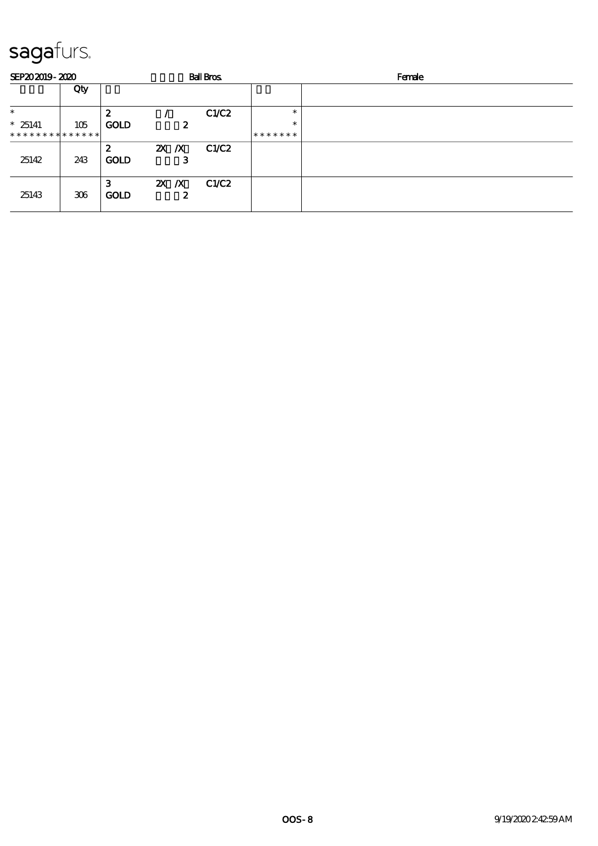| SEP202019-2020 |     |                  |          |                  | <b>Ball Bros</b> |         | Female |
|----------------|-----|------------------|----------|------------------|------------------|---------|--------|
|                | Qty |                  |          |                  |                  |         |        |
| $\ast$         |     | 2                |          |                  | C1/C2            | $\ast$  |        |
| $*25141$       | 105 | <b>GOLD</b>      |          | $\boldsymbol{z}$ |                  | $\ast$  |        |
| ************** |     |                  |          |                  |                  | ******* |        |
| 25142          | 243 | 2<br><b>GOLD</b> | $X \, X$ | З                | C1/C2            |         |        |
| 25143          | 306 | 3<br><b>GOLD</b> | $X \, X$ | 2                | C1/C2            |         |        |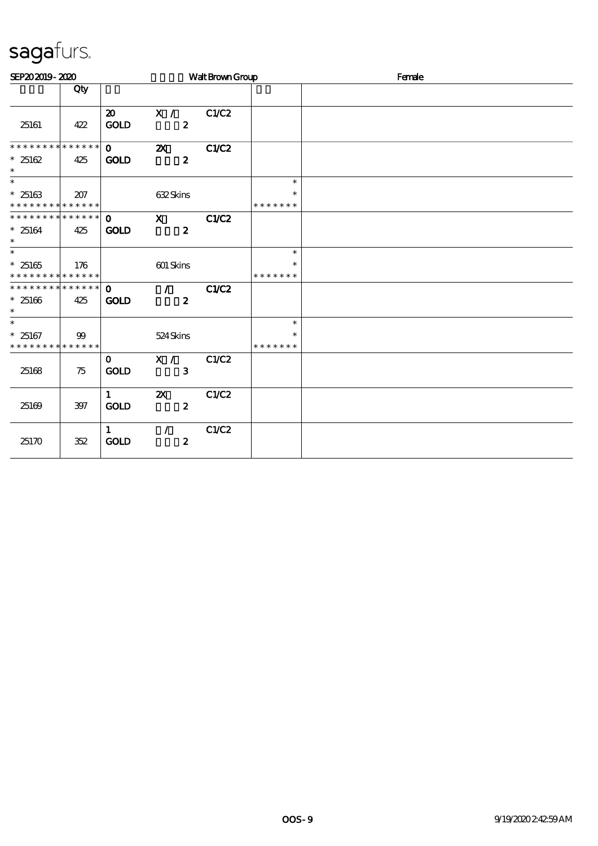| SEP202019-2020                                               |       |                                     |                                               | Walt Brown Group |                                   | Female |
|--------------------------------------------------------------|-------|-------------------------------------|-----------------------------------------------|------------------|-----------------------------------|--------|
|                                                              | Qty   |                                     |                                               |                  |                                   |        |
| 25161                                                        | 422   | $\boldsymbol{\mathfrak{D}}$<br>GOLD | X /<br>$\boldsymbol{z}$                       | C1/C2            |                                   |        |
| * * * * * * * * * * * * * *<br>$*25162$<br>$\ast$            | 425   | $\mathbf{O}$<br><b>GOLD</b>         | $\boldsymbol{\mathsf{z}}$<br>$\boldsymbol{z}$ | CLC2             |                                   |        |
| $\ast$<br>$*25163$<br>* * * * * * * * * * * * * *            | 207   |                                     | 632Skins                                      |                  | $\ast$<br>$\ast$<br>* * * * * * * |        |
| * * * * * * * * * * * * * *<br>$*25164$<br>$\ast$            | 425   | $\mathbf{O}$<br><b>GOLD</b>         | $\mathbf{x}$<br>$\boldsymbol{z}$              | C1/C2            |                                   |        |
| $\overline{\ast}$<br>$*25165$<br>* * * * * * * * * * * * * * | 176   |                                     | 601 Skins                                     |                  | $\ast$<br>$\ast$<br>* * * * * * * |        |
| ******** <mark>******</mark><br>$*25166$<br>$\ast$           | 425   | $\Omega$<br><b>GOLD</b>             | $\mathcal{L}$<br>$\boldsymbol{z}$             | C1/C2            |                                   |        |
| $\overline{\ast}$<br>$*25167$<br>* * * * * * * * * * * * * * | 99    |                                     | 524Skins                                      |                  | $\ast$<br>$\ast$<br>* * * * * * * |        |
| 25168                                                        | 75    | $\mathbf{o}$<br><b>GOLD</b>         | $X / \sqrt{2}$<br>3                           | C1/C2            |                                   |        |
| 25169                                                        | $397$ | $\mathbf{1}$<br><b>GOLD</b>         | $\boldsymbol{\mathsf{z}}$<br>$\boldsymbol{z}$ | C1/C2            |                                   |        |
| 25170                                                        | 352   | $\mathbf{1}$<br><b>GOLD</b>         | $\mathcal{L}$<br>$\boldsymbol{2}$             | C1/C2            |                                   |        |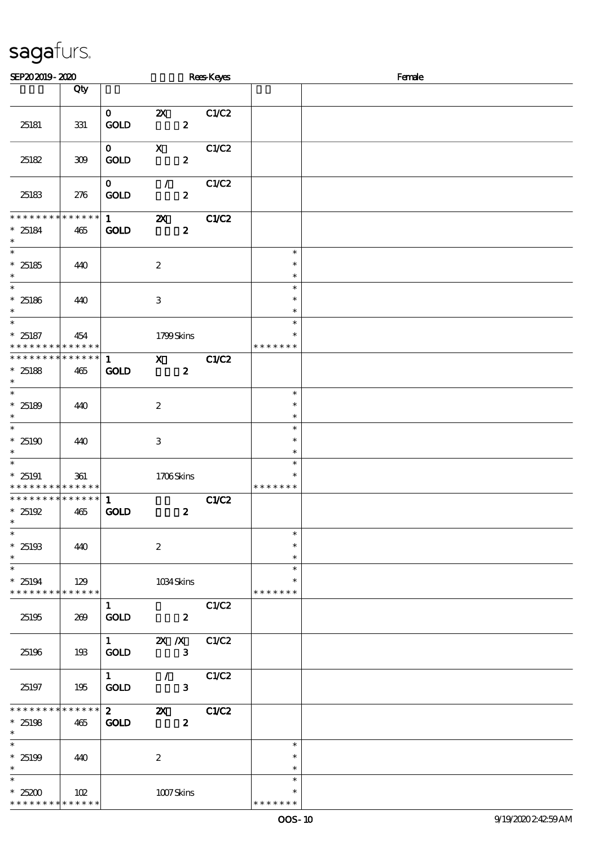| SEP202019-2020                                                                   |                    |                                       |                                               | <b>Rees</b> Keyes |                                   | Female |
|----------------------------------------------------------------------------------|--------------------|---------------------------------------|-----------------------------------------------|-------------------|-----------------------------------|--------|
|                                                                                  | Qty                |                                       |                                               |                   |                                   |        |
| 25181                                                                            | 331                | $\mathbf{O}$<br><b>GOLD</b>           | $\boldsymbol{\mathsf{Z}}$<br>$\boldsymbol{z}$ | C1/C2             |                                   |        |
| 25182                                                                            | 309                | $\mathbf{O}$<br><b>GOLD</b>           | $\boldsymbol{\mathrm{X}}$<br>$\boldsymbol{z}$ | C1/C2             |                                   |        |
| 25183                                                                            | 276                | $\mathbf{O}$<br>GOLD                  | $\mathcal{L}$<br>$\boldsymbol{z}$             | C1/C2             |                                   |        |
| * * * * * * * *<br>$* 25184$<br>$\ast$                                           | $******$<br>465    | $1 \quad \blacksquare$<br><b>GOLD</b> | $\boldsymbol{\mathsf{z}}$<br>$\boldsymbol{z}$ | C1/C2             |                                   |        |
| $\overline{\ast}$<br>$^\ast$ 25185<br>$\ast$                                     | 440                |                                       | $\boldsymbol{2}$                              |                   | $\ast$<br>$\ast$<br>$\ast$        |        |
| $\overline{\ast}$<br>$*25186$<br>$\ast$                                          | 440                |                                       | $\,3$                                         |                   | $\ast$<br>$\ast$<br>$\ast$        |        |
| $\overline{\ast}$<br>$*25187$<br>* * * * * * * * <mark>* * * * * *</mark>        | 454                |                                       | 1799Skins                                     |                   | $\ast$<br>$\ast$<br>* * * * * * * |        |
| * * * * * * * * * * * * * *<br>$*25188$<br>$\ast$                                | 465                | $\mathbf{1}$<br><b>GOLD</b>           | $\mathbf{x}$<br>$\boldsymbol{z}$              | C1/C2             |                                   |        |
| $\overline{\ast}$<br>* $25189$<br>$\ast$                                         | 440                |                                       | $\boldsymbol{2}$                              |                   | $\ast$<br>$\ast$<br>$\ast$        |        |
| $\ast$<br>$^\ast$ 25190<br>$\ast$                                                | 440                |                                       | $\,3$                                         |                   | $\ast$<br>$\ast$<br>$\ast$        |        |
| $\ast$<br>$*25191$<br>* * * * * * * * * * * * * * *                              | 361                |                                       | 1706Skins                                     |                   | $\ast$<br>$\ast$<br>* * * * * * * |        |
| ******** <mark>*******</mark><br>* $25192$<br>$\ast$<br>$\overline{\phantom{0}}$ | 465                | 1<br><b>GOLD</b>                      | $\boldsymbol{z}$                              | C1/C2             |                                   |        |
| $*25193$<br>$\ast$                                                               | 440                |                                       | $\boldsymbol{2}$                              |                   | $\ast$<br>$\ast$<br>$\ast$        |        |
| $\ast$<br>$*25194$<br>* * * * * * * *                                            | 129<br>* * * * * * |                                       | 1034Skins                                     |                   | $\ast$<br>$\ast$<br>* * * * * * * |        |
| 25195                                                                            | 269                | $\mathbf{1}$<br>GOLD                  | $\boldsymbol{z}$                              | C1/C2             |                                   |        |
| 25196                                                                            | 193                | $1 -$<br><b>GOLD</b>                  | $X$ $X$<br>$\mathbf{3}$                       | C1/C2             |                                   |        |
| 25197                                                                            | 195                | $\mathbf{1}$<br><b>GOLD</b>           | $\mathcal{L}$<br>$\mathbf{3}$                 | C1/C2             |                                   |        |
| ******** <mark>******</mark><br>$*25198$<br>$\ast$                               | 465                | $\mathbf{2}$<br><b>GOLD</b>           | $\boldsymbol{\mathsf{z}}$<br>$\boldsymbol{z}$ | C1/C2             |                                   |        |
| $\ast$<br>$*25199$<br>$\ast$                                                     | 440                |                                       | $\boldsymbol{2}$                              |                   | $\ast$<br>$\ast$<br>$\ast$        |        |
| $\ast$<br>$*25200$<br>* * * * * * * *                                            | 102<br>* * * * * * |                                       | 1007Skins                                     |                   | $\ast$<br>* * * * * *             |        |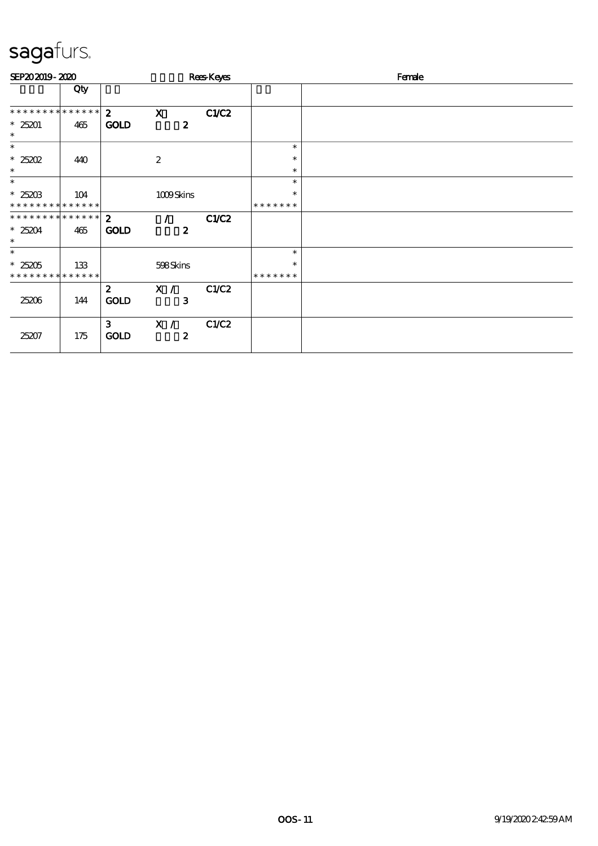| SEP202019-2020                                    |     |                               |                         | Rees-Keyes |                         | Female |
|---------------------------------------------------|-----|-------------------------------|-------------------------|------------|-------------------------|--------|
|                                                   | Qty |                               |                         |            |                         |        |
| ***************                                   |     | $\mathbf{2}$                  | $\mathbf x$             | CLC2       |                         |        |
| $*25201$<br>$\ast$                                | 465 | <b>GOLD</b>                   | $\boldsymbol{2}$        |            |                         |        |
| $\ast$                                            |     |                               |                         |            | $\ast$                  |        |
| $*25202$<br>$\ast$                                | 440 |                               | $\boldsymbol{2}$        |            | $\ast$<br>$\ast$        |        |
| $\ast$                                            |     |                               |                         |            | $\ast$                  |        |
| $*25203$<br>* * * * * * * * * * * * * *           | 104 |                               | 1009Skins               |            | $\ast$<br>* * * * * * * |        |
| * * * * * * * * * * * * * *<br>$*25204$<br>$\ast$ | 465 | $\mathbf{2}$<br><b>GOLD</b>   | $\boldsymbol{z}$        | C1/C2      |                         |        |
| $\ast$                                            |     |                               |                         |            | $\ast$                  |        |
| $*25205$<br>* * * * * * * * * * * * * *           | 133 |                               | 598Skins                |            | $\ast$<br>* * * * * * * |        |
| 25206                                             | 144 | $\mathbf{z}$<br><b>GOLD</b>   | X /<br>$\mathbf{3}$     | C1/C2      |                         |        |
| 25207                                             | 175 | 3 <sup>1</sup><br><b>GOLD</b> | X /<br>$\boldsymbol{z}$ | C1/C2      |                         |        |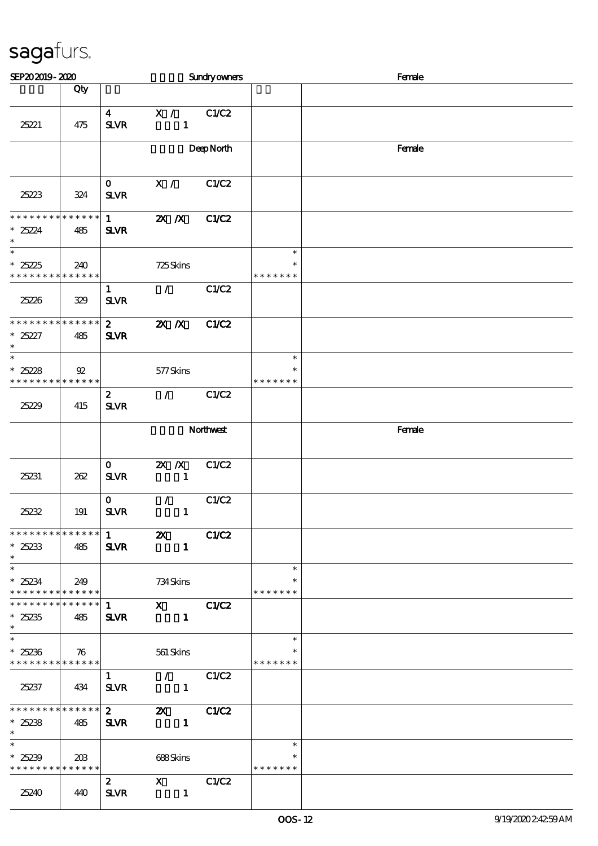| SEP202019-2020                                      |                               |                                          |                                             | Sundryowners |                                   | Female |
|-----------------------------------------------------|-------------------------------|------------------------------------------|---------------------------------------------|--------------|-----------------------------------|--------|
|                                                     | Qty                           |                                          |                                             |              |                                   |        |
| 25221                                               | 475                           | $\overline{\mathbf{4}}$<br><b>SLVR</b>   | X /<br>$\mathbf{1}$                         | C1/C2        |                                   |        |
|                                                     |                               |                                          |                                             | DeepNorth    |                                   | Female |
| 25223                                               | 324                           | $\mathbf{O}$<br>$S\!L\!V\!R$             | X /                                         | C1/C2        |                                   |        |
| * * * * * * * *<br>$*25224$<br>$\ast$               | * * * * * *<br>485            | $\mathbf{1}$<br><b>SLVR</b>              | $X$ $N$                                     | C1/C2        |                                   |        |
| $\ast$<br>$*25225$<br>* * * * * * * *               | 240<br>* * * * * *            |                                          | 725Skins                                    |              | $\ast$<br>$\ast$<br>* * * * * * * |        |
| 25226                                               | 329                           | $\mathbf{1}$<br>${\bf S\!L}\!{\bf V\!R}$ | $\mathcal{L}$                               | C1/C2        |                                   |        |
| * * * * * * * *<br>$*25227$<br>$\ast$               | * * * * * *<br>485            | $\mathbf{2}$<br><b>SLVR</b>              | $X$ $N$                                     | C1/C2        |                                   |        |
| $\ast$<br>$*25228$<br>* * * * * * * *               | $\mathfrak{B}$<br>* * * * * * |                                          | 577Skins                                    |              | $\ast$<br>$\ast$<br>* * * * * * * |        |
| 25229                                               | 415                           | $\mathbf{z}$<br>${\bf S\!L}\!{\bf V\!R}$ | $\mathcal{L}$                               | C1/C2        |                                   |        |
|                                                     |                               |                                          | Northwest                                   |              |                                   | Female |
| 25231                                               | 262                           | $\mathbf{o}$<br>$S\!L\!V\!R$             | $X$ $N$<br>$\mathbf{1}$                     | C1/C2        |                                   |        |
| 25232                                               | 191                           | $\mathbf{o}$<br><b>SLVR</b>              | $\mathcal{L}$<br>$\mathbf{1}$               | C1/C2        |                                   |        |
| * * * * * * * * * * * * * *<br>$*25233$<br>$\ast$   | 485                           | $\mathbf{1}$<br><b>SLVR</b>              | $\boldsymbol{\mathsf{Z}}$<br>$\blacksquare$ | C1/C2        |                                   |        |
| $\ast$<br>$*25234$<br>* * * * * * * * * * * * * * * | 249                           |                                          | 734 Skins                                   |              | $\ast$<br>$\ast$<br>* * * * * * * |        |
| * * * * * * * * * * * * * *<br>$*25235$<br>$\ast$   | 485                           | $1 \quad \blacksquare$<br><b>SLVR</b>    | $X$ CIC <sub>2</sub><br>$\blacksquare$      |              |                                   |        |
| $\ast$<br>$*25236$<br>******** <mark>******</mark>  | 76                            |                                          | 561 Skins                                   |              | $\ast$<br>$\ast$<br>* * * * * * * |        |
| 25237                                               | 434                           | $\mathbf{1}$<br><b>SLVR</b>              | $\sqrt{C1/C2}$<br>$\mathbf{1}$              |              |                                   |        |
| * * * * * * * * * * * * * * *<br>$*25238$<br>$\ast$ | 485                           | $\mathbf{2}$<br><b>SLVR</b>              | <b>2X</b> C1/C2<br>$\blacksquare$           |              |                                   |        |
| $*25239$<br>* * * * * * * * * * * * * *             | 208                           |                                          | 688Skins                                    |              | $\ast$<br>$\ast$<br>* * * * * * * |        |
| 25240                                               | 440                           | $\mathbf{2}$<br><b>SLVR</b>              | $X$ $C1/C2$<br>$\blacksquare$               |              |                                   |        |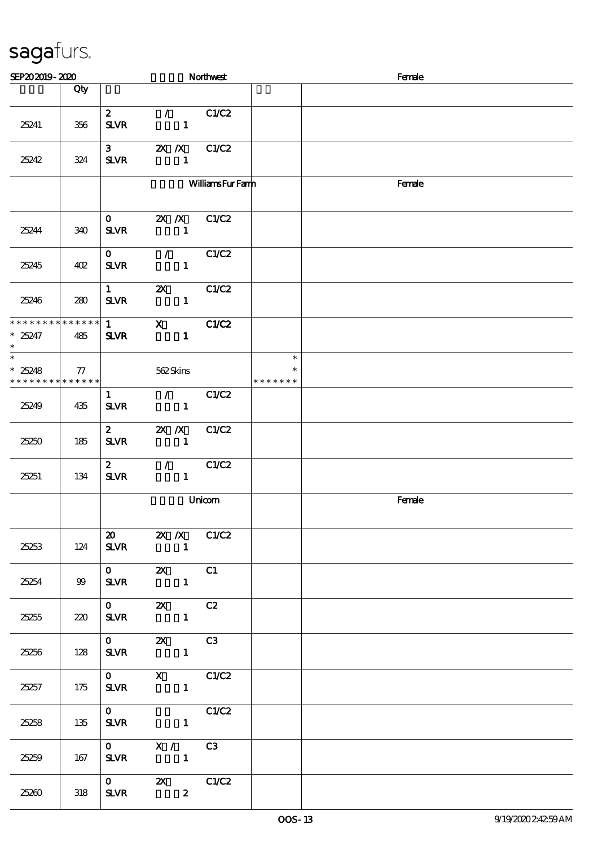| SEP202019-2020                                                                   |        |                             |                                                 | Northwest              |                                   | Female |  |  |  |
|----------------------------------------------------------------------------------|--------|-----------------------------|-------------------------------------------------|------------------------|-----------------------------------|--------|--|--|--|
|                                                                                  | Qty    |                             |                                                 |                        |                                   |        |  |  |  |
| 25241                                                                            | 356    | $\mathbf{2}$<br><b>SLVR</b> | $\mathcal{L}$ and $\mathcal{L}$<br>$\mathbf{1}$ | C1/C2                  |                                   |        |  |  |  |
| 25242                                                                            | 324    | $3^{\circ}$<br><b>SLVR</b>  | $2X$ /X $C1/C2$<br>$\mathbf{1}$                 |                        |                                   |        |  |  |  |
|                                                                                  |        |                             |                                                 | <b>WilliamsFurFamm</b> |                                   | Female |  |  |  |
| 25244                                                                            | 340    | $\mathbf{O}$<br><b>SLVR</b> | $2X$ $\overline{X}$<br>$\mathbf{1}$             | C1/C2                  |                                   |        |  |  |  |
| 25245                                                                            | 402    | $\mathbf{O}$<br><b>SLVR</b> | $\mathcal{L}$<br>$\mathbf{1}$                   | C1/C2                  |                                   |        |  |  |  |
| 25246                                                                            | 280    | $\mathbf{1}$<br><b>SLVR</b> | $\boldsymbol{\alpha}$<br>$\mathbf{1}$           | C1/C2                  |                                   |        |  |  |  |
| * * * * * * * * * * * * * *<br>$*25247$<br>$\ast$                                | 485    | $\mathbf{1}$<br><b>SLVR</b> | $\mathbf{x}$<br>$\mathbf{1}$                    | C1/C2                  |                                   |        |  |  |  |
| $\overline{\phantom{0}}$<br>$*25248$<br>* * * * * * * * <mark>* * * * * *</mark> | $\tau$ |                             | 562Skins                                        |                        | $\ast$<br>$\ast$<br>* * * * * * * |        |  |  |  |
| 25249                                                                            | 435    | $\mathbf{1}$<br><b>SLVR</b> | $\mathcal{L}$<br>$\blacksquare$                 | C1/C2                  |                                   |        |  |  |  |
| 25250                                                                            | 185    | $\mathbf{z}$<br><b>SLVR</b> | $X$ $X$<br>$\sim$ 1                             | C1/C2                  |                                   |        |  |  |  |
| 25251                                                                            | 134    | $\mathbf{2}$<br><b>SLVR</b> | $\mathcal{L}$ and $\mathcal{L}$<br>$\mathbf{1}$ | C1/C2                  |                                   |        |  |  |  |
|                                                                                  |        |                             |                                                 | Unicom                 |                                   | Female |  |  |  |
| 25253                                                                            | 124    |                             | 20 2X /X C1/C2<br>$SLVR$ 1                      |                        |                                   |        |  |  |  |
| 25254                                                                            | 99     |                             | $SLVR$ 1                                        |                        |                                   |        |  |  |  |
| 25255                                                                            | 220    |                             | $SLVR$ 1                                        |                        |                                   |        |  |  |  |
| 25256                                                                            | 128    | $\overline{\mathbf{0}}$     | $\mathbf{Z} \mathbf{X}$ C3<br>$SLVR$ 1          |                        |                                   |        |  |  |  |
| 25257                                                                            | 175    |                             | 0 X C1/C2<br>$SLVR$ 1                           |                        |                                   |        |  |  |  |
| 25258                                                                            | 135    | $\mathbf{0}$                | C1/C2<br><b>SLVR</b><br>$\mathbf{1}$            |                        |                                   |        |  |  |  |
| 25259                                                                            | 167    |                             | $0$ $X /$ $C3$<br>SLVR 1                        |                        |                                   |        |  |  |  |
| 25260                                                                            | 318    |                             | 0 2X C1/C2<br><b>SLVR</b><br>$\mathbf{2}$       |                        |                                   |        |  |  |  |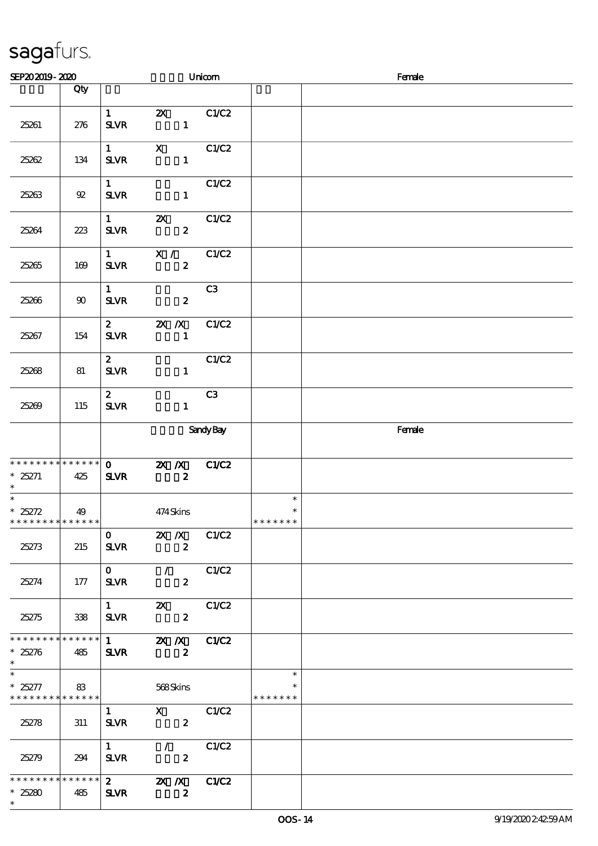| SEP202019-2020                                       |        |                                               |                                                                                                                                                                                                                                                                                                                                                     | Unicom |                                   | Female |
|------------------------------------------------------|--------|-----------------------------------------------|-----------------------------------------------------------------------------------------------------------------------------------------------------------------------------------------------------------------------------------------------------------------------------------------------------------------------------------------------------|--------|-----------------------------------|--------|
|                                                      | Qty    |                                               |                                                                                                                                                                                                                                                                                                                                                     |        |                                   |        |
| 25261                                                | 276    | $1 \quad \blacksquare$<br><b>SLVR</b>         | <b>2X</b> C1/C2<br>$\mathbf{1}$                                                                                                                                                                                                                                                                                                                     |        |                                   |        |
| 25262                                                | 134    | $1 \quad \blacksquare$<br>$S\!L\!V\!R$        | $X$ $C1/C2$<br>$\mathbf{1}$                                                                                                                                                                                                                                                                                                                         |        |                                   |        |
| 25263                                                | $92\,$ | $1 \qquad \qquad$<br>SLVR                     | $\mathbf{1}$                                                                                                                                                                                                                                                                                                                                        | C1/C2  |                                   |        |
| 25264                                                | 223    | $1 \qquad \qquad$<br>${\bf S\!L}\!{\bf V\!R}$ | $\overline{\mathbf{z}}$<br>$\boldsymbol{z}$                                                                                                                                                                                                                                                                                                         | C1/C2  |                                   |        |
| 25265                                                | 169    | $1 \qquad \qquad$<br>$S\!L\!V\!R$             | X /<br>$\boldsymbol{z}$                                                                                                                                                                                                                                                                                                                             | C1/C2  |                                   |        |
| 25266                                                | 90     | $1 \quad \blacksquare$<br>$S\!L\!V\!R$        | $\boldsymbol{z}$                                                                                                                                                                                                                                                                                                                                    | C3     |                                   |        |
| 25267                                                | 154    | <b>SLVR</b>                                   | 2 $\mathbb{Z}$ $\mathbb{Z}$ $\mathbb{Z}$<br>$\mathbf{1}$                                                                                                                                                                                                                                                                                            | C1/C2  |                                   |        |
| 25268                                                | 81     | $\mathbf{2}$<br>$S\!L\!V\!R$                  | $\mathbf{1}$                                                                                                                                                                                                                                                                                                                                        | C1/C2  |                                   |        |
| 25269                                                | 115    | $\mathbf{2}$<br>$S\!L\!V\!R$                  | $\mathbf{1}$                                                                                                                                                                                                                                                                                                                                        | C3     |                                   |        |
|                                                      |        |                                               | <b>Sandy Bay</b>                                                                                                                                                                                                                                                                                                                                    |        |                                   | Female |
| * * * * * * * * * * * * * *<br>$*25271$<br>$\ast$    | 425    | <b>SLVR</b>                                   | $0$ 2X $\chi$<br>$\boldsymbol{z}$                                                                                                                                                                                                                                                                                                                   | C1/C2  |                                   |        |
| $*25272$<br>* * * * * * * * <mark>* * * * * *</mark> | 49     |                                               | 474Skins                                                                                                                                                                                                                                                                                                                                            |        | $\ast$<br>$\ast$<br>* * * * * * * |        |
| 25273                                                | 215    | $\mathbf{O}$<br><b>SLVR</b>                   | $\mathbb{Z} \times \mathbb{Z}$<br>$\boldsymbol{z}$                                                                                                                                                                                                                                                                                                  | C1/C2  |                                   |        |
| 25274                                                | 177    | $\mathbf{O}$<br><b>SLVR</b>                   | $\mathcal{F}$ and $\mathcal{F}$<br>$\boldsymbol{z}$                                                                                                                                                                                                                                                                                                 | C1/C2  |                                   |        |
| 25275                                                | 338    | $1 \quad \blacksquare$<br><b>SLVR</b>         | $\mathbf{X}$<br>$\boldsymbol{z}$                                                                                                                                                                                                                                                                                                                    | C1/C2  |                                   |        |
| * * * * * * * * * * * * * *<br>$*25276$<br>$\ast$    | 485    | $1 \quad \blacksquare$<br><b>SLVR</b>         | $X$ $N$<br>$\boldsymbol{z}$                                                                                                                                                                                                                                                                                                                         | C1/C2  |                                   |        |
| $\ast$<br>$* 25277$<br>* * * * * * * * * * * * * *   | 83     |                                               | 568Skins                                                                                                                                                                                                                                                                                                                                            |        | $\ast$<br>$\ast$<br>* * * * * * * |        |
| 25278                                                | 311    | $\mathbf{1}$<br><b>SLVR</b>                   | $\mathbf x$ and $\mathbf x$ and $\mathbf x$ and $\mathbf x$ and $\mathbf x$ and $\mathbf x$ and $\mathbf x$ and $\mathbf x$ and $\mathbf x$ and $\mathbf x$ and $\mathbf x$ and $\mathbf x$ and $\mathbf x$ and $\mathbf x$ and $\mathbf x$ and $\mathbf x$ and $\mathbf x$ and $\mathbf x$ and $\mathbf x$ and $\mathbf x$ and<br>$\boldsymbol{z}$ | C1/C2  |                                   |        |
| 25279                                                | 294    | $1 \qquad \qquad$<br><b>SLVR</b>              | $\mathcal{L}$<br>$\mathbf{2}$                                                                                                                                                                                                                                                                                                                       | C1/C2  |                                   |        |
| * * * * * * * * * * * * * *<br>$*25280$<br>$\ast$    | 485    | <b>SLVR</b>                                   | 2 $\mathbb{Z}$ $\mathbb{Z}$ $\mathbb{Z}$<br>$\boldsymbol{z}$                                                                                                                                                                                                                                                                                        | C1/C2  |                                   |        |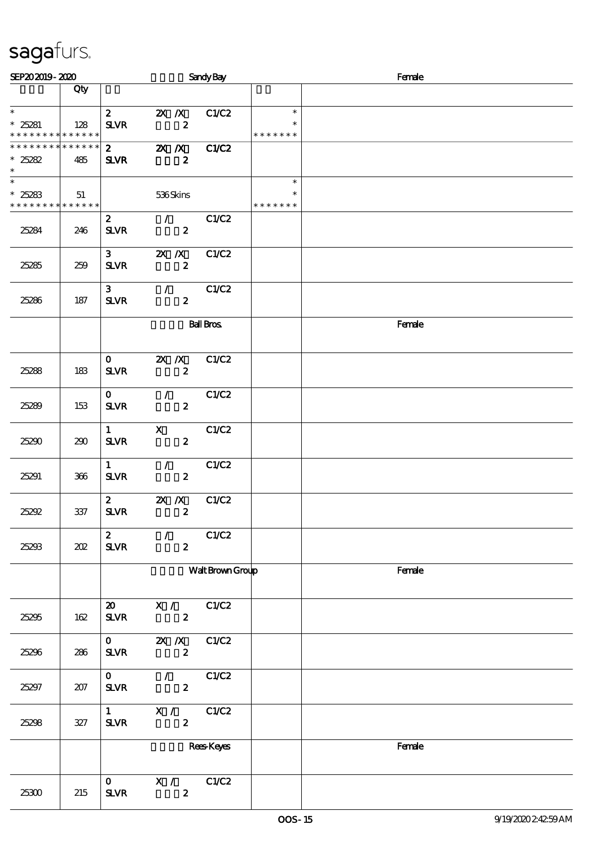| SEP202019-2020                                               |                    |                                                         |                                                 | <b>Sandy Bay</b>  |                                   | Female |  |  |  |
|--------------------------------------------------------------|--------------------|---------------------------------------------------------|-------------------------------------------------|-------------------|-----------------------------------|--------|--|--|--|
|                                                              | Qty                |                                                         |                                                 |                   |                                   |        |  |  |  |
| $\ast$<br>$*25281$<br>* * * * * * * * * * * * * *            | 128                | $\mathbf{2}$<br><b>SLVR</b>                             | $2X$ $\overline{X}$<br>$\boldsymbol{z}$         | C1/C2             | $\ast$<br>$\ast$<br>* * * * * * * |        |  |  |  |
| * * * * * * * *<br>$*25282$<br>$*$                           | * * * * * *<br>485 | $\mathbf{2}$<br><b>SLVR</b>                             | XX<br>$\boldsymbol{z}$                          | C1/C2             |                                   |        |  |  |  |
| $\overline{\ast}$<br>$*25283$<br>* * * * * * * * * * * * * * | 51                 |                                                         | 536Skins                                        |                   | $\ast$<br>* * * * * * *           |        |  |  |  |
| 25284                                                        | 246                | $\mathbf{2}$<br><b>SLVR</b>                             | $\mathcal{F}$<br>$\boldsymbol{z}$               | C1/C2             |                                   |        |  |  |  |
| 25285                                                        | 259                | 3 <sup>7</sup><br><b>SLVR</b>                           | $X$ $X$<br>$\boldsymbol{z}$                     | C1/C2             |                                   |        |  |  |  |
| 25286                                                        | 187                | 3 <sup>1</sup><br><b>SLVR</b>                           | $\mathcal{T} = \mathcal{I}$<br>$\boldsymbol{2}$ | C1/C2             |                                   |        |  |  |  |
|                                                              |                    |                                                         |                                                 | <b>Ball Bros</b>  |                                   | Female |  |  |  |
| 25288                                                        | 183                | $\mathbf{O}$<br><b>SLVR</b>                             | $X$ $N$<br>$\boldsymbol{z}$                     | C1/C2             |                                   |        |  |  |  |
| 25289                                                        | 153                | $\mathbf{O}$<br><b>SLVR</b>                             | $\mathcal{F}^{\mathcal{F}}$<br>$\boldsymbol{z}$ | C1/C2             |                                   |        |  |  |  |
| 25290                                                        | 290                | $\mathbf{1}$<br>$S\!L\!V\!R$                            | $\mathbf{x}$<br>$\boldsymbol{z}$                | C1/C2             |                                   |        |  |  |  |
| 25291                                                        | 366                | $\mathbf{1}$<br><b>SLVR</b>                             | $\mathcal{L}$<br>$\boldsymbol{z}$               | C1/C2             |                                   |        |  |  |  |
| 25292                                                        | $337\,$            | $\mathbf{z}$<br><b>SLVR</b>                             | $2X$ /X<br>$\boldsymbol{z}$                     | C1/C2             |                                   |        |  |  |  |
| 25293                                                        | 202                | $\boldsymbol{z}$<br><b>SLVR</b>                         | $\mathcal{L}$<br>$\boldsymbol{z}$               | C1/C2             |                                   |        |  |  |  |
|                                                              |                    |                                                         |                                                 | Walt Brown Group  |                                   | Female |  |  |  |
| 25295                                                        | 162                | $\boldsymbol{\mathfrak{D}}$<br>${\bf S\!L}\!{\bf V\!R}$ | X /<br>$\boldsymbol{z}$                         | C1/C2             |                                   |        |  |  |  |
| 25296                                                        | 286                | $\mathbf{O}$<br>${\bf S\!L}\!{\bf V\!R}$                | $X$ $N$<br>$\boldsymbol{2}$                     | C1/C2             |                                   |        |  |  |  |
| 25297                                                        | 207                | $\mathbf{O}$<br><b>SLVR</b>                             | $\mathcal{F}$<br>$\boldsymbol{2}$               | C1/C2             |                                   |        |  |  |  |
| 25298                                                        | $327\,$            | $1 \quad \blacksquare$<br><b>SLVR</b>                   | X / C1/C2<br>$\mathbf{z}$                       |                   |                                   |        |  |  |  |
|                                                              |                    |                                                         |                                                 | <b>Rees</b> Keyes |                                   | Female |  |  |  |
| 25300                                                        | 215                | $\mathbf{O}$<br>$S\!L\!V\!R$                            | X /<br>$\boldsymbol{z}$                         | C1/C2             |                                   |        |  |  |  |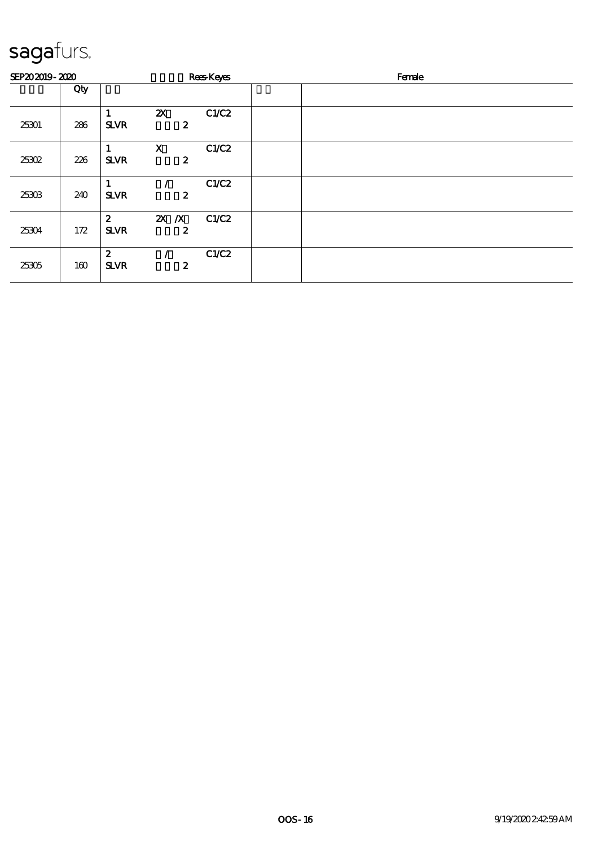| SEP202019-2020 |     |                                 |                                 | <b>Rees</b> Keyes | Female |
|----------------|-----|---------------------------------|---------------------------------|-------------------|--------|
|                | Qty |                                 |                                 |                   |        |
| 25301          | 286 | <b>SLVR</b>                     | ${\bf Z}$<br>$\boldsymbol{z}$   | C1/C2             |        |
| 25302          | 226 | <b>SLVR</b>                     | $\mathbf x$<br>$\boldsymbol{z}$ | C1/C2             |        |
| 25303          | 240 | <b>SLVR</b>                     | 2                               | C1/C2             |        |
| 25304          | 172 | $\boldsymbol{z}$<br><b>SLVR</b> | $X$ $X$<br>2                    | C1/C2             |        |
| 25305          | 160 | $\boldsymbol{z}$<br><b>SLVR</b> | 2                               | C1/C2             |        |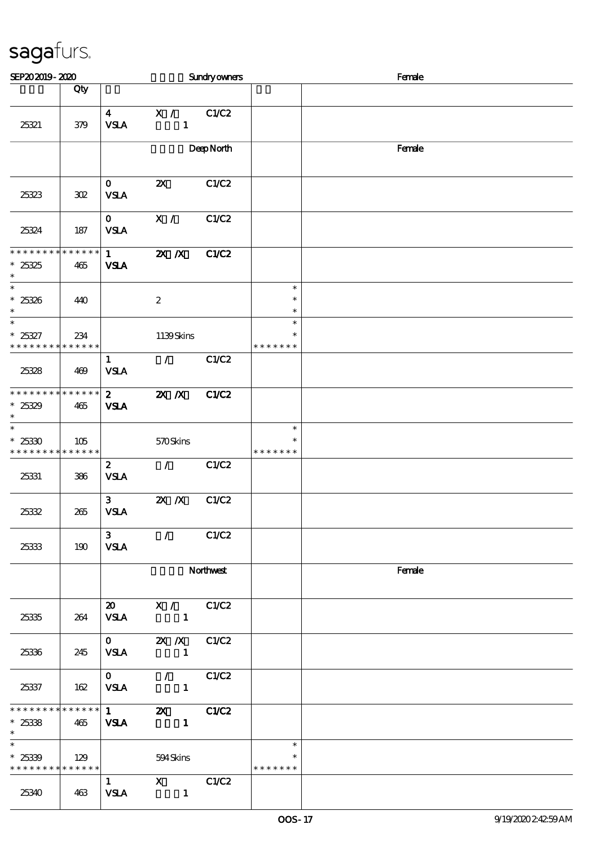| SEP202019-2020                                      |                    |                                            |                                 | Sundryowners |                                   | Female |
|-----------------------------------------------------|--------------------|--------------------------------------------|---------------------------------|--------------|-----------------------------------|--------|
|                                                     | Qty                |                                            |                                 |              |                                   |        |
| 25321                                               | 379                | $\overline{\mathbf{4}}$<br><b>VSLA</b>     | X /<br>$\mathbf{1}$             | C1/C2        |                                   |        |
|                                                     |                    |                                            |                                 | DeepNorth    |                                   | Female |
| 25323                                               | 302                | $\mathbf{O}$<br><b>VSLA</b>                | $\boldsymbol{\mathsf{z}}$       | C1/C2        |                                   |        |
| 25324                                               | 187                | $\mathbf{O}$<br><b>VSLA</b>                | X /                             | C1/C2        |                                   |        |
| **************<br>$*25325$<br>$\ast$                | 465                | $\mathbf{1}$<br><b>VSLA</b>                | $X$ $N$                         | <b>C1/C2</b> |                                   |        |
| $\overline{\phantom{0}}$<br>$*25326$<br>$\ast$      | 440                |                                            | $\boldsymbol{2}$                |              | $\ast$<br>$\ast$<br>$\ast$        |        |
| $\ast$<br>$*25327$<br>* * * * * * * *               | 234<br>* * * * * * |                                            | 1139Skins                       |              | $\ast$<br>$\ast$<br>* * * * * * * |        |
| 25328                                               | 469                | $\mathbf{1}$<br><b>VSLA</b>                | $\mathcal{L}$                   | C1/C2        |                                   |        |
| * * * * * * * * * * * * * *<br>$*25329$<br>$\ast$   | 465                | $\mathbf{2}$<br><b>VSLA</b>                | $X$ $N$                         | <b>C1/C2</b> |                                   |        |
| $\ast$<br>$*25330$<br>* * * * * * * *               | 105<br>* * * * * * |                                            | 570Skins                        |              | $\ast$<br>$\ast$<br>* * * * * * * |        |
| 25331                                               | 386                | $\boldsymbol{2}$<br>${\bf VSA}$            | $\mathcal{L}$                   | C1/C2        |                                   |        |
| 25332                                               | 265                | $\mathbf{3}$<br><b>VSLA</b>                | $X$ $X$                         | C1/C2        |                                   |        |
| 25333                                               | 190                | 3 <sup>1</sup><br><b>VSLA</b>              | $\mathcal{L}$                   | C1/C2        |                                   |        |
|                                                     |                    |                                            |                                 | Northwest    |                                   | Female |
| 25335                                               | 264                | $\boldsymbol{\mathfrak{D}}$<br><b>VSLA</b> | X / C1/C2<br>$\blacksquare$     |              |                                   |        |
| 25336                                               | 245                | $\mathbf 0$<br><b>VSLA</b>                 | 2X /X C1/C2<br>$\sim$ 1         |              |                                   |        |
| 25337                                               | 162                | $\mathbf{O}$<br><b>VSLA</b>                | $\sqrt{C1/C2}$<br>$\mathbf{1}$  |              |                                   |        |
| * * * * * * * * * * * * * * *<br>$*25338$<br>$\ast$ | 465                | $\mathbf 1$<br><b>VSLA</b>                 | <b>2X</b> C1/C2<br>$\mathbf{1}$ |              |                                   |        |
| $\ast$<br>$*25339$<br>* * * * * * * * * * * * * *   | 129                |                                            | 594Skins                        |              | $\ast$<br>$\ast$<br>* * * * * * * |        |
| 25340                                               | 463                | $\mathbf{1}$<br><b>VSLA</b>                | $X$ $C1/C2$<br>$\blacksquare$   |              |                                   |        |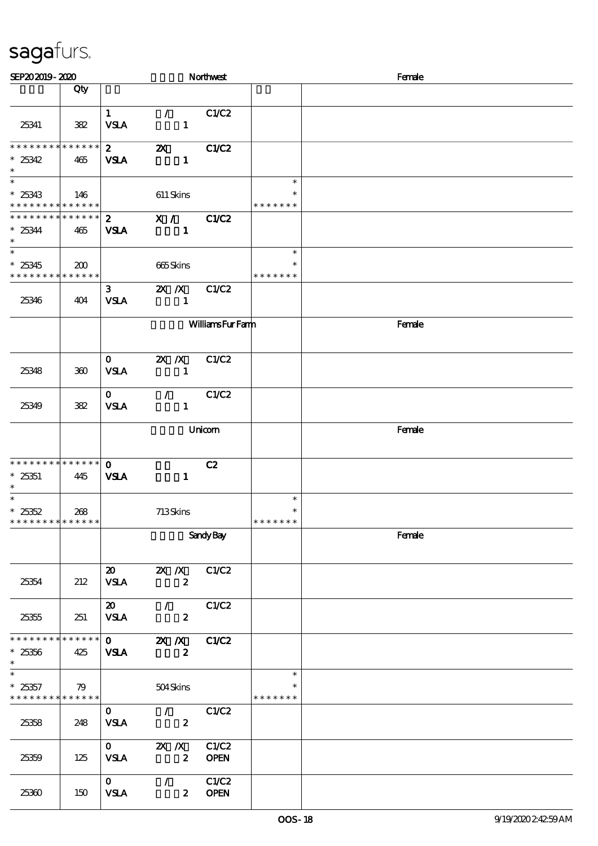| SEP202019-2020                                                      |                    |                                            |                                                     | Northwest              |                                   | Female |
|---------------------------------------------------------------------|--------------------|--------------------------------------------|-----------------------------------------------------|------------------------|-----------------------------------|--------|
|                                                                     | Qty                |                                            |                                                     |                        |                                   |        |
| 25341                                                               | 382                | 1<br><b>VSLA</b>                           | $\mathcal{L}$<br>$\mathbf{1}$                       | C1/C2                  |                                   |        |
| * * * * * * * *<br>$*25342$<br>$\ast$                               | * * * * * *<br>465 | $\mathbf{z}$<br><b>VSLA</b>                | $\boldsymbol{\mathsf{Z}}$<br>$\mathbf{1}$           | C1/C2                  |                                   |        |
| $\overline{\phantom{0}}$<br>$*25343$<br>* * * * * * * * * * * * * * | 146                |                                            | $611$ Skins                                         |                        | $\ast$<br>$\ast$<br>* * * * * * * |        |
| * * * * * * * * * * * * * * *<br>$*25344$<br>$\ast$                 | 465                | $\mathbf{2}$<br><b>VSLA</b>                | X /<br>$\mathbf{1}$                                 | C1/C2                  |                                   |        |
| $\ast$<br>$*25345$<br>* * * * * * * * * * * * * *                   | 200                |                                            | 665Skins                                            |                        | $\ast$<br>$\ast$<br>* * * * * * * |        |
| 25346                                                               | 404                | 3 <sup>1</sup><br><b>VSLA</b>              | $2X$ /X<br>$\mathbf{1}$                             | C1/C2                  |                                   |        |
|                                                                     |                    |                                            |                                                     | <b>WilliamsFurFamn</b> |                                   | Female |
| 25348                                                               | 300                | $\mathbf{O}$<br><b>VSLA</b>                | $X \, X$<br>$\mathbf{1}$                            | C1/C2                  |                                   |        |
| 25349                                                               | 382                | $\mathbf{O}$<br><b>VSLA</b>                | $\mathcal{L}$<br>$\mathbf{1}$                       | C1/C2                  |                                   |        |
|                                                                     |                    |                                            |                                                     | Unicom                 |                                   | Female |
| * * * * * * * *<br>$^\ast$ 25351<br>$\ast$                          | * * * * * *<br>445 | $\mathbf 0$<br><b>VSLA</b>                 | $\mathbf{1}$                                        | C2                     |                                   |        |
| $\ast$<br>$*25352$<br>* * * * * * * * * * * * * *                   | 268                |                                            | 713Skins                                            |                        | $\ast$<br>$\ast$<br>* * * * * * * |        |
|                                                                     |                    |                                            |                                                     | <b>Sandy Bay</b>       |                                   | Female |
| 25354                                                               | 212                | $\boldsymbol{\mathfrak{D}}$<br><b>VSLA</b> | 2X / X C1/C2<br>$\boldsymbol{z}$                    |                        |                                   |        |
| 25355                                                               | 251                | $\boldsymbol{\mathsf{20}}$<br><b>VSLA</b>  | $\mathcal{F}$<br>$\boldsymbol{z}$                   | C1/C2                  |                                   |        |
| * * * * * * * * * * * * * *<br>$*25356$<br>$\ast$                   | 425                | $\mathbf{O}$<br><b>VSLA</b>                | $X$ $X$<br>$\boldsymbol{z}$                         | C1/C2                  |                                   |        |
| $\ast$<br>$*25357$<br>******** <mark>******</mark>                  | 79                 |                                            | 504Skins                                            |                        | $\ast$<br>$\ast$<br>* * * * * * * |        |
| 25358                                                               | 248                | $\mathbf{0}$<br><b>VSLA</b>                | $\mathcal{F}$ and $\mathcal{F}$<br>$\boldsymbol{z}$ | C1/C2                  |                                   |        |
| 25359                                                               | 125                | $\mathbf{O}$<br><b>VSLA</b>                | $X$ $X$<br>$\boldsymbol{2}$                         | C1/C2<br><b>OPEN</b>   |                                   |        |
| 25360                                                               | 150                | $\mathbf{O}$<br><b>VSLA</b>                | $\mathcal{L}$<br>$\mathbf{2}$                       | C1/C2<br><b>OPEN</b>   |                                   |        |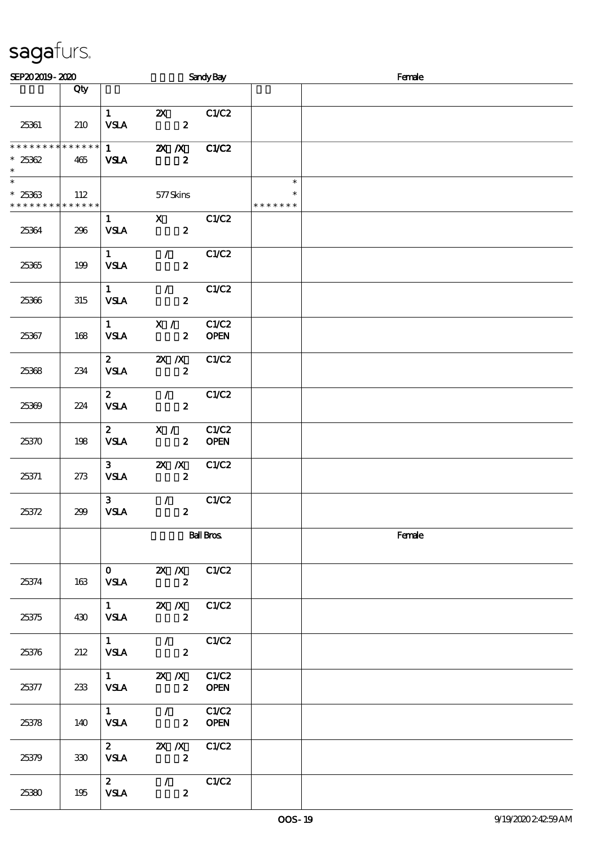| SEP202019-2020                                                      |     |                                       |                                                                                                                                                                                                                                                                                                                                                   | <b>Sandy Bay</b>     |                                   | Female |
|---------------------------------------------------------------------|-----|---------------------------------------|---------------------------------------------------------------------------------------------------------------------------------------------------------------------------------------------------------------------------------------------------------------------------------------------------------------------------------------------------|----------------------|-----------------------------------|--------|
|                                                                     | Qty |                                       |                                                                                                                                                                                                                                                                                                                                                   |                      |                                   |        |
| 25361                                                               | 210 | $1 \quad \blacksquare$<br><b>VSLA</b> | $\mathbf{x}$<br>$\boldsymbol{z}$                                                                                                                                                                                                                                                                                                                  | C1/C2                |                                   |        |
| **************<br>$*25362$<br>$\ast$                                | 465 | $1 \quad \blacksquare$<br><b>VSLA</b> | <b>2X X</b> C1/C2<br>$\boldsymbol{z}$                                                                                                                                                                                                                                                                                                             |                      |                                   |        |
| $\overline{\phantom{0}}$<br>$*25363$<br>* * * * * * * * * * * * * * | 112 |                                       | 577Skins                                                                                                                                                                                                                                                                                                                                          |                      | $\ast$<br>$\ast$<br>* * * * * * * |        |
| 25364                                                               | 296 | $1 \quad \blacksquare$<br><b>VSLA</b> | $\boldsymbol{\mathrm{X}}$<br>$\overline{\mathbf{c}}$                                                                                                                                                                                                                                                                                              | C1/C2                |                                   |        |
| 25365                                                               | 199 | $1 \quad$<br><b>VSLA</b>              | $\mathcal{T} = \mathcal{I}$<br>$\boldsymbol{2}$                                                                                                                                                                                                                                                                                                   | C1/C2                |                                   |        |
| 25366                                                               | 315 | $\mathbf{1}$<br><b>VSLA</b>           | $\mathcal{T} = \mathcal{I}$<br>$\boldsymbol{z}$                                                                                                                                                                                                                                                                                                   | C1/C2                |                                   |        |
| 25367                                                               | 168 | $\mathbf{1}$<br><b>VSLA</b>           | X /<br>$\mathbf{z}$                                                                                                                                                                                                                                                                                                                               | C1/C2<br><b>OPEN</b> |                                   |        |
| 25368                                                               | 234 | $\mathbf{2}$<br><b>VSLA</b>           | $X$ $X$<br>$\boldsymbol{z}$                                                                                                                                                                                                                                                                                                                       | C1/C2                |                                   |        |
| 25369                                                               | 224 | $\mathbf{2}$<br><b>VSLA</b>           | $\mathcal{L}$<br>$\boldsymbol{z}$                                                                                                                                                                                                                                                                                                                 | C1/C2                |                                   |        |
| 25370                                                               | 198 | $\mathbf{z}$<br><b>VSLA</b>           | X /<br>$\boldsymbol{z}$                                                                                                                                                                                                                                                                                                                           | C1/C2<br><b>OPEN</b> |                                   |        |
| 25371                                                               | 273 | $3^{\circ}$<br><b>VSLA</b>            | $X$ $X$<br>$\boldsymbol{z}$                                                                                                                                                                                                                                                                                                                       | C1/C2                |                                   |        |
| 25372                                                               | 299 | 3 <sub>1</sub><br><b>VSLA</b>         | $\mathcal{L}$<br>$\boldsymbol{z}$                                                                                                                                                                                                                                                                                                                 | C1/C2                |                                   |        |
|                                                                     |     |                                       |                                                                                                                                                                                                                                                                                                                                                   | <b>Ball Bros</b>     |                                   | Female |
| 25374                                                               | 163 | $\mathbf{O}$<br><b>VSLA</b>           | <b>2X</b> <i>X</i> C1/C2<br>$\overline{\mathbf{z}}$                                                                                                                                                                                                                                                                                               |                      |                                   |        |
| 25375                                                               | 430 | <b>VSLA</b>                           | 1 $\mathbb{Z} \times \mathbb{Z}$ C1/C2<br>$\overline{\mathbf{z}}$                                                                                                                                                                                                                                                                                 |                      |                                   |        |
| 25376                                                               | 212 | <b>VSLA</b>                           | $\overline{1}$ / $\overline{C1/C2}$<br>$\overline{\mathbf{z}}$                                                                                                                                                                                                                                                                                    |                      |                                   |        |
| 25377                                                               | 233 | <b>VSLA</b>                           | 1 $\mathbb{Z} \times \mathbb{Z}$ C1/C2<br>2 OPEN                                                                                                                                                                                                                                                                                                  |                      |                                   |        |
| 25378                                                               | 140 |                                       | $1$ / $C1/C2$<br>VSLA 2 OPEN                                                                                                                                                                                                                                                                                                                      |                      |                                   |        |
| 25379                                                               | 330 | <b>VSLA</b>                           | 2 $\mathbb{Z}$ $\mathbb{Z}$ $\mathbb{Z}$ $\mathbb{Z}$ $\mathbb{Z}$ $\mathbb{Z}$ $\mathbb{Z}$ $\mathbb{Z}$ $\mathbb{Z}$ $\mathbb{Z}$ $\mathbb{Z}$ $\mathbb{Z}$ $\mathbb{Z}$ $\mathbb{Z}$ $\mathbb{Z}$ $\mathbb{Z}$ $\mathbb{Z}$ $\mathbb{Z}$ $\mathbb{Z}$ $\mathbb{Z}$ $\mathbb{Z}$ $\mathbb{Z}$ $\mathbb{Z}$ $\mathbb{Z}$ $\math$<br>$\mathbf{2}$ |                      |                                   |        |
| 25380                                                               | 195 | $\mathbf{2}$<br><b>VSLA</b>           | $\sqrt{C1/C2}$<br>$\boldsymbol{z}$                                                                                                                                                                                                                                                                                                                |                      |                                   |        |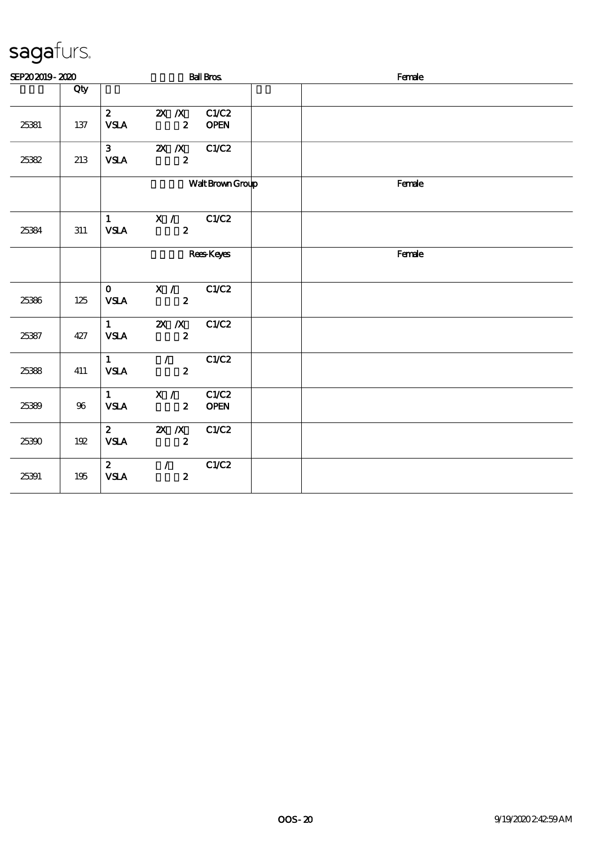| SEP202019-2020 |     |                                       |                                    | <b>Ball Bros</b>     | Female |
|----------------|-----|---------------------------------------|------------------------------------|----------------------|--------|
|                | Qty |                                       |                                    |                      |        |
| 25381          | 137 | $\mathbf{2}$<br><b>VSLA</b>           | $X$ $N$<br>$\boldsymbol{z}$        | C1/C2<br><b>OPEN</b> |        |
| 25382          | 213 | 3 <sup>7</sup><br><b>VSLA</b>         | $X$ $N$<br>$\boldsymbol{z}$        | C1/C2                |        |
|                |     | Walt Brown Group                      |                                    |                      | Female |
| 25384          | 311 | 1<br><b>VSLA</b>                      | X / C1/C2<br>$\boldsymbol{z}$      |                      |        |
|                |     |                                       | <b>Rees</b> Keyes                  |                      | Female |
| 25386          | 125 | $\mathbf{0}$<br><b>VSLA</b>           | X / C1/C2<br>$\mathbf{z}$          |                      |        |
| 25387          | 427 | $\mathbf{1}$<br><b>VSLA</b>           | $X$ $N$<br>$\boldsymbol{2}$        | C1/C2                |        |
| 25388          | 411 | $1 \quad$<br><b>VSLA</b>              | $\mathcal{F}$<br>$\boldsymbol{z}$  | C1/C2                |        |
| 25389          | 96  | $1 \quad \blacksquare$<br><b>VSLA</b> | $\mathbf{X}$ /<br>$\boldsymbol{z}$ | C1/C2<br><b>OPEN</b> |        |
| 25390          | 192 | $\mathbf{2}$<br><b>VSLA</b>           | $X$ $N$<br>$\boldsymbol{z}$        | C1/C2                |        |
| 25391          | 195 | 2 <sup>1</sup><br><b>VSLA</b>         | $\mathcal{L}$<br>$\boldsymbol{z}$  | C1/C2                |        |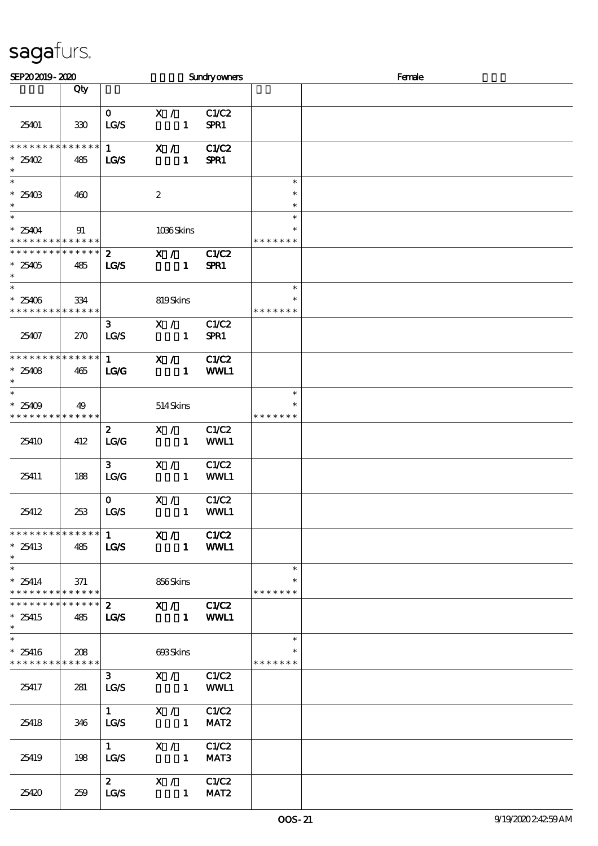| SEP202019-2020                                                   |               |                                |                                                 | <b>Sundryowners</b>  |                                   | Female |  |  |  |
|------------------------------------------------------------------|---------------|--------------------------------|-------------------------------------------------|----------------------|-----------------------------------|--------|--|--|--|
|                                                                  | Qty           |                                |                                                 |                      |                                   |        |  |  |  |
| 25401                                                            | 330           | $\mathbf{O}$<br>LG/S           | X /<br>$\mathbf{1}$                             | C1/C2<br>SPR1        |                                   |        |  |  |  |
| * * * * * * * * * * * * * * *<br>$*25402$<br>$\ast$              | 485           | $1 \quad$<br>LG/S              | X /<br>$\mathbf{1}$                             | C1/C2<br>SPR1        |                                   |        |  |  |  |
| $\ast$<br>$^*$ 25403 $\,$<br>$\ast$                              | 460           |                                | $\boldsymbol{2}$                                |                      | $\ast$<br>$\ast$<br>$\ast$        |        |  |  |  |
| $\ast$<br>$*25404$<br>* * * * * * * * <mark>* * * * * * *</mark> | 91            |                                | 1036Skins                                       |                      | $\ast$<br>$\ast$<br>* * * * * * * |        |  |  |  |
| * * * * * * * * * * * * * *<br>$*25405$<br>$\ast$                | 485           | $2^{\circ}$<br><b>LG/S</b>     | X /<br>$\mathbf{1}$                             | <b>C1/C2</b><br>SPR1 |                                   |        |  |  |  |
| $*25406$<br>* * * * * * * * * * * * * *                          | 334           |                                | 819Skins                                        |                      | $\ast$<br>*<br>* * * * * * *      |        |  |  |  |
| 25407                                                            | 270           | 3 <sub>o</sub><br>LG/S         | X /<br>$\mathbf{1}$                             | C1/C2<br>SPR1        |                                   |        |  |  |  |
| **************<br>$*25408$<br>$\ast$                             | 465           | $1 \quad$<br>LG                | X /<br>$\blacksquare$                           | C1/C2<br>WWL1        |                                   |        |  |  |  |
| $\ast$<br>$*25409$<br>* * * * * * * * * * * * * *                | 49            |                                | 514Skins                                        |                      | $\ast$<br>$\ast$<br>* * * * * * * |        |  |  |  |
| 25410                                                            | 412           | $\mathbf{z}$<br>LG/G           | X /<br>$\blacksquare$                           | C1/C2<br>WWL1        |                                   |        |  |  |  |
| 25411                                                            | 188           | 3 <sup>1</sup><br>LG/G         | X /<br>$\mathbf{1}$                             | C1/C2<br>WWL1        |                                   |        |  |  |  |
| 25412                                                            | 253           | $\mathbf{O}$<br>LG/S           | $X / \sqrt{2}$<br>$\mathbf{1}$                  | C1/C2<br>WWL1        |                                   |        |  |  |  |
| * * * * * * * * * * * * * * *<br>$*25413$<br>$\ast$              | 485           | $\mathbf{1}$<br>LG/S           | X / C1/C2<br>1 WWL1                             |                      |                                   |        |  |  |  |
| $\ast$<br>$*25414$<br>* * * * * * * * * * * * * *                | 371           |                                | 856Skins                                        |                      | $\ast$<br>$\ast$<br>* * * * * * * |        |  |  |  |
| * * * * * * * * * * * * * * *<br>$*25415$<br>$\ast$              | 485           | $\mathbf{2}$<br><b>LG/S</b>    | X / C1/C2<br>1 WWL1                             |                      |                                   |        |  |  |  |
| $\ast$<br>$*25416$<br>* * * * * * * *                            | 208<br>****** |                                | 693Skins                                        |                      | $\ast$<br>$\ast$<br>* * * * * * * |        |  |  |  |
| 25417                                                            | 281           | 3 <sup>7</sup><br>LG/S         | X / C1/C2<br>$\sim$ $\sim$ $\sim$ $\sim$ $\sim$ | WWL1                 |                                   |        |  |  |  |
| 25418                                                            | 346           | $1 \quad \blacksquare$<br>LG/S | X / C1/C2<br>$\mathbf{1}$                       | MAT <sub>2</sub>     |                                   |        |  |  |  |
| 25419                                                            | 198           | $1 \quad \blacksquare$<br>LG/S | X / C1/C2<br>$\sim$ $\sim$ 1                    | MAT <sub>3</sub>     |                                   |        |  |  |  |
| 25420                                                            | 259           | $\mathbf{2}$<br>LG/S           | X / C1/C2<br>1 <b>MAT2</b>                      |                      |                                   |        |  |  |  |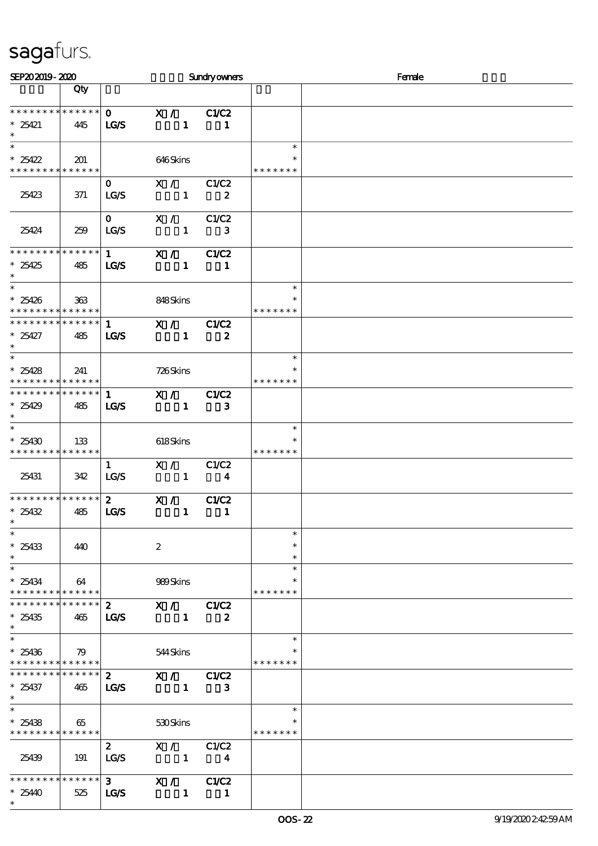| SEP202019-2020                                                              |     |                                       |                                                                     | <b>Sundryowners</b>              |                                   | Female |
|-----------------------------------------------------------------------------|-----|---------------------------------------|---------------------------------------------------------------------|----------------------------------|-----------------------------------|--------|
|                                                                             | Qty |                                       |                                                                     |                                  |                                   |        |
| * * * * * * * * * * * * * *<br>$*25421$                                     | 445 | $\mathbf{O}$<br>LG/S                  | X / C1/C2<br>$\mathbf{1}$                                           | -1                               |                                   |        |
| $\overline{\ast}$<br>$*25422$<br>* * * * * * * * <mark>* * * * * * *</mark> | 201 |                                       | 646Skins                                                            |                                  | $\ast$<br>$\ast$<br>* * * * * * * |        |
| 25423                                                                       | 371 | $\mathbf{O}$<br><b>LG/S</b>           | X / C1/C2<br>$\mathbf{1}$                                           | $\boldsymbol{z}$                 |                                   |        |
| 25424                                                                       | 259 | $\mathbf{O}$<br>LG/S                  | X /<br>$\mathbf{1}$                                                 | C1/C2<br>3                       |                                   |        |
| **************<br>$*25425$<br>$\ast$                                        | 485 | $1 \quad \blacksquare$<br><b>LG/S</b> | X /<br>$\mathbf{1}$                                                 | C1/C2<br>$\mathbf{1}$            |                                   |        |
| $\ast$<br>$*25426$<br>* * * * * * * * * * * * * *                           | 363 |                                       | 848Skins                                                            |                                  | $\ast$<br>* * * * * * *           |        |
| ******** <mark>******</mark><br>$*25427$<br>$\ast$                          | 485 | $\mathbf{1}$<br><b>LG/S</b>           | X /<br>$\mathbf{1}$                                                 | C1/C2<br>$\boldsymbol{z}$        |                                   |        |
| $\overline{\ast}$<br>$*25428$<br>* * * * * * * * <mark>* * * * * * *</mark> | 241 |                                       | 726Skins                                                            |                                  | $\ast$<br>$\ast$<br>* * * * * * * |        |
| ******** <mark>******</mark><br>$*25429$<br>$\ast$                          | 485 | $\mathbf{1}$<br><b>LG/S</b>           | $\overline{\mathbf{x}}$ /<br>$\sim$ 1                               | C1/C2<br>$\mathbf{3}$            |                                   |        |
| $\ast$<br>$*25430$<br>* * * * * * * * * * * * * * *                         | 133 |                                       | 618Skins                                                            |                                  | $\ast$<br>$\ast$<br>* * * * * * * |        |
| 25431                                                                       | 342 | $\mathbf{1}$<br>LG/S                  | X /<br>$\sim$ $\sim$ 1                                              | C1/C2<br>$\overline{\mathbf{4}}$ |                                   |        |
| * * * * * * * * * * * * * *<br>$*25432$<br>∗                                | 485 | $\mathbf{2}$<br>LG/S                  | X /<br>$\mathbf{1}$                                                 | C1/C2<br>$\blacksquare$          |                                   |        |
| $\ast$<br>$*25433$<br>$\ast$                                                | 440 |                                       | $\boldsymbol{2}$                                                    |                                  | $\ast$<br>$\ast$<br>$\ast$        |        |
| $\ast$<br>$*25434$<br>* * * * * * * * * * * * * *                           | 64  |                                       | 989Skins                                                            |                                  | $\ast$<br>$\ast$<br>* * * * * * * |        |
| ******** <mark>******</mark><br>$*25435$<br>$\ast$                          | 465 | $\mathbf{2}$<br>LG/S                  | X / C1/C2<br>$\sim$ 1 $\sim$                                        | $\boldsymbol{z}$                 |                                   |        |
| $\ast$<br>$*25436$<br>* * * * * * * * * * * * * * *                         | 79  |                                       | 544Skins                                                            |                                  | $\ast$<br>$\ast$<br>* * * * * * * |        |
| * * * * * * * * * * * * * * *<br>$*25437$<br>$\ast$                         | 465 | <b>LG/S</b>                           | $\overline{2}$ X / C1/C2<br>$\sim$ $\sim$ 1                         | 3                                |                                   |        |
| $\overline{\ast}$<br>$*25438$<br>* * * * * * * * * * * * * *                | 65  |                                       | 530Skins                                                            |                                  | $\ast$<br>* * * * * * *           |        |
| 25439                                                                       | 191 | $\mathbf{z}$<br>LG/S                  | X / C1/C2<br>$1 \quad 4$                                            |                                  |                                   |        |
| * * * * * * * * * * * * * * *<br>$*2540$<br>$\ast$                          | 525 | $3^{\circ}$<br>LG/S                   | X / C1/C2<br>$\begin{array}{ccccccccccccc}\n1 & 1 & 1\n\end{array}$ |                                  |                                   |        |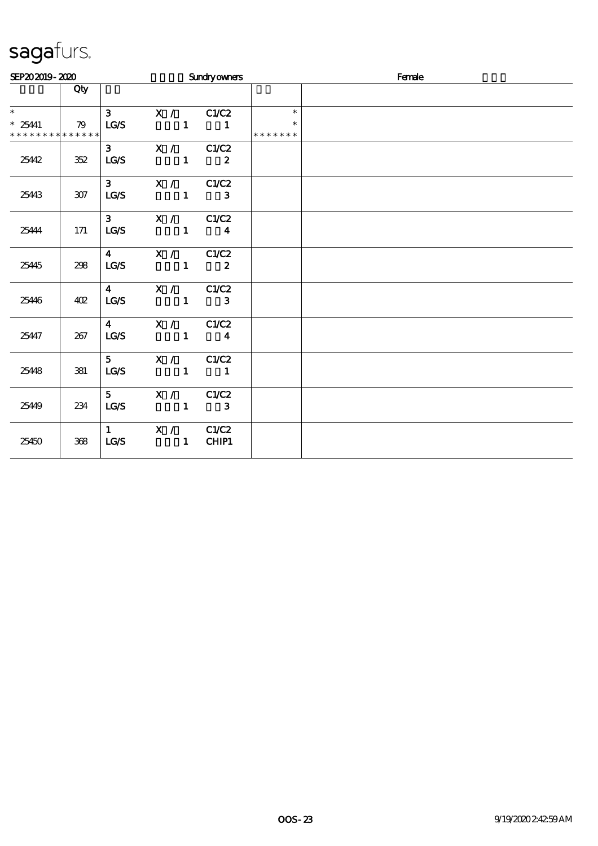| SEP202019-2020                                    |     |                                                                                                                                                                                                                                                                                                                                                                                                               | Sundryowners                                              |              |                                   | Female |  |  |
|---------------------------------------------------|-----|---------------------------------------------------------------------------------------------------------------------------------------------------------------------------------------------------------------------------------------------------------------------------------------------------------------------------------------------------------------------------------------------------------------|-----------------------------------------------------------|--------------|-----------------------------------|--------|--|--|
|                                                   | Qty |                                                                                                                                                                                                                                                                                                                                                                                                               |                                                           |              |                                   |        |  |  |
| $\ast$<br>$*25441$<br>* * * * * * * * * * * * * * | 79  | $3^{\circ}$<br>LG/S                                                                                                                                                                                                                                                                                                                                                                                           | X / C1/C2<br>$\begin{array}{cccc} 1 & 1 & 1 \end{array}$  |              | $\ast$<br>$\ast$<br>* * * * * * * |        |  |  |
| 25442                                             | 352 | LG/S                                                                                                                                                                                                                                                                                                                                                                                                          | 3 $X / C1/C2$<br>$\frac{1}{2}$                            |              |                                   |        |  |  |
| 25443                                             | 307 | LG/S                                                                                                                                                                                                                                                                                                                                                                                                          | 3 $X / C1/C2$<br>$\begin{array}{ccc} & 1 & 3 \end{array}$ |              |                                   |        |  |  |
| 25444                                             | 171 | $3^{\circ}$<br>LG/S                                                                                                                                                                                                                                                                                                                                                                                           | X / C1/C2<br>$\begin{array}{ccc} & 1 & 4 \end{array}$     |              |                                   |        |  |  |
| 25445                                             | 298 | $\overline{\mathbf{4}}$<br>LG/S                                                                                                                                                                                                                                                                                                                                                                               | X / C1/C2<br>$\frac{1}{2}$ $\frac{2}{2}$                  |              |                                   |        |  |  |
| 25446                                             | 402 | $\overline{\mathbf{4}}$ and $\overline{\mathbf{4}}$ and $\overline{\mathbf{4}}$ and $\overline{\mathbf{4}}$ and $\overline{\mathbf{4}}$ and $\overline{\mathbf{4}}$ and $\overline{\mathbf{4}}$ and $\overline{\mathbf{4}}$ and $\overline{\mathbf{4}}$ and $\overline{\mathbf{4}}$ and $\overline{\mathbf{4}}$ and $\overline{\mathbf{4}}$ and $\overline{\mathbf{4}}$ and $\overline{\mathbf{4}}$ a<br>LG/S | X / C1/C2<br>$1 \t3$                                      |              |                                   |        |  |  |
| 25447                                             | 267 | $\overline{\mathbf{4}}$<br>LG/S                                                                                                                                                                                                                                                                                                                                                                               | X / C1/C2<br>$\frac{1}{4}$                                |              |                                   |        |  |  |
| 25448                                             | 381 | $5^{\circ}$<br>LG/S                                                                                                                                                                                                                                                                                                                                                                                           | X / C1/C2<br>$\begin{array}{cccc} 1 & 1 \end{array}$      |              |                                   |        |  |  |
| 25449                                             | 234 | $5^{\circ}$<br>LG/S                                                                                                                                                                                                                                                                                                                                                                                           | X / C1/C2<br>$\mathbf{1}$                                 | $\mathbf{3}$ |                                   |        |  |  |
| 25450                                             | 368 | $1 \quad \blacksquare$<br>LG/S                                                                                                                                                                                                                                                                                                                                                                                | X / C1/C2<br>$\sim$ $\sim$ 1                              | <b>CHIP1</b> |                                   |        |  |  |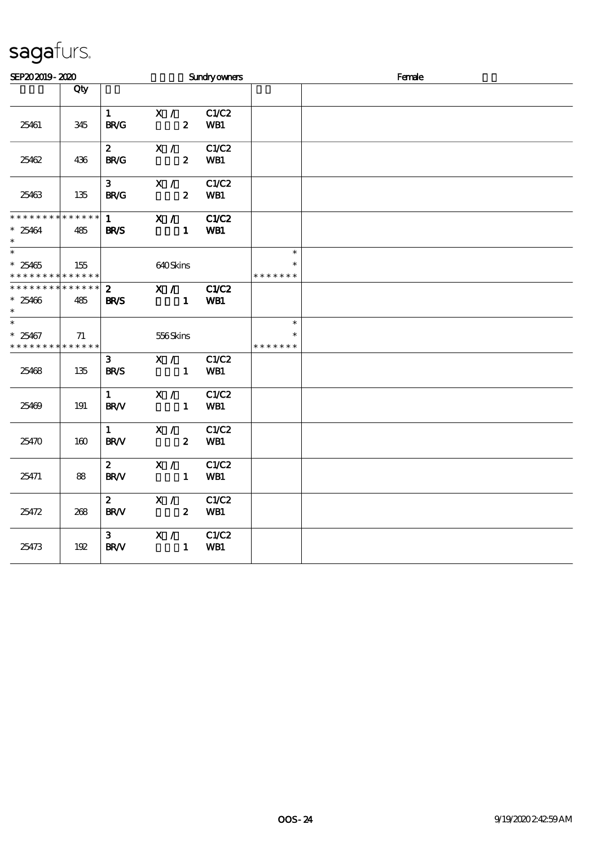| SEP202019-2020                                          |                    |                               |                                    | Sundryowners        |                                   | Female |
|---------------------------------------------------------|--------------------|-------------------------------|------------------------------------|---------------------|-----------------------------------|--------|
|                                                         | Qty                |                               |                                    |                     |                                   |        |
| 25461                                                   | 345                | 1<br><b>BR/G</b>              | $\mathbf{X}$ /<br>$\boldsymbol{z}$ | C1/C2<br>WB1        |                                   |        |
| 25462                                                   | 436                | $\mathbf{z}$<br><b>BR/G</b>   | X /<br>$\boldsymbol{2}$            | C1/C2<br>WB1        |                                   |        |
| 25463                                                   | 135                | $3^{\circ}$<br><b>BR/G</b>    | X /<br>$\boldsymbol{2}$            | C1/C2<br>WB1        |                                   |        |
| * * * * * * * *<br>$*25464$<br>$\ast$                   | $******$<br>485    | $1 \quad$<br><b>BR/S</b>      | X /<br>$\mathbf{1}$                | <b>C1/C2</b><br>WB1 |                                   |        |
| $\overline{\phantom{0}}$<br>$*25465$<br>* * * * * * * * | 155<br>* * * * * * |                               | 640Skins                           |                     | $\ast$<br>$\ast$<br>* * * * * * * |        |
| * * * * * * *<br>$*25466$<br>$\ast$                     | * * * * * *<br>485 | $\mathbf{2}$<br><b>BR/S</b>   | X /<br>$\mathbf{1}$                | C1/C2<br>WB1        |                                   |        |
| $\overline{\phantom{0}}$<br>$*25467$<br>* * * * * * * * | 71<br>* * * * * *  |                               | 556Skins                           |                     | $\ast$<br>$\ast$<br>* * * * * * * |        |
| 25468                                                   | 135                | 3 <sup>1</sup><br><b>BR/S</b> | X /<br>$\sim$ 1                    | C1/C2<br>WB1        |                                   |        |
| 25469                                                   | 191                | 1<br><b>BR/V</b>              | X /<br>$\mathbf{1}$                | C1/C2<br>WB1        |                                   |        |
| 25470                                                   | 160                | 1<br><b>BR/V</b>              | X /<br>$\boldsymbol{z}$            | C1/C2<br>WB1        |                                   |        |
| 25471                                                   | 88                 | $\mathbf{z}$<br><b>BR/V</b>   | X /<br>$\mathbf{1}$                | C1/C2<br>WB1        |                                   |        |
| 25472                                                   | 268                | $\mathbf{z}$<br><b>BR/V</b>   | X /<br>$\boldsymbol{z}$            | C1/C2<br>WB1        |                                   |        |
| 25473                                                   | 192                | 3 <sup>1</sup><br><b>BR/V</b> | X /<br>$\mathbf{1}$                | C1/C2<br>WB1        |                                   |        |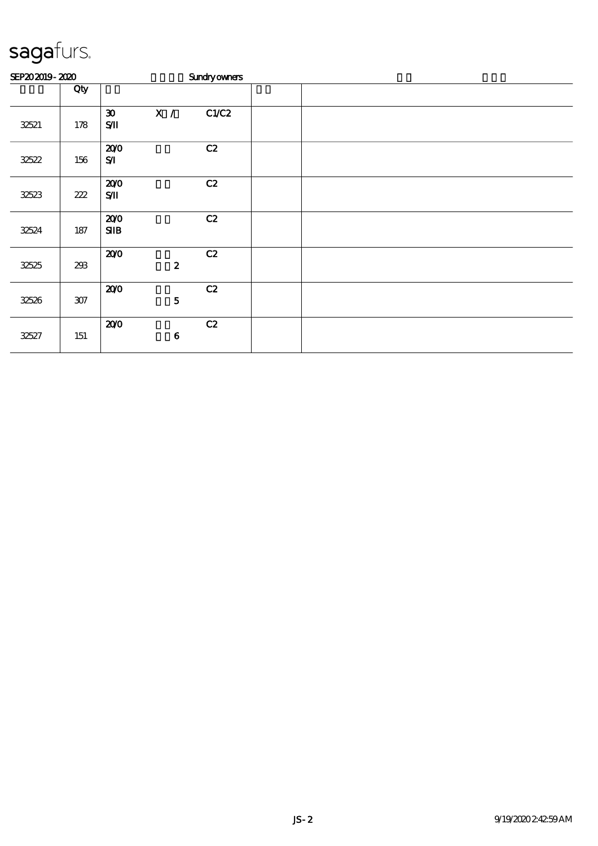| SEP202019-2020 |         |                                             |                  | <b>Sundryowners</b> |  |  |  |
|----------------|---------|---------------------------------------------|------------------|---------------------|--|--|--|
|                | Qty     |                                             |                  |                     |  |  |  |
| 32521          | 178     | $\boldsymbol{\mathfrak{D}}$<br>$S/\!\! \Pi$ | X /              | C1/C2               |  |  |  |
| 32522          | 156     | 200<br>$S$ $I$                              |                  | C2                  |  |  |  |
| 32523          | 222     | 200<br>$S/\!\!\!M$                          |                  | C2                  |  |  |  |
| 32524          | $187\,$ | 200<br>SIB                                  |                  | C2                  |  |  |  |
| 32525          | 293     | 200                                         | $\boldsymbol{2}$ | C2                  |  |  |  |
| 32526          | $307\,$ | 200                                         | ${\bf 5}$        | C2                  |  |  |  |
| 32527          | 151     | 200                                         | $\bf 6$          | C2                  |  |  |  |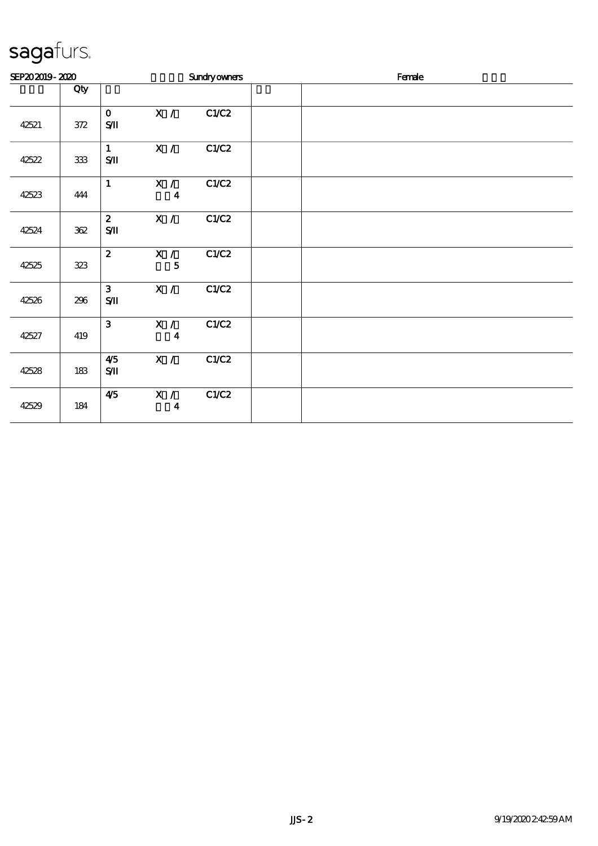| SEP202019-2020 |         |                                          |                           | <b>Sundryowners</b> |  | Female |  |
|----------------|---------|------------------------------------------|---------------------------|---------------------|--|--------|--|
|                | Qty     |                                          |                           |                     |  |        |  |
| 42521          | $372\,$ | $\mathbf{O}$<br>$S$ II                   | $\mathbf{x}$ /            | C1/C2               |  |        |  |
| 42522          | $333\,$ | $\mathbf{1}$<br>$\mathbf{S}/\mathbf{I}$  | X /                       | C1/C2               |  |        |  |
| 42523          | 444     | $\mathbf{1}$                             | X /<br>$\boldsymbol{4}$   | C1/C2               |  |        |  |
| 42524          | $362\,$ | $\mathbf{z}$<br>$\mathbf{S}\mathbf{\Pi}$ | X /                       | C1/C2               |  |        |  |
| 42525          | 323     | $\mathbf{z}$                             | X /<br>$\mathbf{5}$       | C1/C2               |  |        |  |
| 42526          | 296     | $\mathbf{3}$<br>$\mathbf{S}\mathbf{\Pi}$ | X /                       | C1/C2               |  |        |  |
| 42527          | 419     | $\mathbf{3}$                             | X / I<br>$\boldsymbol{4}$ | C1/C2               |  |        |  |
| 42528          | 183     | 4/5<br>$\mathbf{S}/\mathbf{I}$           | X /                       | C1/C2               |  |        |  |
| 42529          | 184     | 4/5                                      | X /<br>$\boldsymbol{4}$   | C1/C2               |  |        |  |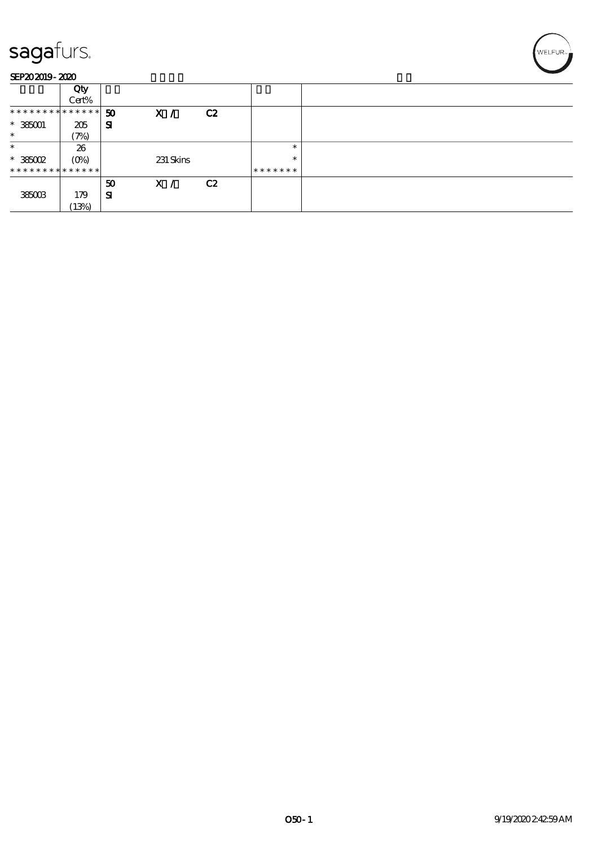| SEP202019-2020                |         |           |                |                |         |  |
|-------------------------------|---------|-----------|----------------|----------------|---------|--|
|                               | Qty     |           |                |                |         |  |
|                               | Cert%   |           |                |                |         |  |
| * * * * * * * * * * * * * * * |         | 50        | $\mathbf{x}$ / | C2             |         |  |
| $*385001$                     | 205     | Я         |                |                |         |  |
| $\ast$                        | (7%)    |           |                |                |         |  |
| $\ast$                        | 26      |           |                |                | $\ast$  |  |
| $*385002$                     | $(O_0)$ |           | 231 Skins      |                | $\ast$  |  |
| * * * * * * * * * * * * * *   |         |           |                |                | ******* |  |
|                               |         | 50        | X /            | C <sub>2</sub> |         |  |
| 385003                        | 179     | ${\bf s}$ |                |                |         |  |
|                               | (13%)   |           |                |                |         |  |

'<br>WELFUR∍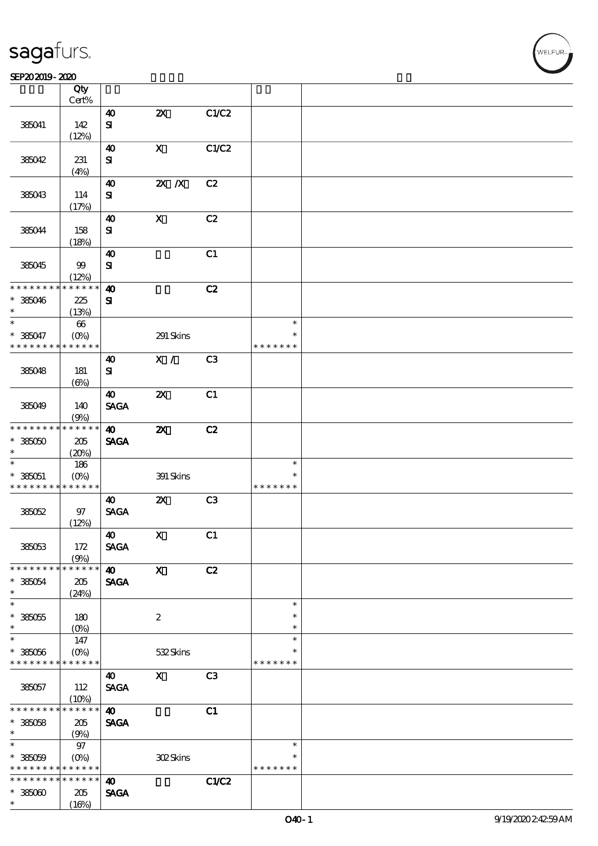| sagafurs. |
|-----------|
|           |

#### $S$ EP20 2019 - 2020  $\overline{S}$  Obv

|                               | Qty                    |                        |                                    |                |               |  |
|-------------------------------|------------------------|------------------------|------------------------------------|----------------|---------------|--|
|                               | Cert%                  |                        |                                    |                |               |  |
|                               |                        | $\boldsymbol{\omega}$  | $\boldsymbol{\mathsf{Z}}$          | C1/C2          |               |  |
| 385041                        | 142                    | ${\bf s}$              |                                    |                |               |  |
|                               | (12%)                  |                        |                                    |                |               |  |
|                               |                        | $\boldsymbol{\omega}$  | $\mathbf X$                        | C1/C2          |               |  |
| 385042                        | 231                    | ${\bf s}$              |                                    |                |               |  |
|                               | (4%)                   |                        |                                    |                |               |  |
|                               |                        | $\boldsymbol{\omega}$  | $Z\!X$ $\,$ /X                     | C2             |               |  |
| 385043                        | 114                    | ${\bf s}$              |                                    |                |               |  |
|                               | (17%)                  |                        |                                    |                |               |  |
|                               |                        | $\boldsymbol{\omega}$  | $\mathbf X$                        | C2             |               |  |
| 385044                        | 158                    | ${\bf s}$              |                                    |                |               |  |
|                               | (18%)                  |                        |                                    |                |               |  |
|                               |                        | $\boldsymbol{\omega}$  |                                    | C1             |               |  |
| 385045                        | $99$                   | ${\bf s}$              |                                    |                |               |  |
|                               | (12%)                  |                        |                                    |                |               |  |
| * * * * * *                   | $* * * * * *$          | $\boldsymbol{\omega}$  |                                    | C2             |               |  |
| $* 385046$                    | 225                    | ${\bf s}$              |                                    |                |               |  |
| $\ast$                        | (13%)                  |                        |                                    |                |               |  |
| $\ast$                        | $66\,$                 |                        |                                    |                | $\ast$        |  |
| * 385047                      | $(O\%)$                |                        | 291 Skins                          |                | $\ast$        |  |
| * * * * * * * *               | * * * * * *            |                        |                                    |                | * * * * * * * |  |
|                               |                        | 40                     | X /                                | C <sub>3</sub> |               |  |
| 385048                        | 181                    | ${\bf s}$              |                                    |                |               |  |
|                               | $(\Theta)$             |                        |                                    |                |               |  |
|                               |                        | $\boldsymbol{\omega}$  | $\pmb{\mathsf{Z}}\pmb{\mathsf{X}}$ | C1             |               |  |
| 385049                        | 140                    | <b>SAGA</b>            |                                    |                |               |  |
|                               | (9%)                   |                        |                                    |                |               |  |
| * * * * * * * *               | * * * * * *            | $\boldsymbol{\omega}$  | $\boldsymbol{\mathsf{z}}$          | C2             |               |  |
| $*38000$                      | 205                    | <b>SAGA</b>            |                                    |                |               |  |
| $\ast$                        | (20%)                  |                        |                                    |                |               |  |
| $\ast$                        | 186                    |                        |                                    |                | $\ast$        |  |
| $* 385051$                    | $(O\%)$                |                        | 391 Skins                          |                | $\ast$        |  |
| * * * * * * * *               | $******$               |                        |                                    |                | * * * * * * * |  |
|                               |                        | $\boldsymbol{\omega}$  | $\boldsymbol{\mathsf{z}}$          | C <sub>3</sub> |               |  |
| 385052                        | 97                     | <b>SAGA</b>            |                                    |                |               |  |
|                               | (12%)                  |                        |                                    |                |               |  |
|                               |                        | $\boldsymbol{\Lambda}$ | $\boldsymbol{\mathrm{X}}$          | C1             |               |  |
| 385053                        | 172                    | <b>SAGA</b>            |                                    |                |               |  |
|                               |                        |                        |                                    |                |               |  |
| * * * * * * * *               | (9%)<br>******         | $\boldsymbol{\omega}$  | $\boldsymbol{\mathsf{X}}$          | C2             |               |  |
|                               |                        |                        |                                    |                |               |  |
| $*385054$<br>$^{\ast}$        | $205\,$                | <b>SAGA</b>            |                                    |                |               |  |
| $\ast$                        | (24%)                  |                        |                                    |                | $\ast$        |  |
|                               |                        |                        |                                    |                | $\ast$        |  |
| $*38005$<br>$\ast$            | 180                    |                        | $\boldsymbol{2}$                   |                | $\ast$        |  |
| $\ast$                        | $(O\!/\!o)$            |                        |                                    |                | $\ast$        |  |
|                               | 147                    |                        |                                    |                | $\ast$        |  |
| $* 385056$<br>* * * * * * * * | $(O\%)$<br>* * * * * * |                        | 532Skins                           |                | * * * * * * * |  |
|                               |                        |                        |                                    |                |               |  |
|                               |                        | 40                     | $\mathbf{X}$                       | C <sub>3</sub> |               |  |
| 385057                        | 112                    | <b>SAGA</b>            |                                    |                |               |  |
|                               | (10%)                  |                        |                                    |                |               |  |
| * * * * * * *                 | * * * * * *            | $\boldsymbol{\omega}$  |                                    | C1             |               |  |
| $*38008$                      | 205                    | <b>SAGA</b>            |                                    |                |               |  |
| $\ast$                        | (9%)                   |                        |                                    |                |               |  |
| $\ast$                        | $97\,$                 |                        |                                    |                | $\ast$        |  |
| $*38009$                      | $(O\%)$                |                        | 302Skins                           |                | $\ast$        |  |
| * * * * * * * *               | * * * * * *            |                        |                                    |                | * * * * * * * |  |
| * * * * * * * *               | $******$               | $\boldsymbol{\omega}$  |                                    | C1/C2          |               |  |
| $*38500$                      | $205\,$                | <b>SAGA</b>            |                                    |                |               |  |
| $\ast$                        | (16%)                  |                        |                                    |                |               |  |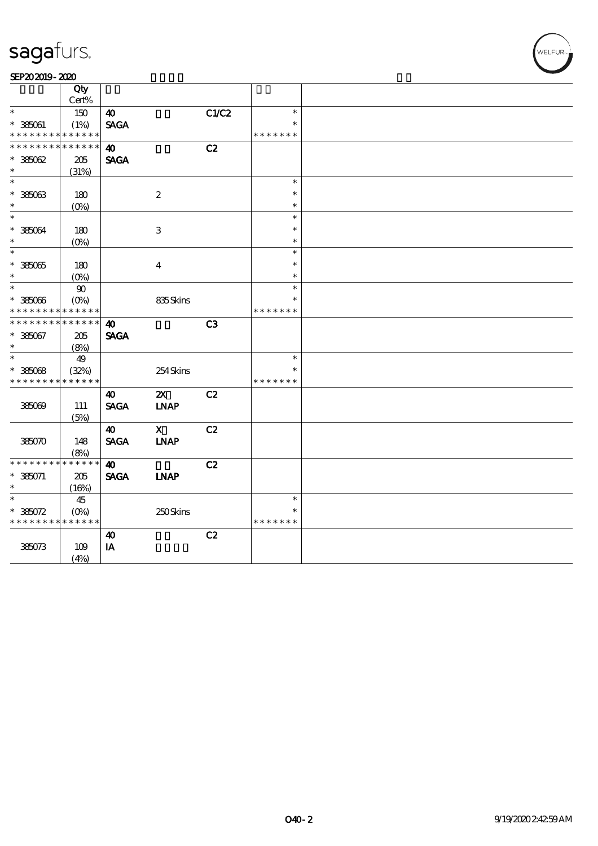#### SEP202019-2020

|                                          | Qty                       |                         |                           |       |               |  |
|------------------------------------------|---------------------------|-------------------------|---------------------------|-------|---------------|--|
|                                          | Cert%                     |                         |                           |       |               |  |
| $\ast$                                   | 150                       | 40                      |                           | C1/C2 | $\ast$        |  |
| $^\ast$ 385061                           | (1%)                      | <b>SAGA</b>             |                           |       | $\ast$        |  |
| * * * * * * * *                          | * * * * * *               |                         |                           |       | * * * * * * * |  |
| * * * * * * *                            | * * * * * *               | $\boldsymbol{\omega}$   |                           | C2    |               |  |
| $*38002$                                 | 205                       | <b>SAGA</b>             |                           |       |               |  |
| $\ast$                                   | (31%)                     |                         |                           |       |               |  |
| $\ast$                                   |                           |                         |                           |       | $\ast$        |  |
| $^\ast$ 385063                           | 180                       |                         | $\boldsymbol{2}$          |       | $\ast$        |  |
| $\ast$                                   |                           |                         |                           |       | $\ast$        |  |
| $\ast$                                   | (O <sub>0</sub> )         |                         |                           |       | $\ast$        |  |
|                                          |                           |                         |                           |       | $\ast$        |  |
| $* 38004$<br>$\ast$                      | 180                       |                         | $\ensuremath{\mathbf{3}}$ |       | $\ast$        |  |
| $\ast$                                   | $(O\%)$                   |                         |                           |       |               |  |
|                                          |                           |                         |                           |       | $\ast$        |  |
| $* 38505$                                | 180                       |                         | $\boldsymbol{4}$          |       | $\ast$        |  |
| $\ast$                                   | $(O\%)$                   |                         |                           |       | $\ast$        |  |
| $\ast$                                   | $90\,$                    |                         |                           |       | $\ast$        |  |
| $^\ast$ 385066                           | $(O\!\!\!\!\!\!\!/\,\!o)$ |                         | 835Skins                  |       | $\ast$        |  |
| * * * * * * * *                          | * * * * * *               |                         |                           |       | * * * * * * * |  |
| * * * * * * *                            | * * * * * *               | $\boldsymbol{\omega}$   |                           | C3    |               |  |
| $* 385067$                               | 205                       | <b>SAGA</b>             |                           |       |               |  |
| $\ast$                                   | (8%)                      |                         |                           |       |               |  |
| $\ast$                                   | 49                        |                         |                           |       | $\ast$        |  |
| $*38508$                                 | (32%)                     |                         | 254Skins                  |       | $\ast$        |  |
| * * * * * * * *                          | * * * * * *               |                         |                           |       | * * * * * * * |  |
|                                          |                           | $\boldsymbol{\omega}$   | $\boldsymbol{\mathsf{X}}$ | C2    |               |  |
| 385069                                   | 111                       | <b>SAGA</b>             | <b>INAP</b>               |       |               |  |
|                                          | (5%)                      |                         |                           |       |               |  |
|                                          |                           | $\boldsymbol{\omega}$   | $\mathbf{x}$              | C2    |               |  |
| 385070                                   | 148                       | <b>SACA</b>             | <b>INAP</b>               |       |               |  |
|                                          | (8%)                      |                         |                           |       |               |  |
| * * * * * * * *                          | $******$                  | $\boldsymbol{\omega}$   |                           | C2    |               |  |
| $* 385071$                               | 205                       | <b>SAGA</b>             | <b>INAP</b>               |       |               |  |
| $\ast$                                   |                           |                         |                           |       |               |  |
| $\ast$                                   | (16%)                     |                         |                           |       | $\ast$        |  |
|                                          | 45                        |                         |                           |       | $\ast$        |  |
| $* 38072$<br>* * * * * * * * * * * * * * | $(O\%)$                   |                         | 250Skins                  |       | * * * * * * * |  |
|                                          |                           |                         |                           |       |               |  |
|                                          |                           | $\boldsymbol{\omega}$   |                           | C2    |               |  |
| 385073                                   | 109                       | $\mathbf{I} \mathbf{A}$ |                           |       |               |  |
|                                          | (4%)                      |                         |                           |       |               |  |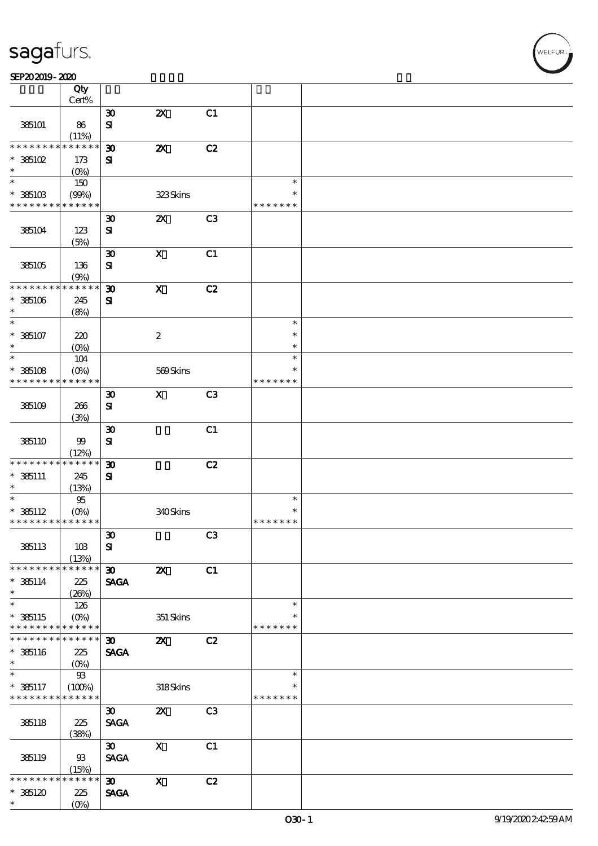#### SEP202019-2020

|                                            | Qty                    |                             |                           |                |                         |  |
|--------------------------------------------|------------------------|-----------------------------|---------------------------|----------------|-------------------------|--|
|                                            | Cert%                  |                             |                           |                |                         |  |
|                                            |                        | $\boldsymbol{\mathfrak{D}}$ | $\boldsymbol{\mathsf{z}}$ | C1             |                         |  |
| 385101                                     | 86                     | $\mathbf{S}$                |                           |                |                         |  |
| * * * * * * * *                            | (11%)<br>* * * * * *   | $\boldsymbol{\mathfrak{D}}$ | $\boldsymbol{\mathsf{z}}$ | C2             |                         |  |
| $*$ 385102                                 | 173                    | ${\bf s}$                   |                           |                |                         |  |
| $\ast$                                     | $(0\%)$                |                             |                           |                |                         |  |
| $*$                                        | 150                    |                             |                           |                | $\ast$                  |  |
| $*36103$                                   | (90%)                  |                             | 323Skins                  |                | $\ast$                  |  |
| * * * * * * * * * * * * * *                |                        |                             |                           |                | * * * * * * *           |  |
|                                            |                        | $\boldsymbol{\mathfrak{D}}$ | $\boldsymbol{\mathsf{Z}}$ | C <sub>3</sub> |                         |  |
| 385104                                     | 123                    | ${\bf s}$                   |                           |                |                         |  |
|                                            | (5%)                   |                             |                           |                |                         |  |
|                                            |                        | $\boldsymbol{\mathfrak{D}}$ | $\mathbf X$               | C1             |                         |  |
| 385105                                     | 136                    | ${\bf s}$                   |                           |                |                         |  |
|                                            | (9%)                   |                             |                           |                |                         |  |
| * * * * * * * *                            | * * * * * *            | $\boldsymbol{\mathfrak{D}}$ | $\boldsymbol{\mathrm{X}}$ | C2             |                         |  |
| $*$ 385106                                 | 245                    | ${\bf s}$                   |                           |                |                         |  |
| $\ast$                                     | (8%)                   |                             |                           |                |                         |  |
| $\ast$                                     |                        |                             |                           |                | $\ast$                  |  |
| $* 385107$                                 | 220                    |                             | $\boldsymbol{2}$          |                | $\ast$                  |  |
| $\ast$                                     | $(O\%)$                |                             |                           |                | $\ast$                  |  |
| $\ast$                                     | 104                    |                             |                           |                | $\ast$                  |  |
| $*36108$<br>* * * * * * * *                | $(O\%)$<br>* * * * * * |                             | 569Skins                  |                | $\ast$<br>* * * * * * * |  |
|                                            |                        | $\boldsymbol{\mathfrak{D}}$ | $\mathbf{x}$              | C <sub>3</sub> |                         |  |
| 385109                                     | 266                    | ${\bf s}$                   |                           |                |                         |  |
|                                            | (3%)                   |                             |                           |                |                         |  |
|                                            |                        | $\boldsymbol{\mathfrak{D}}$ |                           | C1             |                         |  |
| 385110                                     | 99                     | ${\bf s}$                   |                           |                |                         |  |
|                                            | (12%)                  |                             |                           |                |                         |  |
| * * * * * * * *                            | * * * * * *            | $\boldsymbol{\mathfrak{D}}$ |                           | C2             |                         |  |
| $* 385111$                                 | 245                    | ${\bf s}$                   |                           |                |                         |  |
| $\ast$                                     | (13%)                  |                             |                           |                |                         |  |
| $\ast$                                     | $95\,$                 |                             |                           |                | $\ast$                  |  |
| $* 365112$                                 |                        |                             | 340Skins                  |                | $\ast$                  |  |
| * * * * * * * * * * * * * *                |                        |                             |                           |                | * * * * * * *           |  |
|                                            |                        | $\pmb{\mathfrak{D}}$        |                           | C3             |                         |  |
| 385113                                     | 10B                    | ${\bf s}$                   |                           |                |                         |  |
|                                            | (13%)                  |                             |                           |                |                         |  |
| * * * * * * * *                            | * * * * * *            | $\boldsymbol{\mathfrak{D}}$ | $\boldsymbol{\mathsf{z}}$ | C1             |                         |  |
| $*$ 385114                                 | 225                    | <b>SAGA</b>                 |                           |                |                         |  |
| $\ast$<br>$\overline{\phantom{0}}$         | (20%)                  |                             |                           |                | $\ast$                  |  |
| $*$ 385115                                 | 126                    |                             |                           |                | $\ast$                  |  |
| * * * * * * * * * * * * * *                | $(O\%)$                |                             | $351$ Skins               |                | * * * * * * *           |  |
| * * * * * * * *                            | * * * * * *            | $\boldsymbol{\mathfrak{D}}$ | $\boldsymbol{\alpha}$     | C2             |                         |  |
| $* 35116$                                  | 225                    | <b>SAGA</b>                 |                           |                |                         |  |
| $\ast$                                     | (O)                    |                             |                           |                |                         |  |
| $\ast$                                     | $93\,$                 |                             |                           |                | $\ast$                  |  |
| $* 365117$                                 | (100%)                 |                             | 318Skins                  |                | $\ast$                  |  |
| * * * * * * * * <mark>* * * * * * *</mark> |                        |                             |                           |                | * * * * * * *           |  |
|                                            |                        | $\boldsymbol{\mathfrak{D}}$ | $\boldsymbol{\mathsf{Z}}$ | C <sub>3</sub> |                         |  |
| 385118                                     | 225                    | <b>SAGA</b>                 |                           |                |                         |  |
|                                            | (38%)                  |                             |                           |                |                         |  |
|                                            |                        | $\boldsymbol{\mathfrak{D}}$ | $\boldsymbol{\mathrm{X}}$ | C1             |                         |  |
| 385119                                     | $93$                   | <b>SAGA</b>                 |                           |                |                         |  |
|                                            | (15%)                  |                             |                           |                |                         |  |
| * * * * * *                                | * * * * * *            | $\boldsymbol{\mathfrak{D}}$ | $\boldsymbol{\mathrm{X}}$ | C2             |                         |  |
| $*36120$                                   | 225                    | <b>SAGA</b>                 |                           |                |                         |  |
| $\ast$                                     | $(O\%)$                |                             |                           |                |                         |  |

VELFUR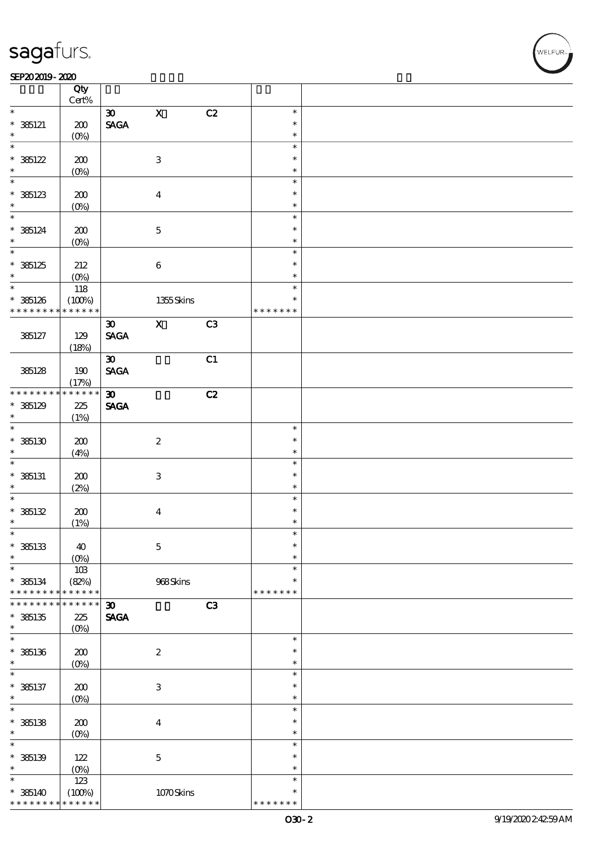#### SEP202019-2020

|                                    | Qty                   |                                |                           |    |                  |  |
|------------------------------------|-----------------------|--------------------------------|---------------------------|----|------------------|--|
|                                    | $Cert\%$              |                                |                           |    |                  |  |
| $\ast$                             |                       | $\boldsymbol{\mathfrak{D}}$    | $\mathbf X$               | C2 | $\ast$           |  |
| $* 385121$                         | 200                   | $\operatorname{\mathsf{SAGA}}$ |                           |    | $\ast$           |  |
| $\ast$                             | $(0\%)$               |                                |                           |    | $\ast$           |  |
| $\ast$                             |                       |                                |                           |    | $\ast$           |  |
| $* 36122$                          | 200                   |                                | $\,3$                     |    | $\ast$           |  |
| $\ast$                             | $(0\%)$               |                                |                           |    | $\ast$           |  |
| $\ast$                             |                       |                                |                           |    | $\ast$           |  |
| $*36123$                           | 200                   |                                | $\boldsymbol{4}$          |    | $\ast$           |  |
| $\ast$<br>$\overline{\phantom{0}}$ | $(0\%)$               |                                |                           |    | $\ast$           |  |
|                                    |                       |                                |                           |    | $\ast$           |  |
| $* 365124$<br>$\ast$               | 200                   |                                | $\mathbf 5$               |    | $\ast$           |  |
| $\overline{\phantom{0}}$           | $(0\%)$               |                                |                           |    | $\ast$<br>$\ast$ |  |
|                                    |                       |                                |                           |    | $\ast$           |  |
| $*36125$<br>$\ast$                 | 212                   |                                | $\bf 6$                   |    | $\ast$           |  |
| $\overline{\ast}$                  | $(0\%)$               |                                |                           |    | $\ast$           |  |
|                                    | 118                   |                                |                           |    | $\ast$           |  |
| $* 385126$<br>* * * * * * * *      | (100%)<br>* * * * * * |                                | $1355$ Skins              |    | * * * * * * *    |  |
|                                    |                       | $\boldsymbol{\mathfrak{D}}$    | $\mathbf X$               | C3 |                  |  |
| 385127                             | 129                   | <b>SAGA</b>                    |                           |    |                  |  |
|                                    | (18%)                 |                                |                           |    |                  |  |
|                                    |                       | $\boldsymbol{\mathfrak{D}}$    |                           | C1 |                  |  |
| 385128                             | 190                   | <b>SAGA</b>                    |                           |    |                  |  |
|                                    | (17%)                 |                                |                           |    |                  |  |
| * * * * * * * *                    | $******$              | $\boldsymbol{\mathfrak{D}}$    |                           | C2 |                  |  |
| $*36129$                           | 225                   | <b>SAGA</b>                    |                           |    |                  |  |
| $\ast$                             | (1%)                  |                                |                           |    |                  |  |
| $\overline{\ast}$                  |                       |                                |                           |    | $\ast$           |  |
| $*36130$                           | 200                   |                                | $\boldsymbol{2}$          |    | $\ast$           |  |
| $\ast$                             | (4%)                  |                                |                           |    | $\ast$           |  |
|                                    |                       |                                |                           |    | $\ast$           |  |
| $*$ 385131                         | 200                   |                                | $\ensuremath{\mathsf{3}}$ |    | $\ast$           |  |
| $\ast$                             | (2%)                  |                                |                           |    | $\ast$           |  |
| $\ast$                             |                       |                                |                           |    | $\ast$           |  |
| * 385132                           | 200                   |                                | $\boldsymbol{4}$          |    | $\ast$           |  |
| $\ast$<br>$\ast$                   | (1%)                  |                                |                           |    | $\ast$           |  |
|                                    |                       |                                |                           |    | $\ast$           |  |
| $*$ 385133<br>$\ast$               | 40                    |                                | $\mathbf 5$               |    | $\ast$           |  |
| $\ast$                             | (0%)                  |                                |                           |    | $\ast$           |  |
| $* 365134$                         | $10B$<br>(82%)        |                                | 968Skins                  |    | $\ast$           |  |
| * * * * * * * *                    | * * * * * *           |                                |                           |    | * * * * * * *    |  |
| * * * * * * *                      | * * * * * *           | $\boldsymbol{\mathfrak{D}}$    |                           | C3 |                  |  |
| $*35135$                           | 225                   | <b>SAGA</b>                    |                           |    |                  |  |
| $\ast$                             | $(O\%)$               |                                |                           |    |                  |  |
| $\ast$                             |                       |                                |                           |    | $\ast$           |  |
| $* 35136$                          | 200                   |                                | $\boldsymbol{2}$          |    | $\ast$           |  |
| $\ast$                             | $(0\%)$               |                                |                           |    | $\ast$           |  |
| $\ast$                             |                       |                                |                           |    | $\ast$           |  |
| $* 365137$                         | 200                   |                                | $\,3$                     |    | $\ast$           |  |
| $\ast$                             | $(O\!/\!o)$           |                                |                           |    | $\ast$           |  |
| $\ast$                             |                       |                                |                           |    | $\ast$           |  |
| $*$ 385138                         | $200$                 |                                | $\boldsymbol{4}$          |    | $\ast$           |  |
| $\ast$                             | $(O\%)$               |                                |                           |    | $\ast$           |  |
| $\ast$                             |                       |                                |                           |    | $\ast$           |  |
| $* 35139$                          | 122                   |                                | $\mathbf 5$               |    | $\ast$           |  |
| $\ast$<br>$\ast$                   | (0%)                  |                                |                           |    | $\ast$           |  |
|                                    | $123\,$               |                                |                           |    | $\ast$<br>$\ast$ |  |
| $* 365140$<br>* * * * * * * *      | (100%)<br>* * * * * * |                                | 1070Skins                 |    | * * * * * * *    |  |
|                                    |                       |                                |                           |    |                  |  |

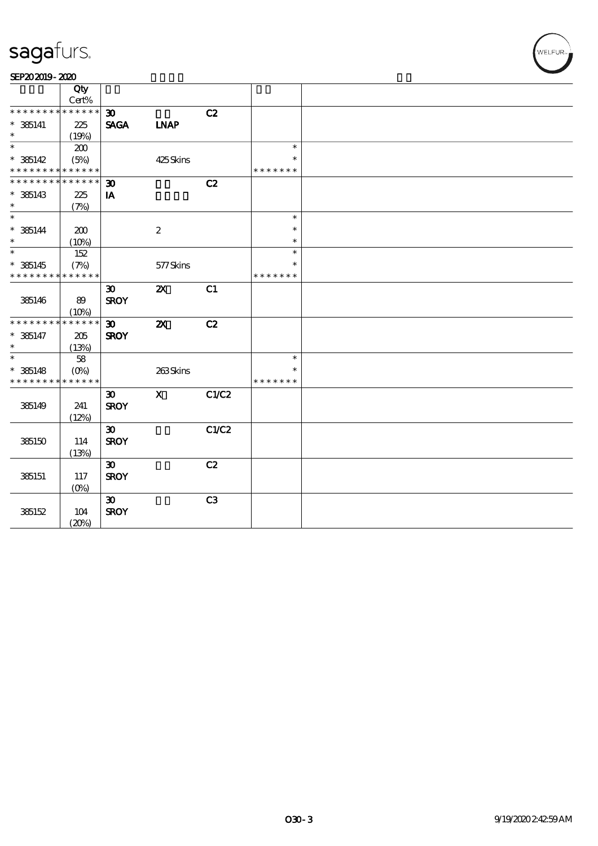| <b>Suyu</b> luru |       |             |             |    |        |  |  |  |  |  |  |  |
|------------------|-------|-------------|-------------|----|--------|--|--|--|--|--|--|--|
| SEP202019-2020   |       |             |             |    |        |  |  |  |  |  |  |  |
|                  | Qty   |             |             |    |        |  |  |  |  |  |  |  |
|                  | Cert% |             |             |    |        |  |  |  |  |  |  |  |
| **************   |       | 30          |             | C2 |        |  |  |  |  |  |  |  |
| $* 36141$        | 225   | <b>SAGA</b> | <b>INAP</b> |    |        |  |  |  |  |  |  |  |
| $\ast$           | 19%   |             |             |    |        |  |  |  |  |  |  |  |
| $\ast$           | 2M)   |             |             |    | $\ast$ |  |  |  |  |  |  |  |

| $*$ 385141                  | 225         | <b>SAGA</b>                 | <b>INAP</b>               |       |               |  |
|-----------------------------|-------------|-----------------------------|---------------------------|-------|---------------|--|
| $\ast$                      | (19%)       |                             |                           |       |               |  |
| $\ast$                      | 200         |                             |                           |       | $\ast$        |  |
| $* 385142$                  | (5%)        |                             | 425Skins                  |       | $\ast$        |  |
| * * * * * * * * * * * * * * |             |                             |                           |       | * * * * * * * |  |
| * * * * * * * * * * * * * * |             | $\boldsymbol{\mathfrak{D}}$ |                           | C2    |               |  |
| $*365143$                   | 225         | IA                          |                           |       |               |  |
| $\ast$                      | (7%)        |                             |                           |       |               |  |
| $_{*}$                      |             |                             |                           |       | $\ast$        |  |
| $* 36144$                   | 200         |                             | $\boldsymbol{2}$          |       | $\ast$        |  |
| $\ast$                      | (10%)       |                             |                           |       | $\ast$        |  |
| $\ast$                      | 152         |                             |                           |       | $\ast$        |  |
| $*365145$                   | (7%)        |                             | 577Skins                  |       | $\ast$        |  |
| * * * * * * * * * * * * * * |             |                             |                           |       | * * * * * * * |  |
|                             |             | $\boldsymbol{\mathfrak{D}}$ | $\boldsymbol{\mathsf{z}}$ | C1    |               |  |
| 385146                      | 89          | <b>SROY</b>                 |                           |       |               |  |
|                             | (10%)       |                             |                           |       |               |  |
| * * * * * * * *             | * * * * * * | $\boldsymbol{\mathfrak{D}}$ | $\boldsymbol{\mathsf{z}}$ | C2    |               |  |
| $* 385147$                  | 205         | <b>SROY</b>                 |                           |       |               |  |
| $\ast$                      | (13%)       |                             |                           |       |               |  |
| $\ast$                      | 58          |                             |                           |       | $\ast$        |  |
| $* 385148$                  | $(O\%)$     |                             | 263Skins                  |       | $\ast$        |  |
| * * * * * * * *             | * * * * * * |                             |                           |       | * * * * * * * |  |
|                             |             | $\boldsymbol{\mathfrak{D}}$ | $\mathbf x$               | C1/C2 |               |  |
| 385149                      | 241         | <b>SROY</b>                 |                           |       |               |  |
|                             | (12%)       |                             |                           |       |               |  |
|                             |             | $\boldsymbol{\mathfrak{D}}$ |                           | C1/C2 |               |  |
| 385150                      | 114         | <b>SROY</b>                 |                           |       |               |  |
|                             | (13%)       |                             |                           |       |               |  |
|                             |             | $\boldsymbol{\mathfrak{D}}$ |                           | C2    |               |  |
| 385151                      | 117         | <b>SROY</b>                 |                           |       |               |  |
|                             | $(O\%)$     |                             |                           |       |               |  |
|                             |             | $\boldsymbol{\mathfrak{D}}$ |                           | C3    |               |  |
| 385152                      | $104$       | <b>SROY</b>                 |                           |       |               |  |
|                             | (20%)       |                             |                           |       |               |  |
|                             |             |                             |                           |       |               |  |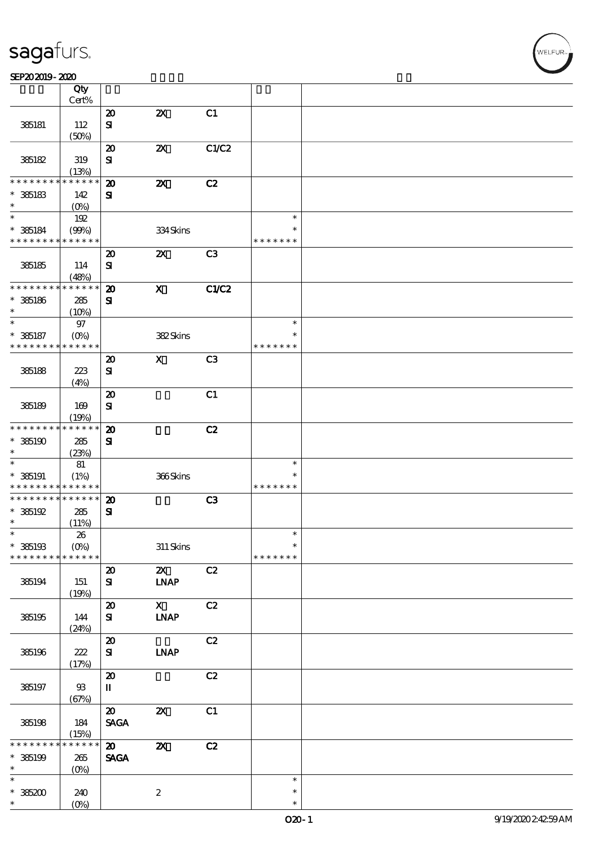#### SEP202019-2020

|                               | Qty<br>Cert%               |                                     |                                    |                |               |  |
|-------------------------------|----------------------------|-------------------------------------|------------------------------------|----------------|---------------|--|
|                               |                            | $\boldsymbol{\mathbf{z}}$           | $\boldsymbol{\mathsf{z}}$          | C1             |               |  |
|                               |                            |                                     |                                    |                |               |  |
| 385181                        | 112                        | ${\bf s}$                           |                                    |                |               |  |
|                               | (50%)                      |                                     |                                    |                |               |  |
|                               |                            | $\boldsymbol{\boldsymbol{\lambda}}$ | $\boldsymbol{\mathsf{z}}$          | C1/C2          |               |  |
| 385182                        | 319                        | ${\bf s}$                           |                                    |                |               |  |
|                               | (13%)                      |                                     |                                    |                |               |  |
| * * * * * * *                 | * * * * * *                | $\boldsymbol{\mathbf{z}}$           | $\boldsymbol{\alpha}$              | C2             |               |  |
| $*$ 385183                    | 142                        | ${\bf s}$                           |                                    |                |               |  |
| $\ast$                        | $(O\%)$                    |                                     |                                    |                |               |  |
| $\ast$                        | 192                        |                                     |                                    |                | $\ast$        |  |
| $*$ 385184                    | (90%)                      |                                     | 334Skins                           |                | $\ast$        |  |
| * * * * * * * *               | * * * * * *                |                                     |                                    |                | * * * * * * * |  |
|                               |                            | $\boldsymbol{\mathfrak{D}}$         | $\boldsymbol{\mathsf{X}}$          | C <sub>3</sub> |               |  |
| 385185                        | 114                        | ${\bf s}$                           |                                    |                |               |  |
|                               | (48%)                      |                                     |                                    |                |               |  |
| * * * * * * * *               | * * * * * *                | $\boldsymbol{\mathbf{z}}$           | $\boldsymbol{\mathrm{X}}$          | <b>C1/C2</b>   |               |  |
| $* 385186$                    | 285                        | ${\bf s}$                           |                                    |                |               |  |
| $\ast$                        |                            |                                     |                                    |                |               |  |
| $\ast$                        | (10%)                      |                                     |                                    |                | $\ast$        |  |
|                               | $97\,$                     |                                     |                                    |                | $\ast$        |  |
| $* 385187$<br>* * * * * * * * | $(O\%)$<br>* * * * * *     |                                     | 382Skins                           |                |               |  |
|                               |                            |                                     |                                    |                | * * * * * * * |  |
|                               |                            | $\boldsymbol{\mathfrak{D}}$         | $\boldsymbol{\mathsf{X}}$          | C <sub>3</sub> |               |  |
| 385188                        | 223                        | ${\bf s}$                           |                                    |                |               |  |
|                               | (4%)                       |                                     |                                    |                |               |  |
|                               |                            | $\boldsymbol{\mathbf{z}}$           |                                    | C1             |               |  |
| 385189                        | 169                        | ${\bf s}$                           |                                    |                |               |  |
|                               | (19%)                      |                                     |                                    |                |               |  |
| * * * * * * * *               | * * * * * *                | $\boldsymbol{\mathfrak{D}}$         |                                    | C2             |               |  |
| $*385190$                     | 285                        | ${\bf s}$                           |                                    |                |               |  |
| $\ast$                        | (23%)                      |                                     |                                    |                |               |  |
| $\ast$                        | 81                         |                                     |                                    |                | $\ast$        |  |
| $* 35191$                     | (1%)                       |                                     | 366Skins                           |                | $\ast$        |  |
| * * * * * * * *               | * * * * * *                |                                     |                                    |                | * * * * * * * |  |
| * * * * * * * *               | $\ast\ast\ast\ast\ast\ast$ | $\boldsymbol{\mathbf{z}}$           |                                    | C3             |               |  |
| $*36192$                      | 285                        | ${\bf s}$                           |                                    |                |               |  |
| $\ast$                        | (11%)                      |                                     |                                    |                |               |  |
| $\ast$                        | ${\bf 26}$                 |                                     |                                    |                | $\ast$        |  |
| $*$ 385193                    | $(O\%)$                    |                                     | $311$ Skins                        |                | $\ast$        |  |
| * * * * * * * *               | * * * * * *                |                                     |                                    |                | * * * * * * * |  |
|                               |                            |                                     |                                    |                |               |  |
|                               |                            | $\boldsymbol{\mathbf{z}}$           | $\mathbf{X}$                       | C2             |               |  |
| 385194                        | 151                        | ${\bf s}$                           | <b>INAP</b>                        |                |               |  |
|                               | (19%)                      |                                     |                                    |                |               |  |
|                               |                            | $\pmb{\mathcal{Z}}$                 | $\mathbf{X}$                       | C2             |               |  |
| 385195                        | 144                        | ${\bf s}$                           | <b>INAP</b>                        |                |               |  |
|                               | (24%)                      |                                     |                                    |                |               |  |
|                               |                            | $\boldsymbol{\mathfrak{D}}$         |                                    | C2             |               |  |
| 385196                        | $222$                      | ${\bf s}$                           | <b>LNAP</b>                        |                |               |  |
|                               | (17%)                      |                                     |                                    |                |               |  |
|                               |                            | $\boldsymbol{\mathsf{20}}$          |                                    | C2             |               |  |
| 385197                        | $93$                       | $\mathbf{I}$                        |                                    |                |               |  |
|                               | (67%)                      |                                     |                                    |                |               |  |
|                               |                            | $\boldsymbol{\mathsf{20}}$          | $\pmb{\mathsf{Z}}\pmb{\mathsf{X}}$ | C1             |               |  |
| 385198                        | 184                        | <b>SAGA</b>                         |                                    |                |               |  |
|                               | (15%)                      |                                     |                                    |                |               |  |
| $* * * * * *$                 | * * * * * *                | $\boldsymbol{\mathfrak{D}}$         | $\boldsymbol{\mathsf{z}}$          | C2             |               |  |
| $* 35199$                     | 265                        | <b>SAGA</b>                         |                                    |                |               |  |
| $\ast$                        | $(O\%)$                    |                                     |                                    |                |               |  |
| $\ast$                        |                            |                                     |                                    |                | $\ast$        |  |
| $*36200$                      | 240                        |                                     | $\boldsymbol{z}$                   |                | $\ast$        |  |
| $\ast$                        | $(O\%)$                    |                                     |                                    |                | $\ast$        |  |
|                               |                            |                                     |                                    |                |               |  |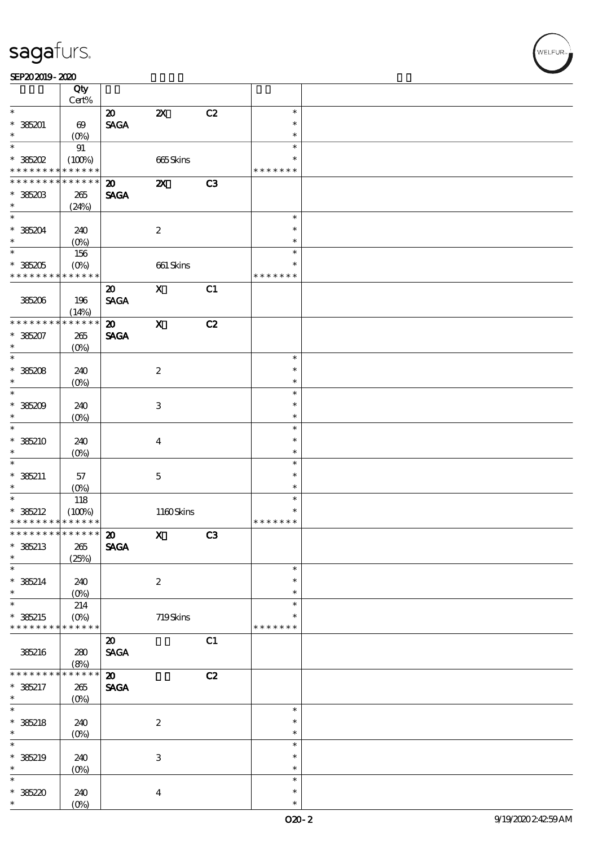|                             | Qty<br>Cert%          |                                |                           |    |               |  |
|-----------------------------|-----------------------|--------------------------------|---------------------------|----|---------------|--|
| $\ast$                      |                       |                                |                           |    | $\ast$        |  |
|                             |                       | $\boldsymbol{\mathfrak{D}}$    | $\boldsymbol{\mathsf{z}}$ | C2 |               |  |
| $* 385201$                  | $\boldsymbol{\omega}$ | $\ensuremath{\mathsf{SAGA}}$   |                           |    | $\ast$        |  |
| $\ast$                      | $(O\%)$               |                                |                           |    | $\ast$        |  |
| $\ast$                      | 91                    |                                |                           |    | $\ast$        |  |
| $*$ 385202                  | (100%)                |                                | 665Skins                  |    | $\ast$        |  |
| * * * * * * * *             | * * * * * *           |                                |                           |    | * * * * * * * |  |
| * * * * * * *               | * * * * * *           | $\boldsymbol{\mathfrak{D}}$    | $\boldsymbol{\mathsf{z}}$ | C3 |               |  |
| $* 385203$                  | 265                   | <b>SAGA</b>                    |                           |    |               |  |
| $\ast$                      | (24%)                 |                                |                           |    |               |  |
| $\ast$                      |                       |                                |                           |    | $\ast$        |  |
| $* 385204$                  | 240                   |                                |                           |    | $\ast$        |  |
| $\ast$                      |                       |                                | $\boldsymbol{2}$          |    | $\ast$        |  |
| $\overline{\ast}$           | $(O\%)$               |                                |                           |    |               |  |
|                             | 156                   |                                |                           |    | $\ast$        |  |
| $*385205$                   | $(O\%)$               |                                | $661$ Skins               |    | $\ast$        |  |
| * * * * * * * *             | * * * * * *           |                                |                           |    | * * * * * * * |  |
|                             |                       | $\boldsymbol{\mathfrak{D}}$    | $\mathbf x$               | C1 |               |  |
| 385206                      | 196                   | <b>SAGA</b>                    |                           |    |               |  |
|                             | (14%)                 |                                |                           |    |               |  |
| * * * * * * * *             | * * * * * *           | $\boldsymbol{\mathfrak{D}}$    | $\mathbf{X}$              | C2 |               |  |
| $*385207$                   | 265                   | <b>SAGA</b>                    |                           |    |               |  |
| $\ast$                      |                       |                                |                           |    |               |  |
| $\overline{\ast}$           | (O <sub>0</sub> )     |                                |                           |    | $\ast$        |  |
|                             |                       |                                |                           |    |               |  |
| $*35208$                    | 240                   |                                | $\boldsymbol{2}$          |    | $\ast$        |  |
| $\ast$                      | $(0\%)$               |                                |                           |    | $\ast$        |  |
| $\ast$                      |                       |                                |                           |    | $\ast$        |  |
| $*36209$                    | 240                   |                                | $\,3\,$                   |    | $\ast$        |  |
| $\ast$                      | $(O\!/\!\delta)$      |                                |                           |    | $\ast$        |  |
| $\ast$                      |                       |                                |                           |    | $\ast$        |  |
| $* 385210$                  | 240                   |                                | $\boldsymbol{4}$          |    | $\ast$        |  |
| $\ast$                      | $(O\%)$               |                                |                           |    | $\ast$        |  |
| $\ast$                      |                       |                                |                           |    | $\ast$        |  |
|                             |                       |                                |                           |    | $\ast$        |  |
| $*36211$                    | 57                    |                                | $\mathbf 5$               |    |               |  |
| $\ast$                      | $(O\%)$               |                                |                           |    | $\ast$        |  |
| $\ast$                      | 118                   |                                |                           |    | $\ast$        |  |
| $* 385212$                  | (100%)                |                                | 1160Skins                 |    | $\ast$        |  |
| * * * * * * * * * * * * * * |                       |                                |                           |    | * * * * * * * |  |
| ************** 20           |                       |                                | $\mathbf x$               | C3 |               |  |
| $* 385213$                  | $265\,$               | <b>SAGA</b>                    |                           |    |               |  |
| $\ast$                      | (25%)                 |                                |                           |    |               |  |
| $\ast$                      |                       |                                |                           |    | $\ast$        |  |
| $* 385214$                  | 240                   |                                | $\boldsymbol{2}$          |    | $\ast$        |  |
| $\ast$                      |                       |                                |                           |    | $\ast$        |  |
| $\ast$                      | $(O\%)$               |                                |                           |    | $\ast$        |  |
|                             | 214                   |                                |                           |    |               |  |
| $* 385215$                  | $(O\%)$               |                                | 719Skins                  |    | $\ast$        |  |
| $*********$                 | * * * * * *           |                                |                           |    | * * * * * * * |  |
|                             |                       | $\boldsymbol{\mathfrak{D}}$    |                           | C1 |               |  |
| 385216                      | 280                   | $\ensuremath{\mathsf{SAGA}}$   |                           |    |               |  |
|                             | (8%)                  |                                |                           |    |               |  |
| * * * * * * *               | * * * * * *           | $\boldsymbol{\mathsf{20}}$     |                           | C2 |               |  |
| $* 385217$                  | 265                   | $\operatorname{\mathsf{SAGA}}$ |                           |    |               |  |
| $\ast$                      | (O <sub>0</sub> )     |                                |                           |    |               |  |
| $\overline{\ast}$           |                       |                                |                           |    | $\ast$        |  |
| $* 385218$                  | 240                   |                                | $\boldsymbol{2}$          |    | $\ast$        |  |
| $\ast$                      |                       |                                |                           |    | $\ast$        |  |
| $\ast$                      | $(0\%)$               |                                |                           |    | $\ast$        |  |
|                             |                       |                                |                           |    |               |  |
| $* 385219$                  | 240                   |                                | $\,3$                     |    | $\ast$        |  |
| $\ast$                      | $(0\%)$               |                                |                           |    | $\ast$        |  |
| $\ast$                      |                       |                                |                           |    | $\ast$        |  |
| * 385220                    | 240                   |                                | $\boldsymbol{4}$          |    | $\ast$        |  |
| $\ast$                      | $(O\%)$               |                                |                           |    | $\ast$        |  |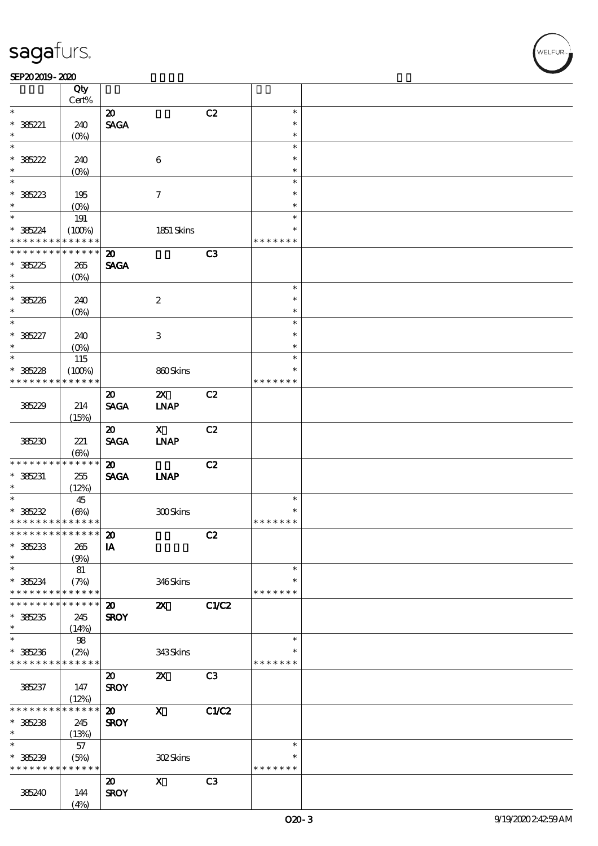#### $SEP202019 - 2020$

|                                          | Qty<br>Cert%        |                             |                           |                |                  |  |
|------------------------------------------|---------------------|-----------------------------|---------------------------|----------------|------------------|--|
| $\ast$                                   |                     |                             |                           |                | $\ast$           |  |
|                                          |                     | $\boldsymbol{\mathfrak{D}}$ |                           | C2             | $\ast$           |  |
| $* 36221$<br>$\ast$                      | 240                 | <b>SAGA</b>                 |                           |                |                  |  |
| $\ast$                                   | $(O\%)$             |                             |                           |                | $\ast$<br>$\ast$ |  |
|                                          |                     |                             |                           |                |                  |  |
| $* 36222$                                | 240                 |                             | $\boldsymbol{6}$          |                | $\ast$           |  |
| $\ast$<br>$\overline{\phantom{0}}$       | $(0\%)$             |                             |                           |                | $\ast$           |  |
|                                          |                     |                             |                           |                | $\ast$           |  |
| * 385223                                 | 195                 |                             | $\boldsymbol{\tau}$       |                | $\ast$           |  |
| $\ast$                                   | $(O\%)$             |                             |                           |                | $\ast$           |  |
|                                          | 191                 |                             |                           |                | $\ast$           |  |
| $* 36224$                                | (100%)              |                             | 1851 Skins                |                | $\ast$           |  |
| * * * * * * * *                          | * * * * * *         |                             |                           |                | * * * * * * *    |  |
| * * * * * * * *                          | * * * * * *         | $\boldsymbol{\mathbf{z}}$   |                           | C <sub>3</sub> |                  |  |
| $*36225$                                 | 265                 | <b>SAGA</b>                 |                           |                |                  |  |
| $\ast$                                   | $(0\%)$             |                             |                           |                |                  |  |
| $*$                                      |                     |                             |                           |                | $\ast$           |  |
| $* 36226$                                | 240                 |                             | $\boldsymbol{2}$          |                | $\ast$           |  |
| $\ast$                                   | $(O\%)$             |                             |                           |                | $\ast$           |  |
| $\ast$                                   |                     |                             |                           |                | $\ast$           |  |
| $* 36227$                                | 240                 |                             | $\,3$                     |                | $\ast$           |  |
| $\ast$                                   | $(O\%)$             |                             |                           |                | $\ast$           |  |
| $\ast$                                   | 115                 |                             |                           |                | $\ast$           |  |
| $* 36228$                                | (100%)              |                             | 860Skins                  |                | $\ast$           |  |
| * * * * * * * *                          | * * * * * *         |                             |                           |                | * * * * * * *    |  |
|                                          |                     | $\boldsymbol{\mathfrak{D}}$ | $\boldsymbol{\mathsf{Z}}$ | C2             |                  |  |
| 385229                                   | 214                 | <b>SAGA</b>                 | <b>INAP</b>               |                |                  |  |
|                                          | (15%)               |                             |                           |                |                  |  |
|                                          |                     | $\boldsymbol{\mathfrak{D}}$ | $\mathbf{x}$              | C2             |                  |  |
| 385230                                   | 221                 | <b>SAGA</b>                 | <b>LNAP</b>               |                |                  |  |
|                                          |                     |                             |                           |                |                  |  |
| * * * * * * * *                          | (6%)<br>* * * * * * |                             |                           |                |                  |  |
|                                          |                     | $\boldsymbol{\omega}$       |                           | C2             |                  |  |
| $* 385231$<br>$\ast$                     | 255                 | <b>SAGA</b>                 | <b>INAP</b>               |                |                  |  |
| $\overline{\ast}$                        | (12%)               |                             |                           |                | $\ast$           |  |
|                                          | 45                  |                             |                           |                | $\ast$           |  |
| $* 36232$<br>* * * * * * * * * * * * * * | $(\Theta)$          |                             | 300Skins                  |                | * * * * * * *    |  |
| * * * * * * * * * * * * * * *            |                     |                             |                           |                |                  |  |
|                                          |                     | $\boldsymbol{\mathbf{z}}$   |                           | C2             |                  |  |
| $* 36233$                                | 265                 | IA                          |                           |                |                  |  |
| $\ast$                                   | (9%)                |                             |                           |                |                  |  |
| $\ast$                                   | 81                  |                             |                           |                | $\ast$           |  |
| $* 36234$                                | (7%)                |                             | 346Skins                  |                | $\ast$           |  |
| * * * * * * * *                          | * * * * * *         |                             |                           |                | * * * * * * *    |  |
| * * * * * * *                            | * * * * * *         | $\boldsymbol{\mathfrak{D}}$ | $\boldsymbol{\mathsf{z}}$ | <b>C1/C2</b>   |                  |  |
| $* 385235$                               | 245                 | <b>SROY</b>                 |                           |                |                  |  |
| $\ast$                                   | (14%)               |                             |                           |                |                  |  |
| $\ast$                                   | 98                  |                             |                           |                | $\ast$           |  |
| $*36236$                                 | (2%)                |                             | 343Skins                  |                | ∗                |  |
| * * * * * * * *                          | * * * * * *         |                             |                           |                | * * * * * * *    |  |
|                                          |                     | $\boldsymbol{\mathfrak{D}}$ | $\boldsymbol{\alpha}$     | C <sub>3</sub> |                  |  |
| 385237                                   | 147                 | <b>SROY</b>                 |                           |                |                  |  |
|                                          | (12%)               |                             |                           |                |                  |  |
| * * * * * * *                            | * * * * * *         | $\boldsymbol{\mathfrak{D}}$ | $\boldsymbol{\mathrm{X}}$ | <b>C1/C2</b>   |                  |  |
| $*36238$                                 | 245                 | <b>SROY</b>                 |                           |                |                  |  |
| $\ast$                                   | (13%)               |                             |                           |                |                  |  |
| $\ast$                                   | 57                  |                             |                           |                | $\ast$           |  |
| $* 36239$                                | (5%)                |                             | <b>302Skins</b>           |                | $\ast$           |  |
| * * * * * * * *                          | * * * * * *         |                             |                           |                | * * * * * * *    |  |
|                                          |                     | $\boldsymbol{\mathsf{20}}$  | $\boldsymbol{\mathrm{X}}$ | C <sub>3</sub> |                  |  |
| 385240                                   | 144                 | <b>SROY</b>                 |                           |                |                  |  |
|                                          | (4%)                |                             |                           |                |                  |  |
|                                          |                     |                             |                           |                |                  |  |

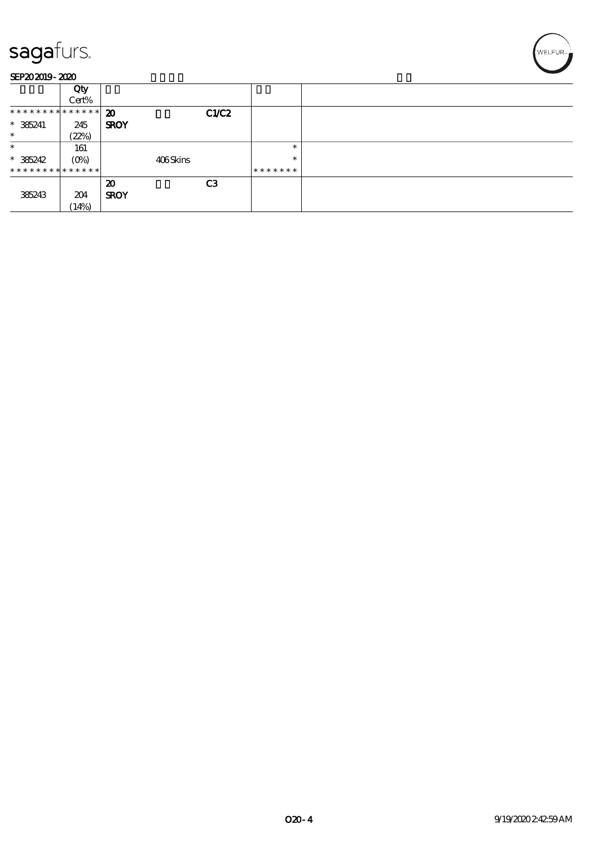

#### SEP202019-2020

|                | Qty     |             |          |                |         |  |
|----------------|---------|-------------|----------|----------------|---------|--|
|                | Cert%   |             |          |                |         |  |
| ************** |         | 20          |          | C1/C2          |         |  |
| $* 385241$     | 245     | <b>SROY</b> |          |                |         |  |
| $\ast$         | (22%)   |             |          |                |         |  |
| $\ast$         | 161     |             |          |                | $\ast$  |  |
| $* 385242$     | $(O\%)$ |             | 406Skins |                | $\ast$  |  |
| ************** |         |             |          |                | ******* |  |
|                |         | 20          |          | C <sub>3</sub> |         |  |
| 385243         | 204     | <b>SROY</b> |          |                |         |  |
|                | (14%)   |             |          |                |         |  |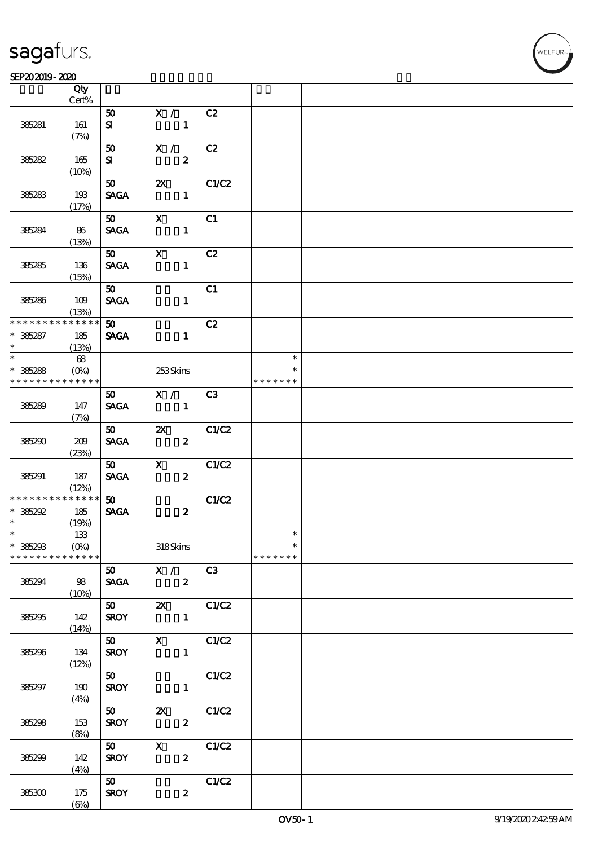#### $SEP202019 - 2020$

| SEP202019-2020                          |                                       |                                |                                                             |                |                                   |  |  |  |
|-----------------------------------------|---------------------------------------|--------------------------------|-------------------------------------------------------------|----------------|-----------------------------------|--|--|--|
|                                         | Qty                                   |                                |                                                             |                |                                   |  |  |  |
|                                         | Cert%                                 |                                |                                                             |                |                                   |  |  |  |
| 385281                                  | 161<br>(7%)                           | 50<br>${\bf s}$                | X /<br>$\mathbf{1}$                                         | C2             |                                   |  |  |  |
| 385282                                  | 165<br>(10%)                          | 50<br>${\bf s}$                | X /<br>$\boldsymbol{z}$                                     | C2             |                                   |  |  |  |
| 385283                                  | 193<br>(17%)                          | 50<br><b>SAGA</b>              | $\boldsymbol{\mathsf{X}}$<br>$\mathbf{1}$                   | C1/C2          |                                   |  |  |  |
| 385284                                  | 86<br>(13%)                           | 50<br><b>SAGA</b>              | $\mathbf x$<br>$\mathbf{1}$                                 | C1             |                                   |  |  |  |
| 385285                                  | 136<br>(15%)                          | 50<br><b>SAGA</b>              | $\mathbf{x}$<br>$\mathbf{1}$                                | C2             |                                   |  |  |  |
| 385286                                  | 109<br>(13%)                          | 50<br><b>SAGA</b>              | $\mathbf{1}$                                                | C1             |                                   |  |  |  |
| * * * * * * * *<br>$* 36287$<br>$\ast$  | * * * * * *<br>185<br>(13%)           | 50<br><b>SAGA</b>              | $\mathbf{1}$                                                | C2             |                                   |  |  |  |
| $\ast$<br>$* 36288$<br>* * * * * * * *  | 68<br>$(O\!/\!\delta)$<br>* * * * * * |                                | 253Skins                                                    |                | $\ast$<br>*<br>* * * * * * *      |  |  |  |
| 385289                                  | 147<br>(7%)                           | 50<br><b>SAGA</b>              | X /<br>$\mathbf{1}$                                         | C <sub>3</sub> |                                   |  |  |  |
| 385290                                  | 209<br>(23%)                          | 50<br><b>SAGA</b>              | $\boldsymbol{\mathsf{Z}}$<br>$\boldsymbol{z}$               | C1/C2          |                                   |  |  |  |
| 385291                                  | 187<br>(12%)                          | 50 <sub>o</sub><br><b>SAGA</b> | $\mathbf{X}$<br>$\boldsymbol{z}$                            | C1/C2          |                                   |  |  |  |
| * * * * * * * *<br>$*36292$<br>$\ast$   | * * * * * *<br>185<br>(19%)           | 50 <sub>o</sub><br><b>SAGA</b> | $\boldsymbol{2}$                                            | C1/C2          |                                   |  |  |  |
| $\ast$<br>$* 385293$<br>* * * * * * * * | 133<br>$(0\%)$<br>$* * * * * * *$     |                                | 318Skins                                                    |                | $\ast$<br>$\ast$<br>* * * * * * * |  |  |  |
| 385294                                  | 98<br>(10%)                           |                                | 50 X / C3<br>$SAGA$ 2                                       |                |                                   |  |  |  |
| 385295                                  | 142<br>(14%)                          |                                | $SROY$ 1                                                    |                |                                   |  |  |  |
| 385296                                  | 134<br>(12%)                          |                                | $\overline{50}$ X C1/C2<br>$SROY$ 1                         |                |                                   |  |  |  |
| 385297                                  | 190<br>(4%)                           | $\overline{50}$                | $SROY$ 1                                                    | C1/C2          |                                   |  |  |  |
| 385298                                  | 153<br>(8%)                           |                                | $\overline{50}$ $\overline{21}$<br>SROY<br>$\boldsymbol{z}$ | C1/C2          |                                   |  |  |  |
| 385299                                  | 142<br>(4%)                           | $50$ X<br><b>SROY</b>          | $\mathbf{z}$                                                | C1/C2          |                                   |  |  |  |
| 385300                                  | 175<br>$(\Theta\% )$                  | 50<br><b>SROY</b>              | $\boldsymbol{z}$                                            | C1/C2          |                                   |  |  |  |

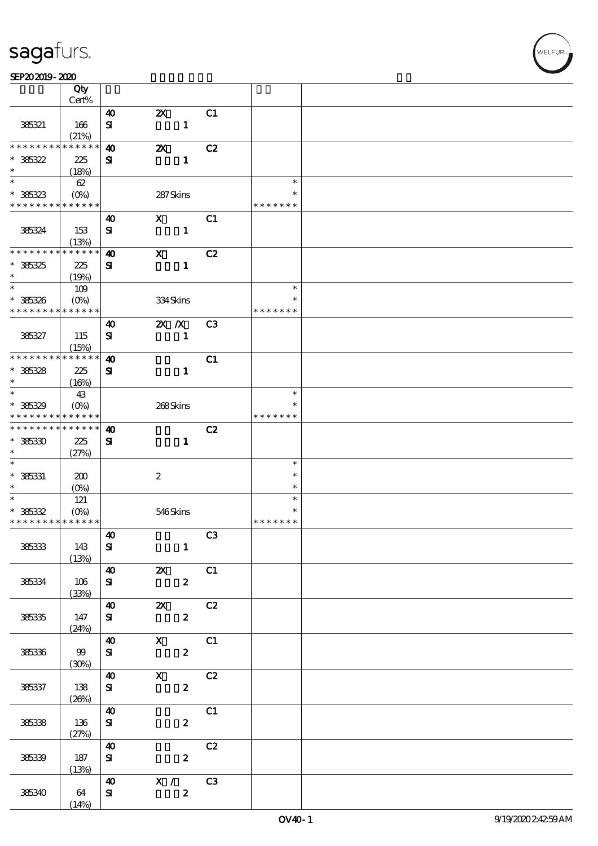#### SEP202019-2020

|                                          | Qty<br>Cert%       |                                    |                                        |                  |                |               |  |
|------------------------------------------|--------------------|------------------------------------|----------------------------------------|------------------|----------------|---------------|--|
|                                          |                    |                                    |                                        |                  |                |               |  |
| 385321                                   | 166                | $\boldsymbol{\omega}$<br>${\bf s}$ | $\boldsymbol{\mathsf{Z}}$              | $\mathbf{1}$     | C1             |               |  |
|                                          | (21%)              |                                    |                                        |                  |                |               |  |
| * * * * * * * *                          | * * * * * *        | $\boldsymbol{\omega}$              | $\boldsymbol{\mathsf{z}}$              |                  | C2             |               |  |
| $* 36322$                                | 225                | ${\bf s}$                          |                                        | $\mathbf{1}$     |                |               |  |
| $\ast$                                   | (18%)              |                                    |                                        |                  |                |               |  |
| $*$                                      | 62                 |                                    |                                        |                  |                | $\ast$        |  |
| $* 36323$                                | $(O\!/\!\!\delta)$ |                                    | 287Skins                               |                  |                | ∗             |  |
| * * * * * * * *                          | * * * * * *        |                                    |                                        |                  |                | * * * * * * * |  |
|                                          |                    | 40                                 | $\mathbf{x}$                           |                  | C1             |               |  |
| 385324                                   | 153                | ${\bf s}$                          |                                        | $\mathbf{1}$     |                |               |  |
|                                          | (13%)              |                                    |                                        |                  |                |               |  |
| * * * * * * * *                          | * * * * * *        | $\boldsymbol{4}$                   | $\mathbf X$                            |                  | C2             |               |  |
| $* 36325$                                | 225                | ${\bf s}$                          |                                        | $\mathbf{1}$     |                |               |  |
| $\ast$                                   | (19%)              |                                    |                                        |                  |                |               |  |
| $\ast$                                   | 109                |                                    |                                        |                  |                | $\ast$        |  |
| $* 36326$                                | $(O\%)$            |                                    | 334Skins                               |                  |                | $\ast$        |  |
| * * * * * * * *                          | * * * * * *        |                                    |                                        |                  |                | * * * * * * * |  |
|                                          |                    |                                    |                                        |                  |                |               |  |
|                                          |                    | $\boldsymbol{\omega}$              | $X$ $N$                                |                  | C <sub>3</sub> |               |  |
| 385327                                   | 115                | ${\bf s}$                          |                                        | $\mathbf{1}$     |                |               |  |
|                                          | (15%)              |                                    |                                        |                  |                |               |  |
| * * * * * * * * * * * * * *              |                    | $\boldsymbol{\omega}$              |                                        |                  | C1             |               |  |
| $* 36328$                                | 225                | ${\bf s}$                          |                                        | $\mathbf{1}$     |                |               |  |
| $\ast$                                   | (16%)              |                                    |                                        |                  |                |               |  |
| $\overline{\phantom{0}}$                 | 43                 |                                    |                                        |                  |                | $\ast$        |  |
| $* 36329$                                | $(O\%)$            |                                    | 268Skins                               |                  |                |               |  |
| * * * * * * * *                          | * * * * * *        |                                    |                                        |                  |                | * * * * * * * |  |
| * * * * * * * *                          | * * * * * *        | $\boldsymbol{\omega}$              |                                        |                  | C2             |               |  |
| $* 385330$                               | 225                | ${\bf s}$                          |                                        | $\mathbf{1}$     |                |               |  |
| $\ast$                                   | (27%)              |                                    |                                        |                  |                |               |  |
| $\ast$                                   |                    |                                    |                                        |                  |                | $\ast$        |  |
| $* 385331$                               | 200                |                                    | $\boldsymbol{2}$                       |                  |                | $\ast$        |  |
| $\ast$                                   | $(O\% )$           |                                    |                                        |                  |                | $\ast$        |  |
| $\ast$                                   | 121                |                                    |                                        |                  |                | $\ast$        |  |
| $* 36332$                                | $(O\%)$            |                                    | 546Skins                               |                  |                | ∗             |  |
| * * * * * * * * <mark>* * * * * *</mark> |                    |                                    |                                        |                  |                | * * * * * * * |  |
|                                          |                    | $\boldsymbol{40}$                  |                                        |                  | C3             |               |  |
| 385333                                   | 143                | ${\bf S}$                          |                                        | $\mathbf{1}$     |                |               |  |
|                                          | (13%)              |                                    |                                        |                  |                |               |  |
|                                          |                    | $\boldsymbol{\omega}$              | $\mathbf{X}$                           | C1               |                |               |  |
|                                          | 106                |                                    |                                        |                  |                |               |  |
| 385334                                   |                    | ${\bf s}$                          |                                        | $\mathbf{z}$     |                |               |  |
|                                          | (33%)              |                                    |                                        |                  |                |               |  |
|                                          |                    | $\boldsymbol{\omega}$              | $\boldsymbol{\mathsf{Z}}$              | C2               |                |               |  |
| 38535                                    | 147                | ${\bf s}$                          |                                        | $\mathbf{z}$     |                |               |  |
|                                          | (24%)              |                                    |                                        |                  |                |               |  |
|                                          |                    | $\boldsymbol{40}$                  | $X$ C1                                 |                  |                |               |  |
| 385336                                   | 99                 | ${\bf s}$                          |                                        | $\mathbf{2}$     |                |               |  |
|                                          | (30%)              |                                    |                                        |                  |                |               |  |
|                                          |                    | <b>40</b>                          | $\overline{\mathbf{X}}$ C <sub>2</sub> |                  |                |               |  |
| 385337                                   | 138                | ${\bf s}$                          |                                        | $\mathbf{z}$     |                |               |  |
|                                          | (20%)              |                                    |                                        |                  |                |               |  |
|                                          |                    | $\boldsymbol{\omega}$              |                                        |                  | C1             |               |  |
| 38538                                    | 136                | ${\bf s}$                          |                                        | $\boldsymbol{z}$ |                |               |  |
|                                          | (27%)              |                                    |                                        |                  |                |               |  |
|                                          |                    | $\boldsymbol{\omega}$              |                                        |                  | C2             |               |  |
| 38539                                    | 187                | ${\bf S}$                          |                                        | $\boldsymbol{z}$ |                |               |  |
|                                          | (13%)              |                                    |                                        |                  |                |               |  |
|                                          |                    | $\boldsymbol{\omega}$              | $X /$ C3                               |                  |                |               |  |
| 385340                                   | 64                 | ${\bf s}$                          |                                        | $\boldsymbol{z}$ |                |               |  |
|                                          | (14%)              |                                    |                                        |                  |                |               |  |

**NELFUR**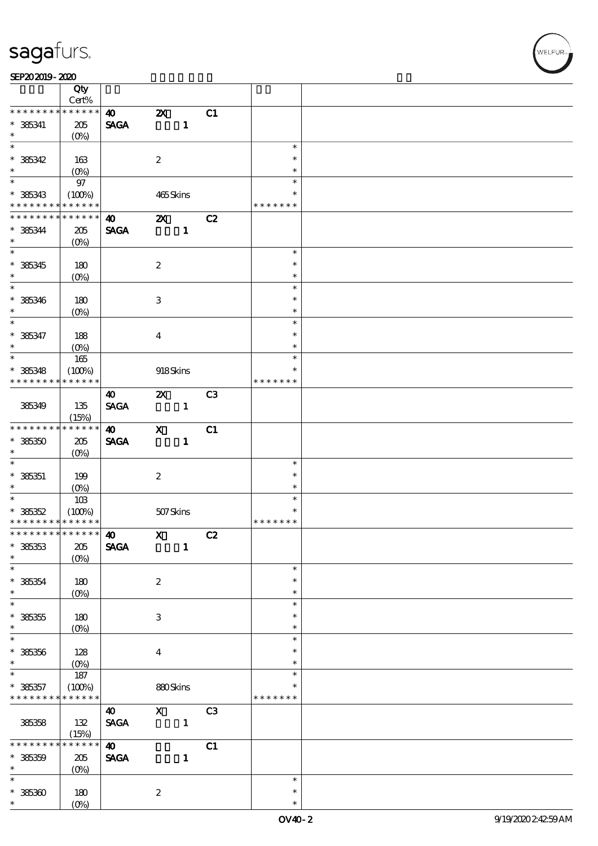#### SEP202019-2020

|                                            | Qty                             |                       |                           |                |                |               |  |
|--------------------------------------------|---------------------------------|-----------------------|---------------------------|----------------|----------------|---------------|--|
| * * * * * * * *                            | Cert%<br>* * * * * *            |                       |                           |                |                |               |  |
|                                            |                                 | $\boldsymbol{\omega}$ | $\boldsymbol{\mathsf{z}}$ |                | C1             |               |  |
| $* 385341$                                 | 205                             | <b>SAGA</b>           |                           | $\mathbf{1}$   |                |               |  |
| $\ast$<br>$\overline{\phantom{0}}$         | $(O\%)$                         |                       |                           |                |                |               |  |
|                                            |                                 |                       |                           |                |                | $\ast$        |  |
| $* 36342$                                  | 163                             |                       | $\boldsymbol{2}$          |                |                | $\ast$        |  |
| $\ast$                                     | (O <sub>0</sub> )               |                       |                           |                |                | $\ast$        |  |
|                                            | $97\,$                          |                       |                           |                |                | $\ast$        |  |
| $* 385343$                                 | (100%)                          |                       | 465Skins                  |                |                | $\ast$        |  |
| * * * * * * * *                            | * * * * * *                     |                       |                           |                |                | * * * * * * * |  |
| * * * * * * * *                            | * * * * * *                     | $\boldsymbol{\omega}$ | $\boldsymbol{\mathsf{Z}}$ |                | C2             |               |  |
| $* 36344$                                  | 205                             | <b>SAGA</b>           |                           | $\mathbf{1}$   |                |               |  |
| $\ast$                                     | $(O\%)$                         |                       |                           |                |                |               |  |
|                                            |                                 |                       |                           |                |                | $\ast$        |  |
| $* 36345$                                  | 180                             |                       | $\boldsymbol{2}$          |                |                | $\ast$        |  |
| $\ast$                                     | $(O\%)$                         |                       |                           |                |                | $\ast$        |  |
| $\overline{\phantom{0}}$                   |                                 |                       |                           |                |                | $\ast$        |  |
| $* 36346$                                  | 180                             |                       | $\ensuremath{\mathsf{3}}$ |                |                | $\ast$        |  |
| $\ast$                                     | $(O\%)$                         |                       |                           |                |                | $\ast$        |  |
| $\overline{\ast}$                          |                                 |                       |                           |                |                | $\ast$        |  |
| $* 36347$                                  | 188                             |                       | $\bf{4}$                  |                |                | $\ast$        |  |
| $\ast$                                     | $(O\%)$                         |                       |                           |                |                | $\ast$        |  |
| $\ast$                                     | $165\,$                         |                       |                           |                |                | $\ast$        |  |
| $* 385348$                                 | (100%)                          |                       | 918Skins                  |                |                | $\ast$        |  |
| * * * * * * * *                            | * * * * * *                     |                       |                           |                |                | * * * * * * * |  |
|                                            |                                 | 40                    | $\boldsymbol{\mathsf{Z}}$ |                | C <sub>3</sub> |               |  |
| 385349                                     | 135                             | <b>SAGA</b>           |                           | $\mathbf{1}$   |                |               |  |
|                                            | (15%)                           |                       |                           |                |                |               |  |
| * * * * * * * *                            | * * * * * *                     | $\boldsymbol{\omega}$ | $\boldsymbol{\mathrm{X}}$ |                | C1             |               |  |
| $*36350$                                   | 205                             | <b>SAGA</b>           |                           | $\mathbf{1}$   |                |               |  |
| $\ast$                                     | $(O\%)$                         |                       |                           |                |                |               |  |
| $\ast$                                     |                                 |                       |                           |                |                | $\ast$        |  |
| $* 385351$                                 | 199                             |                       | $\boldsymbol{2}$          |                |                | $\ast$        |  |
| $\ast$                                     | $(O\%)$                         |                       |                           |                |                | $\ast$        |  |
|                                            | 10B                             |                       |                           |                |                | $\ast$        |  |
| $* 36352$                                  | (100%)                          |                       | 507Skins                  |                |                | $\ast$        |  |
| * * * * * * * * <mark>* * * * * * *</mark> |                                 |                       |                           |                |                | * * * * * * * |  |
| ******** <sup>******</sup> 40              |                                 |                       | $\mathbf{X}$              |                | C2             |               |  |
| $* 36353$                                  | $205\,$                         | <b>SAGA</b>           |                           | $\mathbf{1}$   |                |               |  |
| $\ast$                                     | $(O\%)$                         |                       |                           |                |                |               |  |
| $\ast$                                     |                                 |                       |                           |                |                | $\ast$        |  |
| $* 36354$                                  | 180                             |                       | $\boldsymbol{2}$          |                |                | $\ast$        |  |
| $\ast$<br>$\overline{\ast}$                | $(O\!\!\!\!\!\!\backslash\rho)$ |                       |                           |                |                | $\ast$        |  |
|                                            |                                 |                       |                           |                |                | $\ast$        |  |
| $* 36355$                                  | 180                             |                       | $\,3$                     |                |                | $\ast$        |  |
| $\ast$<br>$\ast$                           | $(O\!/\!\delta)$                |                       |                           |                |                | $\ast$        |  |
|                                            |                                 |                       |                           |                |                | $\ast$        |  |
| $* 38336$                                  | 128                             |                       | $\boldsymbol{4}$          |                |                | $\ast$        |  |
| $\ast$                                     | $(O\%)$                         |                       |                           |                |                | $\ast$        |  |
| $\ast$                                     | $187\,$                         |                       |                           |                |                | $\ast$        |  |
| $* 36357$                                  | (100%)                          |                       | 880Skins                  |                |                | ∗             |  |
| * * * * * * * *                            | * * * * * *                     |                       |                           |                |                | * * * * * * * |  |
|                                            |                                 | $\boldsymbol{\omega}$ | $\mathbf X$               |                | C <sub>3</sub> |               |  |
| 385358                                     | 132                             | <b>SAGA</b>           |                           | $\blacksquare$ |                |               |  |
| * * * * * *                                | (15%)<br>* * * * * *            |                       |                           |                |                |               |  |
|                                            |                                 | $\boldsymbol{\omega}$ |                           |                | C1             |               |  |
| $* 36359$                                  | 205                             | <b>SAGA</b>           |                           | $\mathbf{1}$   |                |               |  |
| $\ast$<br>$\ast$                           | $(O\%)$                         |                       |                           |                |                |               |  |
|                                            |                                 |                       |                           |                |                | $\ast$        |  |
| $* 38530$                                  | 180                             |                       | $\boldsymbol{2}$          |                |                | $\ast$        |  |
| $\ast$                                     | $(O\%)$                         |                       |                           |                |                | $\ast$        |  |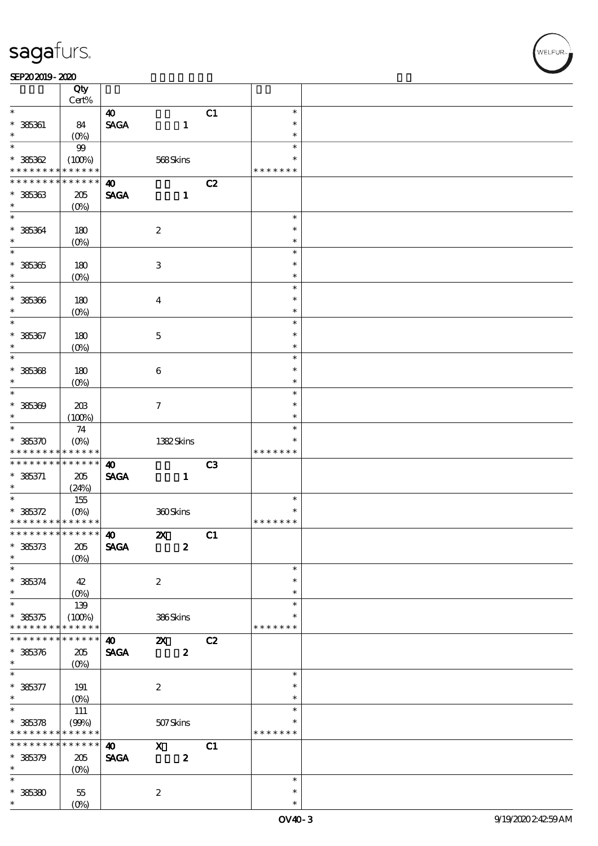#### SEP202019-2020

|                                            | Qty                |                       |                           |    |                  |  |
|--------------------------------------------|--------------------|-----------------------|---------------------------|----|------------------|--|
| $\ast$                                     | Cert%              |                       |                           |    |                  |  |
|                                            |                    | $\boldsymbol{\omega}$ |                           | C1 | $\ast$<br>$\ast$ |  |
| $* 385361$<br>*                            | 84                 | <b>SAGA</b>           | $\mathbf{1}$              |    | $\ast$           |  |
| $\ast$                                     | $(O\%)$            |                       |                           |    | $\ast$           |  |
| $*36362$                                   | $99$<br>(100%)     |                       | 568Skins                  |    | $\ast$           |  |
| * * * * * * * *                            | * * * * * *        |                       |                           |    | * * * * * * *    |  |
| * * * * * * * *                            | * * * * * *        | $\boldsymbol{\omega}$ |                           | C2 |                  |  |
| $* 36363$                                  | 205                | <b>SAGA</b>           | $\mathbf{1}$              |    |                  |  |
| $\ast$                                     | (O <sub>0</sub> )  |                       |                           |    |                  |  |
| $\ast$                                     |                    |                       |                           |    | $\ast$           |  |
| $* 36364$                                  | 180                |                       | $\boldsymbol{2}$          |    | $\ast$           |  |
| $\ast$                                     | $(O\!/\!\!\delta)$ |                       |                           |    | $\ast$           |  |
| $\overline{\ast}$                          |                    |                       |                           |    | $\ast$           |  |
| $*36365$                                   | 180                |                       | $\,3$                     |    | $\ast$           |  |
| $\ast$                                     | $(O\%)$            |                       |                           |    | $\ast$           |  |
| $\ast$                                     |                    |                       |                           |    | $\ast$           |  |
| $* 36366$                                  | 180                |                       | $\boldsymbol{4}$          |    | $\ast$           |  |
| $\ast$                                     | $(O\!/\!o)$        |                       |                           |    | $\ast$           |  |
| $\ast$                                     |                    |                       |                           |    | $\ast$           |  |
| $* 385367$                                 | 180                |                       | $\mathbf 5$               |    | $\ast$           |  |
| $\ast$<br>$\ast$                           | $(O\%)$            |                       |                           |    | $\ast$           |  |
|                                            |                    |                       |                           |    | $\ast$           |  |
| $* 36368$<br>$\ast$                        | 180                |                       | 6                         |    | $\ast$<br>$\ast$ |  |
| $\ast$                                     | $(O\%)$            |                       |                           |    | $\ast$           |  |
| $* 36300$                                  | 20B                |                       | $\mathcal I$              |    | $\ast$           |  |
| $\ast$                                     | (100%)             |                       |                           |    | $\ast$           |  |
| $\overline{\phantom{0}}$                   | 74                 |                       |                           |    | $\ast$           |  |
| $* 36370$                                  | $(O\%)$            |                       | 1382Skins                 |    | $\ast$           |  |
| * * * * * * * *                            | * * * * * *        |                       |                           |    | * * * * * * *    |  |
| * * * * * * * *                            | * * * * * *        | $\boldsymbol{\omega}$ |                           | C3 |                  |  |
| $* 385371$                                 | 205                | <b>SAGA</b>           | $\mathbf{1}$              |    |                  |  |
| $\ast$                                     | (24%)              |                       |                           |    |                  |  |
| $\overline{\ast}$                          | 155                |                       |                           |    | $\ast$           |  |
| $* 36372$                                  | $(O\% )$           |                       | 360Skins                  |    | $\ast$           |  |
| * * * * * * * * <mark>* * * * * * *</mark> |                    |                       |                           |    | * * * * * * *    |  |
| ************** 10                          |                    |                       | $\mathbf{Z}$              | C1 |                  |  |
| $* 36373$                                  | $205\,$            | <b>SAGA</b>           | $\boldsymbol{2}$          |    |                  |  |
| $\ast$<br>$\ast$                           | $(O\%)$            |                       |                           |    | $\ast$           |  |
|                                            |                    |                       |                           |    | $\ast$           |  |
| $* 36374$<br>$\ast$                        | 42                 |                       | $\boldsymbol{z}$          |    | $\ast$           |  |
| $\overline{\ast}$                          | $(O\%)$<br>139     |                       |                           |    | $\ast$           |  |
| $* 36375$                                  | (100%)             |                       | 386Skins                  |    | ∗                |  |
| * * * * * * * *                            | * * * * * *        |                       |                           |    | * * * * * * *    |  |
| * * * * * * * *                            | * * * * * *        | $\boldsymbol{\omega}$ | $\boldsymbol{\mathsf{X}}$ | C2 |                  |  |
| $* 36376$                                  | $205\,$            | <b>SAGA</b>           | $\boldsymbol{z}$          |    |                  |  |
| $\ast$                                     | (O <sub>0</sub> )  |                       |                           |    |                  |  |
| $\overline{\ast}$                          |                    |                       |                           |    | $\ast$           |  |
| $* 36377$                                  | 191                |                       | $\boldsymbol{z}$          |    | $\ast$           |  |
| $\ast$                                     | $(O\%)$            |                       |                           |    | $\ast$           |  |
| $\overline{\ast}$                          | $111\,$            |                       |                           |    | $\ast$           |  |
| $* 36378$                                  | (90%)              |                       | 507Skins                  |    | $\ast$           |  |
| * * * * * * * *                            | * * * * * *        |                       |                           |    | * * * * * * *    |  |
| * * * * * * * *                            | * * * * * *        | $\boldsymbol{\omega}$ | $\mathbf{x}$              | C1 |                  |  |
| $* 36379$<br>$\ast$                        | 205                | <b>SAGA</b>           | $\boldsymbol{2}$          |    |                  |  |
| $\ast$                                     | (O <sub>0</sub> )  |                       |                           |    | $\ast$           |  |
| $* 36380$                                  | 55                 |                       | $\boldsymbol{z}$          |    | $\ast$           |  |
| $\ast$                                     | (O <sub>0</sub> )  |                       |                           |    | $\ast$           |  |
|                                            |                    |                       |                           |    |                  |  |

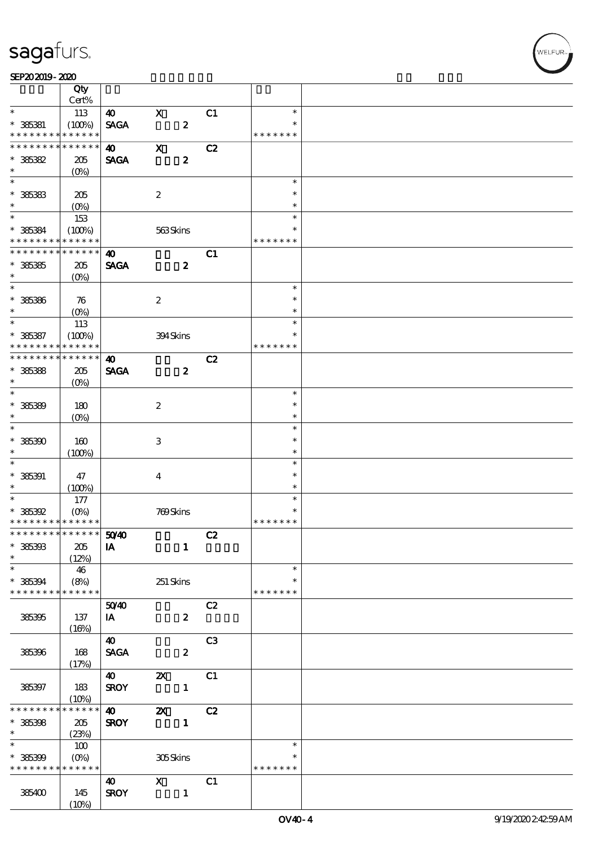#### SEP202019-2020

|                               | Qty                    |                       |                           |                |                  |  |
|-------------------------------|------------------------|-----------------------|---------------------------|----------------|------------------|--|
|                               | Cert%                  |                       |                           |                |                  |  |
| $\ast$                        | 113                    | $\boldsymbol{\omega}$ | $\mathbf X$               | C1             | $\ast$<br>$\ast$ |  |
| $* 36381$<br>* * * * * * * *  | (100%)<br>* * * * * *  | <b>SAGA</b>           | $\pmb{2}$                 |                | * * * * * * *    |  |
| * * * * * * * *               | * * * * * *            | $\boldsymbol{\omega}$ | $\mathbf X$               | C2             |                  |  |
| $*36382$                      | 205                    | <b>SAGA</b>           | $\boldsymbol{2}$          |                |                  |  |
| $\ast$                        | (O <sub>0</sub> )      |                       |                           |                |                  |  |
| $\overline{\phantom{0}}$      |                        |                       |                           |                | $\ast$           |  |
| $* 36383$                     | 205                    |                       | $\boldsymbol{2}$          |                | $\ast$           |  |
| $\ast$                        | $(O\%)$                |                       |                           |                | $\ast$           |  |
|                               | 153                    |                       |                           |                | $\ast$           |  |
| $* 36384$                     | (100%)                 |                       | 563Skins                  |                | $\ast$           |  |
| * * * * * * * *               | * * * * * *            |                       |                           |                | * * * * * * *    |  |
| * * * * * * * *               | * * * * * *            | $\boldsymbol{\omega}$ |                           | C1             |                  |  |
| $* 36335$                     | 205                    | <b>SAGA</b>           | $\boldsymbol{z}$          |                |                  |  |
| $\ast$                        | $(O\%)$                |                       |                           |                |                  |  |
| $\overline{\ast}$             |                        |                       |                           |                | $\ast$           |  |
| $* 36336$                     | 76                     |                       | $\boldsymbol{2}$          |                | $\ast$           |  |
| $\ast$<br>$\ast$              | $(O\%)$                |                       |                           |                | $\ast$           |  |
|                               | 113                    |                       |                           |                | $\ast$<br>$\ast$ |  |
| $* 385387$<br>* * * * * * * * | (100%)<br>* * * * * *  |                       | 394Skins                  |                | * * * * * * *    |  |
| * * * * * * * *               | * * * * * *            | $\boldsymbol{\omega}$ |                           |                |                  |  |
| $* 36388$                     | 205                    | <b>SAGA</b>           | $\boldsymbol{z}$          | C2             |                  |  |
| $\ast$                        | (O <sub>0</sub> )      |                       |                           |                |                  |  |
| $\overline{\phantom{0}}$      |                        |                       |                           |                | $\ast$           |  |
| $* 36389$                     | 180                    |                       | $\boldsymbol{2}$          |                | $\ast$           |  |
| $\ast$                        | $(O\%)$                |                       |                           |                | $\ast$           |  |
| $\overline{\ast}$             |                        |                       |                           |                | $\ast$           |  |
| $*36390$                      | 160                    |                       | $\,3$                     |                | $\ast$           |  |
| $\ast$                        | (100%)                 |                       |                           |                | $\ast$           |  |
| $\ast$                        |                        |                       |                           |                | $\ast$           |  |
| $* 385391$                    | 47                     |                       | $\bf{4}$                  |                | $\ast$           |  |
| $\ast$                        | (100%)                 |                       |                           |                | $\ast$           |  |
| $\ast$                        | 177                    |                       |                           |                | $\ast$           |  |
| $*36392$                      | $(O\%)$                |                       | 769Skins                  |                | $\ast$           |  |
| * * * * * * * * * * * * * *   |                        |                       |                           |                | * * * * * * *    |  |
| * * * * * * * * * * * * * * * |                        | 50 <sup>/40</sup>     |                           | C2             |                  |  |
| $* 36300$                     | 205                    | IA                    | $\mathbf{1}$              |                |                  |  |
| $\ast$<br>$\ast$              | (12%)                  |                       |                           |                | $\ast$           |  |
|                               | 46                     |                       |                           |                | $\ast$           |  |
| $* 385394$<br>* * * * * * * * | (8%)<br>* * * * * *    |                       | $251$ Skins               |                | * * * * * * *    |  |
|                               |                        | 5040                  |                           | C2             |                  |  |
| 385395                        | 137                    | IA                    | $\boldsymbol{z}$          |                |                  |  |
|                               | (16%)                  |                       |                           |                |                  |  |
|                               |                        | $\boldsymbol{\omega}$ |                           | C <sub>3</sub> |                  |  |
| 385396                        | 168                    | <b>SAGA</b>           | $\boldsymbol{z}$          |                |                  |  |
|                               | (17%)                  |                       |                           |                |                  |  |
|                               |                        | <b>40</b>             | $\boldsymbol{\mathsf{Z}}$ | C1             |                  |  |
| 385397                        | 183                    | <b>SROY</b>           | $\mathbf{1}$              |                |                  |  |
|                               | $(10\%)$               |                       |                           |                |                  |  |
| * * * * * * *                 | * * * * * *            | $\boldsymbol{\omega}$ | $\boldsymbol{\mathsf{z}}$ | C2             |                  |  |
| $* 385398$                    | 205                    | <b>SROY</b>           | $\mathbf{1}$              |                |                  |  |
| $\ast$                        | (23%)                  |                       |                           |                |                  |  |
| $\overline{\ast}$             | 100                    |                       |                           |                | $\ast$           |  |
| $* 385399$                    | $(O\%)$<br>* * * * * * |                       | 305Skins                  |                | $\ast$           |  |
| * * * * * * * *               |                        |                       |                           |                | * * * * * * *    |  |
|                               |                        | <b>40</b>             | $\mathbf{x}$              | C1             |                  |  |
| 385400                        | 145<br>(10%)           | <b>SROY</b>           | $\mathbf{1}$              |                |                  |  |
|                               |                        |                       |                           |                |                  |  |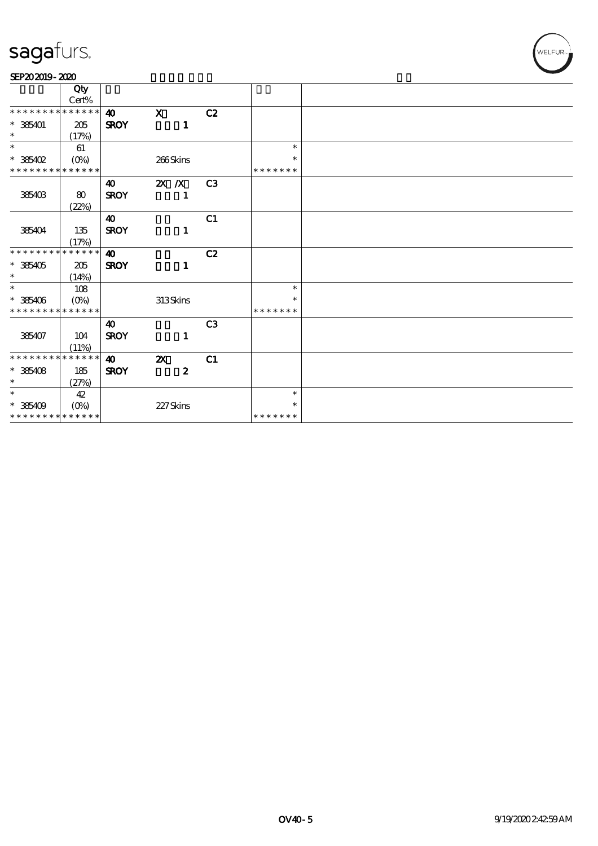| SEP202019-2020 |  |
|----------------|--|
|----------------|--|

|                                    | Qty                       |                       |                           |    |               |  |
|------------------------------------|---------------------------|-----------------------|---------------------------|----|---------------|--|
|                                    | $Cert\%$                  |                       |                           |    |               |  |
| * * * * * * * * * * * * * *        |                           | $\boldsymbol{\omega}$ | $\mathbf{x}$              | C2 |               |  |
| $*365401$                          | 205                       | <b>SROY</b>           | $\mathbf{1}$              |    |               |  |
| $\ast$<br>$\overline{\phantom{0}}$ | (17%)                     |                       |                           |    |               |  |
|                                    | 61                        |                       |                           |    | $\ast$        |  |
| $*36402$                           | $(O\%)$                   |                       | 266Skins                  |    | $\ast$        |  |
| * * * * * * * * * * * * * *        |                           |                       |                           |    | * * * * * * * |  |
|                                    |                           | $\boldsymbol{\omega}$ | $X$ $X$                   | C3 |               |  |
| 385403                             | $\bf 80$                  | <b>SROY</b>           | $\mathbf{1}$              |    |               |  |
|                                    | (22%)                     |                       |                           |    |               |  |
|                                    |                           | $\boldsymbol{\omega}$ |                           | C1 |               |  |
| 385404                             | 135                       | <b>SROY</b>           | $\mathbf{1}$              |    |               |  |
|                                    | (17%)                     |                       |                           |    |               |  |
| * * * * * * * *                    | * * * * * *               | $\boldsymbol{\omega}$ |                           | C2 |               |  |
| $*36405$                           | 205                       | <b>SROY</b>           | $\mathbf{1}$              |    |               |  |
| $\ast$                             | (14%)                     |                       |                           |    |               |  |
| $\ast$                             | 108                       |                       |                           |    | $\ast$        |  |
| $*36406$                           | $(O\!\!\!\!\!\!\!/\,\!o)$ |                       | 313Skins                  |    | $\ast$        |  |
| * * * * * * * * * * * * * *        |                           |                       |                           |    | * * * * * * * |  |
|                                    |                           | $\boldsymbol{\omega}$ |                           | C3 |               |  |
| 385407                             | 104                       | <b>SROY</b>           | $\mathbf{1}$              |    |               |  |
|                                    | (11%)                     |                       |                           |    |               |  |
| * * * * * * * *                    | * * * * * *               | $\boldsymbol{\omega}$ | $\boldsymbol{\mathsf{z}}$ | C1 |               |  |
| $*385408$                          | 185                       | <b>SROY</b>           | $\boldsymbol{z}$          |    |               |  |
| $\ast$                             | (27%)                     |                       |                           |    |               |  |
| $\ast$                             | 42                        |                       |                           |    | $\ast$        |  |
| $*36409$                           | $(O\%)$                   |                       | 227Skins                  |    | $\ast$        |  |
| * * * * * * * * * * * * * *        |                           |                       |                           |    | * * * * * * * |  |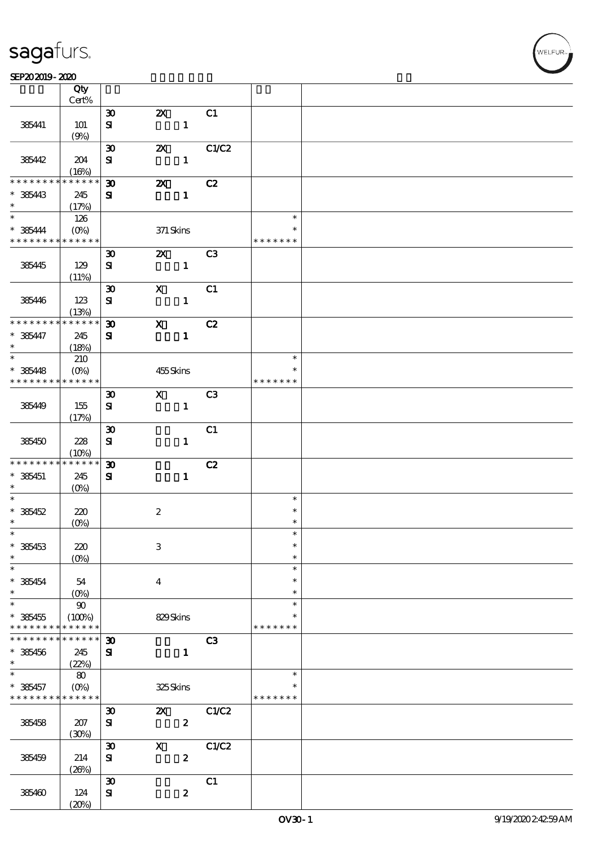#### SEP202019-2020

|                                            | Qty<br>$Cert\%$ |                             |                                                                             |                |                         |  |
|--------------------------------------------|-----------------|-----------------------------|-----------------------------------------------------------------------------|----------------|-------------------------|--|
|                                            |                 |                             |                                                                             |                |                         |  |
|                                            |                 | $\boldsymbol{\mathfrak{D}}$ | $\boldsymbol{\mathsf{Z}}$                                                   | C1             |                         |  |
| 385441                                     | 101             | ${\bf s}$                   | $\mathbf{1}$                                                                |                |                         |  |
|                                            | (9%)            |                             |                                                                             |                |                         |  |
|                                            |                 | $\boldsymbol{\mathfrak{D}}$ | ZX                                                                          | C1/C2          |                         |  |
| 385442                                     | 204             | ${\bf s}$                   | $\mathbf{1}$                                                                |                |                         |  |
|                                            | (16%)           |                             |                                                                             |                |                         |  |
| * * * * * * * *                            | * * * * * *     | $\boldsymbol{\mathfrak{D}}$ | $\boldsymbol{\alpha}$                                                       | C2             |                         |  |
| $* 385443$                                 | 245             | ${\bf s}$                   | $\mathbf{1}$                                                                |                |                         |  |
| $\ast$                                     | (17%)           |                             |                                                                             |                |                         |  |
| $\ast$                                     | 126             |                             |                                                                             |                | $\ast$                  |  |
| $* 365444$                                 | $(O\% )$        |                             | 371 Skins                                                                   |                | $\ast$                  |  |
| * * * * * * * * * * * * * *                |                 |                             |                                                                             |                | * * * * * * *           |  |
|                                            |                 | $\boldsymbol{\mathfrak{D}}$ | $\mathbf{X}$                                                                | C3             |                         |  |
| 385445                                     | 129             | ${\bf s}$                   | $\blacksquare$                                                              |                |                         |  |
|                                            | (11%)           |                             |                                                                             |                |                         |  |
|                                            |                 | $\boldsymbol{\mathfrak{D}}$ | $\mathbf{x}$                                                                | C1             |                         |  |
| 385446                                     | 123             | ${\bf s}$                   | $\mathbf{1}$                                                                |                |                         |  |
|                                            | (13%)           |                             |                                                                             |                |                         |  |
| * * * * * * * *                            | * * * * * *     | $\boldsymbol{\mathfrak{D}}$ | $\mathbf{x}$                                                                | C2             |                         |  |
| $* 365447$                                 | 245             | ${\bf s}$                   | $\mathbf{1}$                                                                |                |                         |  |
| $\ast$                                     | (18%)           |                             |                                                                             |                |                         |  |
| $\ast$                                     | 210             |                             |                                                                             |                | $\ast$                  |  |
| $* 385448$                                 | $(0\%)$         |                             | 455Skins                                                                    |                | $\ast$                  |  |
| * * * * * * * * * * * * * * *              |                 |                             |                                                                             |                | * * * * * * *           |  |
|                                            |                 | $\boldsymbol{\mathfrak{D}}$ | $\mathbf X$ and $\mathbf X$ and $\mathbf X$ and $\mathbf X$ and $\mathbf X$ | C <sub>3</sub> |                         |  |
| 385449                                     | 155             | ${\bf s}$                   | $\mathbf{1}$                                                                |                |                         |  |
|                                            | (17%)           |                             |                                                                             |                |                         |  |
|                                            |                 | $\boldsymbol{\mathfrak{D}}$ |                                                                             | C1             |                         |  |
| 385450                                     | 228             | $\bf S$                     | $\mathbf{1}$                                                                |                |                         |  |
|                                            | (10%)           |                             |                                                                             |                |                         |  |
| * * * * * * * *                            | * * * * * *     | $\boldsymbol{\mathfrak{D}}$ |                                                                             | C2             |                         |  |
| $* 385451$                                 | 245             | ${\bf s}$                   | $\mathbf{1}$                                                                |                |                         |  |
| $\ast$                                     | $(O\%)$         |                             |                                                                             |                |                         |  |
| $\ast$                                     |                 |                             |                                                                             |                | $\ast$                  |  |
| $*36452$                                   | 220             |                             | $\boldsymbol{2}$                                                            |                | $\ast$                  |  |
| $\ast$                                     | $(0\%)$         |                             |                                                                             |                | $\ast$                  |  |
| $*$                                        |                 |                             |                                                                             |                | $\ast$                  |  |
| $* 385453$                                 | 220             |                             | $\,3$                                                                       |                | $\ast$                  |  |
| $\ast$                                     | $(0\%)$         |                             |                                                                             |                | $\ast$                  |  |
| $\ast$                                     |                 |                             |                                                                             |                | $\ast$                  |  |
| $* 385454$                                 | 54              |                             | $\boldsymbol{4}$                                                            |                | $\ast$                  |  |
| $\ast$                                     | $(O\%)$         |                             |                                                                             |                | $\ast$                  |  |
| $\ast$                                     | $90\,$          |                             |                                                                             |                | $\ast$                  |  |
| $* 385455$                                 | (100%)          |                             | 829Skins                                                                    |                | $\ast$                  |  |
| * * * * * * * *                            | * * * * * *     |                             |                                                                             |                | * * * * * * *           |  |
| * * * * * * * *                            | * * * * * *     | $\boldsymbol{\mathfrak{D}}$ |                                                                             | C3             |                         |  |
| $* 385456$                                 | 245             | ${\bf s}$                   | $\mathbf{1}$                                                                |                |                         |  |
| $\ast$<br>$\ast$                           | (22%)           |                             |                                                                             |                |                         |  |
|                                            | 80              |                             |                                                                             |                | $\ast$                  |  |
| $* 385457$                                 | $(0\%)$         |                             | 325Skins                                                                    |                | $\ast$<br>* * * * * * * |  |
| * * * * * * * * <mark>* * * * * * *</mark> |                 |                             |                                                                             |                |                         |  |
|                                            |                 | $\boldsymbol{\mathfrak{D}}$ | $\boldsymbol{\mathsf{z}}$                                                   | C1/C2          |                         |  |
| 385458                                     | 207             | ${\bf s}$                   | $\pmb{2}$                                                                   |                |                         |  |
|                                            | (30%)           |                             |                                                                             |                |                         |  |
|                                            |                 | $\boldsymbol{\mathfrak{D}}$ | $\boldsymbol{\mathrm{X}}$                                                   | C1/C2          |                         |  |
| 385459                                     | 214             | ${\bf s}$                   | $\boldsymbol{2}$                                                            |                |                         |  |
|                                            | (20%)           |                             |                                                                             |                |                         |  |
|                                            |                 | $\boldsymbol{\mathfrak{D}}$ |                                                                             | C1             |                         |  |
| 385460                                     | 124             | $\mathbf{S}$                | $\pmb{2}$                                                                   |                |                         |  |
|                                            | (20%)           |                             |                                                                             |                |                         |  |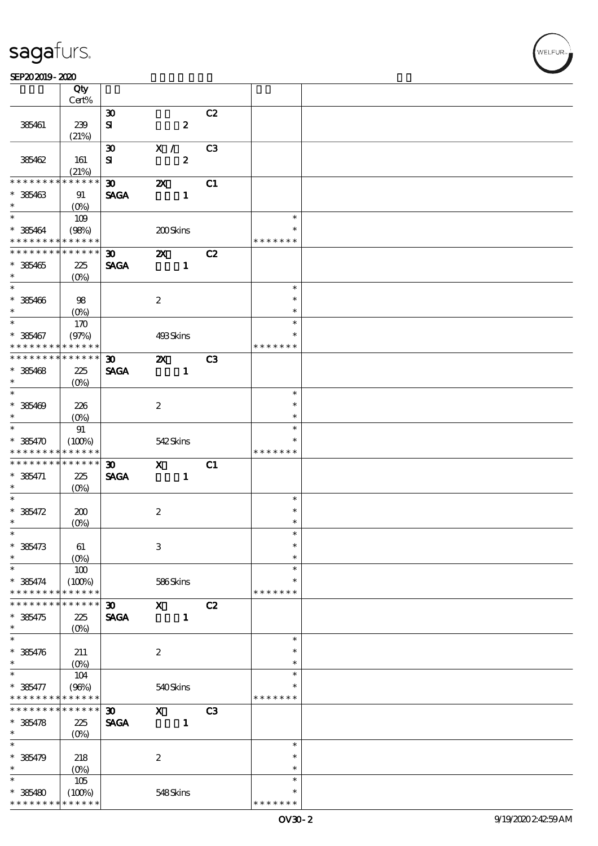#### SEP202019-2020

|                                                         | Qty<br>Cert%          |                             |                           |                  |                |               |  |
|---------------------------------------------------------|-----------------------|-----------------------------|---------------------------|------------------|----------------|---------------|--|
|                                                         |                       | $\boldsymbol{\mathfrak{D}}$ |                           |                  | C2             |               |  |
|                                                         |                       |                             |                           |                  |                |               |  |
| 385461                                                  | 239                   | ${\bf s}$                   |                           | $\boldsymbol{z}$ |                |               |  |
|                                                         | (21%)                 |                             |                           |                  |                |               |  |
|                                                         |                       | $\boldsymbol{\mathfrak{D}}$ | X /                       |                  | C <sub>3</sub> |               |  |
| 385462                                                  | 161                   | ${\bf s}$                   |                           | $\boldsymbol{2}$ |                |               |  |
|                                                         | (21%)                 |                             |                           |                  |                |               |  |
| * * * * * * * *                                         | * * * * * *           | 30 <sub>o</sub>             | $\boldsymbol{\alpha}$     |                  | C1             |               |  |
| $* 36463$                                               | 91                    | <b>SAGA</b>                 |                           | $\mathbf{1}$     |                |               |  |
| $\ast$                                                  | $(O\%)$               |                             |                           |                  |                |               |  |
| $\ast$                                                  | 109                   |                             |                           |                  |                | $\ast$        |  |
|                                                         |                       |                             |                           |                  |                | $\ast$        |  |
| $*365464$<br>* * * * * * * * <mark>* * * * * * *</mark> | (98%)                 |                             | 200Skins                  |                  |                | * * * * * * * |  |
|                                                         |                       |                             |                           |                  |                |               |  |
| * * * * * * * * * * * * * * *                           |                       | $\boldsymbol{\mathfrak{D}}$ | $\boldsymbol{\mathsf{Z}}$ |                  | C2             |               |  |
| $* 36465$                                               | 225                   | <b>SAGA</b>                 |                           | $\mathbf{1}$     |                |               |  |
| $\ast$                                                  | $(O\%)$               |                             |                           |                  |                |               |  |
| $*$                                                     |                       |                             |                           |                  |                | $\ast$        |  |
| $* 385406$                                              | 98                    |                             | $\boldsymbol{z}$          |                  |                | $\ast$        |  |
| $\ast$                                                  | $(O\%)$               |                             |                           |                  |                | $\ast$        |  |
| $\overline{\ast}$                                       | 170                   |                             |                           |                  |                | $\ast$        |  |
| $* 385467$                                              | (97%)                 |                             | 493Skins                  |                  |                | $\ast$        |  |
| * * * * * * * *                                         | * * * * * *           |                             |                           |                  |                | * * * * * * * |  |
| * * * * * * * *                                         | ******                |                             |                           |                  |                |               |  |
|                                                         |                       | $\boldsymbol{\mathfrak{D}}$ | $\boldsymbol{\mathsf{Z}}$ |                  | C3             |               |  |
| $* 36468$                                               | 225                   | <b>SAGA</b>                 |                           | $\mathbf{1}$     |                |               |  |
| $\ast$                                                  | $(O\%)$               |                             |                           |                  |                |               |  |
| $\ast$                                                  |                       |                             |                           |                  |                | $\ast$        |  |
| $* 385409$                                              | 226                   |                             | $\boldsymbol{2}$          |                  |                | $\ast$        |  |
| $\ast$                                                  | $(O\%)$               |                             |                           |                  |                | $\ast$        |  |
| $\overline{\mathbf{r}}$                                 | 91                    |                             |                           |                  |                | $\ast$        |  |
| $* 385470$                                              | (100%)                |                             | 542Skins                  |                  |                | $\ast$        |  |
| * * * * * * * *                                         | * * * * * *           |                             |                           |                  |                | * * * * * * * |  |
| * * * * * * * *                                         | $* * * * * * *$       | $\boldsymbol{\mathfrak{D}}$ | $\mathbf{x}$              |                  | C1             |               |  |
| $* 385471$                                              | 225                   | <b>SAGA</b>                 |                           | $\mathbf{1}$     |                |               |  |
| $\ast$                                                  | $(O\%)$               |                             |                           |                  |                |               |  |
| $\overline{\ast}$                                       |                       |                             |                           |                  |                | $\ast$        |  |
|                                                         |                       |                             |                           |                  |                | $\ast$        |  |
| $* 36472$                                               | 200                   |                             | $\boldsymbol{2}$          |                  |                |               |  |
| $\ast$                                                  | (O <sub>0</sub> )     |                             |                           |                  |                | $\ast$        |  |
| $\ast$                                                  |                       |                             |                           |                  |                | $\ast$        |  |
| $* 36473$                                               | 61                    |                             | $\,3$                     |                  |                | $\ast$        |  |
| *                                                       | $(0\%)$               |                             |                           |                  |                | $\ast$        |  |
| $\ast$                                                  | 100                   |                             |                           |                  |                | $\ast$        |  |
| $* 365474$                                              | (100%)                |                             | 586Skins                  |                  |                | $\ast$        |  |
| * * * * * * *                                           | * * * * * *           |                             |                           |                  |                | * * * * * * * |  |
| * * * * * * *                                           | * * * * * *           | $\boldsymbol{\mathfrak{D}}$ | $\mathbf{x}$              |                  | C2             |               |  |
| $* 385475$                                              | 225                   | <b>SAGA</b>                 |                           | $\mathbf{1}$     |                |               |  |
| $\ast$                                                  | $(0\%)$               |                             |                           |                  |                |               |  |
| $\ast$                                                  |                       |                             |                           |                  |                | $\ast$        |  |
|                                                         |                       |                             |                           |                  |                | $\ast$        |  |
| $* 385476$                                              | 211                   |                             | $\boldsymbol{z}$          |                  |                |               |  |
| $\ast$                                                  | $(0\%)$               |                             |                           |                  |                | $\ast$        |  |
| $\ast$                                                  | 104                   |                             |                           |                  |                | $\ast$        |  |
| $* 36477$                                               | (96%)                 |                             | 540Skins                  |                  |                | $\ast$        |  |
| * * * * * * * *                                         | * * * * * *           |                             |                           |                  |                | * * * * * * * |  |
| * * * * * * *                                           | * * * * * *           | $\boldsymbol{\mathfrak{D}}$ | $\mathbf{x}$              |                  | C <sub>3</sub> |               |  |
| $* 36478$                                               | 225                   | <b>SAGA</b>                 |                           | $\mathbf{1}$     |                |               |  |
| $\ast$                                                  | $(O\%)$               |                             |                           |                  |                |               |  |
| $\ast$                                                  |                       |                             |                           |                  |                | $\ast$        |  |
| $* 36479$                                               | 218                   |                             | $\boldsymbol{2}$          |                  |                | $\ast$        |  |
| *                                                       | $(0\%)$               |                             |                           |                  |                | $\ast$        |  |
| $\ast$                                                  |                       |                             |                           |                  |                | $\ast$        |  |
|                                                         | 105                   |                             |                           |                  |                | $\ast$        |  |
| $* 385480$                                              | (100%)<br>* * * * * * |                             | 548Skins                  |                  |                | * * * * * * * |  |
| * * * * * * * *                                         |                       |                             |                           |                  |                |               |  |

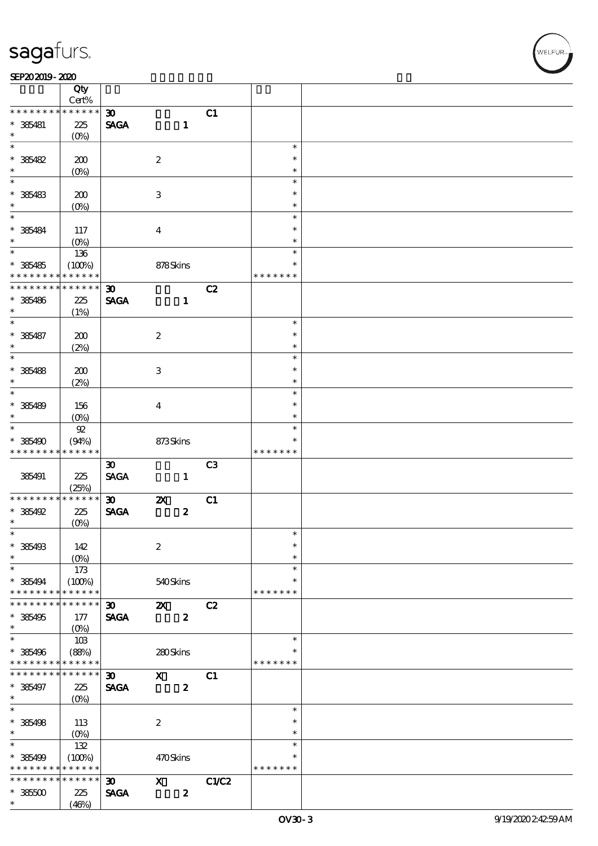#### $SEP202019 - 2020$

|                                                              | Qty<br>Cert%          |                             |                           |                |               |  |
|--------------------------------------------------------------|-----------------------|-----------------------------|---------------------------|----------------|---------------|--|
| * * * * * * * *                                              | * * * * * *           |                             |                           |                |               |  |
|                                                              |                       | $\boldsymbol{\mathfrak{D}}$ |                           | C1             |               |  |
| $* 385481$                                                   | 225                   | <b>SAGA</b>                 | $\mathbf{1}$              |                |               |  |
| $\ast$                                                       | $(O\%)$               |                             |                           |                |               |  |
| $\overline{\ast}$                                            |                       |                             |                           |                | $\ast$        |  |
| $* 36482$                                                    | 200                   |                             | $\boldsymbol{2}$          |                | $\ast$        |  |
| $\ast$                                                       | (0%                   |                             |                           |                | $\ast$        |  |
| $\overline{\phantom{0}}$                                     |                       |                             |                           |                | $\ast$        |  |
| $* 36483$                                                    | 200                   |                             | $\ensuremath{\mathsf{3}}$ |                | $\ast$        |  |
| $\ast$                                                       | $(O\%)$               |                             |                           |                | $\ast$        |  |
|                                                              |                       |                             |                           |                | $\ast$        |  |
|                                                              |                       |                             |                           |                | $\ast$        |  |
| $* 365484$                                                   | 117                   |                             | $\boldsymbol{4}$          |                |               |  |
| $\ast$                                                       | $(O\%)$               |                             |                           |                | $\ast$        |  |
| $\overline{\ast}$                                            | 136                   |                             |                           |                | $\ast$        |  |
| $* 36485$                                                    | (100%)                |                             | 878Skins                  |                | $\ast$        |  |
| * * * * * * * *                                              | * * * * * *           |                             |                           |                | * * * * * * * |  |
| * * * * * * *                                                | * * * * * *           | 30                          |                           | C2             |               |  |
| $* 36486$                                                    | 225                   | <b>SAGA</b>                 | $\mathbf{1}$              |                |               |  |
| $\ast$                                                       | (1%)                  |                             |                           |                |               |  |
| $\overline{\ast}$                                            |                       |                             |                           |                | $\ast$        |  |
|                                                              |                       |                             |                           |                | $\ast$        |  |
| $* 36487$                                                    | 200                   |                             | $\boldsymbol{2}$          |                |               |  |
| $\ast$                                                       | (2%)                  |                             |                           |                | $\ast$        |  |
| $\overline{\phantom{0}}$                                     |                       |                             |                           |                | $\ast$        |  |
| $* 36488$                                                    | 200                   |                             | $\,3\,$                   |                | $\ast$        |  |
| $\ast$                                                       | (2%)                  |                             |                           |                | $\ast$        |  |
| $\overline{\ast}$                                            |                       |                             |                           |                | $\ast$        |  |
| $* 36489$                                                    | 156                   |                             | $\boldsymbol{4}$          |                | $\ast$        |  |
| $\ast$                                                       | $(O\%)$               |                             |                           |                | $\ast$        |  |
| $\overline{\ast}$                                            | $92\,$                |                             |                           |                | $\ast$        |  |
|                                                              |                       |                             |                           |                | $\ast$        |  |
| $*36490$                                                     | (94%)                 |                             | 873Skins                  |                |               |  |
| * * * * * * * *                                              | * * * * * *           |                             |                           |                | * * * * * * * |  |
|                                                              |                       | $\boldsymbol{\mathfrak{D}}$ |                           | C <sub>3</sub> |               |  |
| 385491                                                       | 225                   | <b>SAGA</b>                 | $\mathbf{1}$              |                |               |  |
|                                                              | (25%)                 |                             |                           |                |               |  |
| * * * * * * * *                                              | * * * * * *           | $\boldsymbol{\mathfrak{D}}$ | $\boldsymbol{\mathsf{z}}$ | C1             |               |  |
| $*36492$                                                     | 225                   | <b>SAGA</b>                 | $\boldsymbol{2}$          |                |               |  |
| $\ast$                                                       |                       |                             |                           |                |               |  |
|                                                              |                       |                             |                           |                |               |  |
| $\ast$                                                       | $(O\%)$               |                             |                           |                | $\ast$        |  |
|                                                              |                       |                             |                           |                | $\ast$        |  |
| $* 385493$<br>$\ast$                                         | 142                   |                             | $\boldsymbol{2}$          |                | $\ast$        |  |
|                                                              | $(0\%)$               |                             |                           |                |               |  |
| $\ast$                                                       | 173                   |                             |                           |                | $\ast$        |  |
| $* 385494$                                                   | (100%)                |                             | 540Skins                  |                | $\ast$        |  |
|                                                              | * * * * * *           |                             |                           |                | * * * * * * * |  |
| * * * * * * *                                                | * * * * * *           | $\boldsymbol{\mathfrak{D}}$ | $\boldsymbol{\mathsf{z}}$ | C2             |               |  |
|                                                              | 177                   | <b>SAGA</b>                 | $\boldsymbol{z}$          |                |               |  |
|                                                              | $(0\%)$               |                             |                           |                |               |  |
| * * * * * * * *<br>$* 385495$<br>$\ast$<br>$\overline{\ast}$ | 10B                   |                             |                           |                | $\ast$        |  |
|                                                              |                       |                             |                           |                | $\ast$        |  |
| * 385496<br>* * * * * * * *                                  | (88%)<br>* * * * * *  |                             | 280Skins                  |                | * * * * * * * |  |
|                                                              |                       |                             |                           |                |               |  |
|                                                              | * * * * * *           | $\boldsymbol{\mathfrak{D}}$ | $\mathbf{x}$              | C1             |               |  |
|                                                              | 225                   | <b>SAGA</b>                 | $\pmb{2}$                 |                |               |  |
|                                                              | $(O\%)$               |                             |                           |                |               |  |
| * * * * * * *<br>$* 385497$<br>$\ast$<br>$\overline{\ast}$   |                       |                             |                           |                | $\ast$        |  |
| $* 385498$                                                   | 113                   |                             | $\boldsymbol{2}$          |                | $\ast$        |  |
| $\ast$                                                       | $(0\%)$               |                             |                           |                | $\ast$        |  |
| $\ast$                                                       | 132                   |                             |                           |                | $\ast$        |  |
|                                                              |                       |                             |                           |                | $\ast$        |  |
| $* 36499$<br>* * * * * * * *                                 | (100%)<br>* * * * * * |                             | 470Skins                  |                | * * * * * * * |  |
| * * * * * * * *                                              | * * * * * *           |                             |                           |                |               |  |
|                                                              |                       | $\boldsymbol{\mathfrak{D}}$ | $\boldsymbol{\mathrm{X}}$ | C1/C2          |               |  |
| $*36500$<br>$\ast$                                           | 225<br>(46%)          | <b>SAGA</b>                 | $\boldsymbol{z}$          |                |               |  |

T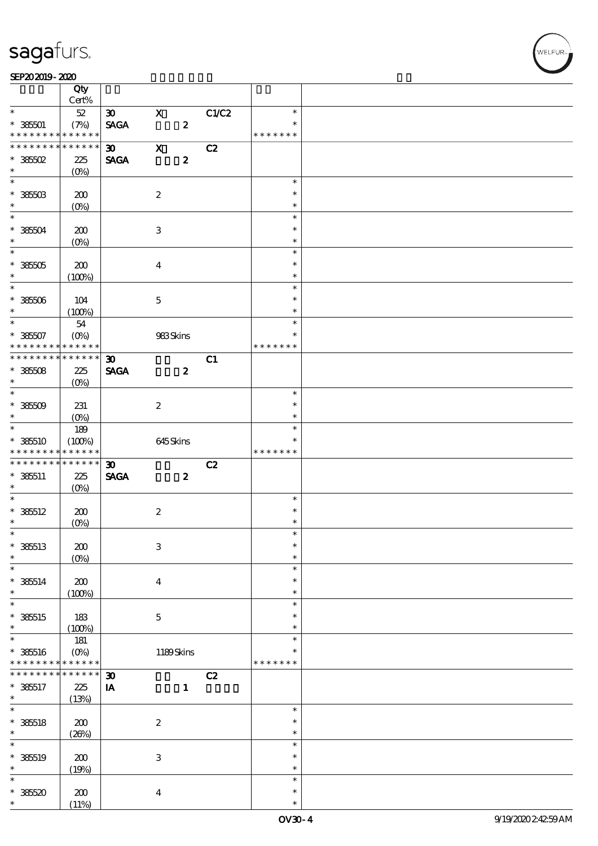$\top$ 

#### $SEP202019 - 2020$

|                                                         | Qty<br>Cert%          |                             |                           |                  |       |                         |  |
|---------------------------------------------------------|-----------------------|-----------------------------|---------------------------|------------------|-------|-------------------------|--|
| $\ast$                                                  | $52\,$                | $\infty$                    | $\mathbf x$               |                  | C1/C2 | $\ast$                  |  |
| $* 38501$<br>* * * * * * * * <mark>* * * * * * *</mark> | (7%)                  | <b>SAGA</b>                 |                           | $\boldsymbol{z}$ |       | $\ast$<br>* * * * * * * |  |
| * * * * * * * *                                         | $* * * * * * *$       |                             |                           |                  |       |                         |  |
|                                                         |                       | $\infty$                    | $\mathbf x$               |                  | C2    |                         |  |
| $*36502$                                                | 225                   | <b>SAGA</b>                 |                           | $\boldsymbol{2}$ |       |                         |  |
| $\ast$                                                  | $(0\%)$               |                             |                           |                  |       |                         |  |
|                                                         |                       |                             |                           |                  |       | $\ast$                  |  |
| $* 38503$                                               | 200                   |                             | $\boldsymbol{2}$          |                  |       | $\ast$                  |  |
| $\ast$                                                  | $(O_0)$               |                             |                           |                  |       | $\ast$                  |  |
| $\overline{\ast}$                                       |                       |                             |                           |                  |       | $\ast$                  |  |
| $*36504$                                                | 200                   |                             | $\,3$                     |                  |       | $\ast$                  |  |
| $\ast$                                                  | (O <sub>0</sub> )     |                             |                           |                  |       | $\ast$                  |  |
| $\overline{\ast}$                                       |                       |                             |                           |                  |       | $\ast$                  |  |
|                                                         |                       |                             |                           |                  |       | $\ast$                  |  |
| $*36505$                                                | 200                   |                             | $\boldsymbol{4}$          |                  |       | $\ast$                  |  |
| $\ast$<br>$\overline{\ast}$                             | (100%)                |                             |                           |                  |       |                         |  |
|                                                         |                       |                             |                           |                  |       | $\ast$                  |  |
| $* 38506$                                               | 104                   |                             | $\mathbf 5$               |                  |       | $\ast$                  |  |
| $\ast$                                                  | (100%)                |                             |                           |                  |       | $\ast$                  |  |
| $\overline{\ast}$                                       | 54                    |                             |                           |                  |       | $\ast$                  |  |
| $* 38507$                                               | $(O\%)$               |                             | $983\mathrm{S}$ kins      |                  |       | $\ast$                  |  |
| * * * * * * * *                                         | * * * * * *           |                             |                           |                  |       | * * * * * * *           |  |
| * * * * * * * * * * * * * * *                           |                       | $\boldsymbol{\mathfrak{D}}$ |                           |                  | C1    |                         |  |
| $* 38508$                                               | 225                   | <b>SAGA</b>                 |                           | $\boldsymbol{z}$ |       |                         |  |
| $\ast$                                                  | $(O\%)$               |                             |                           |                  |       |                         |  |
| $\overline{\ast}$                                       |                       |                             |                           |                  |       | $\ast$                  |  |
| $*36509$                                                | 231                   |                             | $\boldsymbol{2}$          |                  |       | $\ast$                  |  |
| $\ast$                                                  | $(0\%)$               |                             |                           |                  |       | $\ast$                  |  |
| $\overline{\phantom{0}}$                                | 189                   |                             |                           |                  |       | $\ast$                  |  |
|                                                         |                       |                             |                           |                  |       | $\ast$                  |  |
| $*36510$<br>* * * * * * * *                             | (100%)<br>* * * * * * |                             | 645Skins                  |                  |       | * * * * * * *           |  |
|                                                         |                       |                             |                           |                  |       |                         |  |
|                                                         |                       |                             |                           |                  |       |                         |  |
| * * * * * * * *                                         | $* * * * * * *$       | $\boldsymbol{\mathfrak{D}}$ |                           |                  | C2    |                         |  |
| $* 385511$                                              | 225                   | <b>SAGA</b>                 |                           | $\boldsymbol{z}$ |       |                         |  |
| $\ast$                                                  | $(O\%)$               |                             |                           |                  |       |                         |  |
| $\ast$                                                  |                       |                             |                           |                  |       | $\ast$                  |  |
| $* 385512$                                              | 200                   |                             | $\boldsymbol{2}$          |                  |       | $\ast$                  |  |
| $\ast$                                                  | (O <sub>0</sub> )     |                             |                           |                  |       | $\ast$                  |  |
| $\ast$                                                  |                       |                             |                           |                  |       | $\ast$                  |  |
| $* 38513$                                               | 200                   |                             | $\mathbf{3}$              |                  |       | $\ast$                  |  |
| $\ast$                                                  | $(O\%)$               |                             |                           |                  |       | $\ast$                  |  |
| $\ast$                                                  |                       |                             |                           |                  |       | $\ast$                  |  |
|                                                         |                       |                             |                           |                  |       | $\ast$                  |  |
| $* 38514$<br>$\ast$                                     | 200                   |                             | $\bf{4}$                  |                  |       | $\ast$                  |  |
| ¥                                                       | (100%)                |                             |                           |                  |       | $\ast$                  |  |
|                                                         |                       |                             |                           |                  |       | $\ast$                  |  |
| $*$ 385515<br>$\ast$                                    | 183                   |                             | $\mathbf 5$               |                  |       | $\ast$                  |  |
| $\ast$                                                  | (100%)                |                             |                           |                  |       | $\ast$                  |  |
|                                                         | 181                   |                             |                           |                  |       | *                       |  |
| $* 38516$<br>* * * * * * * *                            | $(O\%)$               |                             | 1189Skins                 |                  |       | * * * * * * *           |  |
|                                                         | * * * * * *           |                             |                           |                  |       |                         |  |
| * * * * * * *                                           | * * * * * *           | $\boldsymbol{\mathfrak{D}}$ |                           |                  | C2    |                         |  |
| $* 385517$                                              | $225\,$               | IA                          |                           | $\mathbf{1}$     |       |                         |  |
| $\ast$                                                  | (13%)                 |                             |                           |                  |       |                         |  |
| $\ast$                                                  |                       |                             |                           |                  |       | $\ast$                  |  |
|                                                         | 200                   |                             | $\boldsymbol{2}$          |                  |       | $\ast$                  |  |
| $* 38518$<br>$\ast$                                     | (20%)                 |                             |                           |                  |       | $\ast$                  |  |
| $\ast$                                                  |                       |                             |                           |                  |       | $\ast$                  |  |
| $* 38519$                                               | 200                   |                             | $\ensuremath{\mathbf{3}}$ |                  |       | $\ast$                  |  |
| $\ast$                                                  | (19%)                 |                             |                           |                  |       | $\ast$                  |  |
| $\ast$                                                  |                       |                             |                           |                  |       | $\ast$                  |  |
| $*36520$                                                | 200                   |                             | $\boldsymbol{4}$          |                  |       | $\ast$                  |  |

 $\top$ 

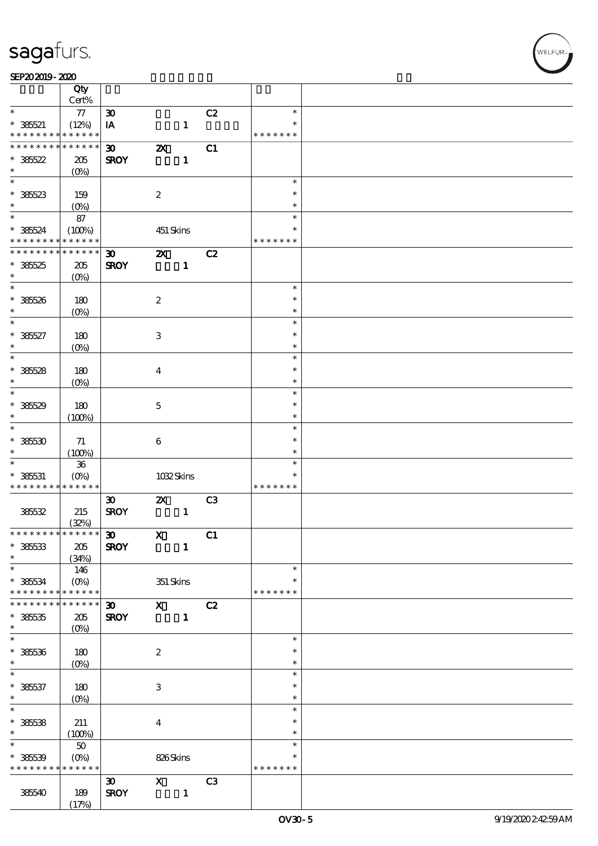#### $SEP202019 - 2020$

|                                            | Qty<br>Cert%           |                             |                           |              |                |               |  |
|--------------------------------------------|------------------------|-----------------------------|---------------------------|--------------|----------------|---------------|--|
| $\ast$                                     | $77\,$                 | $\pmb{\mathfrak{D}}$        |                           |              | C2             | $\ast$        |  |
|                                            |                        |                             |                           |              |                | $\ast$        |  |
| $* 38521$                                  | (12%)                  | IA                          |                           | $\mathbf{1}$ |                |               |  |
| * * * * * * * *                            | * * * * * *            |                             |                           |              |                | * * * * * * * |  |
| * * * * * * * *                            | * * * * * *            | $\boldsymbol{\mathfrak{D}}$ | $\boldsymbol{\mathsf{z}}$ |              | C1             |               |  |
| $*36522$                                   | 205                    | <b>SROY</b>                 |                           | $\mathbf{1}$ |                |               |  |
| $\ast$                                     | (O <sub>0</sub> )      |                             |                           |              |                |               |  |
| $\overline{\ast}$                          |                        |                             |                           |              |                | $\ast$        |  |
|                                            |                        |                             |                           |              |                | $\ast$        |  |
| $* 38523$                                  | 159                    |                             | $\boldsymbol{2}$          |              |                |               |  |
| $\ast$                                     | (O <sub>0</sub> )      |                             |                           |              |                | $\ast$        |  |
| $*$                                        | 87                     |                             |                           |              |                | $\ast$        |  |
| $* 38524$                                  | (100%)                 |                             | 451 Skins                 |              |                | $\ast$        |  |
| * * * * * * * *                            | * * * * * *            |                             |                           |              |                | * * * * * * * |  |
| * * * * * * * *                            | $* * * * * * *$        | $\boldsymbol{\mathfrak{D}}$ | $\boldsymbol{\mathsf{z}}$ |              | C2             |               |  |
|                                            |                        |                             |                           |              |                |               |  |
| $*38525$                                   | 205                    | <b>SROY</b>                 |                           | $\mathbf{1}$ |                |               |  |
| $\ast$                                     | $(O\%)$                |                             |                           |              |                |               |  |
| $\ast$                                     |                        |                             |                           |              |                | $\ast$        |  |
| $* 38526$                                  | 180                    |                             | $\boldsymbol{2}$          |              |                | $\ast$        |  |
| $\ast$                                     | (O <sub>0</sub> )      |                             |                           |              |                | $\ast$        |  |
| $\ast$                                     |                        |                             |                           |              |                | $\ast$        |  |
|                                            |                        |                             |                           |              |                |               |  |
| $* 38527$                                  | 180                    |                             | $\ensuremath{\mathbf{3}}$ |              |                | $\ast$        |  |
| $\ast$                                     | (O <sub>0</sub> )      |                             |                           |              |                | $\ast$        |  |
| $\ast$                                     |                        |                             |                           |              |                | $\ast$        |  |
| $*36528$                                   | 180                    |                             | $\bf{4}$                  |              |                | $\ast$        |  |
| $\ast$                                     | (O <sub>0</sub> )      |                             |                           |              |                | $\ast$        |  |
| $\ast$                                     |                        |                             |                           |              |                | $\ast$        |  |
|                                            |                        |                             |                           |              |                |               |  |
| $*36529$                                   | 180                    |                             | $\mathbf 5$               |              |                | $\ast$        |  |
| $\ast$                                     | (100%)                 |                             |                           |              |                | $\ast$        |  |
| $\ast$                                     |                        |                             |                           |              |                | $\ast$        |  |
| $*38530$                                   | 71                     |                             | 6                         |              |                | $\ast$        |  |
| $\ast$                                     |                        |                             |                           |              |                | $\ast$        |  |
| $\ast$                                     | (100%)                 |                             |                           |              |                |               |  |
|                                            | ${\bf 36}$             |                             |                           |              |                | $\ast$        |  |
| $* 38531$                                  | $(O\%)$                |                             | 1032Skins                 |              |                | $\ast$        |  |
|                                            |                        |                             |                           |              |                |               |  |
| * * * * * * * *                            | * * * * * *            |                             |                           |              |                | * * * * * * * |  |
|                                            |                        | $\boldsymbol{\mathfrak{D}}$ | $\boldsymbol{\mathsf{Z}}$ |              | C <sub>3</sub> |               |  |
|                                            |                        |                             |                           |              |                |               |  |
| 385532                                     | 215                    | <b>SROY</b>                 |                           | $\mathbf{1}$ |                |               |  |
|                                            | (32%)                  |                             |                           |              |                |               |  |
| * * * * * * * * <mark>* * * * * * *</mark> |                        | $\boldsymbol{\mathfrak{D}}$ | $\mathbf{X}$              |              | C1             |               |  |
| $* 38533$                                  | $205\,$                | <b>SROY</b>                 |                           | $\mathbf{1}$ |                |               |  |
| $\ast$                                     | (34%)                  |                             |                           |              |                |               |  |
| $\ast$                                     | 146                    |                             |                           |              |                | $\ast$        |  |
|                                            |                        |                             |                           |              |                | $\ast$        |  |
| $* 38534$<br>* * * * * * * *               | $(O\%)$<br>* * * * * * |                             | 351 Skins                 |              |                | * * * * * * * |  |
| * * * * * * *                              | * * * * * *            |                             |                           |              |                |               |  |
|                                            |                        | $\boldsymbol{\mathfrak{D}}$ | $\mathbf{X}$              |              | C2             |               |  |
| $*38535$                                   | 205                    | <b>SROY</b>                 |                           | $\mathbf{1}$ |                |               |  |
| $\ast$                                     | (O <sub>0</sub> )      |                             |                           |              |                |               |  |
| $\ast$                                     |                        |                             |                           |              |                | $\ast$        |  |
| $* 38536$                                  | 180                    |                             | $\boldsymbol{2}$          |              |                | $\ast$        |  |
| $\ast$                                     |                        |                             |                           |              |                | $\ast$        |  |
| $\ast$                                     | $(0\%)$                |                             |                           |              |                | $\ast$        |  |
|                                            |                        |                             |                           |              |                | $\ast$        |  |
| $* 38537$                                  | 180                    |                             | $\ensuremath{\mathbf{3}}$ |              |                |               |  |
| $\ast$                                     | $(O\%)$                |                             |                           |              |                | $\ast$        |  |
| $\overline{\ast}$                          |                        |                             |                           |              |                | $\ast$        |  |
| $*36538$                                   | 211                    |                             | $\bf{4}$                  |              |                | $\ast$        |  |
| $\ast$                                     | (100%)                 |                             |                           |              |                | $\ast$        |  |
| $\ast$                                     |                        |                             |                           |              |                | $\ast$        |  |
|                                            | $50\,$                 |                             |                           |              |                | $\ast$        |  |
| $* 38539$                                  | $(O\%)$                |                             | 826Skins                  |              |                |               |  |
| * * * * * * * *                            | * * * * * *            |                             |                           |              |                | * * * * * * * |  |
|                                            |                        | $\boldsymbol{\mathfrak{D}}$ | $\mathbf X$               |              | C <sub>3</sub> |               |  |
| 385540                                     | 189<br>(17%)           | <b>SROY</b>                 |                           | $\mathbf{1}$ |                |               |  |

T

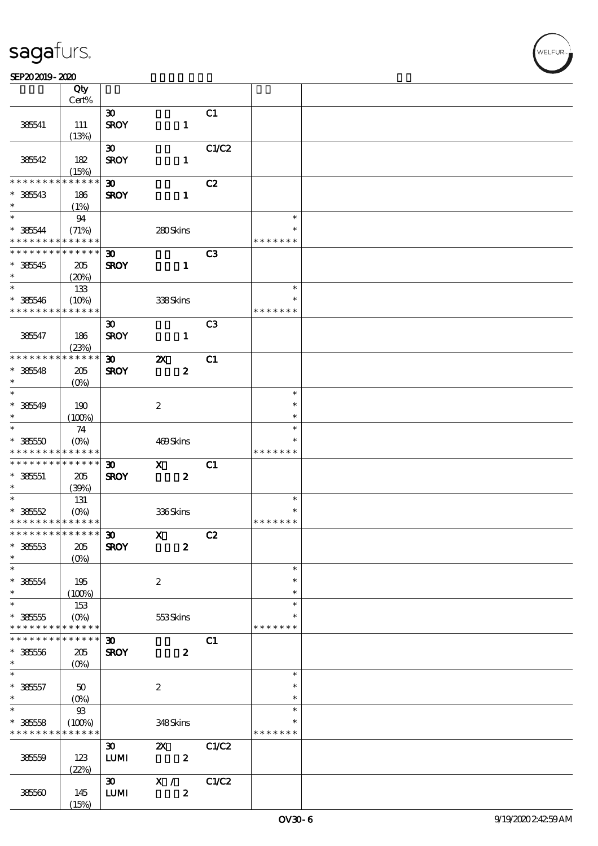#### SEP202019-2020

|                                                         | Qty<br>Cert%         |                             |                           |                |               |  |
|---------------------------------------------------------|----------------------|-----------------------------|---------------------------|----------------|---------------|--|
|                                                         |                      | $\boldsymbol{\mathfrak{D}}$ |                           | C1             |               |  |
|                                                         |                      |                             |                           |                |               |  |
| 385541                                                  | 111                  | <b>SROY</b>                 | $\mathbf{1}$              |                |               |  |
|                                                         | (13%)                |                             |                           |                |               |  |
|                                                         |                      | $\boldsymbol{\mathfrak{D}}$ |                           | C1/C2          |               |  |
| 385542                                                  | 182                  | <b>SROY</b>                 | $\mathbf{1}$              |                |               |  |
|                                                         | (15%)                |                             |                           |                |               |  |
| * * * * * * * *                                         | * * * * * *          | $\boldsymbol{\mathfrak{D}}$ |                           | C2             |               |  |
| $* 38543$                                               | 186                  | <b>SROY</b>                 | $\mathbf{1}$              |                |               |  |
| $\ast$                                                  | (1%)                 |                             |                           |                |               |  |
| $\ast$                                                  | 94                   |                             |                           |                | $\ast$        |  |
| $* 385644$                                              | (71%)                |                             | 280Skins                  |                | $\ast$        |  |
| * * * * * * * * <mark>* * * * * * *</mark>              |                      |                             |                           |                | * * * * * * * |  |
| * * * * * * * * <mark>* * * * * *</mark> *              |                      | $\boldsymbol{\mathfrak{D}}$ |                           | C <sub>3</sub> |               |  |
| $* 38545$                                               | 205                  | <b>SROY</b>                 | $\mathbf{1}$              |                |               |  |
| $\ast$                                                  | (20%)                |                             |                           |                |               |  |
| $*$                                                     | 133                  |                             |                           |                | $\ast$        |  |
| $* 38546$                                               |                      |                             |                           |                | $\ast$        |  |
| * * * * * * * *                                         | (10%)<br>* * * * * * |                             | 338Skins                  |                | * * * * * * * |  |
|                                                         |                      |                             |                           |                |               |  |
|                                                         |                      | $\boldsymbol{\mathfrak{D}}$ |                           | C <sub>3</sub> |               |  |
| 38547                                                   | 186                  | <b>SROY</b>                 | $\mathbf{1}$              |                |               |  |
|                                                         | (23%)                |                             |                           |                |               |  |
| * * * * * * * *                                         | * * * * * *          | $\boldsymbol{\mathfrak{D}}$ | $\boldsymbol{\mathsf{Z}}$ | C1             |               |  |
| $* 38548$                                               | 205                  | <b>SROY</b>                 | $\boldsymbol{2}$          |                |               |  |
| $\ast$                                                  | $(O\%)$              |                             |                           |                |               |  |
| $\ast$                                                  |                      |                             |                           |                | $\ast$        |  |
| $* 38549$                                               | 190                  |                             | $\boldsymbol{2}$          |                | $\ast$        |  |
| $\ast$                                                  | (100%)               |                             |                           |                | $\ast$        |  |
| $\ast$                                                  | 74                   |                             |                           |                | $\ast$        |  |
| $*38550$                                                | $(O\%)$              |                             | 469Skins                  |                | $\ast$        |  |
| * * * * * * * *                                         | * * * * * *          |                             |                           |                | * * * * * * * |  |
| * * * * * * * *                                         | ******               | $\boldsymbol{\mathfrak{D}}$ | $\mathbf{x}$              | C1             |               |  |
| $* 38551$                                               | 205                  | <b>SROY</b>                 | $\boldsymbol{z}$          |                |               |  |
| $\ast$                                                  | (39%)                |                             |                           |                |               |  |
| $\overline{\ast}$                                       | 131                  |                             |                           |                | $\ast$        |  |
|                                                         |                      |                             |                           |                | $\ast$        |  |
| $* 38552$<br>* * * * * * * * <mark>* * * * * * *</mark> | $(O\% )$             |                             | 336Skins                  |                | * * * * * * * |  |
|                                                         |                      |                             |                           |                |               |  |
| ************** 30                                       |                      |                             | $\mathbf{x}$<br>C2        |                |               |  |
| $* 38553$                                               | 205                  | <b>SROY</b>                 | $\boldsymbol{z}$          |                |               |  |
| $\ast$                                                  | (O <sub>0</sub> )    |                             |                           |                |               |  |
| $\ast$                                                  |                      |                             |                           |                | $\ast$        |  |
| $* 38554$                                               | 195                  |                             | $\boldsymbol{2}$          |                | $\ast$        |  |
| $\ast$                                                  | (100%)               |                             |                           |                | $\ast$        |  |
| $\overline{\ast}$                                       | 153                  |                             |                           |                | $\ast$        |  |
| $* 38555$                                               | $(O\%)$              |                             | 553Skins                  |                |               |  |
| * * * * * * * *                                         | * * * * * *          |                             |                           |                | * * * * * * * |  |
| * * * * * * * *                                         | * * * * * *          | $\boldsymbol{\mathfrak{D}}$ |                           | C1             |               |  |
| $* 38556$                                               | $205\,$              | <b>SROY</b>                 | $\boldsymbol{z}$          |                |               |  |
| $\ast$                                                  | (O <sub>0</sub> )    |                             |                           |                |               |  |
| $\ast$                                                  |                      |                             |                           |                | $\ast$        |  |
| $* 38557$                                               | 50                   |                             | $\boldsymbol{2}$          |                | $\ast$        |  |
| $\ast$                                                  | $(O\%)$              |                             |                           |                | $\ast$        |  |
| $\overline{\ast}$                                       | $93\,$               |                             |                           |                | $\ast$        |  |
| $* 38558$                                               | (100%)               |                             | 348Skins                  |                | $\ast$        |  |
| * * * * * * * *                                         | * * * * * *          |                             |                           |                | * * * * * * * |  |
|                                                         |                      |                             |                           |                |               |  |
|                                                         |                      | $\boldsymbol{\mathfrak{D}}$ | $\boldsymbol{\mathsf{Z}}$ | C1/C2          |               |  |
| 38559                                                   | 123                  | ${\bf LUM}$                 | $\boldsymbol{2}$          |                |               |  |
|                                                         | (22%)                |                             |                           |                |               |  |
|                                                         |                      | $\infty$                    | X /                       | C1/C2          |               |  |
| 38560                                                   | 145                  | LUM                         | $\pmb{2}$                 |                |               |  |
|                                                         | (15%)                |                             |                           |                |               |  |

.<br>FLEUR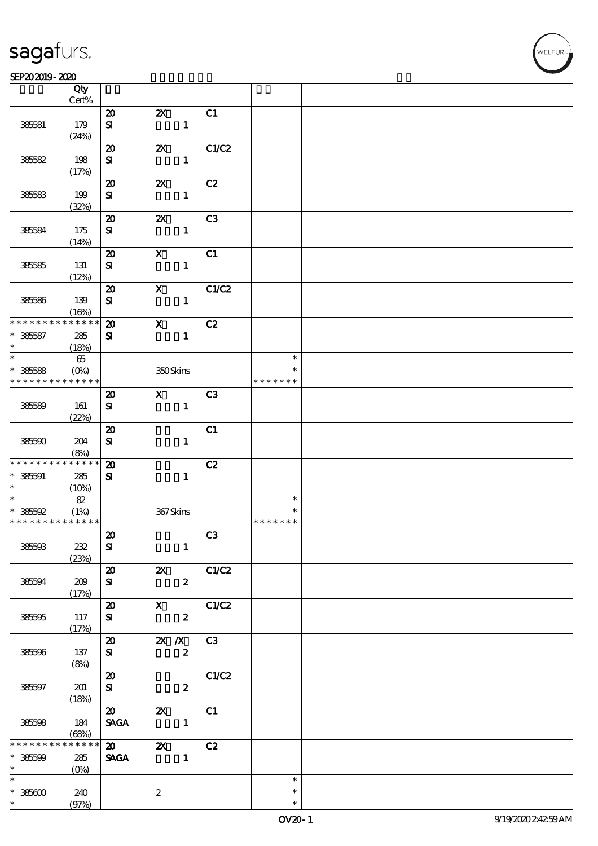$\top$ 

#### $SEP202019 - 2020$

|                                            | Qty<br>Cert%      |                                          |                                           |                |               |  |
|--------------------------------------------|-------------------|------------------------------------------|-------------------------------------------|----------------|---------------|--|
|                                            |                   |                                          |                                           |                |               |  |
| 38581                                      | 179               | $\boldsymbol{\mathsf{20}}$<br>${\bf s}$  | $\boldsymbol{\mathsf{Z}}$<br>$\mathbf{1}$ | C1             |               |  |
|                                            | (24%)             |                                          |                                           |                |               |  |
| 385582                                     | 198               | $\boldsymbol{\mathfrak{D}}$<br>${\bf s}$ | $\boldsymbol{\mathsf{Z}}$<br>$\mathbf{1}$ | C1/C2          |               |  |
|                                            | (17%)             |                                          |                                           |                |               |  |
| 38583                                      | 199               | $\boldsymbol{\mathbf{z}}$<br>${\bf s}$   | $\boldsymbol{\mathsf{z}}$<br>$\mathbf{1}$ | C2             |               |  |
|                                            | (32%)             |                                          |                                           |                |               |  |
|                                            |                   | $\boldsymbol{\mathsf{20}}$               | $\boldsymbol{\mathsf{Z}}$                 | C3             |               |  |
| 38584                                      | 175<br>(14%)      | ${\bf s}$                                | $\mathbf{1}$                              |                |               |  |
|                                            |                   | $\boldsymbol{\mathfrak{D}}$              | $\boldsymbol{\mathrm{X}}$                 | C1             |               |  |
| 38585                                      | 131               | ${\bf s}$                                | $\mathbf{1}$                              |                |               |  |
|                                            | (12%)             |                                          |                                           |                |               |  |
|                                            |                   | $\boldsymbol{\mathbf{z}}$                | $\boldsymbol{\mathrm{X}}$                 | C1/C2          |               |  |
| 385586                                     | 139<br>(16%)      | ${\bf s}$                                | $\mathbf{1}$                              |                |               |  |
| * * * * * * * *                            | * * * * * *       | $\boldsymbol{\mathfrak{D}}$              | $\mathbf x$                               | C2             |               |  |
| $* 385587$                                 | 285               | ${\bf S}$                                | $\mathbf{1}$                              |                |               |  |
| $\ast$                                     | (18%)             |                                          |                                           |                |               |  |
| $\ast$                                     | 65                |                                          |                                           |                | $\ast$        |  |
| $* 385588$                                 | (O <sub>0</sub> ) |                                          | 350Skins                                  |                | $\ast$        |  |
| * * * * * * * *                            | * * * * * *       |                                          |                                           |                | * * * * * * * |  |
|                                            |                   | $\boldsymbol{\mathbf{z}}$                | $\mathbf{x}$                              | C <sub>3</sub> |               |  |
| 385589                                     | 161               | ${\bf s}$                                | $\mathbf{1}$                              |                |               |  |
|                                            | (22%)             |                                          |                                           |                |               |  |
|                                            |                   | $\boldsymbol{\mathsf{20}}$               |                                           | C1             |               |  |
| 385590                                     | 204               | ${\bf s}$                                | $\mathbf{1}$                              |                |               |  |
|                                            | (8%)              |                                          |                                           |                |               |  |
| * * * * * * * *                            | * * * * * *       | $\boldsymbol{\mathbf{z}}$                |                                           | C2             |               |  |
| $* 38501$                                  | $285\,$           | ${\bf s}$                                | $\mathbf{1}$                              |                |               |  |
| $\ast$                                     | (10%)             |                                          |                                           |                |               |  |
| $\overline{\ast}$                          | 82                |                                          |                                           |                | $\ast$        |  |
| $*36592$                                   | (1%)              |                                          | 367Skins                                  |                |               |  |
| * * * * * * * * <mark>* * * * * * *</mark> |                   |                                          |                                           |                | * * * * * * * |  |
|                                            |                   | $\pmb{\mathcal{Z}}$                      |                                           | C3             |               |  |
| 385593                                     | 232               | ${\bf s}$                                | $\mathbf{1}$                              |                |               |  |
|                                            | (23%)             |                                          |                                           |                |               |  |
|                                            |                   | $\boldsymbol{\mathfrak{D}}$              | $\mathbb{Z}$                              | C1/C2          |               |  |
| 385594                                     | 209               | ${\bf s}$                                | $\boldsymbol{z}$                          |                |               |  |
|                                            | (17%)             | $\boldsymbol{\mathfrak{D}}$              | $X$ $C1/C2$                               |                |               |  |
| 385595                                     | 117               | ${\bf s}$                                | $\overline{\mathbf{z}}$                   |                |               |  |
|                                            | (17%)             |                                          |                                           |                |               |  |
|                                            |                   |                                          | 20 2X /X C3                               |                |               |  |
| 385596                                     | 137               | ${\bf s}$                                | $\boldsymbol{z}$                          |                |               |  |
|                                            | (8%)              |                                          |                                           |                |               |  |
|                                            |                   | $\boldsymbol{\mathfrak{D}}$              |                                           | C1/C2          |               |  |
| 385597                                     | 201               | ${\bf s}$                                | $\boldsymbol{z}$                          |                |               |  |
|                                            | (18%)             |                                          |                                           |                |               |  |
|                                            |                   | $\boldsymbol{\mathsf{20}}$               | $\boldsymbol{\mathsf{z}}$                 | C1             |               |  |
| 385598                                     | 184               | <b>SAGA</b>                              |                                           |                |               |  |
|                                            | (68%)             |                                          |                                           |                |               |  |
| * * * * * * *                              | * * * * * *       | $\boldsymbol{\mathsf{20}}$               | $\mathbf{z}$                              | C2             |               |  |
| $*36500$                                   | 285               | <b>SAGA</b>                              | $\mathbf{1}$                              |                |               |  |
| $\ast$                                     | $(0\%)$           |                                          |                                           |                |               |  |
| $\overline{\ast}$                          |                   |                                          |                                           |                | $\ast$        |  |
| $* 38600$                                  | 240               |                                          | $\boldsymbol{2}$                          |                | $\ast$        |  |
|                                            | (97%)             |                                          |                                           |                | $\ast$        |  |

 $\top$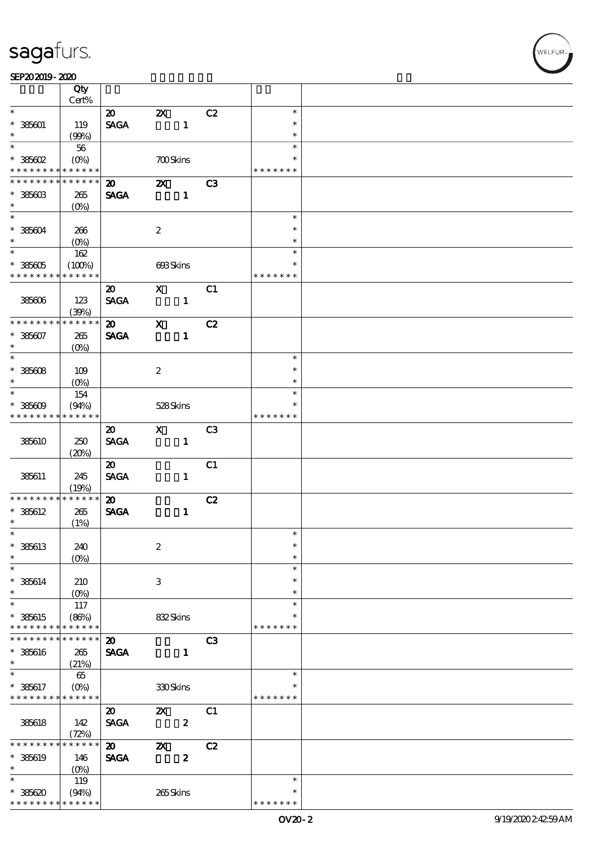|                               | Qty                   |                                |                           |                  |                         |  |
|-------------------------------|-----------------------|--------------------------------|---------------------------|------------------|-------------------------|--|
| $\ast$                        | Cert%                 |                                |                           |                  |                         |  |
|                               |                       | $\boldsymbol{\mathfrak{D}}$    | $\boldsymbol{\mathsf{Z}}$ | C2               | $\ast$                  |  |
| $* 385001$                    | 119                   | $\operatorname{\mathsf{SAGA}}$ | $\mathbf{1}$              |                  | $\ast$                  |  |
| $\ast$<br>$\overline{\ast}$   | (90%)                 |                                |                           |                  | $\ast$                  |  |
|                               | $56\,$                |                                |                           |                  | $\ast$                  |  |
| $*$ 385602                    | $(O\%)$               |                                | <b>700Skins</b>           |                  | $\ast$                  |  |
| * * * * * * * *               | * * * * * *           |                                |                           |                  | * * * * * * *           |  |
| * * * * * * *                 | * * * * * *           | $\boldsymbol{\mathfrak{D}}$    | $\boldsymbol{\mathsf{X}}$ | C3               |                         |  |
| $* 38560B$                    | 265                   | <b>SAGA</b>                    | $\mathbf{1}$              |                  |                         |  |
| $\ast$<br>$\ast$              | $(O\!/\!o)$           |                                |                           |                  |                         |  |
|                               |                       |                                |                           |                  | $\ast$                  |  |
| $* 38504$                     | 266                   |                                | $\boldsymbol{2}$          |                  | $\ast$                  |  |
| $\ast$<br>$\overline{\ast}$   | (O <sub>0</sub> )     |                                |                           |                  | $\ast$<br>$\ast$        |  |
|                               | 162                   |                                |                           |                  |                         |  |
| $* 385605$<br>* * * * * * * * | (100%)<br>* * * * * * |                                | 693Skins                  |                  | $\ast$<br>* * * * * * * |  |
|                               |                       |                                |                           |                  |                         |  |
|                               |                       | $\boldsymbol{\mathfrak{D}}$    | $\mathbf{X}$              | C1               |                         |  |
| 385606                        | 123                   | <b>SAGA</b>                    | $\mathbf{1}$              |                  |                         |  |
| * * * * * * * *               | (39%)<br>* * * * * *  |                                |                           |                  |                         |  |
|                               |                       | $\boldsymbol{\mathfrak{D}}$    | $\mathbf{x}$              | C2               |                         |  |
| $* 385607$<br>$\ast$          | 265                   | <b>SAGA</b>                    |                           | $\mathbf{1}$     |                         |  |
| $\overline{\ast}$             | $(O\%)$               |                                |                           |                  | $\ast$                  |  |
| $* 385008$                    | 109                   |                                | $\boldsymbol{2}$          |                  | $\ast$                  |  |
| $\ast$                        | $(O\%)$               |                                |                           |                  | $\ast$                  |  |
| $\ast$                        | 154                   |                                |                           |                  | $\ast$                  |  |
| $* 385609$                    | (94%)                 |                                | 528Skins                  |                  | ∗                       |  |
| * * * * * * * *               | * * * * * *           |                                |                           |                  | * * * * * * *           |  |
|                               |                       | $\boldsymbol{\mathfrak{D}}$    | $\mathbf{X}$              | C <sub>3</sub>   |                         |  |
| 385610                        | 250                   | <b>SAGA</b>                    |                           | $\mathbf{1}$     |                         |  |
|                               | (20%)                 |                                |                           |                  |                         |  |
|                               |                       | $\boldsymbol{\mathfrak{D}}$    |                           | C1               |                         |  |
| 385611                        | 245                   | <b>SAGA</b>                    |                           | $\mathbf{1}$     |                         |  |
|                               | (19%)                 |                                |                           |                  |                         |  |
| * * * * * * * *               | * * * * * *           | $\boldsymbol{\mathfrak{D}}$    |                           | C2               |                         |  |
| $* 385612$                    | 265                   | <b>SAGA</b>                    |                           | $\mathbf{1}$     |                         |  |
| $\ast$                        | (1%)                  |                                |                           |                  |                         |  |
| $*$                           |                       |                                |                           |                  | $\ast$                  |  |
| $*$ 385613                    | 240                   |                                | $\boldsymbol{2}$          |                  | $\ast$                  |  |
| $\ast$                        | $(O\%)$               |                                |                           |                  | $\ast$                  |  |
| $\ast$                        |                       |                                |                           |                  | $\ast$                  |  |
| $* 385614$                    | 210                   |                                | 3                         |                  | $\ast$                  |  |
| $\ast$                        | $(0\%)$               |                                |                           |                  | $\ast$                  |  |
| $\ast$                        | 117                   |                                |                           |                  | $\ast$                  |  |
| * 385615                      | (86%)                 |                                | 832Skins                  |                  |                         |  |
| * * * * * * * *               | * * * * * *           |                                |                           |                  | * * * * * * *           |  |
| * * * * * * *                 | * * * * * *           | $\boldsymbol{\mathfrak{D}}$    |                           | C <sub>3</sub>   |                         |  |
| $* 385616$                    | 265                   | <b>SAGA</b>                    |                           | $\mathbf{1}$     |                         |  |
| $\ast$                        | (21%)                 |                                |                           |                  |                         |  |
| $\ast$                        | $65\,$                |                                |                           |                  | $\ast$                  |  |
| $* 385617$                    | (O <sub>0</sub> )     |                                | 330Skins                  |                  | *                       |  |
| * * * * * * * *               | * * * * * *           |                                |                           |                  | * * * * * * *           |  |
|                               |                       | $\boldsymbol{\mathfrak{D}}$    | $\boldsymbol{\mathsf{Z}}$ | C1               |                         |  |
| 385618                        | 142                   | <b>SAGA</b>                    |                           | $\boldsymbol{2}$ |                         |  |
| * * * * * * *                 | (72%)<br>* * * * * *  |                                |                           |                  |                         |  |
|                               |                       | $\boldsymbol{\mathfrak{D}}$    | $\boldsymbol{\mathsf{z}}$ | C2               |                         |  |
| $* 385619$<br>$\ast$          | 146                   | <b>SAGA</b>                    |                           | $\boldsymbol{z}$ |                         |  |
| $\ast$                        | (O <sub>0</sub> )     |                                |                           |                  | $\ast$                  |  |
| $* 38620$                     | 119                   |                                | 265Skins                  |                  | *                       |  |
| * * * * * * * *               | (94%)<br>* * * * * *  |                                |                           |                  | * * * * * * *           |  |
|                               |                       |                                |                           |                  |                         |  |

.<br>WELFUR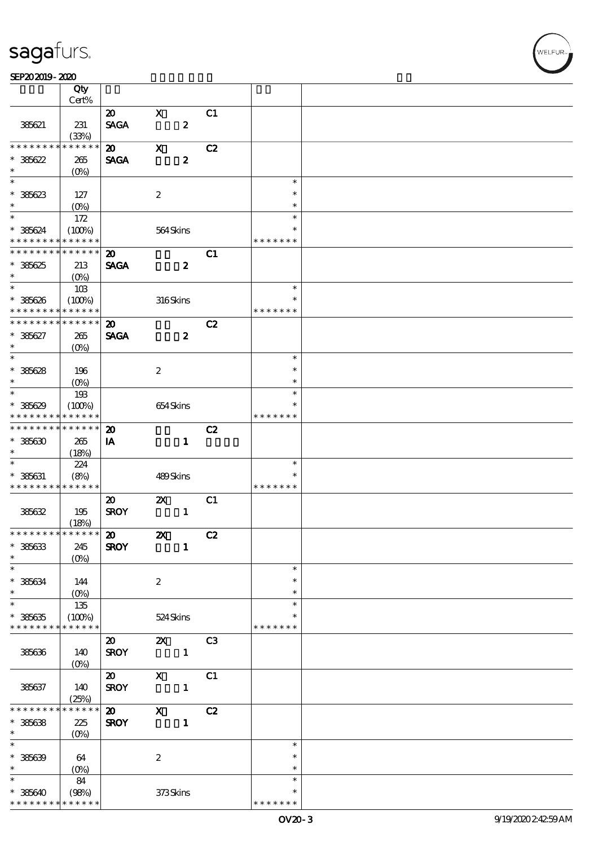#### SEP202019-2020

|                               | Qty                  |                             |                           |                  |                |               |  |
|-------------------------------|----------------------|-----------------------------|---------------------------|------------------|----------------|---------------|--|
|                               | Cert%                |                             |                           |                  |                |               |  |
|                               |                      | $\boldsymbol{\mathsf{20}}$  | $\mathbf X$               |                  | C <sub>1</sub> |               |  |
| 385621                        | 231                  | <b>SAGA</b>                 |                           | $\pmb{2}$        |                |               |  |
| * * * * * * * *               | (33%)<br>* * * * * * | $\boldsymbol{\mathfrak{D}}$ | $\mathbf X$               |                  | C2             |               |  |
| $* 38622$                     | 265                  | <b>SAGA</b>                 |                           | $\boldsymbol{2}$ |                |               |  |
| $\ast$                        | $(0\%)$              |                             |                           |                  |                |               |  |
| $_{*}$                        |                      |                             |                           |                  |                | $\ast$        |  |
| $* 36623$                     | 127                  |                             | $\boldsymbol{2}$          |                  |                | $\ast$        |  |
| $\ast$                        | $(O_0)$              |                             |                           |                  |                | $\ast$        |  |
| $\overline{\phantom{0}}$      | 172                  |                             |                           |                  |                | $\ast$        |  |
| $* 385624$                    | (100%)               |                             | 564Skins                  |                  |                | $\ast$        |  |
| * * * * * * * *               | * * * * * *          |                             |                           |                  |                | * * * * * * * |  |
| * * * * * * * *               | * * * * * *          | $\boldsymbol{\mathbf{z}}$   |                           |                  | C1             |               |  |
| $*38625$                      | 213                  | <b>SAGA</b>                 |                           | $\boldsymbol{z}$ |                |               |  |
| $\ast$                        | $(O\%)$              |                             |                           |                  |                |               |  |
| $\overline{\ast}$             | 10B                  |                             |                           |                  |                | $\ast$        |  |
| $* 38626$                     | (100%)               |                             | 316Skins                  |                  |                | $\ast$        |  |
| * * * * * * * *               | * * * * * *          |                             |                           |                  |                | * * * * * * * |  |
| * * * * * * * *               | * * * * * *          | $\boldsymbol{\mathfrak{D}}$ |                           |                  | C2             |               |  |
| $* 38627$                     | 265                  | <b>SAGA</b>                 |                           | $\boldsymbol{z}$ |                |               |  |
| $\ast$                        | $(O\%)$              |                             |                           |                  |                |               |  |
| $_{*}$                        |                      |                             |                           |                  |                | $\ast$        |  |
| $* 38628$                     | 196                  |                             | $\boldsymbol{2}$          |                  |                | $\ast$        |  |
| $\ast$                        | $(0\%)$              |                             |                           |                  |                | $\ast$        |  |
| $*$                           | 193                  |                             |                           |                  |                | $\ast$        |  |
| $* 38629$                     | (100%)               |                             | 654Skins                  |                  |                | *             |  |
| * * * * * * * *               | * * * * * *          |                             |                           |                  |                | * * * * * * * |  |
| * * * * * * * *               | * * * * * *          | $\boldsymbol{\mathbf{z}}$   |                           |                  | C2             |               |  |
| $*385630$                     | 265                  | IA                          |                           | $\mathbf{1}$     |                |               |  |
| $\ast$                        | (18%)                |                             |                           |                  |                |               |  |
| $\ast$                        | 224                  |                             |                           |                  |                | $\ast$        |  |
| $* 385631$                    | (8%)                 |                             | 489Skins                  |                  |                | $\ast$        |  |
| * * * * * * * *               | * * * * * *          |                             |                           |                  |                | * * * * * * * |  |
|                               |                      | $\boldsymbol{\mathfrak{D}}$ | $\boldsymbol{\mathsf{z}}$ |                  | C1             |               |  |
| 38632                         | 195                  | <b>SROY</b>                 |                           | $\mathbf{1}$     |                |               |  |
| * * * * * * * * * * * * * * * | (18%)                |                             |                           |                  |                |               |  |
|                               |                      | $\boldsymbol{\mathfrak{D}}$ | $\boldsymbol{\mathsf{Z}}$ |                  | C2             |               |  |
| $* 38633$<br>$\ast$           | 245                  | <b>SROY</b>                 |                           | $\mathbf{1}$     |                |               |  |
| $\ast$                        | $(O\%)$              |                             |                           |                  |                | $\ast$        |  |
| $* 38634$                     | 144                  |                             | $\boldsymbol{2}$          |                  |                | $\ast$        |  |
| $\ast$                        |                      |                             |                           |                  |                | $\ast$        |  |
| $*$                           | 135                  |                             |                           |                  |                | $\ast$        |  |
| $* 385635$                    | (100%)               |                             | 524 Skins                 |                  |                |               |  |
| * * * * * * * *               | * * * * * *          |                             |                           |                  |                | * * * * * * * |  |
|                               |                      | $\boldsymbol{\mathfrak{D}}$ | $\mathbf{x}$              |                  | C <sub>3</sub> |               |  |
| 385636                        | 140                  | <b>SROY</b>                 |                           | $\mathbf{1}$     |                |               |  |
|                               | $(0\%)$              |                             |                           |                  |                |               |  |
|                               |                      | $\boldsymbol{\omega}$       | $\boldsymbol{\mathsf{X}}$ |                  | C1             |               |  |
| 385637                        | 140                  | <b>SROY</b>                 |                           | $\mathbf{1}$     |                |               |  |
|                               | (25%)                |                             |                           |                  |                |               |  |
| * * * * * * *                 | * * * * * *          | $\boldsymbol{\mathsf{20}}$  | $\boldsymbol{\mathrm{X}}$ |                  | C2             |               |  |
| $* 386638$                    | 225                  | <b>SROY</b>                 |                           | $\mathbf{1}$     |                |               |  |
| $\ast$                        | $(O\%)$              |                             |                           |                  |                |               |  |
| $\ast$                        |                      |                             |                           |                  |                | $\ast$        |  |
| $* 38639$                     | 64                   |                             | $\boldsymbol{2}$          |                  |                | $\ast$        |  |
| $\ast$                        | $(0\%)$              |                             |                           |                  |                | $\ast$        |  |
| $\ast$                        | 84                   |                             |                           |                  |                | $\ast$        |  |
| $* 38640$                     | (98%)                |                             | 373Skins                  |                  |                | $\ast$        |  |
| * * * * * * * *               | * * * * * *          |                             |                           |                  |                | * * * * * * * |  |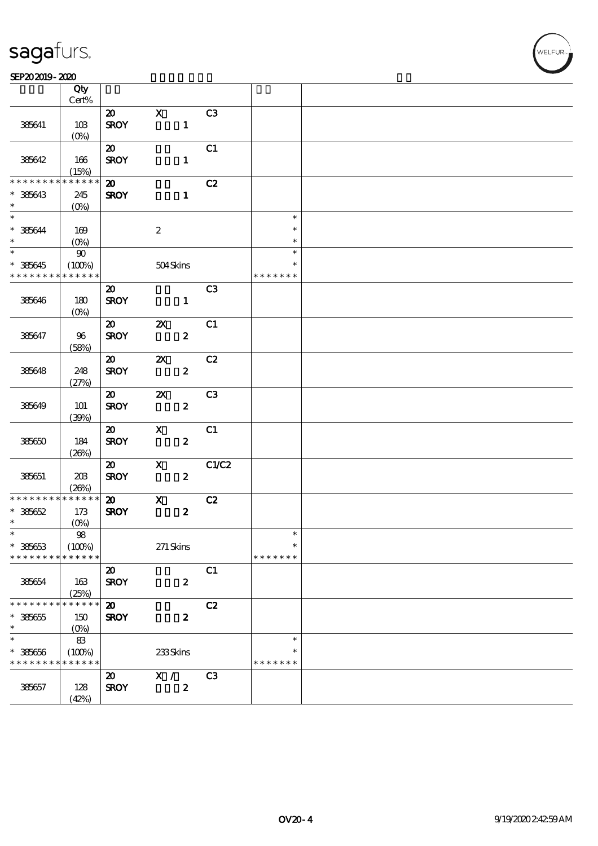#### SEP202019-2020

|                          | Qty         |                             |                           |                  |                |               |  |
|--------------------------|-------------|-----------------------------|---------------------------|------------------|----------------|---------------|--|
|                          | $Cert\%$    |                             |                           |                  |                |               |  |
|                          |             | $\boldsymbol{\mathfrak{D}}$ | $\mathbf{x}$              |                  | C <sub>3</sub> |               |  |
| 385641                   | 10B         | <b>SROY</b>                 |                           | $\mathbf{1}$     |                |               |  |
|                          | $(O_0)$     |                             |                           |                  |                |               |  |
|                          |             | $\boldsymbol{\mathfrak{D}}$ |                           |                  | C1             |               |  |
| 385642                   | 166         | <b>SROY</b>                 |                           | $\mathbf{1}$     |                |               |  |
|                          | (15%)       |                             |                           |                  |                |               |  |
| * * * * * * * *          | * * * * * * |                             |                           |                  |                |               |  |
|                          |             | $\boldsymbol{\mathsf{20}}$  |                           |                  | C2             |               |  |
| $* 38643$                | 245         | <b>SROY</b>                 |                           | $\mathbf{1}$     |                |               |  |
| $\ast$                   | $(0\%)$     |                             |                           |                  |                |               |  |
| $\overline{\ast}$        |             |                             |                           |                  |                | $\ast$        |  |
| $* 385644$               | 169         |                             | $\boldsymbol{2}$          |                  |                | $\ast$        |  |
| $\ast$                   | $(O\!/\!o)$ |                             |                           |                  |                | $\ast$        |  |
| $\overline{\phantom{0}}$ |             |                             |                           |                  |                | $\ast$        |  |
|                          | $90\,$      |                             |                           |                  |                |               |  |
| $* 385645$               | (100%)      |                             | 504Skins                  |                  |                | $\ast$        |  |
| * * * * * * * *          | * * * * * * |                             |                           |                  |                | * * * * * * * |  |
|                          |             | $\boldsymbol{\mathfrak{D}}$ |                           |                  | C <sub>3</sub> |               |  |
| 385646                   | 180         | <b>SROY</b>                 |                           | $\mathbf{1}$     |                |               |  |
|                          | $(0\%)$     |                             |                           |                  |                |               |  |
|                          |             |                             |                           |                  |                |               |  |
|                          |             | $\boldsymbol{\mathfrak{D}}$ | $\boldsymbol{\mathsf{z}}$ |                  | C1             |               |  |
| 385647                   | 96          | <b>SROY</b>                 |                           | $\boldsymbol{z}$ |                |               |  |
|                          | (58%)       |                             |                           |                  |                |               |  |
|                          |             | $\boldsymbol{\omega}$       | $\boldsymbol{\mathsf{X}}$ |                  | C2             |               |  |
| 385648                   | 248         | <b>SROY</b>                 |                           | $\boldsymbol{z}$ |                |               |  |
|                          | (27%)       |                             |                           |                  |                |               |  |
|                          |             | $\boldsymbol{\omega}$       |                           |                  | C <sub>3</sub> |               |  |
|                          |             |                             | $\boldsymbol{\mathsf{X}}$ |                  |                |               |  |
| 385649                   | 101         | <b>SROY</b>                 |                           | $\boldsymbol{z}$ |                |               |  |
|                          | (30%)       |                             |                           |                  |                |               |  |
|                          |             | $\boldsymbol{\mathsf{20}}$  | $\mathbf x$               |                  | C1             |               |  |
| 38650                    | 184         | <b>SROY</b>                 |                           | $\boldsymbol{z}$ |                |               |  |
|                          | (20%)       |                             |                           |                  |                |               |  |
|                          |             | $\boldsymbol{\mathsf{20}}$  | $\boldsymbol{\mathrm{X}}$ |                  | C1/C2          |               |  |
|                          | 203         | <b>SROY</b>                 |                           | $\boldsymbol{z}$ |                |               |  |
| 385651                   |             |                             |                           |                  |                |               |  |
|                          | (20%)       |                             |                           |                  |                |               |  |
| * * * * * * * *          | * * * * * * | $\boldsymbol{\mathfrak{D}}$ | $\mathbf x$               |                  | C2             |               |  |
| $* 38662$                | 173         | <b>SROY</b>                 |                           | $\boldsymbol{2}$ |                |               |  |
| $\ast$                   | (0%)        |                             |                           |                  |                |               |  |
| $\ast$                   | ${\bf 98}$  |                             |                           |                  |                | $\ast$        |  |
| $* 38663$                | (100%)      |                             | $271$ Skins               |                  |                | $\ast$        |  |
| * * * * * * * *          | * * * * * * |                             |                           |                  |                | * * * * * * * |  |
|                          |             |                             |                           |                  |                |               |  |
|                          |             | $\boldsymbol{\mathsf{20}}$  |                           |                  | C1             |               |  |
| 38654                    | 163         | <b>SROY</b>                 |                           | $\boldsymbol{2}$ |                |               |  |
|                          | (25%)       |                             |                           |                  |                |               |  |
| * * * * * * *            | * * * * * * | $\boldsymbol{\mathbf{z}}$   |                           |                  | C2             |               |  |
| $* 38665$                | 150         | <b>SROY</b>                 |                           | $\boldsymbol{z}$ |                |               |  |
| $\ast$                   | $(O\%)$     |                             |                           |                  |                |               |  |
| $\ast$                   |             |                             |                           |                  |                | $\ast$        |  |
|                          | 83          |                             |                           |                  |                |               |  |
| $* 38666$                | (100%)      |                             | 233Skins                  |                  |                | ∗             |  |
| * * * * * * * *          | * * * * * * |                             |                           |                  |                | * * * * * * * |  |
|                          |             | $\boldsymbol{\mathfrak{D}}$ | X /                       |                  | C <sub>3</sub> |               |  |
| 385657                   | 128         | <b>SROY</b>                 |                           | $\boldsymbol{2}$ |                |               |  |
|                          | (42%)       |                             |                           |                  |                |               |  |
|                          |             |                             |                           |                  |                |               |  |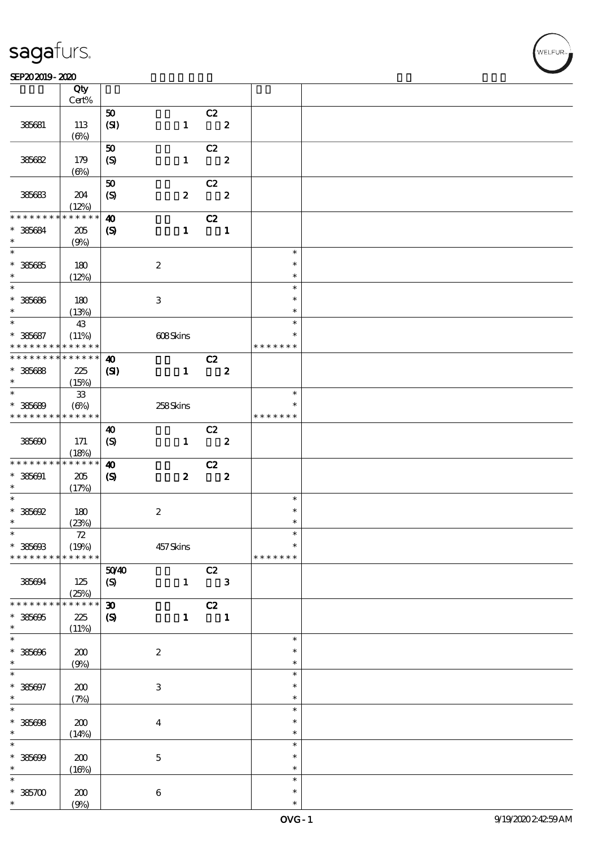#### SEP202019-2020 DECEMBER 2020 DECEMBER 2020 DECEMBER 2020 DECEMBER 2020 DECEMBER 2020 DECEMBER 2020 DECEMBER 20

| SEPAJAJIY-ALAU                             |                      |                             |                  |                            |               |  |
|--------------------------------------------|----------------------|-----------------------------|------------------|----------------------------|---------------|--|
|                                            | Qty                  |                             |                  |                            |               |  |
|                                            | Cert%                |                             |                  |                            |               |  |
|                                            |                      | $\pmb{\mathfrak{D}}$        |                  | C2                         |               |  |
| 385681                                     | 113                  | (SI)                        | $\mathbf{1}$     | $\overline{\mathbf{z}}$    |               |  |
|                                            | $(\Theta)$           |                             |                  |                            |               |  |
|                                            |                      | $\pmb{\mathfrak{D}}$        |                  | C2                         |               |  |
| 385682                                     | 179                  | (S)                         | $\mathbf{1}$     | $\overline{\phantom{a}}$ 2 |               |  |
|                                            | $(\Theta)$           |                             |                  |                            |               |  |
|                                            |                      | ${\bf 50}$                  |                  | C2                         |               |  |
| 385683                                     | 204                  | $\boldsymbol{S}$            | $\boldsymbol{z}$ | $\overline{\mathbf{c}}$    |               |  |
|                                            | (12%)                |                             |                  |                            |               |  |
| * * * * * * * *                            | * * * * * *          | $\boldsymbol{\omega}$       |                  | C2                         |               |  |
| $* 385684$                                 | 205                  | $\boldsymbol{\mathsf{(S)}}$ | $\mathbf{1}$     | $\blacksquare$             |               |  |
| $\ast$                                     | (9%)                 |                             |                  |                            |               |  |
|                                            |                      |                             |                  |                            | $\ast$        |  |
|                                            |                      |                             |                  |                            |               |  |
| $* 36665$                                  | 180                  |                             | $\boldsymbol{2}$ |                            | $\ast$        |  |
| $\ast$<br>$\overline{\phantom{0}}$         | (12%)                |                             |                  |                            | $\ast$        |  |
|                                            |                      |                             |                  |                            | $\ast$        |  |
| $* 36666$                                  | 180                  |                             | 3                |                            | $\ast$        |  |
| $\ast$                                     | (13%)                |                             |                  |                            | $\ast$        |  |
| $\overline{\ast}$                          | 43                   |                             |                  |                            | $\ast$        |  |
| $* 385687$                                 | (11%)                |                             | 608Skins         |                            | $\ast$        |  |
| * * * * * * * * <mark>* * * * * * *</mark> |                      |                             |                  |                            | * * * * * * * |  |
| * * * * * * * * * * * * * *                |                      | $\boldsymbol{\omega}$       |                  | C2                         |               |  |
| $* 35668$                                  | 225                  | (S)                         | $\mathbf{1}$     | $\overline{\mathbf{2}}$    |               |  |
| $\ast$                                     | (15%)                |                             |                  |                            |               |  |
| $\ast$                                     | 33                   |                             |                  |                            | $\ast$        |  |
| $* 38669$                                  | $(\Theta)$           |                             | 258Skins         |                            | $\ast$        |  |
| * * * * * * * * * * * * * *                |                      |                             |                  |                            | * * * * * * * |  |
|                                            |                      | $\boldsymbol{\omega}$       |                  |                            |               |  |
|                                            |                      |                             |                  | C2                         |               |  |
| 385690                                     | 171                  | $\boldsymbol{S}$            | $\mathbf{1}$     | $\overline{\phantom{a}}$ 2 |               |  |
|                                            | (18%)<br>* * * * * * |                             |                  |                            |               |  |
| * * * * * * * *                            |                      | $\boldsymbol{\omega}$       |                  | C2                         |               |  |
| $* 385001$                                 | 205                  | $\boldsymbol{\mathcal{S}}$  | $\boldsymbol{z}$ | $\overline{\mathbf{2}}$    |               |  |
| $\ast$                                     | (17%)                |                             |                  |                            |               |  |
| $\ast$                                     |                      |                             |                  |                            | $\ast$        |  |
| $*$ 385692                                 | 180                  |                             | $\boldsymbol{2}$ |                            | $\ast$        |  |
| $\ast$                                     | (23%)                |                             |                  |                            | $\ast$        |  |
| $\ast$                                     | 72                   |                             |                  |                            | $\ast$        |  |
| $* 385003$                                 | (19%)                |                             | 457Skins         |                            | $\ast$        |  |
| * * * * * * * * * * * * * *                |                      |                             |                  |                            | * * * * * * * |  |
|                                            |                      | 5040                        |                  | C2                         |               |  |
| 385694                                     | 125                  | (S)                         | $\mathbf{1}$     | $\overline{\mathbf{3}}$    |               |  |
|                                            | (25%)                |                             |                  |                            |               |  |
| * * * * * * * *                            | $******$             | $\boldsymbol{\mathfrak{D}}$ |                  | C2                         |               |  |
| $* 385005$                                 | 225                  | $\pmb{\mathcal{S}}$         | $\mathbf{1}$     | $\blacksquare$             |               |  |
| $\ast$                                     | (11%)                |                             |                  |                            |               |  |
| $\ast$                                     |                      |                             |                  |                            | $\ast$        |  |
|                                            |                      |                             |                  |                            | $\ast$        |  |
| $* 385006$<br>$\ast$                       | 200                  |                             | $\boldsymbol{2}$ |                            | $\ast$        |  |
| $\ast$                                     | (9%)                 |                             |                  |                            |               |  |
|                                            |                      |                             |                  |                            | $\ast$        |  |
| $* 385697$                                 | 200                  |                             | $\,3$            |                            | $\ast$        |  |
| $\ast$                                     | (7%)                 |                             |                  |                            | $\ast$        |  |
| $\ast$                                     |                      |                             |                  |                            | $\ast$        |  |
| $* 385008$                                 | 200                  |                             | $\bf{4}$         |                            | $\ast$        |  |
| $\ast$                                     | (14%)                |                             |                  |                            | $\ast$        |  |
| $\overline{\ast}$                          |                      |                             |                  |                            | $\ast$        |  |
| $* 385000$                                 | 200                  |                             | $\mathbf 5$      |                            | $\ast$        |  |
| $\ast$                                     | (16%)                |                             |                  |                            | $\ast$        |  |
| $\ast$                                     |                      |                             |                  |                            | $\ast$        |  |
| $*36700$                                   | 200                  |                             | $\boldsymbol{6}$ |                            | $\ast$        |  |
| $\ast$                                     | (9%)                 |                             |                  |                            | $\ast$        |  |
|                                            |                      |                             |                  |                            |               |  |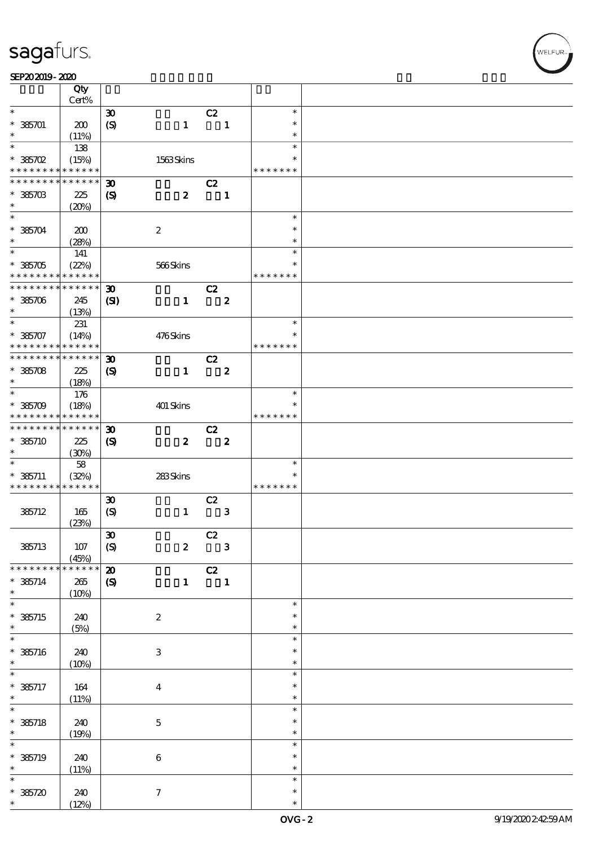|                                          | Qty<br>Cert%         |                                             |                  |                                           |                  |                         |  |
|------------------------------------------|----------------------|---------------------------------------------|------------------|-------------------------------------------|------------------|-------------------------|--|
| $\ast$                                   |                      | $\boldsymbol{\mathfrak{D}}$                 |                  | C2                                        |                  | $\ast$                  |  |
| $* 385701$<br>*                          | 200                  | $\boldsymbol{S}$                            | $\mathbf{1}$     |                                           | $\mathbf{1}$     | $\ast$<br>$\ast$        |  |
|                                          | (11%)                |                                             |                  |                                           |                  |                         |  |
| $\ast$<br>$*36702$                       | 138<br>(15%)         |                                             | 1563Skins        |                                           |                  | $\ast$<br>$\ast$        |  |
| * * * * * * * *                          | * * * * * *          |                                             |                  |                                           |                  | * * * * * * *           |  |
| * * * * * * * *                          | * * * * * *          | $\boldsymbol{\mathfrak{D}}$                 |                  | C2                                        |                  |                         |  |
| $*36703$<br>$\ast$                       | 225<br>(20%)         | $\boldsymbol{\mathcal{S}}$                  | $\boldsymbol{z}$ |                                           | $\mathbf{1}$     |                         |  |
| $\ast$                                   |                      |                                             |                  |                                           |                  | $\ast$                  |  |
| $*36704$<br>$\ast$                       | 200<br>(28%)         |                                             | $\boldsymbol{2}$ |                                           |                  | $\ast$<br>$\ast$        |  |
| $\ast$                                   | 141                  |                                             |                  |                                           |                  | $\ast$                  |  |
| $*36705$<br>* * * * * * * *              | (22%)<br>* * * * * * |                                             | 566Skins         |                                           |                  | $\ast$<br>* * * * * * * |  |
| * * * * * * * *                          | $* * * * * * *$      |                                             |                  |                                           |                  |                         |  |
| $*36706$<br>$\ast$                       | 245<br>(13%)         | $\boldsymbol{\mathfrak{D}}$<br>$\mathbf{C}$ | $\mathbf{1}$     | C2                                        | $\boldsymbol{z}$ |                         |  |
| $\ast$                                   | 231                  |                                             |                  |                                           |                  | $\ast$                  |  |
| $* 385707$<br>* * * * * * * *            | (14%)<br>* * * * * * |                                             | 476Skins         |                                           |                  | $\ast$<br>* * * * * * * |  |
| * * * * * * * * <mark>* * * * * *</mark> |                      | $\boldsymbol{\mathfrak{D}}$                 |                  | C2                                        |                  |                         |  |
|                                          |                      |                                             |                  |                                           |                  |                         |  |
| $*36708$                                 | 225                  | $\boldsymbol{\mathcal{S}}$                  | $\mathbf{1}$     |                                           | $\boldsymbol{z}$ |                         |  |
| $\ast$                                   | (18%)                |                                             |                  |                                           |                  |                         |  |
| $\ast$                                   | 176                  |                                             |                  |                                           |                  | $\ast$                  |  |
| $*36709$<br>* * * * * * * *              | (18%)<br>* * * * * * |                                             | 401 Skins        |                                           |                  | ∗<br>* * * * * * *      |  |
| * * * * * * * *                          | * * * * * *          | $\boldsymbol{\mathfrak{D}}$                 |                  | C2                                        |                  |                         |  |
| $* 385710$                               | 225                  |                                             | $\boldsymbol{z}$ |                                           | $\boldsymbol{z}$ |                         |  |
|                                          |                      | $\boldsymbol{\mathrm{(S)}}$                 |                  |                                           |                  |                         |  |
| $\ast$                                   | (30%)                |                                             |                  |                                           |                  |                         |  |
| $\ast$                                   | $5\!8$               |                                             |                  |                                           |                  | $\ast$                  |  |
| $* 385711$                               | (32%)                |                                             | 283Skins         |                                           |                  | $\ast$                  |  |
| * * * * * * * *                          | * * * * * *          |                                             |                  |                                           |                  | * * * * * * *           |  |
|                                          |                      | $\boldsymbol{\mathfrak{D}}$                 |                  | C2                                        |                  |                         |  |
| 385712                                   | 165                  | $\boldsymbol{S}$                            | $\mathbf{1}$     |                                           | ${\bf 3}$        |                         |  |
|                                          | (23%)                |                                             |                  |                                           |                  |                         |  |
|                                          |                      | $\pmb{\mathfrak{D}}$                        |                  |                                           |                  |                         |  |
|                                          |                      |                                             |                  | $\overline{c}$<br>$\overline{\mathbf{3}}$ |                  |                         |  |
| 385713                                   | $107$<br>(45%)       | $\boldsymbol{S}$                            | $\boldsymbol{z}$ |                                           |                  |                         |  |
| * * * * * * * *                          | * * * * * *          | $\boldsymbol{\mathsf{20}}$                  |                  | C2                                        |                  |                         |  |
| $* 385714$<br>$\ast$                     | 265<br>(10%)         | $\boldsymbol{\mathcal{S}}$                  | $\mathbf{1}$     | $\blacksquare$                            |                  |                         |  |
| $\overline{\ast}$                        |                      |                                             |                  |                                           |                  | $\ast$                  |  |
| $*$ 385715                               | 240                  |                                             | $\boldsymbol{2}$ |                                           |                  | $\ast$                  |  |
| $\ast$                                   | (5%)                 |                                             |                  |                                           |                  | $\ast$                  |  |
| $\ast$                                   |                      |                                             |                  |                                           |                  | $\ast$                  |  |
|                                          |                      |                                             |                  |                                           |                  | $\ast$                  |  |
| $* 385716$                               | 240                  |                                             | 3                |                                           |                  |                         |  |
| $\ast$                                   | (10%)                |                                             |                  |                                           |                  | $\ast$                  |  |
| $\ast$                                   |                      |                                             |                  |                                           |                  | $\ast$                  |  |
| $* 385717$                               | 164                  |                                             | $\boldsymbol{4}$ |                                           |                  | $\ast$                  |  |
| $\ast$                                   | (11%)                |                                             |                  |                                           |                  | $\ast$                  |  |
| $\overline{\ast}$                        |                      |                                             |                  |                                           |                  | $\ast$                  |  |
| $* 385718$                               | 240                  |                                             | $\mathbf 5$      |                                           |                  | $\ast$                  |  |
| $\ast$                                   | (19%)                |                                             |                  |                                           |                  | $\ast$                  |  |
| $\ast$                                   |                      |                                             |                  |                                           |                  | $\ast$                  |  |
|                                          |                      |                                             |                  |                                           |                  |                         |  |
| $* 385719$                               | 240                  |                                             | $\bf 6$          |                                           |                  | $\ast$                  |  |
| $\ast$                                   | (11%)                |                                             |                  |                                           |                  | $\ast$                  |  |
| $\ast$                                   |                      |                                             |                  |                                           |                  | $\ast$                  |  |
|                                          |                      |                                             |                  |                                           |                  |                         |  |
| $* 385720$                               | 240                  |                                             | $\tau$           |                                           |                  | $\ast$                  |  |

**NELFUR**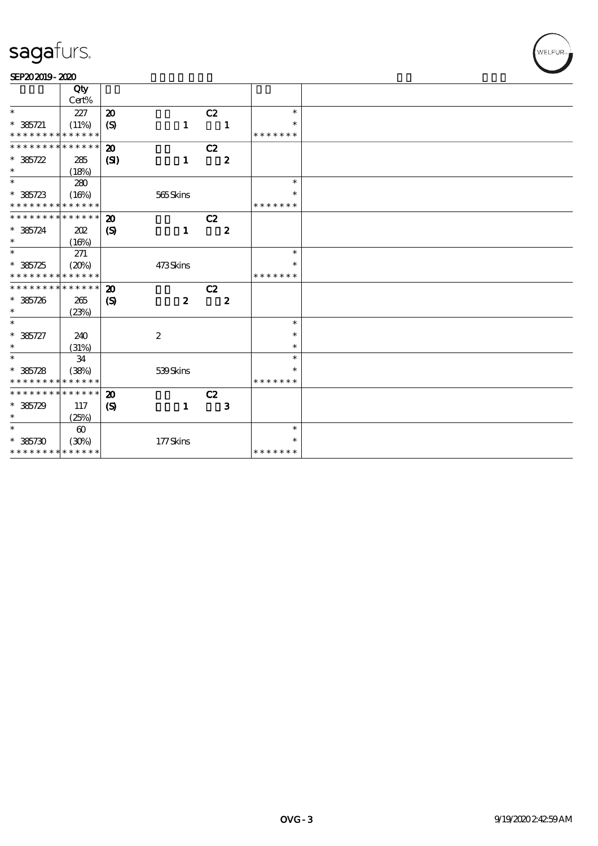#### SEP202019-2020

|                                            | Qty                   |                             |                  |                  |               |  |
|--------------------------------------------|-----------------------|-----------------------------|------------------|------------------|---------------|--|
|                                            | Cert%                 |                             |                  |                  |               |  |
| $\ast$                                     | 227                   | $\boldsymbol{\mathsf{20}}$  |                  | C2               | $\ast$        |  |
| $* 385721$                                 | (11%)                 | $\boldsymbol{S}$            | $\mathbf{1}$     | 1                | $\ast$        |  |
| * * * * * * * * <mark>* * * * * * *</mark> |                       |                             |                  |                  | * * * * * * * |  |
| * * * * * * * * * * * * * *                |                       | $\boldsymbol{\mathbf{z}}$   |                  | C2               |               |  |
| $* 36722$                                  | 285                   | (S)                         | $\mathbf{1}$     | $\boldsymbol{z}$ |               |  |
| $\ast$                                     | (18%)                 |                             |                  |                  |               |  |
| $\ast$                                     | 280                   |                             |                  |                  | $\ast$        |  |
| $* 36723$                                  | (16%)                 |                             | 565Skins         |                  | $\ast$        |  |
| * * * * * * * * * * * * * *                |                       |                             |                  |                  | * * * * * * * |  |
| * * * * * * * * * * * * * * *              |                       | $\boldsymbol{\mathfrak{D}}$ |                  | C2               |               |  |
| $* 35724$                                  | 202                   | $\boldsymbol{\mathrm{(S)}}$ | $\mathbf{1}$     | $\boldsymbol{z}$ |               |  |
| $\ast$                                     | (16%)                 |                             |                  |                  |               |  |
| $\overline{\ast}$                          | 271                   |                             |                  |                  | $\ast$        |  |
| $* 36725$                                  | (20%)                 |                             | 473Skins         |                  | $\ast$        |  |
| * * * * * * * * * * * * * *                |                       |                             |                  |                  | * * * * * * * |  |
| * * * * * * * * <mark>* * * * * *</mark>   |                       | $\boldsymbol{\mathsf{20}}$  |                  | C2               |               |  |
| $* 385726$                                 | 265                   | $\boldsymbol{\mathcal{S}}$  | $\boldsymbol{z}$ | $\boldsymbol{z}$ |               |  |
| $\ast$                                     | (23%)                 |                             |                  |                  |               |  |
| $\overline{\ast}$                          |                       |                             |                  |                  | $\ast$        |  |
| $* 385727$                                 | 240                   |                             | $\boldsymbol{2}$ |                  | $\ast$        |  |
| $\ast$                                     | (31%)                 |                             |                  |                  | $\ast$        |  |
| $\overline{\ast}$                          | 34                    |                             |                  |                  | $\ast$        |  |
| $* 36728$                                  | (38%)                 |                             | 539Skins         |                  | $\ast$        |  |
| * * * * * * * * <mark>* * * * * * *</mark> |                       |                             |                  |                  | * * * * * * * |  |
| * * * * * * * * <mark>* * * * * * *</mark> |                       | $\boldsymbol{\mathfrak{D}}$ |                  | C2               |               |  |
| $* 36729$                                  | 117                   | $\boldsymbol{\mathcal{S}}$  | $\mathbf{1}$     | $\mathbf{3}$     |               |  |
| $\ast$                                     | (25%)                 |                             |                  |                  |               |  |
| $\overline{\ast}$                          | $\boldsymbol{\omega}$ |                             |                  |                  | $\ast$        |  |
| $*36730$                                   | (30%)                 |                             | 177Skins         |                  | $\ast$        |  |
| * * * * * * * * <mark>* * * * * * *</mark> |                       |                             |                  |                  | * * * * * * * |  |
|                                            |                       |                             |                  |                  |               |  |

WELFUR<sub>™</sub>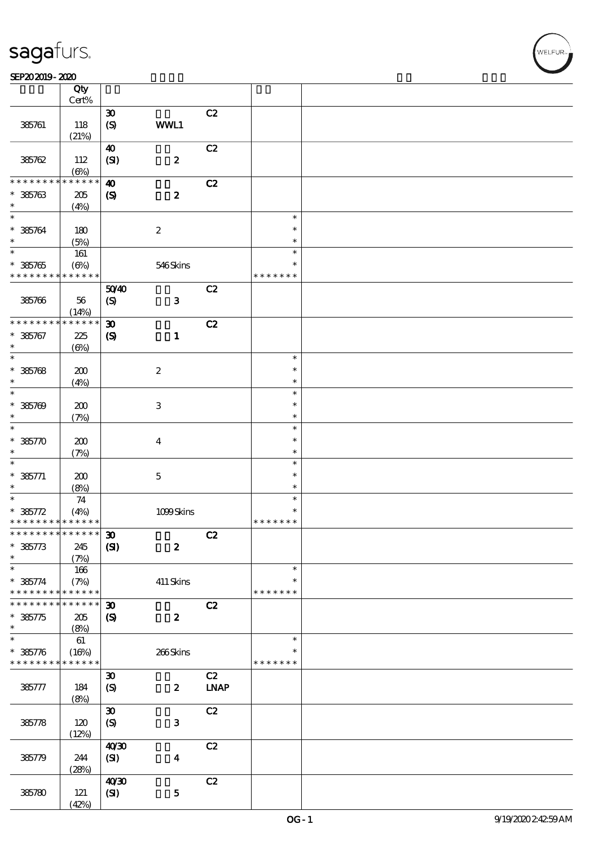#### SEP202019-2020

|                             | Qty<br>Cert% |                                                            |                  |             |               |  |
|-----------------------------|--------------|------------------------------------------------------------|------------------|-------------|---------------|--|
|                             |              |                                                            |                  |             |               |  |
| 385761                      | 118          | $\boldsymbol{\mathfrak{D}}$<br>$\boldsymbol{\mathrm{(S)}}$ | WWL1             | C2          |               |  |
|                             | (21%)        |                                                            |                  |             |               |  |
|                             |              | $\boldsymbol{40}$                                          |                  | C2          |               |  |
| 385762                      | 112          | (SI)                                                       | $\boldsymbol{z}$ |             |               |  |
|                             | $(\Theta)$   |                                                            |                  |             |               |  |
| * * * * * * * *             | ******       | $\boldsymbol{\omega}$                                      |                  | C2          |               |  |
|                             |              |                                                            | $\boldsymbol{z}$ |             |               |  |
| $* 385763$<br>$\ast$        | $205\,$      | $\boldsymbol{\mathcal{S}}$                                 |                  |             |               |  |
| $\ast$                      | (4%)         |                                                            |                  |             |               |  |
|                             |              |                                                            |                  |             | $\ast$        |  |
| $* 385764$                  | 180          |                                                            | $\boldsymbol{2}$ |             | $\ast$        |  |
| $\ast$                      | (5%)         |                                                            |                  |             | $\ast$        |  |
| $\overline{\ast}$           | $161\,$      |                                                            |                  |             | $\ast$        |  |
| $* 385765$                  | $(\Theta)$   |                                                            | 546Skins         |             | $\ast$        |  |
| * * * * * * * * * * * * * * |              |                                                            |                  |             | * * * * * * * |  |
|                             |              | 5040                                                       |                  | C2          |               |  |
| 385766                      | 56           | $\boldsymbol{S}$                                           | $\mathbf 3$      |             |               |  |
|                             | (14%)        |                                                            |                  |             |               |  |
| * * * * * * * *             | * * * * * *  | $\boldsymbol{\mathfrak{D}}$                                |                  | C2          |               |  |
| $* 385767$                  | 225          | $\boldsymbol{\mathrm{(S)}}$                                | $\mathbf{1}$     |             |               |  |
| $\ast$                      |              |                                                            |                  |             |               |  |
| $\ast$                      | $(\Theta)$   |                                                            |                  |             | $\ast$        |  |
|                             |              |                                                            |                  |             |               |  |
| $* 385768$                  | 200          |                                                            | $\boldsymbol{2}$ |             | $\ast$        |  |
| $\ast$                      | (4%)         |                                                            |                  |             | $\ast$        |  |
| $\ast$                      |              |                                                            |                  |             | $\ast$        |  |
| $* 385709$                  | 200          |                                                            | $\,3\,$          |             | $\ast$        |  |
| $\ast$                      | (7%)         |                                                            |                  |             | $\ast$        |  |
| $\ast$                      |              |                                                            |                  |             | $\ast$        |  |
| $* 38570$                   | 200          |                                                            | $\boldsymbol{4}$ |             | $\ast$        |  |
| $\ast$                      | (7%)         |                                                            |                  |             | $\ast$        |  |
| $\ast$                      |              |                                                            |                  |             | $\ast$        |  |
| $* 385771$                  |              |                                                            |                  |             | $\ast$        |  |
| $\ast$                      | 200          |                                                            | $\mathbf 5$      |             | $\ast$        |  |
| $\ast$                      | (8%)         |                                                            |                  |             |               |  |
|                             | $7\!4$       |                                                            |                  |             | $\ast$        |  |
| $* 385772$                  | (4%)         |                                                            | 1099Skins        |             | $\ast$        |  |
| * * * * * * * * * * * * * * |              |                                                            |                  |             | * * * * * * * |  |
| *************** 30          |              |                                                            |                  | C2          |               |  |
| $* 385773$                  | 245          | (S)                                                        | $\boldsymbol{z}$ |             |               |  |
| $\ast$                      | (7%)         |                                                            |                  |             |               |  |
| $\ast$                      | 166          |                                                            |                  |             | $\ast$        |  |
| $* 385774$                  | (7%)         |                                                            | $411$ Skins      |             | $\ast$        |  |
| * * * * * * * *             | * * * * * *  |                                                            |                  |             | * * * * * * * |  |
| * * * * * * *               | * * * * * *  | $\boldsymbol{\mathfrak{D}}$                                |                  | C2          |               |  |
| $* 385775$                  | 205          | $\boldsymbol{\mathrm{(S)}}$                                | $\boldsymbol{z}$ |             |               |  |
| $\ast$                      | (8%)         |                                                            |                  |             |               |  |
| $\ast$                      | $61\,$       |                                                            |                  |             | $\ast$        |  |
| $* 385776$                  |              |                                                            |                  |             | $\ast$        |  |
| * * * * * * * * * * * * * * | (16%)        |                                                            | 266Skins         |             |               |  |
|                             |              |                                                            |                  |             | * * * * * * * |  |
|                             |              | $\boldsymbol{\mathfrak{D}}$                                |                  | C2          |               |  |
| 385777                      | 184          | $\boldsymbol{S}$                                           | $\boldsymbol{z}$ | <b>LNAP</b> |               |  |
|                             | (8%)         |                                                            |                  |             |               |  |
|                             |              | $\pmb{\mathfrak{D}}$                                       |                  | C2          |               |  |
| 385778                      | 120          | (S)                                                        | 3                |             |               |  |
|                             | (12%)        |                                                            |                  |             |               |  |
|                             |              | 40'30                                                      |                  | C2          |               |  |
| 385779                      | 244          | (SI)                                                       | $\boldsymbol{4}$ |             |               |  |
|                             | (28%)        |                                                            |                  |             |               |  |
|                             |              | 40'30                                                      |                  | C2          |               |  |
| 385780                      | 121          | (SI)                                                       | $\mathbf 5$      |             |               |  |
|                             |              |                                                            |                  |             |               |  |
|                             | (42%)        |                                                            |                  |             |               |  |

**VELFUR**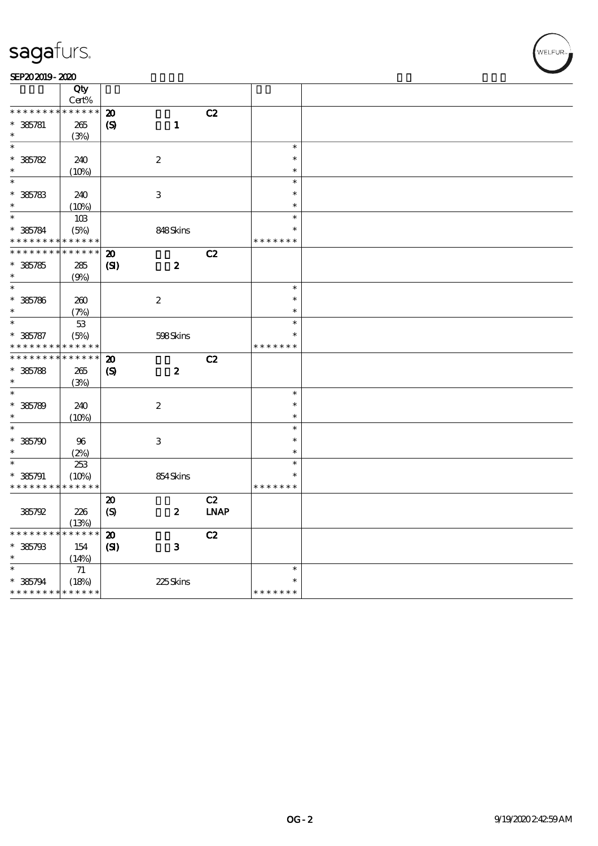|                  | Qty                         |                             |                           |             |               |  |
|------------------|-----------------------------|-----------------------------|---------------------------|-------------|---------------|--|
|                  | Cert%                       |                             |                           |             |               |  |
| * * *<br>* * * * | * * * * * *                 | $\boldsymbol{\mathsf{20}}$  |                           | C2          |               |  |
| $* 385781$       | 265                         | $\boldsymbol{\mathrm{(S)}}$ | $\mathbf{1}$              |             |               |  |
| $\ast$           | (3%)                        |                             |                           |             |               |  |
| $\ast$           |                             |                             |                           |             | $\ast$        |  |
| $* 385782$       | 240                         |                             | $\boldsymbol{2}$          |             | $\ast$        |  |
| $\ast$           | (10%)                       |                             |                           |             | $\ast$        |  |
| $\ast$           |                             |                             |                           |             | $\ast$        |  |
| $* 385783$       | 240                         |                             | $\ensuremath{\mathbf{3}}$ |             | $\ast$        |  |
| $\ast$           | (10%)                       |                             |                           |             | $\ast$        |  |
| $\ast$           | 10B                         |                             |                           |             | $\ast$        |  |
| $* 385784$       | (5%)                        |                             | 848Skins                  |             | $\ast$        |  |
| * * * *          | * * * * * *                 |                             |                           |             | * * * * * * * |  |
| * * * * * * *    | * * * * * *                 | $\boldsymbol{\mathfrak{D}}$ |                           | C2          |               |  |
|                  |                             |                             |                           |             |               |  |
| $* 385785$       | 285                         | $\mathbf{C}$                | $\boldsymbol{2}$          |             |               |  |
| $\ast$<br>$\ast$ | (9%)                        |                             |                           |             | $\ast$        |  |
|                  |                             |                             |                           |             |               |  |
| $* 385786$       | 200                         |                             | $\boldsymbol{2}$          |             | $\ast$        |  |
| $\ast$           | (7%)                        |                             |                           |             | $\ast$        |  |
| $\ast$           | $53\,$                      |                             |                           |             | $\ast$        |  |
| $* 385787$       | (5%)                        |                             | 598Skins                  |             | $\ast$        |  |
| * * * * * * * *  | * * * * * *                 |                             |                           |             | * * * * * * * |  |
| * * * * * * *    | * * * * * *                 | $\boldsymbol{\mathbf{z}}$   |                           | C2          |               |  |
| $* 35788$        | $265\,$                     | $\boldsymbol{S}$            | $\boldsymbol{2}$          |             |               |  |
| $\ast$           | (3%)                        |                             |                           |             |               |  |
| $\ast$           |                             |                             |                           |             | $\ast$        |  |
| $* 385789$       | 240                         |                             | $\boldsymbol{2}$          |             | $\ast$        |  |
| $\ast$           | (10%)                       |                             |                           |             | $\ast$        |  |
| $\ast$           |                             |                             |                           |             | $\ast$        |  |
| $* 385790$       | $96\,$                      |                             | $\ensuremath{\mathbf{3}}$ |             | $\ast$        |  |
| $\ast$           | (2%)                        |                             |                           |             | $\ast$        |  |
| $\ast$           | 253                         |                             |                           |             | $\ast$        |  |
| $* 385791$       | (10%)                       |                             | 854Skins                  |             | $\ast$        |  |
| * * * * * * * *  | * * * * * *                 |                             |                           |             | * * * * * * * |  |
|                  |                             | $\boldsymbol{\mathsf{20}}$  |                           | C2          |               |  |
| 385792           | 226                         | (S)                         | $\boldsymbol{z}$          | <b>LNAP</b> |               |  |
|                  | (13%)                       |                             |                           |             |               |  |
| * * * * * * * *  | * * * * * *                 | $\boldsymbol{\mathbf{z}}$   |                           | C2          |               |  |
| $* 385793$       | 154                         | (S)                         | $\bf{3}$                  |             |               |  |
| $\ast$           | (14%)                       |                             |                           |             |               |  |
| $\ast$           | $71\,$                      |                             |                           |             | $\ast$        |  |
| $* 385794$       | (18%)                       |                             | 225Skins                  |             | $\ast$        |  |
|                  | * * * * * * * * * * * * * * |                             |                           |             | * * * * * * * |  |
|                  |                             |                             |                           |             |               |  |

WELFUR-<br>NELFUR-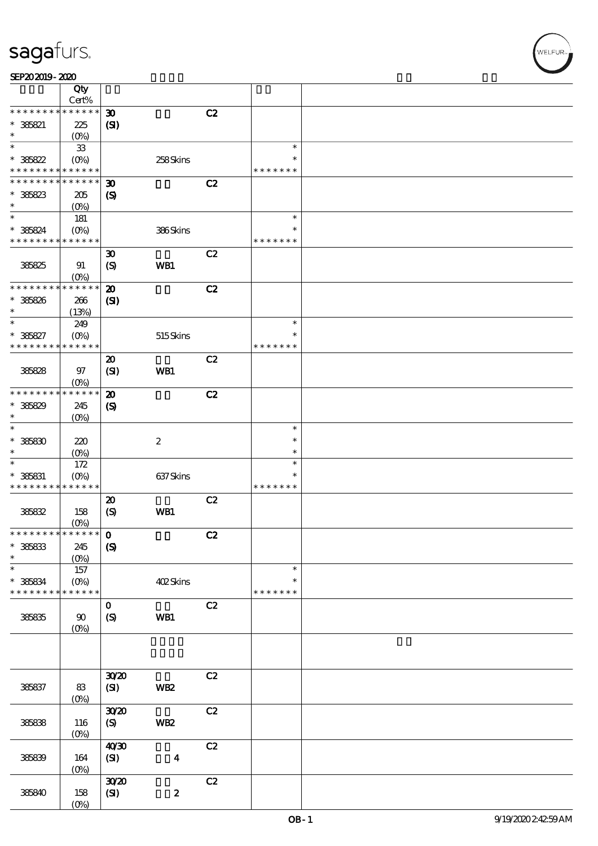ELFUR<sub>i</sub>

#### SEP202019-2020

|                                          | Qty<br>$\mbox{Cert}\%$ |                             |                  |    |               |  |
|------------------------------------------|------------------------|-----------------------------|------------------|----|---------------|--|
| * * * * *<br>* * *                       | * * * * * *            |                             |                  |    |               |  |
|                                          |                        | $\boldsymbol{\mathfrak{D}}$ |                  | C2 |               |  |
| $* 385821$                               | 225                    | $\mathbf{C}$                |                  |    |               |  |
| $\ast$                                   | $(O\%)$                |                             |                  |    |               |  |
| $\ast$                                   | ${\bf 33}$             |                             |                  |    | $\ast$        |  |
| $* 385822$                               | $(O\!/\!\!\delta)$     |                             | 258Skins         |    | $\ast$        |  |
| * * * * * * * *                          | * * * * * *            |                             |                  |    | * * * * * * * |  |
| * * * * * * * *                          | * * * * * *            | $\boldsymbol{\mathfrak{D}}$ |                  | C2 |               |  |
| $* 36823$                                | 205                    | $\boldsymbol{\mathcal{S}}$  |                  |    |               |  |
| $\ast$                                   | $(O\%)$                |                             |                  |    |               |  |
| $\ast$                                   | 181                    |                             |                  |    | $\ast$        |  |
| * 385824                                 | $(O\%)$                |                             | 386Skins         |    | $\ast$        |  |
| * * * * * * * * * * * * * *              |                        |                             |                  |    | * * * * * * * |  |
|                                          |                        | $\boldsymbol{\mathfrak{D}}$ |                  | C2 |               |  |
| 38825                                    | 91                     | $\boldsymbol{S}$            | WB1              |    |               |  |
|                                          | (O <sub>0</sub> )      |                             |                  |    |               |  |
| * * * * * * * *                          | * * * * * *            | $\boldsymbol{\mathbf{z}}$   |                  | C2 |               |  |
| $* 385826$                               | 266                    | $\mathbf{C}$                |                  |    |               |  |
| $\ast$                                   | (13%)                  |                             |                  |    |               |  |
| $\ast$                                   |                        |                             |                  |    | $\ast$        |  |
|                                          | 249                    |                             |                  |    | $\ast$        |  |
| $* 385827$<br>* * * * * * * *            | $(O\%)$<br>* * * * * * |                             | 515Skins         |    | * * * * * * * |  |
|                                          |                        |                             |                  |    |               |  |
|                                          |                        | $\boldsymbol{\mathsf{20}}$  |                  | C2 |               |  |
| 385828                                   | $97$                   | (SI)                        | WB1              |    |               |  |
|                                          | $(0\%)$                |                             |                  |    |               |  |
| * * * * * * * *                          | * * * * * *            | $\boldsymbol{\mathbf{z}}$   |                  | C2 |               |  |
| $* 385829$                               | 245                    | $\boldsymbol{\mathcal{S}}$  |                  |    |               |  |
| $\ast$                                   | $(0\%)$                |                             |                  |    |               |  |
| $\ast$                                   |                        |                             |                  |    | $\ast$        |  |
| $^\ast$ 38830                            | 220                    |                             | $\boldsymbol{2}$ |    | $\ast$        |  |
| $\ast$                                   | $(O\%)$                |                             |                  |    | $\ast$        |  |
| $\ast$                                   | $172$                  |                             |                  |    | $\ast$        |  |
| $*$ 385831                               | $(O\%)$                |                             | 637Skins         |    | $\ast$        |  |
| * * * * * * * * <mark>* * * * * *</mark> |                        |                             |                  |    | * * * * * * * |  |
|                                          |                        | $\boldsymbol{\mathsf{20}}$  |                  | C2 |               |  |
| 38682                                    | 158                    | (S)                         | WB1              |    |               |  |
|                                          | $(0\%)$                |                             |                  |    |               |  |
| ************** 0                         |                        |                             |                  | C2 |               |  |
| $*$ 386833                               | 245                    | $\boldsymbol{S}$            |                  |    |               |  |
| $\ast$                                   | $(0\%)$                |                             |                  |    |               |  |
| $\ast$                                   |                        |                             |                  |    | $\ast$        |  |
|                                          | $157\,$                |                             |                  |    | $\ast$        |  |
| $*$ 385834<br>* * * * * * * *            | $(O\%)$<br>* * * * * * |                             | 402Skins         |    | * * * * * * * |  |
|                                          |                        |                             |                  |    |               |  |
|                                          |                        | $\mathbf{o}$                |                  | C2 |               |  |
| 386835                                   | 90                     | $\boldsymbol{S}$            | WB1              |    |               |  |
|                                          | (0%                    |                             |                  |    |               |  |
|                                          |                        |                             |                  |    |               |  |
|                                          |                        |                             |                  |    |               |  |
|                                          |                        |                             |                  |    |               |  |
|                                          |                        | 3020                        |                  | C2 |               |  |
| 385837                                   | $83\,$                 | (SI)                        | <b>WB2</b>       |    |               |  |
|                                          | $(0\%)$                |                             |                  |    |               |  |
|                                          |                        | 3020                        |                  | C2 |               |  |
| 385838                                   | 116                    | (S)                         | WB <sub>2</sub>  |    |               |  |
|                                          | $(O\%)$                |                             |                  |    |               |  |
|                                          |                        | 40'30                       |                  | C2 |               |  |
| 385839                                   | $164$                  | (SI)                        | $\boldsymbol{4}$ |    |               |  |
|                                          | $(0\%)$                |                             |                  |    |               |  |
|                                          |                        | 3020                        |                  | C2 |               |  |
| 385840                                   | 158                    | (SI)                        | $\pmb{2}$        |    |               |  |
|                                          | $(0\%)$                |                             |                  |    |               |  |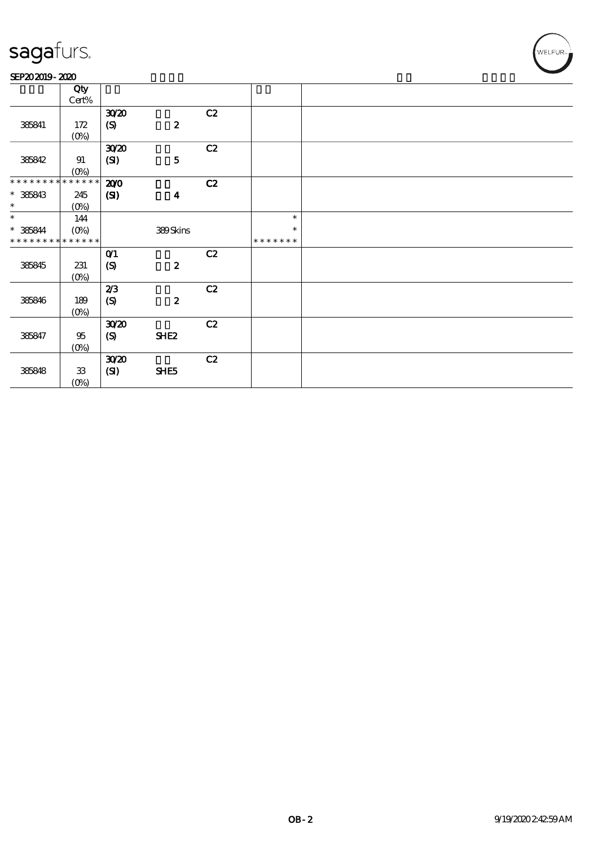#### SEP202019-2020

|                             | Qty         |              |                  |    |               |  |
|-----------------------------|-------------|--------------|------------------|----|---------------|--|
|                             | Cert%       |              |                  |    |               |  |
|                             |             | 3020         |                  | C2 |               |  |
| 385841                      | 172         | (S)          | $\pmb{2}$        |    |               |  |
|                             | $(0\%)$     |              |                  |    |               |  |
|                             |             | 3020         |                  | C2 |               |  |
| 385842                      | 91          | (SI)         | ${\bf 5}$        |    |               |  |
|                             | $(0\%)$     |              |                  |    |               |  |
| * * * * * * * *             | * * * * * * | 200          |                  | C2 |               |  |
| $* 36843$                   | 245         | $\mathbf{Z}$ | $\boldsymbol{4}$ |    |               |  |
| $\ast$                      | $(0\%)$     |              |                  |    |               |  |
| $\ast$                      | 144         |              |                  |    | $\ast$        |  |
| $* 365844$                  | (0%)        |              | 389Skins         |    | $\ast$        |  |
| * * * * * * * * * * * * * * |             |              |                  |    | * * * * * * * |  |
|                             |             | $O$ $1$      |                  | C2 |               |  |
| 385845                      | 231         | (S)          | $\pmb{2}$        |    |               |  |
|                             | $(0\%)$     |              |                  |    |               |  |
|                             |             | 2/3          |                  | C2 |               |  |
| 385846                      | 189         | (S)          | $\pmb{2}$        |    |               |  |
|                             | $(0\%)$     |              |                  |    |               |  |
|                             |             | 3020         |                  | C2 |               |  |
| 385847                      | $95\,$      | (S)          | <b>SHE2</b>      |    |               |  |
|                             | $(0\%)$     |              |                  |    |               |  |
|                             |             | 3020         |                  | C2 |               |  |
| 385848                      | ${\bf 33}$  |              | SHE5             |    |               |  |
|                             |             | (SI)         |                  |    |               |  |
|                             | $(0\%)$     |              |                  |    |               |  |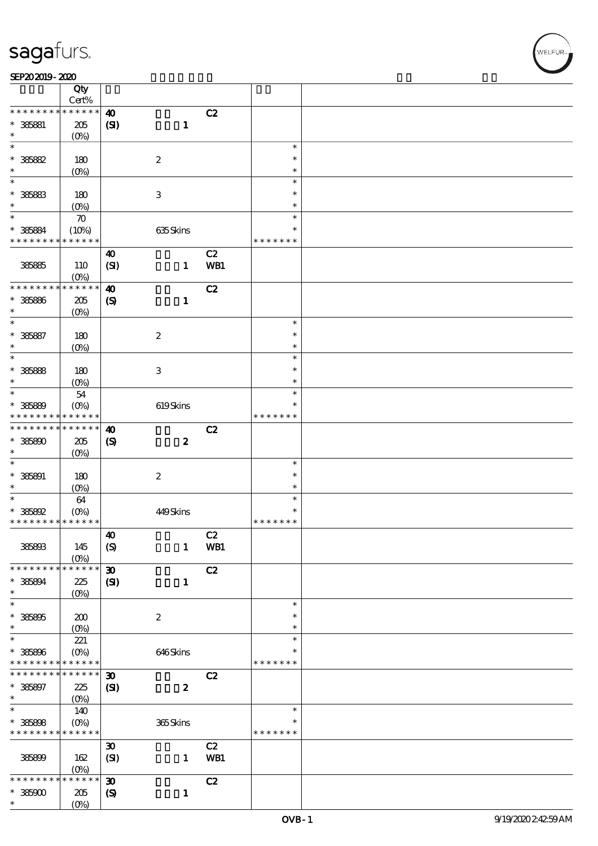$\top$ 

#### SEP202019-2020 DECEMBER 2020 DECEMBER 2020 DECEMBER 2020 DECEMBER 2020 DECEMBER 2020 DECEMBER 2020 DECEMBER 20

|                              | Qty                    |                             |                  |     |                  |  |
|------------------------------|------------------------|-----------------------------|------------------|-----|------------------|--|
| * * * * * * * *              | Cert%<br>* * * * * *   |                             |                  |     |                  |  |
|                              |                        | $\boldsymbol{\omega}$       |                  | C2  |                  |  |
| $* 36681$<br>$\ast$          | 205                    | (S)                         | $\mathbf{1}$     |     |                  |  |
| $\ast$                       | $(O\%)$                |                             |                  |     | $\ast$           |  |
| $* 36682$                    | 180                    |                             | $\boldsymbol{2}$ |     | $\ast$           |  |
| $\ast$                       | (O <sub>0</sub> )      |                             |                  |     | $\ast$           |  |
| $\ast$                       |                        |                             |                  |     | $\ast$           |  |
| $* 36683$                    | 180                    |                             | $\,3\,$          |     | $\ast$           |  |
| $\ast$                       | $(O\%)$                |                             |                  |     | $\ast$           |  |
| $\ast$                       | $\boldsymbol{\pi}$     |                             |                  |     | $\ast$           |  |
| $* 385884$                   | (10%)                  |                             | 635Skins         |     | $\ast$           |  |
| * * * * * * * *              | * * * * * *            |                             |                  |     | * * * * * * *    |  |
|                              |                        | $\boldsymbol{\omega}$       |                  | C2  |                  |  |
| 385865                       | 110                    | (SI)                        | $\mathbf{1}$     | WB1 |                  |  |
|                              | $(O\%)$                |                             |                  |     |                  |  |
| * * * * * * * *              | * * * * * *            | $\boldsymbol{\omega}$       |                  | C2  |                  |  |
| $* 385886$                   | 205                    | $\boldsymbol{\mathcal{S}}$  | $\mathbf{1}$     |     |                  |  |
| $\ast$                       | $(O\%)$                |                             |                  |     |                  |  |
| $\ast$                       |                        |                             |                  |     | $\ast$           |  |
| $* 36687$                    | 180                    |                             | $\boldsymbol{2}$ |     | $\ast$           |  |
| $\ast$                       | $(O\%)$                |                             |                  |     | $\ast$           |  |
| $\ast$                       |                        |                             |                  |     | $\ast$           |  |
| $* 36668$                    | 180                    |                             | $\,3\,$          |     | $\ast$           |  |
| $\ast$                       | (O <sub>0</sub> )      |                             |                  |     | $\ast$           |  |
| $\ast$                       | 54                     |                             |                  |     | $\ast$           |  |
| $* 385889$                   | $(O\%)$                |                             | $619S$ kins      |     | $\ast$           |  |
| * * * * * * * *              | * * * * * *            |                             |                  |     | * * * * * * *    |  |
| * * * * * * * *              | * * * * * *            | $\boldsymbol{\omega}$       |                  | C2  |                  |  |
| $* 365800$                   | 205                    | $\boldsymbol{\mathrm{(S)}}$ | $\boldsymbol{z}$ |     |                  |  |
| $\ast$                       | $(O\%)$                |                             |                  |     |                  |  |
| $\ast$                       |                        |                             |                  |     | $\ast$           |  |
| $* 385891$                   | 180                    |                             | $\boldsymbol{2}$ |     | $\ast$           |  |
| $\ast$                       | (0%)                   |                             |                  |     | $\ast$           |  |
| $\ast$                       | 64                     |                             |                  |     | $\ast$           |  |
| $* 36692$                    | $(O\%)$                |                             | 449Skins         |     | $\ast$           |  |
| * * * * * * * * * * * * * *  |                        |                             |                  |     | * * * * * * *    |  |
|                              |                        | $\boldsymbol{\omega}$       |                  | C2  |                  |  |
| 385803                       | 145                    | $\boldsymbol{S}$            | $\mathbf{1}$     | WB1 |                  |  |
|                              | $(O\%)$                |                             |                  |     |                  |  |
| * * * * * * * *              | * * * * * *            | $\boldsymbol{\mathfrak{D}}$ |                  | C2  |                  |  |
| $* 385894$                   | 225                    | $\mathbf{C}$                | $\mathbf{1}$     |     |                  |  |
| $\ast$<br>$\ast$             | $(O\%)$                |                             |                  |     |                  |  |
|                              |                        |                             |                  |     | $\ast$           |  |
| $* 36895$<br>$\ast$          | 200                    |                             | $\boldsymbol{2}$ |     | $\ast$<br>$\ast$ |  |
| $\ast$                       | $(O\%)$                |                             |                  |     | $\ast$           |  |
|                              | 221                    |                             |                  |     | $\ast$           |  |
| $* 36606$<br>* * * * * * * * | $(O\%)$<br>* * * * * * |                             | 646Skins         |     | * * * * * * *    |  |
| * * * * * * * *              | * * * * * *            | $\boldsymbol{\mathfrak{D}}$ |                  | C2  |                  |  |
|                              |                        |                             |                  |     |                  |  |
| $* 385897$<br>$\ast$         | 225<br>$(O\!/\!o)$     | $\mathbf{C}$                | $\boldsymbol{2}$ |     |                  |  |
| $\overline{\phantom{0}}$     | 140                    |                             |                  |     | $\ast$           |  |
| $* 385808$                   | $(0\%)$                |                             | 365Skins         |     | $\ast$           |  |
| * * * * * * * *              | * * * * * *            |                             |                  |     | * * * * * * *    |  |
|                              |                        | $\pmb{\mathfrak{D}}$        |                  | C2  |                  |  |
| 385899                       | 162                    | (SI)                        | $\mathbf{1}$     | WB1 |                  |  |
|                              | (O <sub>0</sub> )      |                             |                  |     |                  |  |
| * * * * * *                  | * * * * * *            | $\boldsymbol{\mathfrak{D}}$ |                  | C2  |                  |  |
| $*38500$                     | 205                    | $\boldsymbol{\mathcal{S}}$  | $\mathbf{1}$     |     |                  |  |
| $\ast$                       | $(0\%)$                |                             |                  |     |                  |  |

 $\overline{\mathbf{r}}$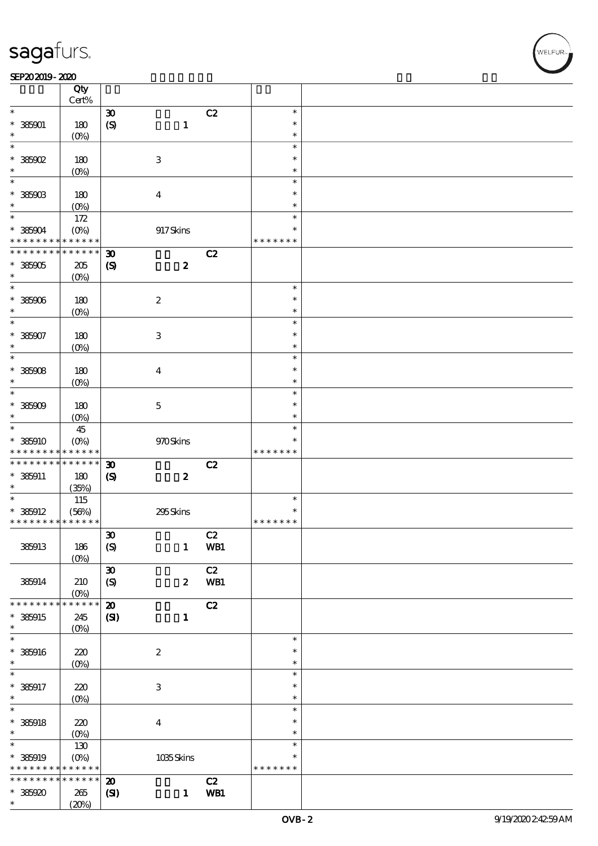#### SEP202019-2020 DECEMBER 2020 DECEMBER 2020 DECEMBER 2020 DECEMBER 2020 DECEMBER 2020 DECEMBER 2020 DECEMBER 20

|                                            | Qty<br>Cert%       |                             |                           |     |               |  |
|--------------------------------------------|--------------------|-----------------------------|---------------------------|-----|---------------|--|
| $\ast$                                     |                    | $\boldsymbol{\mathfrak{D}}$ |                           | C2  | $\ast$        |  |
|                                            |                    |                             |                           |     |               |  |
| $* 385001$                                 | 180                | $\boldsymbol{S}$            | $\mathbf{1}$              |     | $\ast$        |  |
| *                                          | (O <sub>0</sub> )  |                             |                           |     | $\ast$        |  |
| $\ast$                                     |                    |                             |                           |     | $\ast$        |  |
| $*38502$                                   | 180                |                             | $\ensuremath{\mathbf{3}}$ |     | $\ast$        |  |
| *                                          | (O <sub>0</sub> )  |                             |                           |     | $\ast$        |  |
| $\ast$                                     |                    |                             |                           |     | $\ast$        |  |
|                                            |                    |                             |                           |     |               |  |
| $* 385003$                                 | 180                |                             | $\boldsymbol{4}$          |     | $\ast$        |  |
| $\ast$                                     | (O <sub>0</sub> )  |                             |                           |     | $\ast$        |  |
| $\ast$                                     | 172                |                             |                           |     | $\ast$        |  |
| $*385004$                                  | $(O\%)$            |                             | 917Skins                  |     | $\ast$        |  |
| * * * * * * * *                            | * * * * * *        |                             |                           |     | * * * * * * * |  |
|                                            |                    |                             |                           |     |               |  |
| * * * * * * * *                            | $* * * * * * *$    | $\boldsymbol{\mathfrak{D}}$ |                           | C2  |               |  |
| $*385005$                                  | 205                | $\boldsymbol{\mathcal{S}}$  | $\boldsymbol{2}$          |     |               |  |
| $\ast$                                     | $(O\%)$            |                             |                           |     |               |  |
| $\ast$                                     |                    |                             |                           |     | $\ast$        |  |
|                                            |                    |                             |                           |     | $\ast$        |  |
| $* 385006$                                 | 180                |                             | $\boldsymbol{2}$          |     |               |  |
| $\ast$                                     | $(O\!/\!\!\delta)$ |                             |                           |     | $\ast$        |  |
| $\ast$                                     |                    |                             |                           |     | $\ast$        |  |
| $* 385907$                                 | 180                |                             | $\ensuremath{\mathbf{3}}$ |     | $\ast$        |  |
| $\ast$                                     | $(O\!/\!\!\delta)$ |                             |                           |     | $\ast$        |  |
| $\ast$                                     |                    |                             |                           |     | $\ast$        |  |
|                                            |                    |                             |                           |     | $\ast$        |  |
| $* 385008$                                 | 180                |                             | $\boldsymbol{4}$          |     |               |  |
| $\ast$                                     | (O <sub>0</sub> )  |                             |                           |     | $\ast$        |  |
| $\ast$                                     |                    |                             |                           |     | $\ast$        |  |
| $* 38500$                                  | 180                |                             | $\mathbf 5$               |     | $\ast$        |  |
| $\ast$                                     | (O <sub>0</sub> )  |                             |                           |     | $\ast$        |  |
| $\overline{\ast}$                          | 45                 |                             |                           |     | $\ast$        |  |
|                                            |                    |                             |                           |     | $\ast$        |  |
| $*385910$                                  | $(O\%)$            |                             | 970Skins                  |     |               |  |
| * * * * * * * *                            | * * * * * *        |                             |                           |     | * * * * * * * |  |
| * * * * * * * *                            | * * * * * *        | $\boldsymbol{\mathfrak{D}}$ |                           | C2  |               |  |
| $*$ 385911                                 | 180                | $\boldsymbol{\mathrm{(S)}}$ | $\boldsymbol{2}$          |     |               |  |
| $\ast$                                     | (35%)              |                             |                           |     |               |  |
| $\overline{\ast}$                          | 115                |                             |                           |     | $\ast$        |  |
| $* 385912$                                 | (56%)              |                             | 295Skins                  |     | $\ast$        |  |
| * * * * * * * * <mark>* * * * * * *</mark> |                    |                             |                           |     | * * * * * * * |  |
|                                            |                    |                             |                           |     |               |  |
|                                            |                    | $\pmb{\mathfrak{D}}$        |                           | C2  |               |  |
| 385913                                     | 186                | (S)                         | $\mathbf{1}$              | WB1 |               |  |
|                                            | $(O\%)$            |                             |                           |     |               |  |
|                                            |                    | $\pmb{\mathfrak{D}}$        |                           | C2  |               |  |
|                                            |                    |                             | $\pmb{2}$                 | WB1 |               |  |
| 385914                                     | 210                | $\boldsymbol{S}$            |                           |     |               |  |
|                                            | $(O\%)$            |                             |                           |     |               |  |
| * * * * * * * *                            | * * * * * *        | $\boldsymbol{\mathfrak{D}}$ |                           | C2  |               |  |
| * 385915                                   | 245                | (S)                         | $\mathbf{1}$              |     |               |  |
| $\ast$                                     | $(0\%)$            |                             |                           |     |               |  |
| $\ast$                                     |                    |                             |                           |     | $\ast$        |  |
|                                            |                    |                             |                           |     | $\ast$        |  |
| $* 385916$                                 | $220\,$            |                             | $\boldsymbol{2}$          |     |               |  |
| $\ast$                                     | $(0\%)$            |                             |                           |     | $\ast$        |  |
| $\ast$                                     |                    |                             |                           |     | $\ast$        |  |
| $* 385917$                                 | 220                |                             | $\ensuremath{\mathbf{3}}$ |     | $\ast$        |  |
| $\ast$                                     | $(O\!/\!o)$        |                             |                           |     | $\ast$        |  |
| $\overline{\ast}$                          |                    |                             |                           |     | $\ast$        |  |
| $* 385918$                                 |                    |                             |                           |     | $\ast$        |  |
|                                            | 220                |                             | $\bf{4}$                  |     |               |  |
| $\ast$                                     | $(O\%)$            |                             |                           |     | $\ast$        |  |
| $\ast$                                     | 130                |                             |                           |     | $\ast$        |  |
| * 385919                                   | $(O\!/\!o)$        |                             | 1035Skins                 |     | $\ast$        |  |
| * * * * * * * *                            | * * * * * *        |                             |                           |     | * * * * * * * |  |
| * * * * * * * *                            | * * * * * *        | $\boldsymbol{\mathbf{z}}$   |                           | C2  |               |  |
| $*385920$                                  | 265                | $\mathbf{C}$                | $\mathbf{1}$              | WB1 |               |  |
| $\ast$                                     | (20%)              |                             |                           |     |               |  |
|                                            |                    |                             |                           |     |               |  |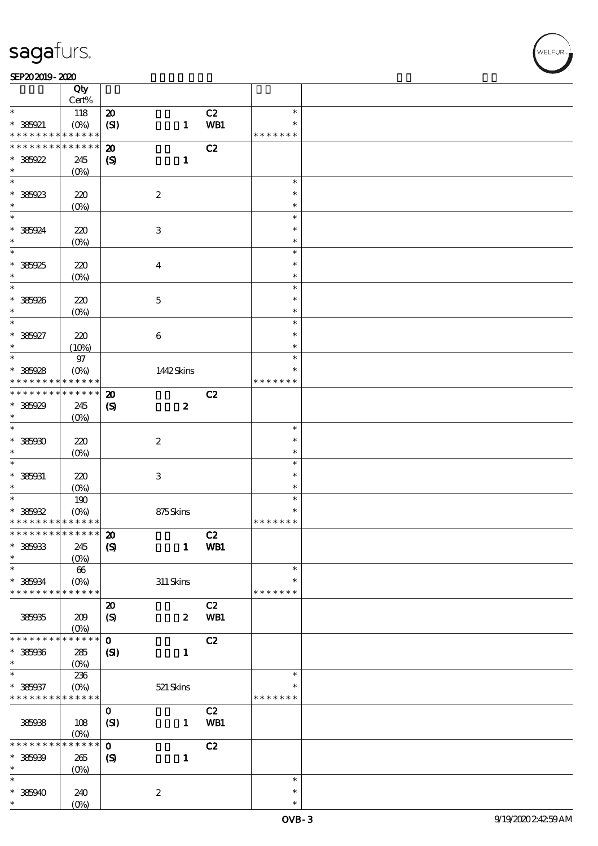#### SEP202019-2020 DECEMBER 2020 DECEMBER 2020 DECEMBER 2020 DECEMBER 2020 DECEMBER 2020 DECEMBER 2020 DECEMBER 20

|                                            | Qty<br>Cert%           |                             |                           |     |               |  |
|--------------------------------------------|------------------------|-----------------------------|---------------------------|-----|---------------|--|
| $\ast$                                     | 118                    | $\pmb{\mathcal{D}}$         |                           | C2  | $\ast$        |  |
| * 385921                                   |                        |                             |                           | WB1 | $\ast$        |  |
| * * * * * * * *                            | $(0\%)$<br>* * * * * * | (SI)                        | $\mathbf{1}$              |     | * * * * * * * |  |
|                                            |                        |                             |                           |     |               |  |
| * * * * * * * *                            | * * * * * *            | $\boldsymbol{\mathbf{z}}$   |                           | C2  |               |  |
| $*385922$                                  | 245                    | $\boldsymbol{\mathrm{(S)}}$ | $\mathbf{1}$              |     |               |  |
| $\ast$                                     | $(0\%)$                |                             |                           |     |               |  |
| $\overline{\ast}$                          |                        |                             |                           |     | $\ast$        |  |
| $* 385923$                                 | 220                    |                             | $\boldsymbol{2}$          |     | $\ast$        |  |
| $\ast$                                     | (O <sub>0</sub> )      |                             |                           |     | $\ast$        |  |
| $\ast$                                     |                        |                             |                           |     | $\ast$        |  |
|                                            |                        |                             |                           |     |               |  |
| * 385924                                   | 220                    |                             | $\,3$                     |     | $\ast$        |  |
| $\ast$                                     | $(O\!/\!\!\delta)$     |                             |                           |     | $\ast$        |  |
| $\overline{\ast}$                          |                        |                             |                           |     | $\ast$        |  |
| * 385925                                   | 220                    |                             | $\boldsymbol{4}$          |     | $\ast$        |  |
| $\ast$                                     | $(O\%)$                |                             |                           |     | $\ast$        |  |
| $\ast$                                     |                        |                             |                           |     | $\ast$        |  |
|                                            |                        |                             |                           |     | $\ast$        |  |
| * 385926                                   | 220                    |                             | $\mathbf 5$               |     |               |  |
| $\ast$                                     | $(O\!/\!\!\delta)$     |                             |                           |     | $\ast$        |  |
| $\ast$                                     |                        |                             |                           |     | $\ast$        |  |
| * 385927                                   | 220                    |                             | $\bf 6$                   |     | $\ast$        |  |
| $\ast$                                     | (10%)                  |                             |                           |     | $\ast$        |  |
| $\ast$                                     | $97\,$                 |                             |                           |     | $\ast$        |  |
| $* 385928$                                 | $(O\%)$                |                             | 1442Skins                 |     | $\ast$        |  |
| * * * * * * * *                            | $* * * * * * *$        |                             |                           |     | * * * * * * * |  |
| * * * * * * * *                            | $* * * * * * *$        |                             |                           |     |               |  |
|                                            |                        | $\boldsymbol{\mathbf{z}}$   |                           | C2  |               |  |
| $*385929$                                  | 245                    | $\boldsymbol{\mathrm{(S)}}$ | $\boldsymbol{z}$          |     |               |  |
| $\ast$                                     | $(O\!/\!\!\delta)$     |                             |                           |     |               |  |
| $\ast$                                     |                        |                             |                           |     | $\ast$        |  |
| $* 38500$                                  | 220                    |                             | $\boldsymbol{2}$          |     | $\ast$        |  |
| $\ast$                                     | $(O\%)$                |                             |                           |     | $\ast$        |  |
| $\ast$                                     |                        |                             |                           |     | $\ast$        |  |
| $* 385031$                                 |                        |                             |                           |     | $\ast$        |  |
|                                            | 220                    |                             | $\ensuremath{\mathbf{3}}$ |     |               |  |
| $\ast$<br>$\overline{\ast}$                | $(O\%)$                |                             |                           |     | $\ast$        |  |
|                                            | 190                    |                             |                           |     | $\ast$        |  |
| $* 385022$                                 | $(O\%)$                |                             | 875Skins                  |     | $\ast$        |  |
| * * * * * * * * <mark>* * * * * * *</mark> |                        |                             |                           |     | * * * * * * * |  |
| ************** 20                          |                        |                             |                           | C2  |               |  |
| $* 385033$                                 | 245                    | $\boldsymbol{\mathrm{(S)}}$ | $\mathbf{1}$              | WB1 |               |  |
| $\ast$                                     | $(0\%)$                |                             |                           |     |               |  |
| $\ast$                                     |                        |                             |                           |     | $\ast$        |  |
|                                            | 66                     |                             |                           |     | $\ast$        |  |
| $* 385034$                                 | $(O\!/\!\!\delta)$     |                             | $311$ Skins               |     |               |  |
| * * * * * * * *                            | * * * * * *            |                             |                           |     | * * * * * * * |  |
|                                            |                        | $\boldsymbol{\mathsf{20}}$  |                           | C2  |               |  |
| 385935                                     | 209                    | $\boldsymbol{S}$            | $\boldsymbol{z}$          | WB1 |               |  |
|                                            | $(O\!/\!\!\delta)$     |                             |                           |     |               |  |
| * * * * * * *                              | * * * * * *            | $\mathbf 0$                 |                           | C2  |               |  |
| $* 385006$                                 | 285                    | $\mathbf{S}$                | $\mathbf{1}$              |     |               |  |
| $\ast$                                     | $(0\%)$                |                             |                           |     |               |  |
| $\ast$                                     |                        |                             |                           |     | $\ast$        |  |
|                                            | 236                    |                             |                           |     |               |  |
| $* 385037$                                 | $(O\%)$                |                             | 521 Skins                 |     | $\ast$        |  |
| * * * * * * * *                            | * * * * * *            |                             |                           |     | * * * * * * * |  |
|                                            |                        | $\mathbf{o}$                |                           | C2  |               |  |
| 385938                                     | 108                    | (SI)                        | $\mathbf{1}$              | WB1 |               |  |
|                                            | $(O\%)$                |                             |                           |     |               |  |
| * * * * *                                  | $***$ * * *<br>*       | $\mathbf 0$                 |                           | C2  |               |  |
| $* 38500$                                  | 265                    | $\boldsymbol{S}$            | $\mathbf{1}$              |     |               |  |
| $\ast$                                     |                        |                             |                           |     |               |  |
| $\ast$                                     | $(0\%)$                |                             |                           |     | $\ast$        |  |
|                                            |                        |                             |                           |     |               |  |
| $*385940$                                  | 240                    |                             | $\boldsymbol{2}$          |     | $\ast$        |  |
| $\ast$                                     | (O <sub>0</sub> )      |                             |                           |     | $\ast$        |  |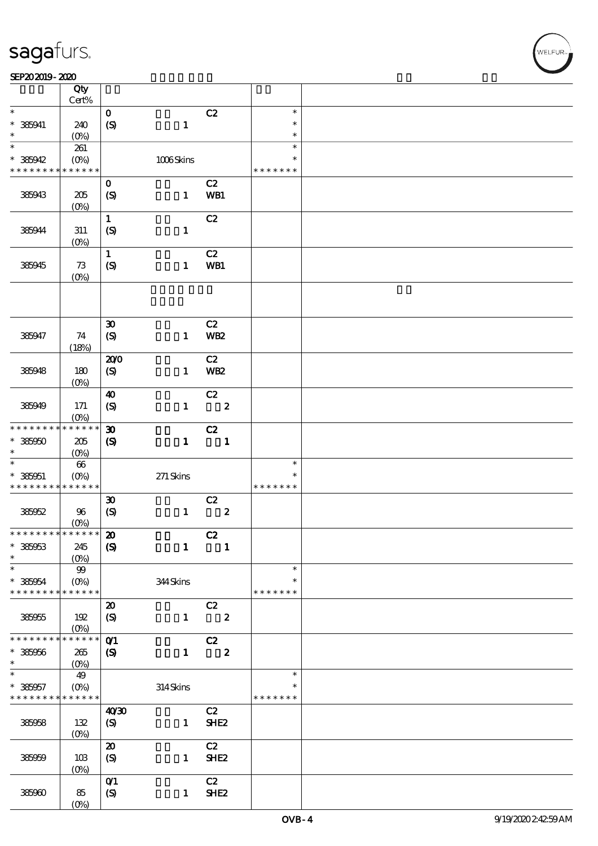|                                            | Qty<br>Cert%           |                               |              |                         |               |  |
|--------------------------------------------|------------------------|-------------------------------|--------------|-------------------------|---------------|--|
| $\ast$                                     |                        | $\mathbf{o}$                  |              | C2                      | $\ast$        |  |
|                                            |                        |                               |              |                         |               |  |
| $* 385941$                                 | 240                    | $\boldsymbol{S}$              | $\mathbf{1}$ |                         | $\ast$        |  |
| $\ast$                                     | $(O\%)$                |                               |              |                         | $\ast$        |  |
| $\ast$                                     | 261                    |                               |              |                         | $\ast$        |  |
| $* 385942$                                 | $(O\!/\!o)$            |                               | 1006Skins    |                         | $\ast$        |  |
| * * * * * * * *                            | * * * * * *            |                               |              |                         | * * * * * * * |  |
|                                            |                        | $\mathbf 0$                   |              | C2                      |               |  |
|                                            |                        |                               |              |                         |               |  |
| 385943                                     | 205                    | $\boldsymbol{S}$              | $\mathbf{1}$ | WB1                     |               |  |
|                                            | (O <sub>0</sub> )      |                               |              |                         |               |  |
|                                            |                        | $\mathbf{1}$                  |              | C2                      |               |  |
| 385944                                     | $311\,$                | (S)                           | $\mathbf{1}$ |                         |               |  |
|                                            | $(O\!/\!\!\delta)$     |                               |              |                         |               |  |
|                                            |                        | $\mathbf{1}$                  |              | C2                      |               |  |
| 385945                                     | 73                     | (S)                           | $\mathbf{1}$ | WB1                     |               |  |
|                                            | (O <sub>0</sub> )      |                               |              |                         |               |  |
|                                            |                        |                               |              |                         |               |  |
|                                            |                        |                               |              |                         |               |  |
|                                            |                        |                               |              |                         |               |  |
|                                            |                        |                               |              |                         |               |  |
|                                            |                        | $\boldsymbol{\mathfrak{D}}$   |              | C2                      |               |  |
| 385947                                     | 74                     | $\boldsymbol{S}$              | $\mathbf{1}$ | <b>WB2</b>              |               |  |
|                                            | (18%)                  |                               |              |                         |               |  |
|                                            |                        | 200                           |              | C2                      |               |  |
| 385948                                     | 180                    | (S)                           | $\mathbf{1}$ | <b>WB2</b>              |               |  |
|                                            | (O <sub>0</sub> )      |                               |              |                         |               |  |
|                                            |                        | $\boldsymbol{\omega}$         |              | C2                      |               |  |
| 385949                                     | 171                    | $\boldsymbol{S}$              | $\mathbf{1}$ | $\overline{\mathbf{2}}$ |               |  |
|                                            |                        |                               |              |                         |               |  |
|                                            | $(O\%)$<br>* * * * * * |                               |              |                         |               |  |
| * * * * * * * *                            |                        | $\boldsymbol{\mathfrak{D}}$   |              | C2                      |               |  |
| $*385950$                                  | $205\,$                | $\boldsymbol{S}$              | $\mathbf{1}$ | $\blacksquare$          |               |  |
| $\ast$                                     | $(O\%)$                |                               |              |                         |               |  |
| $\ast$                                     | $66\,$                 |                               |              |                         | $\ast$        |  |
| $* 385051$                                 | $(O_0)$                |                               | $271$ Skins  |                         | $\ast$        |  |
| * * * * * * * * <mark>* * * * * * *</mark> |                        |                               |              |                         | * * * * * * * |  |
|                                            |                        | $\boldsymbol{\mathfrak{D}}$   |              | C2                      |               |  |
| 385952                                     | 96                     | (S)                           | $\mathbf{1}$ | $\boldsymbol{2}$        |               |  |
|                                            | $(0\%)$                |                               |              |                         |               |  |
| * * * * * * * * * * * * * * *              |                        | $\boldsymbol{\mathbf{z}}$     |              | C2                      |               |  |
| * 385953                                   | 245                    | $\boldsymbol{\mathrm{(S)}}$   | $\mathbf{1}$ | $\mathbf{1}$            |               |  |
| $\ast$                                     |                        |                               |              |                         |               |  |
| $\ast$                                     | $(0\%)$                |                               |              |                         | $\ast$        |  |
|                                            | 99                     |                               |              |                         |               |  |
| * 385954                                   | $(O\%)$                |                               | 344Skins     |                         | $\ast$        |  |
| * * * * * * * *                            | ******                 |                               |              |                         | * * * * * * * |  |
|                                            |                        | $\boldsymbol{\mathsf{20}}$    |              | C2                      |               |  |
| 385955                                     | 192                    | $\boldsymbol{S}$              | $\mathbf{1}$ | $\overline{\mathbf{2}}$ |               |  |
|                                            | $(O\%)$                |                               |              |                         |               |  |
| * * * * * * *                              | * * * * * *            | $O$ $1$                       |              | C2                      |               |  |
| * 385956                                   | $265\,$                | $\boldsymbol{\mathcal{S}}$    | $\mathbf{1}$ | $\boldsymbol{z}$        |               |  |
| $\ast$                                     | (0%                    |                               |              |                         |               |  |
| $\ast$                                     | 49                     |                               |              |                         | $\ast$        |  |
|                                            |                        |                               |              |                         | $\ast$        |  |
| * 385957                                   | $(O_0)$                |                               | $314$ Skins  |                         |               |  |
| * * * * * * * *                            | * * * * * *            |                               |              |                         | * * * * * * * |  |
|                                            |                        | 40 <sup>30</sup>              |              | C2                      |               |  |
| 385958                                     | 132                    | (S)                           | $\mathbf{1}$ | SHE <sub>2</sub>        |               |  |
|                                            | $(O\!/\!\!\delta)$     |                               |              |                         |               |  |
|                                            |                        | $\boldsymbol{\mathbf{z}}$     |              | C2                      |               |  |
| 385959                                     | 10B                    | (S)                           | $\mathbf{1}$ | SHE <sub>2</sub>        |               |  |
|                                            | $(0\%)$                |                               |              |                         |               |  |
|                                            |                        | $O$ <sup><math>1</math></sup> |              | C2                      |               |  |
| 385960                                     | 85                     | (S)                           | $\mathbf{1}$ | SHE <sub>2</sub>        |               |  |
|                                            | $(O\%)$                |                               |              |                         |               |  |
|                                            |                        |                               |              |                         |               |  |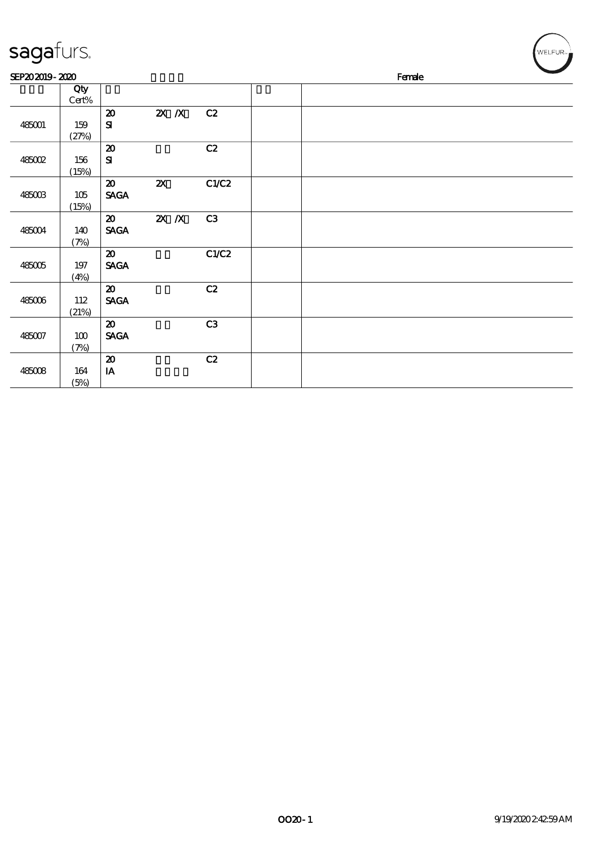| sagafurs.      |                 |                                                               |                           |       |  |        |  | WELFUR <sub>"</sub> |
|----------------|-----------------|---------------------------------------------------------------|---------------------------|-------|--|--------|--|---------------------|
| SEP202019-2020 |                 |                                                               |                           |       |  | Female |  |                     |
|                | Qty<br>$Cert\%$ |                                                               |                           |       |  |        |  |                     |
| 485001         | 159<br>(27%)    | $\pmb{\mathcal{D}}$<br>$\bf S\!I$                             | $X$ $X$                   | C2    |  |        |  |                     |
| $485002$       | 156<br>(15%)    | ${\bf Z}$<br>$\mathbf{S}$                                     |                           | C2    |  |        |  |                     |
| 485003         | 105<br>(15%)    | $\boldsymbol{\mathfrak{D}}$<br>$\operatorname{\mathsf{SAGA}}$ | $\boldsymbol{\mathsf{z}}$ | C1/C2 |  |        |  |                     |
| 485004         | 140<br>(7%)     | $\boldsymbol{\mathfrak{D}}$<br>$\operatorname{\mathbf{SAGA}}$ | $X$ $X$                   | C3    |  |        |  |                     |
| 485005         | $197\,$<br>(4%) | $\boldsymbol{\mathfrak{D}}$<br><b>SAGA</b>                    |                           | C1/C2 |  |        |  |                     |
| 485006         | 112<br>(21%)    | $\boldsymbol{\mathfrak{D}}$<br>$\operatorname{\mathsf{SAGA}}$ |                           | C2    |  |        |  |                     |
| 485007         | $100\,$<br>(7%) | $\boldsymbol{\mathfrak{D}}$<br><b>SAGA</b>                    |                           | C3    |  |        |  |                     |
| 485008         | 164<br>(5%)     | $\pmb{\mathcal{X}}$<br>$\mathbf{I}\mathbf{A}$                 |                           | C2    |  |        |  |                     |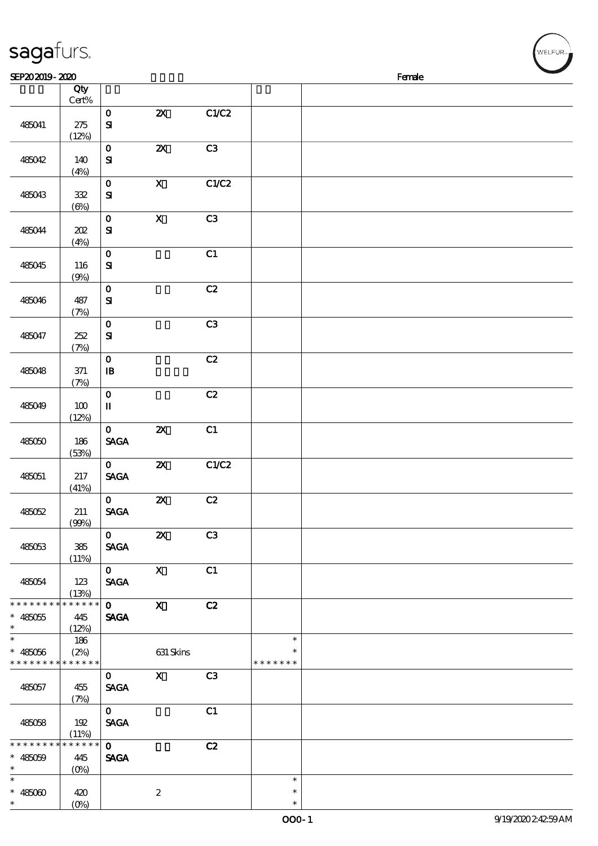| sagafurs.                                                          |                               |                                        |                           |                |                            |        | WELFUR <sub>™</sub> |
|--------------------------------------------------------------------|-------------------------------|----------------------------------------|---------------------------|----------------|----------------------------|--------|---------------------|
| SEP202019-2020                                                     |                               |                                        |                           |                |                            | Female |                     |
|                                                                    | Qty<br>$Cert\%$               |                                        |                           |                |                            |        |                     |
| 485041                                                             | 275<br>(12%)                  | $\mathbf 0$<br>${\bf s}$               | $\boldsymbol{\mathsf{z}}$ | C1/C2          |                            |        |                     |
| 485042                                                             | 140<br>(4%)                   | $\mathbf 0$<br>${\bf s}$               | $\boldsymbol{\mathsf{z}}$ | C3             |                            |        |                     |
| 485043                                                             | 332<br>$(\Theta)$             | $\mathbf 0$<br>${\bf s}$               | $\boldsymbol{\mathsf{X}}$ | C1/C2          |                            |        |                     |
| 485044                                                             | 202<br>(4%)                   | $\mathbf O$<br>${\bf s}$               | $\mathbf X$               | C3             |                            |        |                     |
| 485045                                                             | 116<br>(9%)                   | $\mathbf 0$<br>${\bf s}$               |                           | C1             |                            |        |                     |
| 485046                                                             | 487<br>(7%)                   | $\mathbf 0$<br>${\bf s}$               |                           | C2             |                            |        |                     |
| 485047                                                             | 252<br>(7%)                   | $\mathbf 0$<br>$\mathbf{S}$            |                           | C3             |                            |        |                     |
| 485048                                                             | $371$<br>(7%)                 | $\mathbf 0$<br>$\mathbf{B}$            |                           | C2             |                            |        |                     |
| 485049                                                             | 100<br>(12%)                  | $\mathbf O$<br>$\mathbf{I}\mathbf{I}$  |                           | C2             |                            |        |                     |
| 485050                                                             | 186<br>(53%)                  | $\mathbf 0$<br><b>SAGA</b>             | $\boldsymbol{\mathsf{z}}$ | C1             |                            |        |                     |
| 485051                                                             | $217\,$<br>(41%)              | $\mathbf 0$<br><b>SAGA</b>             | $\pmb{\mathsf{z}}$        | C1/C2          |                            |        |                     |
| 485052                                                             | 211<br>(90%)                  | $\mathbf 0$<br><b>SAGA</b>             | $\boldsymbol{\mathsf{Z}}$ | C2             |                            |        |                     |
| 485053                                                             | 385<br>(11%)                  | $\mathbf{0}$<br><b>SAGA</b>            | $\boldsymbol{\mathsf{Z}}$ | C <sub>3</sub> |                            |        |                     |
| 485054                                                             | 123<br>(13%)                  | $\mathbf{0}$<br><b>SAGA</b>            | $\mathbf{x}$              | C1             |                            |        |                     |
| * * * * * * * *<br>$* 485055$<br>$\ast$                            | * * * * * *<br>445<br>(12%)   | $\overline{\mathbf{0}}$<br><b>SAGA</b> | $\mathbf{x}$              | C2             |                            |        |                     |
| $\ast$<br>$* 485056$<br>* * * * * * * * <mark>* * * * * * *</mark> | 186<br>(2%)                   |                                        | 631 Skins                 |                | $\ast$<br>* * * * * * *    |        |                     |
| 485057                                                             | 455<br>(7%)                   | $\mathbf{O}$<br><b>SAGA</b>            | $\mathbf X$               | C3             |                            |        |                     |
| 485058                                                             | 192<br>(11%)                  | $\mathbf{O}$<br><b>SAGA</b>            |                           | C1             |                            |        |                     |
| * * * * * * * *<br>$* 485059$<br>$\ast$                            | * * * * * *<br>445<br>$(O\%)$ | $\mathbf{0}$<br><b>SAGA</b>            |                           | C2             |                            |        |                     |
| $\overline{\phantom{0}}$<br>$* 485000$<br>$\ast$                   | 420<br>$(O\%)$                |                                        | $\boldsymbol{2}$          |                | $\ast$<br>$\ast$<br>$\ast$ |        |                     |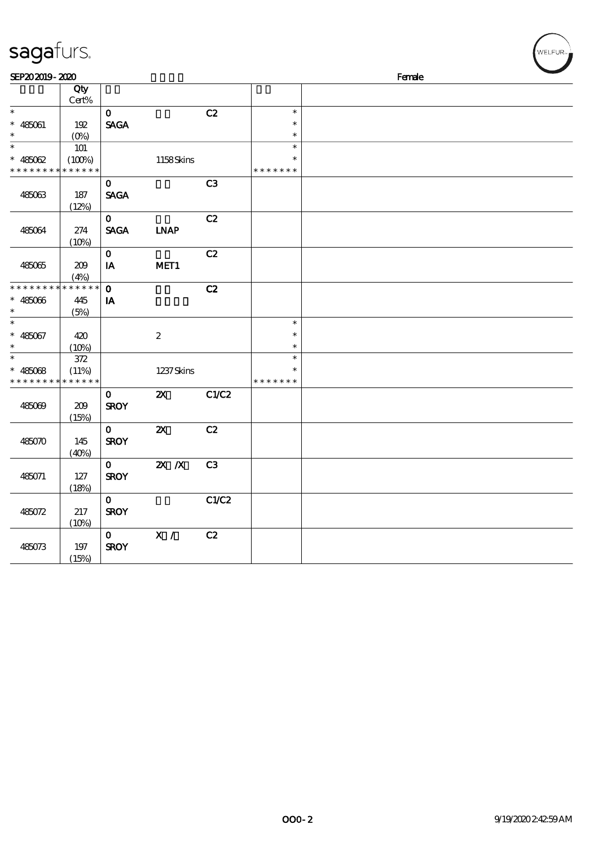| sagafurs.                     |               |                            |                              |                |                  |        | WELFUR <sub>™</sub> |
|-------------------------------|---------------|----------------------------|------------------------------|----------------|------------------|--------|---------------------|
| SEP202019-2020                |               |                            |                              |                |                  | Female |                     |
|                               | Qty<br>Cert%  |                            |                              |                |                  |        |                     |
| $\ast$                        |               | $\mathbf O$                |                              | C2             | $\ast$           |        |                     |
| $* 485061$                    | 192           | <b>SAGA</b>                |                              |                | $\ast$           |        |                     |
| $\ast$<br>$\ast$              | (0%)          |                            |                              |                | $\ast$<br>$\ast$ |        |                     |
|                               | 101<br>(100%) |                            | 1158Skins                    |                |                  |        |                     |
| $* 485062$<br>* * * * * * * * | * * * * * *   |                            |                              |                | * * * * * * *    |        |                     |
|                               |               | $\mathbf 0$                |                              | C <sub>3</sub> |                  |        |                     |
| 485063                        | 187           | <b>SAGA</b>                |                              |                |                  |        |                     |
|                               | (12%)         |                            |                              |                |                  |        |                     |
|                               |               | $\mathbf{o}$               |                              | C2             |                  |        |                     |
| 485064                        | $274\,$       | <b>SAGA</b>                | $\ensuremath{\mathbf{INAP}}$ |                |                  |        |                     |
|                               | (10%)         | $\mathbf 0$                |                              | C2             |                  |        |                     |
| 485065                        | 209           | $\mathbf{I}\mathbf{A}$     | MET1                         |                |                  |        |                     |
|                               | (4%)          |                            |                              |                |                  |        |                     |
| * * * * * * * *               | * * * * * *   | $\mathbf{o}$               |                              | C2             |                  |        |                     |
| $* 485066$                    | 445           | IA                         |                              |                |                  |        |                     |
| $\ast$<br>$\ast$              | (5%)          |                            |                              |                | $\ast$           |        |                     |
| $* 485067$                    |               |                            | $\boldsymbol{2}$             |                | $\ast$           |        |                     |
| $\ast$                        | 420<br>(10%)  |                            |                              |                | $\ast$           |        |                     |
| $\ast$                        | 372           |                            |                              |                | $\ast$           |        |                     |
| * $48508$                     | (11%)         |                            | 1237 Skins                   |                | $\ast$           |        |                     |
| * * * * * * * *               | * * * * * *   |                            |                              |                | * * * * * * *    |        |                     |
|                               |               | $\mathbf 0$                | $\boldsymbol{\mathsf{Z}}$    | C1/C2          |                  |        |                     |
| 485069                        | 209<br>(15%)  | <b>SROY</b>                |                              |                |                  |        |                     |
|                               |               | $\mathbf O$                | $\boldsymbol{\mathsf{z}}$    | C2             |                  |        |                     |
| 485070                        | 145           | <b>SROY</b>                |                              |                |                  |        |                     |
|                               | (40%)         |                            |                              |                |                  |        |                     |
|                               |               | $\mathbf 0$                | $X$ $N$                      | C3             |                  |        |                     |
| 485071                        | 127           | <b>SROY</b>                |                              |                |                  |        |                     |
|                               | (18%)         |                            |                              | C1/C2          |                  |        |                     |
| 485072                        | 217           | $\mathbf 0$<br><b>SROY</b> |                              |                |                  |        |                     |
|                               | (10%)         |                            |                              |                |                  |        |                     |
|                               |               | $\mathbf 0$                | $\mathbf{X}$ /               | C2             |                  |        |                     |
| 485073                        | 197           | <b>SROY</b>                |                              |                |                  |        |                     |
|                               | (15%)         |                            |                              |                |                  |        |                     |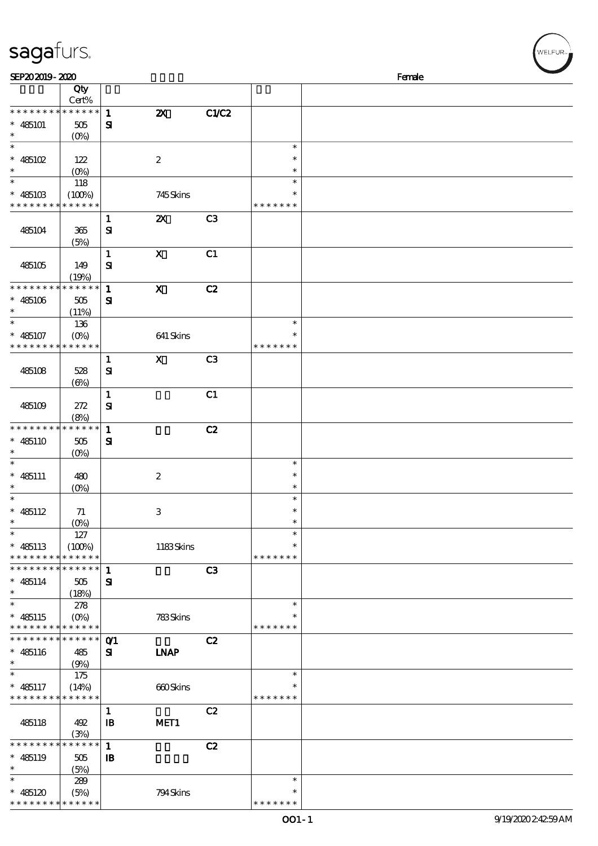| sagafurs.                                    |                                  |                |                           |                |                  | WELFUR <sub>™</sub> |
|----------------------------------------------|----------------------------------|----------------|---------------------------|----------------|------------------|---------------------|
| SEP202019-2020                               |                                  |                |                           |                |                  | Female              |
|                                              | Qty                              |                |                           |                |                  |                     |
|                                              | Cert%                            |                |                           |                |                  |                     |
| * * * * * * * *                              | * * * * * *                      | $\mathbf{1}$   | $\boldsymbol{\mathsf{z}}$ | C1/C2          |                  |                     |
| $* 485101$<br>$\ast$                         | 505                              | $\mathbf{S}$   |                           |                |                  |                     |
| $\ast$                                       | $(0\%)$                          |                |                           |                | $\ast$           |                     |
| $*485102$                                    | 122                              |                | $\boldsymbol{2}$          |                | $\ast$           |                     |
| $\ast$                                       | $(O\%)$                          |                |                           |                | $\ast$           |                     |
| $\ast$                                       | 118                              |                |                           |                | $\ast$           |                     |
| $* 48510B$                                   | (100%)                           |                | 745Skins                  |                | $\ast$           |                     |
| * * * * * * *                                | * * * * * *                      |                |                           |                | * * * * * * *    |                     |
|                                              |                                  | $\mathbf{1}$   | $\boldsymbol{\mathsf{z}}$ | C <sub>3</sub> |                  |                     |
| 485104                                       | 365                              | $\mathbf{S}$   |                           |                |                  |                     |
|                                              | (5%)                             |                |                           |                |                  |                     |
|                                              |                                  | $\mathbf 1$    | $\boldsymbol{\mathsf{X}}$ | C1             |                  |                     |
| 485105                                       | 149                              | $\mathbf{S}$   |                           |                |                  |                     |
|                                              | (19%)                            |                |                           |                |                  |                     |
| * * * * * * * *                              | * * * * * *                      | $\mathbf 1$    | $\boldsymbol{\mathsf{X}}$ | C2             |                  |                     |
| $* 485106$                                   | 505                              | ${\bf s}$      |                           |                |                  |                     |
| $\ast$<br>$\ast$                             | (11%)                            |                |                           |                | $\ast$           |                     |
|                                              | 136                              |                |                           |                | $\ast$           |                     |
| $* 485107$<br>* * * * * * * *                | (O <sub>0</sub> )<br>* * * * * * |                | 641 Skins                 |                | * * * * * * *    |                     |
|                                              |                                  | $\mathbf{1}$   | $\boldsymbol{\mathsf{X}}$ | C <sub>3</sub> |                  |                     |
| 485108                                       | 528                              | ${\bf s}$      |                           |                |                  |                     |
|                                              | $(\Theta)$                       |                |                           |                |                  |                     |
|                                              |                                  | $\mathbf{1}$   |                           | C1             |                  |                     |
| 485109                                       | 272                              | ${\bf s}$      |                           |                |                  |                     |
|                                              | (8%)                             |                |                           |                |                  |                     |
| * * * * * * * *                              | * * * * * *                      | $\mathbf{1}$   |                           | C2             |                  |                     |
| $* 485110$                                   | 505                              | $\mathbf{S}$   |                           |                |                  |                     |
|                                              | $(0\%)$                          |                |                           |                |                  |                     |
| $\ast$                                       |                                  |                |                           |                | $\ast$           |                     |
| $* 485111$                                   | 480                              |                | $\boldsymbol{2}$          |                | $\ast$           |                     |
| $\ast$                                       | (0%)                             |                |                           |                | $\ast$           |                     |
| $\ast$                                       |                                  |                |                           |                | $\ast$           |                     |
| $* 485112$<br>$\ast$                         | 71                               |                | $\,3$                     |                | $\ast$<br>$\ast$ |                     |
| $\ast$                                       | 127                              |                |                           |                | $\ast$           |                     |
| $* 485113$                                   | (100%)                           |                | 1183Skins                 |                | $\ast$           |                     |
| * * * * * * * *                              | * * * * * *                      |                |                           |                | * * * * * * *    |                     |
| * * * * *                                    | * * * * * *                      | $\mathbf{1}$   |                           | C3             |                  |                     |
| $* 485114$                                   | 505                              | ${\bf s}$      |                           |                |                  |                     |
| $\ast$                                       | (18%)                            |                |                           |                |                  |                     |
| $\ast$                                       | 278                              |                |                           |                | $\ast$           |                     |
| $* 485115$                                   | $(O\%)$                          |                | 783Skins                  |                |                  |                     |
| * * * * * * * * <mark>* * * * * *</mark>     |                                  |                |                           |                | * * * * * * *    |                     |
| * * * * * * * *                              | * * * * * *                      | O <sub>1</sub> |                           | C2             |                  |                     |
| $* 485116$                                   | 485                              | ${\bf s}$      | <b>LNAP</b>               |                |                  |                     |
| $\ast$<br>$\ast$                             | (9%)                             |                |                           |                |                  |                     |
|                                              | 175                              |                |                           |                | $\ast$<br>$\ast$ |                     |
| $* 485117$<br>* * * * * * * * <mark>*</mark> | (14%)<br>* * * * * *             |                | 660Skins                  |                | * * * * * * *    |                     |
|                                              |                                  | $\mathbf{1}$   |                           | C2             |                  |                     |
| 485118                                       | 492                              | $\mathbf{B}$   | MET1                      |                |                  |                     |
|                                              | (3%)                             |                |                           |                |                  |                     |
| * * * *                                      | * * * * * *                      | $\mathbf{1}$   |                           | C2             |                  |                     |
| $* 485119$                                   | 505                              | $\mathbf{B}$   |                           |                |                  |                     |
| $\ast$                                       | (5%)                             |                |                           |                |                  |                     |
| $\ast$                                       | 289                              |                |                           |                | $\ast$           |                     |
| $* 485120$                                   | (5%)                             |                | 794Skins                  |                | $\ast$           |                     |

\* \* \* \* \*

\*

485120 \* \* \* \* \* \* \* \* \* \* \* \* \* \*

 $\overline{38}$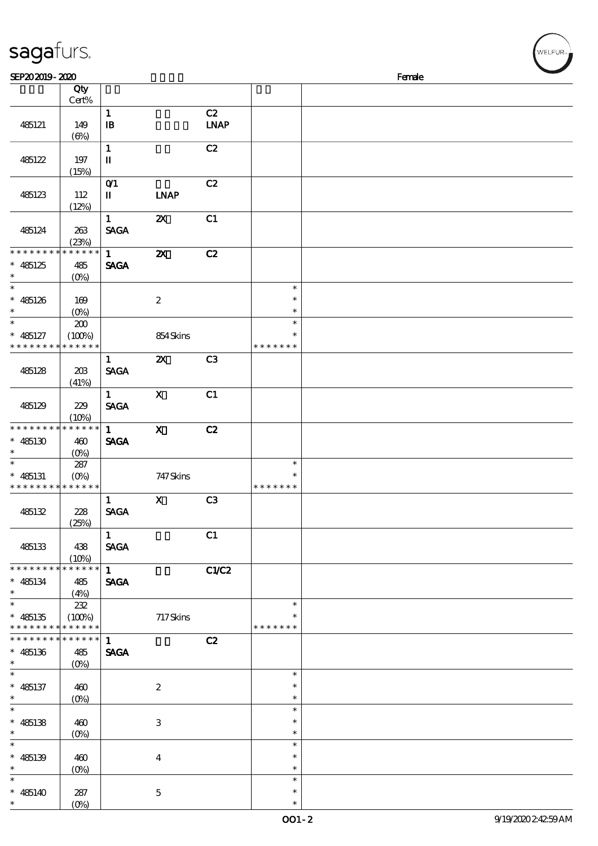| sagafurs.                                              |                                         |                              |                           |                   |                                   |        | WELFUR <sub>™</sub> |
|--------------------------------------------------------|-----------------------------------------|------------------------------|---------------------------|-------------------|-----------------------------------|--------|---------------------|
| SEP202019-2020                                         |                                         |                              |                           |                   |                                   | Female |                     |
|                                                        | Qty<br>Cert%                            |                              |                           |                   |                                   |        |                     |
| 485121                                                 | 149<br>$(\Theta)$                       | $\mathbf{1}$<br>$\mathbf{B}$ |                           | C2<br><b>LNAP</b> |                                   |        |                     |
| 485122                                                 | 197<br>(15%)                            | $\mathbf{1}$<br>$\mathbf I$  |                           | C2                |                                   |        |                     |
| 485123                                                 | 112<br>(12%)                            | $O$ $1$<br>П                 | <b>INAP</b>               | C2                |                                   |        |                     |
| 485124                                                 | 263<br>(23%)                            | $\mathbf{1}$<br><b>SAGA</b>  | $\boldsymbol{\mathsf{z}}$ | C1                |                                   |        |                     |
| * * * * * * * *<br>$* 485125$<br>$\ast$                | * * * * * *<br>485<br>(O <sub>0</sub> ) | $\mathbf{1}$<br><b>SAGA</b>  | $\boldsymbol{\mathsf{z}}$ | C2                |                                   |        |                     |
| $\ast$<br>$* 485126$<br>$\ast$                         | 169<br>$(O\%)$                          |                              | $\boldsymbol{2}$          |                   | $\ast$<br>$\ast$<br>$\ast$        |        |                     |
| $\ast$<br>$* 485127$<br>* * * * * * *                  | 200<br>(100%)<br>* * * * * *            |                              | 854Skins                  |                   | $\ast$<br>$\ast$<br>* * * * * * * |        |                     |
| 485128                                                 | 20B<br>(41%)                            | $\mathbf{1}$<br><b>SAGA</b>  | $\boldsymbol{\mathsf{z}}$ | C <sub>3</sub>    |                                   |        |                     |
| 485129                                                 | 229<br>(10%)                            | $\mathbf{1}$<br><b>SAGA</b>  | $\mathbf X$               | C1                |                                   |        |                     |
| * * * * * * * * * * * * * *<br>$* 485130$              | 460<br>$(0\%)$                          | $\mathbf{1}$<br><b>SAGA</b>  | $\mathbf x$               | C2                |                                   |        |                     |
| $\ast$<br>$* 485131$<br>* * * * * * * * * * * * * *    | 287<br>$(0\%)$                          |                              | 747 Skins                 |                   | $\ast$<br>$\ast$<br>*******       |        |                     |
| 485132                                                 | 228<br>(25%)                            | 1<br><b>SAGA</b>             | $\mathbf{x}$              | C3                |                                   |        |                     |
| 485133                                                 | 438<br>(10%)                            | $1 \quad$<br><b>SAGA</b>     |                           | C1                |                                   |        |                     |
| * * * * * * * * * * * * * *<br>$* 485134$<br>$\ast$    | 485<br>(4%)                             | $\mathbf{1}$<br><b>SAGA</b>  |                           | C1/C2             |                                   |        |                     |
| $\ast$<br>$* 485135$<br>* * * * * * * * * * * * * *    | 232<br>$(100\%)$                        |                              | 717Skins                  |                   | $\ast$<br>* * * * * * *           |        |                     |
| ******** <mark>******</mark> 1<br>$* 485136$<br>$\ast$ | 485<br>$(O\%)$                          | <b>SAGA</b>                  |                           | C2                |                                   |        |                     |
| $\ast$<br>$* 485137$<br>$\ast$                         | 460<br>$(O\%)$                          |                              | $\boldsymbol{2}$          |                   | $\ast$<br>$\ast$<br>$\ast$        |        |                     |
| $\ast$<br>$* 485138$<br>$\ast$                         | 460<br>$(0\%)$                          |                              | $\,3$                     |                   | $\ast$<br>$\ast$<br>$\ast$        |        |                     |
| $\ast$<br>$* 485139$<br>$\ast$                         | 460<br>$(0\%)$                          |                              | $\bf{4}$                  |                   | $\ast$<br>$\ast$<br>$\ast$        |        |                     |
| $\ast$<br>$* 485140$<br>$\ast$                         | 287<br>$(O\%)$                          |                              | $\mathbf 5$               |                   | $\ast$<br>$\ast$<br>$\ast$        |        |                     |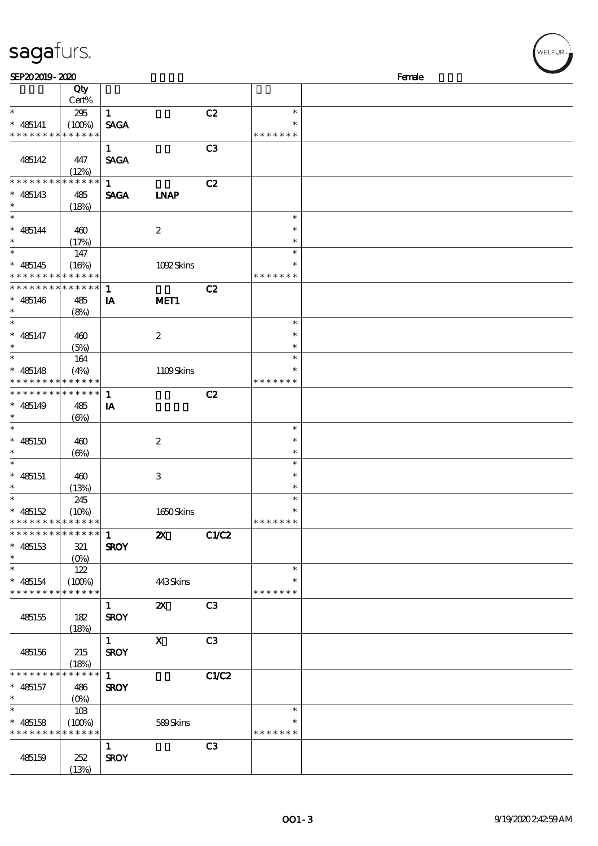| SEP202019-2020                             |                            |              |                           |                |               | Female |
|--------------------------------------------|----------------------------|--------------|---------------------------|----------------|---------------|--------|
|                                            | Qty                        |              |                           |                |               |        |
|                                            | Cert%                      |              |                           |                |               |        |
| $\ast$                                     | 295                        | $\mathbf{1}$ |                           | C2             | $\ast$        |        |
| $* 485141$                                 | (100%)                     | <b>SAGA</b>  |                           |                | ∗             |        |
| * * * * * * * *                            | * * * * * *                |              |                           |                | * * * * * * * |        |
|                                            |                            | $\mathbf{1}$ |                           | C3             |               |        |
| 485142                                     | 447                        | <b>SAGA</b>  |                           |                |               |        |
|                                            | (12%)                      |              |                           |                |               |        |
| * * * * * * * *                            | * * * * * *                | $\mathbf{1}$ |                           | C2             |               |        |
| $* 485143$                                 | 485                        | <b>SAGA</b>  | <b>INAP</b>               |                |               |        |
| $\ast$                                     | (18%)                      |              |                           |                |               |        |
| $\ast$                                     |                            |              |                           |                | $\ast$        |        |
| $* 485144$                                 | 460                        |              | $\boldsymbol{2}$          |                | $\ast$        |        |
| $\ast$                                     | (17%)                      |              |                           |                | $\ast$        |        |
|                                            | 147                        |              |                           |                | $\ast$        |        |
| $* 485145$                                 | (16%)                      |              | 1092Skins                 |                | $\ast$        |        |
| * * * * * * * *                            | * * * * * *                |              |                           |                | * * * * * * * |        |
| * * * * * * * *                            | * * * * * *                | $\mathbf{1}$ |                           | C2             |               |        |
| $* 485146$                                 | 485                        | IA           | MET <sub>1</sub>          |                |               |        |
| $\ast$                                     | (8%)                       |              |                           |                |               |        |
| $\ast$                                     |                            |              |                           |                | $\ast$        |        |
| $* 485147$                                 | 460                        |              | $\boldsymbol{2}$          |                | $\ast$        |        |
| $\ast$                                     | (5%)                       |              |                           |                | $\ast$        |        |
|                                            | 164                        |              |                           |                | $\ast$        |        |
| $* 485148$                                 | (4%)                       |              | 1109Skins                 |                | $\ast$        |        |
| * * * * * * * *                            | * * * * * *                |              |                           |                | * * * * * * * |        |
| * * * * * * * *                            | $\ast\ast\ast\ast\ast\ast$ | $\mathbf{1}$ |                           | C2             |               |        |
| $* 485149$                                 | 485                        | IA           |                           |                |               |        |
| $\ast$                                     | $(\Theta)$                 |              |                           |                |               |        |
| $\ast$                                     |                            |              |                           |                | $\ast$        |        |
| $* 485150$                                 | 460                        |              | $\boldsymbol{2}$          |                | $\ast$        |        |
| $\ast$                                     | $(\Theta)$                 |              |                           |                | $\ast$        |        |
| $\ast$                                     |                            |              |                           |                | $\ast$        |        |
| $* 485151$                                 | 460                        |              | $\,3$                     |                | $\ast$        |        |
| $\ast$                                     | (13%)                      |              |                           |                | $\ast$        |        |
| $\ast$                                     | 245                        |              |                           |                | $\ast$        |        |
| * $485152$                                 | (10%)                      |              | 1650Skins                 |                | $\ast$        |        |
| * * * * * * * * <mark>* * * * * *</mark> * |                            |              |                           |                | * * * * * * * |        |
| * * * * * * * * <mark>* * * * * * *</mark> |                            | -1           | $\boldsymbol{\mathsf{z}}$ | CLC2           |               |        |
| $* 485153$                                 | 321                        | <b>SROY</b>  |                           |                |               |        |
| $\ast$                                     | $(0\%)$                    |              |                           |                |               |        |
| $\ast$                                     | 122                        |              |                           |                | $\ast$        |        |
| $* 485154$                                 | (100%)                     |              | 443Skins                  |                | $\ast$        |        |
| * * * * * * * *                            | * * * * * *                |              |                           |                | * * * * * * * |        |
|                                            |                            | $\mathbf{1}$ | $\boldsymbol{\mathsf{z}}$ | C <sub>3</sub> |               |        |
| 485155                                     | 182                        | <b>SROY</b>  |                           |                |               |        |
|                                            | (18%)                      |              |                           |                |               |        |
|                                            |                            | $\mathbf{1}$ | $\boldsymbol{\mathrm{X}}$ | C3             |               |        |
| 485156                                     | 215                        | <b>SROY</b>  |                           |                |               |        |
|                                            | (18%)                      |              |                           |                |               |        |
| * * * * * * * *                            | * * * * * *                | $\mathbf{1}$ |                           | C1/C2          |               |        |
| $* 485157$                                 | 486                        | <b>SROY</b>  |                           |                |               |        |
| $\ast$                                     | $(0\%)$                    |              |                           |                |               |        |
| $\ast$                                     | 10B                        |              |                           |                | $\ast$        |        |
| $* 485158$                                 | (100%)                     |              | 589Skins                  |                | $\ast$        |        |
| * * * * * * * *                            | * * * * * *                |              |                           |                | * * * * * * * |        |
|                                            |                            | $\mathbf{1}$ |                           | C3             |               |        |
| 485159                                     | 252                        | <b>SROY</b>  |                           |                |               |        |

(13%)

sagafurs.

WELFUR<sub>™</sub>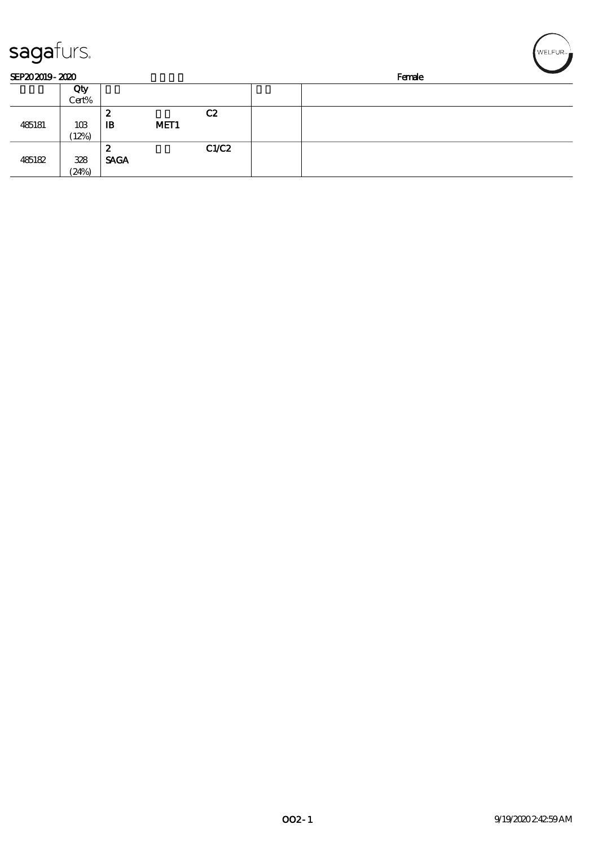| sagafurs.      |       |              |                  |       |  |        | WELFUR <sub>™</sub> |
|----------------|-------|--------------|------------------|-------|--|--------|---------------------|
| SEP202019-2020 |       |              |                  |       |  | Female |                     |
|                | Qty   |              |                  |       |  |        |                     |
|                | Cert% |              |                  |       |  |        |                     |
|                |       | 2            |                  | C2    |  |        |                     |
| 485181         | 10B   | $\mathbf{B}$ | MET <sub>1</sub> |       |  |        |                     |
|                | (12%) |              |                  |       |  |        |                     |
|                |       | 2            |                  | C1/C2 |  |        |                     |
| 485182         | 328   | <b>SAGA</b>  |                  |       |  |        |                     |
|                | (24%) |              |                  |       |  |        |                     |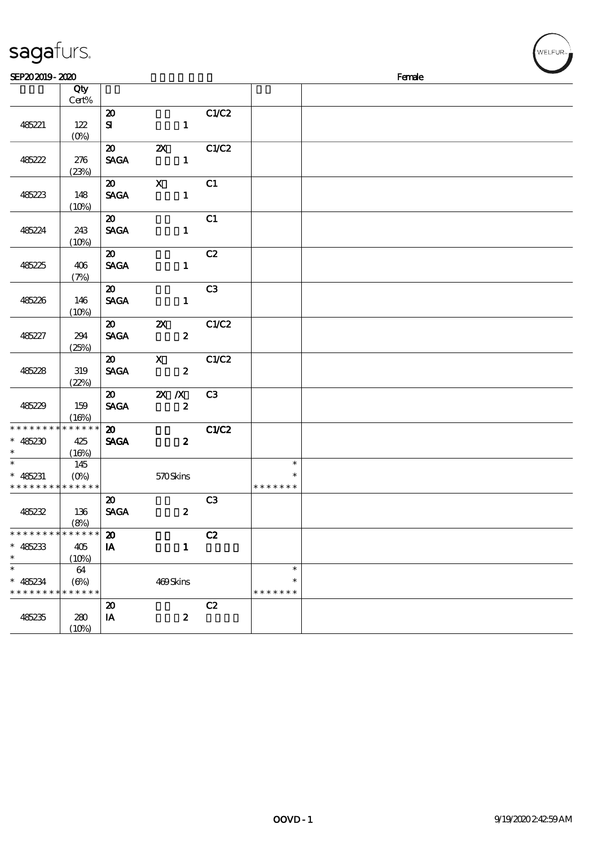| sagafurs.                                  |                     |                                            |                                  |                |               |        | WELFUR <sub>™</sub> |
|--------------------------------------------|---------------------|--------------------------------------------|----------------------------------|----------------|---------------|--------|---------------------|
| SEP202019-2020                             |                     |                                            |                                  |                |               | Female |                     |
|                                            | Qty                 |                                            |                                  |                |               |        |                     |
|                                            | Cert%               |                                            |                                  |                |               |        |                     |
|                                            |                     | $\boldsymbol{\mathbf{z}}$                  |                                  | C1/C2          |               |        |                     |
| 485221                                     | 122                 | ${\bf s}$                                  | $\mathbf{1}$                     |                |               |        |                     |
|                                            | (0%)                |                                            |                                  |                |               |        |                     |
|                                            |                     | $\boldsymbol{\mathfrak{D}}$                | $\boldsymbol{\mathsf{X}}$        | C1/C2          |               |        |                     |
| 485222                                     | 276                 | <b>SAGA</b>                                | $\mathbf{1}$                     |                |               |        |                     |
|                                            | (23%)               | $\boldsymbol{\mathfrak{D}}$                | $\boldsymbol{\mathsf{X}}$        | C1             |               |        |                     |
| 485223                                     | 148                 | <b>SAGA</b>                                | $\mathbf{1}$                     |                |               |        |                     |
|                                            | (10%)               |                                            |                                  |                |               |        |                     |
|                                            |                     | $\boldsymbol{\mathfrak{D}}$                |                                  | C1             |               |        |                     |
| 485224                                     | 243                 | $\ensuremath{\mathsf{SAGA}}$               | $\mathbf{1}$                     |                |               |        |                     |
|                                            | (10%)               |                                            |                                  |                |               |        |                     |
|                                            |                     | $\boldsymbol{\mathfrak{D}}$                |                                  | C2             |               |        |                     |
| 485225                                     | 406                 | <b>SAGA</b>                                | $\mathbf{1}$                     |                |               |        |                     |
|                                            | (7%)                |                                            |                                  |                |               |        |                     |
|                                            |                     | $\boldsymbol{\mathfrak{D}}$                |                                  | C3             |               |        |                     |
| 485226                                     | 146                 | $\operatorname{\mathsf{SAGA}}$             | $\mathbf{1}$                     |                |               |        |                     |
|                                            | (10%)               |                                            |                                  |                |               |        |                     |
|                                            |                     | $\boldsymbol{\mathfrak{D}}$                | $\boldsymbol{\mathsf{z}}$        | C1/C2          |               |        |                     |
| 485227                                     | 294                 | <b>SAGA</b>                                | $\boldsymbol{z}$                 |                |               |        |                     |
|                                            | (25%)               |                                            |                                  |                |               |        |                     |
| 485228                                     | 319                 | $\boldsymbol{\mathfrak{D}}$<br><b>SAGA</b> | $\mathbf{x}$<br>$\boldsymbol{z}$ | C1/C2          |               |        |                     |
|                                            | (22%)               |                                            |                                  |                |               |        |                     |
|                                            |                     | $\boldsymbol{\mathfrak{D}}$                | $\mathbf{X}$ $\mathbf{X}$        | C <sub>3</sub> |               |        |                     |
| 485229                                     | 159                 | <b>SAGA</b>                                | $\boldsymbol{z}$                 |                |               |        |                     |
|                                            | (16%)               |                                            |                                  |                |               |        |                     |
| * * * * * * *                              | * * * * * *         | $\pmb{\mathfrak{D}}$                       |                                  | C1/C2          |               |        |                     |
| $* 485230$                                 | 425                 | <b>SAGA</b>                                | $\boldsymbol{z}$                 |                |               |        |                     |
| $\ast$                                     | (16%)               |                                            |                                  |                |               |        |                     |
| $\ast$                                     | 145                 |                                            |                                  |                | $\ast$        |        |                     |
| $\ast$<br>485231                           | $(0\%)$             |                                            | 570Skins                         |                | $\ast$        |        |                     |
| * * * * * * * * <mark>* * * * * * *</mark> |                     |                                            |                                  |                | *******       |        |                     |
|                                            |                     | $\boldsymbol{\mathsf{20}}$                 |                                  | C3             |               |        |                     |
| 485232                                     | 136                 | <b>SAGA</b>                                | $\boldsymbol{z}$                 |                |               |        |                     |
| * * * * * * * *                            | (8%)<br>* * * * * * | $\boldsymbol{\mathfrak{D}}$                |                                  | C2             |               |        |                     |
| $\ast$<br>485233                           | 405                 | IA                                         | $\mathbf{1}$                     |                |               |        |                     |
| $\ast$                                     | (10%)               |                                            |                                  |                |               |        |                     |
| $\ast$                                     | 64                  |                                            |                                  |                | $\ast$        |        |                     |
| $\ast$<br>485234                           | $(\Theta\%)$        |                                            | 469Skins                         |                | $\ast$        |        |                     |
| * * * * * * * *                            | * * * * * *         |                                            |                                  |                | * * * * * * * |        |                     |
|                                            |                     | $\boldsymbol{\mathsf{20}}$                 |                                  | C2             |               |        |                     |
| 485235                                     | 280                 | IA                                         | $\boldsymbol{z}$                 |                |               |        |                     |
|                                            | (10%)               |                                            |                                  |                |               |        |                     |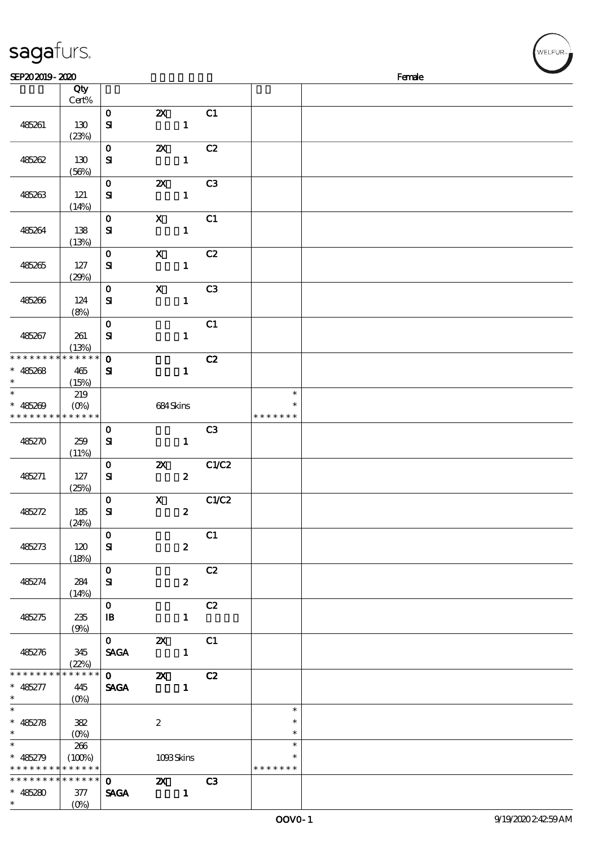| sagafurs.                                                                                |                                                   |                                                |                                       |                |                  | WELFUR <sup>*</sup> |
|------------------------------------------------------------------------------------------|---------------------------------------------------|------------------------------------------------|---------------------------------------|----------------|------------------|---------------------|
| SEP202019-2020                                                                           |                                                   |                                                |                                       |                |                  | Female              |
|                                                                                          | Qty                                               |                                                |                                       |                |                  |                     |
|                                                                                          | Cert%                                             |                                                |                                       |                |                  |                     |
|                                                                                          |                                                   | $\mathbf{o}$                                   | $\boldsymbol{\mathsf{z}}$             | C1             |                  |                     |
| 485261                                                                                   | 130                                               | $\mathbf{S}$                                   | $\mathbf 1$                           |                |                  |                     |
|                                                                                          | (23%)                                             |                                                |                                       |                |                  |                     |
|                                                                                          |                                                   | $\mathbf{o}$                                   | $\boldsymbol{\mathsf{z}}$             | C2             |                  |                     |
| 485262                                                                                   | 130                                               | ${\bf s}$                                      | $\mathbf{1}$                          |                |                  |                     |
|                                                                                          | (56%)                                             |                                                |                                       |                |                  |                     |
|                                                                                          |                                                   | $\mathbf 0$                                    | $\boldsymbol{\mathsf{z}}$             | C <sub>3</sub> |                  |                     |
| 485263                                                                                   | 121<br>(14%)                                      | ${\bf s}$                                      | $\mathbf{1}$                          |                |                  |                     |
|                                                                                          |                                                   | $\mathbf 0$                                    | $\mathbf X$                           | C1             |                  |                     |
| 485264                                                                                   | 138                                               | $\mathbf{S}$                                   | $\mathbf{1}$                          |                |                  |                     |
|                                                                                          | (13%)                                             |                                                |                                       |                |                  |                     |
|                                                                                          |                                                   | $\mathbf 0$                                    | $\mathbf X$                           | C2             |                  |                     |
| 485265                                                                                   | 127                                               | ${\bf s}$                                      | $\mathbf{1}$                          |                |                  |                     |
|                                                                                          | (29%)                                             |                                                |                                       |                |                  |                     |
|                                                                                          |                                                   | $\mathbf 0$                                    | $\boldsymbol{\mathrm{X}}$             | C <sub>3</sub> |                  |                     |
| 485266                                                                                   | 124                                               | ${\bf s}$                                      | $\mathbf{1}$                          |                |                  |                     |
|                                                                                          | (8%)                                              | $\mathbf{o}$                                   |                                       | C1             |                  |                     |
| 485267                                                                                   | 261                                               | $\mathbf{S}$                                   | $\mathbf{1}$                          |                |                  |                     |
|                                                                                          | (13%)                                             |                                                |                                       |                |                  |                     |
| * * * * * * * *                                                                          | * * * * * *                                       | $\bf{0}$                                       |                                       | C2             |                  |                     |
| 485268<br>$\ast$                                                                         | 465                                               | ${\bf s}$                                      | $\mathbf{1}$                          |                |                  |                     |
| $\ast$                                                                                   | (15%)                                             |                                                |                                       |                |                  |                     |
| $\ast$                                                                                   | 219                                               |                                                |                                       |                | $\ast$<br>$\ast$ |                     |
| 485269                                                                                   | $(O\%)$<br>* * * * * * * <mark>* * * * * *</mark> |                                                | 684Skins                              |                | * * * * * * *    |                     |
|                                                                                          |                                                   | $\mathbf 0$                                    |                                       | C3             |                  |                     |
| 485270                                                                                   | 259                                               | $\mathbf{S}$                                   | $\mathbf{1}$                          |                |                  |                     |
|                                                                                          | (11%)                                             |                                                |                                       |                |                  |                     |
|                                                                                          |                                                   | $\mathbf 0$                                    | $\pmb{\mathsf{z}}$                    | C1/C2          |                  |                     |
| 485271                                                                                   | 127                                               | ${\bf S}$                                      | $\boldsymbol{2}$                      |                |                  |                     |
|                                                                                          | (25%)                                             |                                                |                                       |                |                  |                     |
| 485272                                                                                   | 185                                               | $\mathbf{o}$                                   | $\mathbf{x}$                          | C1/C2          |                  |                     |
|                                                                                          | (24%)                                             | ${\bf s}$                                      | $\boldsymbol{z}$                      |                |                  |                     |
|                                                                                          |                                                   | $\mathbf{0}$                                   |                                       | C1             |                  |                     |
| 485273                                                                                   | 120                                               | ${\bf s}$                                      | $\boldsymbol{z}$                      |                |                  |                     |
|                                                                                          | (18%)                                             |                                                |                                       |                |                  |                     |
|                                                                                          |                                                   | $\mathbf{o}$                                   |                                       | C2             |                  |                     |
| 485274                                                                                   | 284                                               | ${\bf s}$                                      | $\boldsymbol{z}$                      |                |                  |                     |
|                                                                                          | (14%)                                             | $\mathbf{O}$                                   |                                       | C2             |                  |                     |
| 485275                                                                                   | 235                                               | $\mathbf{B}$                                   | $\mathbf{1}$                          |                |                  |                     |
|                                                                                          | (9%)                                              |                                                |                                       |                |                  |                     |
|                                                                                          |                                                   | $\mathbf 0$                                    | $\mathbf{X}$                          | C1             |                  |                     |
| 485276                                                                                   | 345                                               | <b>SAGA</b>                                    | $\sim$ $\sim$ 1                       |                |                  |                     |
|                                                                                          | (22%)                                             |                                                |                                       |                |                  |                     |
| * * * * * * * * <mark>* * * * * * *</mark>                                               |                                                   | $\overline{\mathbf{0}}$                        | <b>2X</b> C <sub>2</sub><br>$\sim$ 1. |                |                  |                     |
| $* 485277$<br>$\ast$                                                                     | 445                                               | <b>SAGA</b>                                    |                                       |                |                  |                     |
| $\ast$                                                                                   |                                                   |                                                |                                       |                | $\ast$           |                     |
| $* 485278$                                                                               | 382                                               |                                                | $\boldsymbol{2}$                      |                | $\ast$           |                     |
| $\ast$                                                                                   |                                                   |                                                |                                       |                | $\ast$           |                     |
| $\ast$                                                                                   | 266                                               |                                                |                                       |                | $\ast$           |                     |
| $* 485279$                                                                               | (100%)                                            |                                                | 1093Skins                             |                | $\ast$           |                     |
| * * * * * * * * <mark>* * * * * * *</mark><br>* * * * * * * * <mark>* * * * * * *</mark> |                                                   | $\mathbf{O}$ and $\mathbf{O}$ and $\mathbf{O}$ | $\mathbf{Z} \mathbf{X}$ C3            |                | * * * * * * *    |                     |
| $* 485280$                                                                               | 377                                               | <b>SAGA</b>                                    |                                       |                |                  |                     |
| $\ast$                                                                                   | $(O\%)$                                           |                                                |                                       |                |                  |                     |

(0%)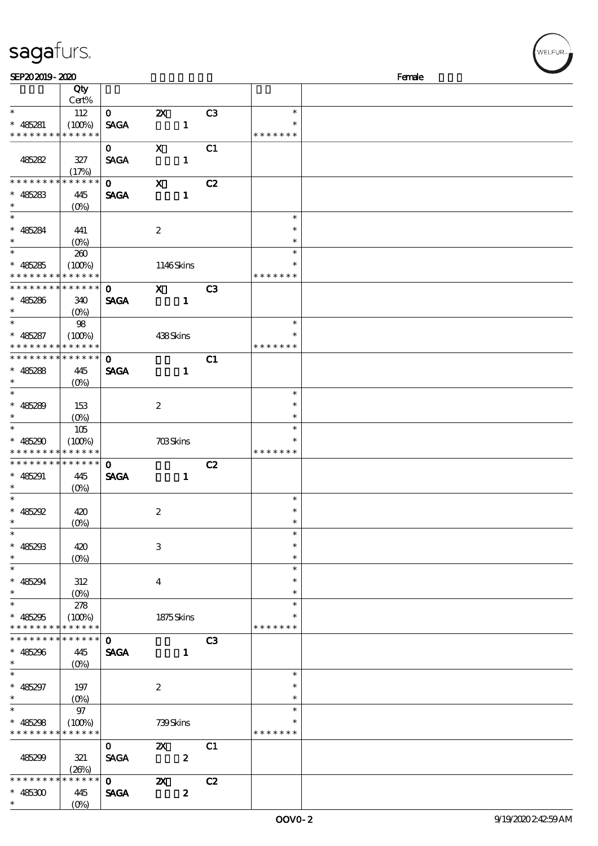## sagafurs.

| SEP202019-2020       |                    |              |                                         |                |               | Female |
|----------------------|--------------------|--------------|-----------------------------------------|----------------|---------------|--------|
|                      | Qty                |              |                                         |                |               |        |
|                      | Cert%              |              |                                         |                |               |        |
| $\ast$               | 112                | $\mathbf{O}$ | $\boldsymbol{\mathsf{z}}$               | C3             | $\ast$        |        |
| $* 485281$           | (100%)             | <b>SAGA</b>  | $\mathbf{1}$                            |                | $\ast$        |        |
| * * * * * * * *      | * * * * * *        |              |                                         |                | * * * * * * * |        |
|                      |                    | $\mathbf{O}$ | $\mathbf X$                             | C1             |               |        |
|                      |                    |              |                                         |                |               |        |
| 485282               | 327                | <b>SAGA</b>  | $\mathbf{1}$                            |                |               |        |
|                      | (17%)              |              |                                         |                |               |        |
| * * * * * * *        | * * * * * *        | $\mathbf{O}$ | $\boldsymbol{\mathsf{X}}$               | C2             |               |        |
| $* 485283$           | 445                | <b>SAGA</b>  | $\mathbf{1}$                            |                |               |        |
| $\ast$               | $(0\%)$            |              |                                         |                |               |        |
| $\ast$               |                    |              |                                         |                | $\ast$        |        |
| $* 485284$           | 441                |              | $\boldsymbol{2}$                        |                | $\ast$        |        |
| $\ast$               | $(0\%)$            |              |                                         |                | $\ast$        |        |
| $\overline{\ast}$    | 260                |              |                                         |                | $\ast$        |        |
| $* 485285$           | (100%)             |              |                                         |                | $\ast$        |        |
| * * * * * * * *      | * * * * * *        |              | 1146Skins                               |                | * * * * * * * |        |
| * * * * * * * *      | * * * * * *        |              |                                         |                |               |        |
|                      |                    | $\mathbf{O}$ | $\mathbf{x}$                            | C <sub>3</sub> |               |        |
| $* 485286$           | 340                | <b>SAGA</b>  | $\mathbf{1}$                            |                |               |        |
| $\ast$               | $(O\%)$            |              |                                         |                |               |        |
| $\ast$               | 98                 |              |                                         |                | $\ast$        |        |
| $* 485287$           | (100%)             |              | 438Skins                                |                | $\ast$        |        |
| * * * * * * * *      | * * * * * *        |              |                                         |                | * * * * * * * |        |
| * * * * * * * *      | * * * * * *        | $\mathbf{o}$ |                                         | C1             |               |        |
| $* 485288$           | 445                | <b>SAGA</b>  | $\mathbf{1}$                            |                |               |        |
| $\ast$               | $(O\%)$            |              |                                         |                |               |        |
| $\ast$               |                    |              |                                         |                | $\ast$        |        |
|                      |                    |              |                                         |                | $\ast$        |        |
| $* 485289$           | 153                |              | $\boldsymbol{z}$                        |                |               |        |
| $\ast$               | $(O\%)$            |              |                                         |                | $\ast$        |        |
| $\ast$               | 105                |              |                                         |                | $\ast$        |        |
| $* 485290$           | (100%)             |              | $703\mathrm{S} \mathrm{k} \mathrm{ins}$ |                | $\ast$        |        |
| * * * * * * * *      | * * * * * *        |              |                                         |                | * * * * * * * |        |
| * * * * * * *        | * * * * * *        | $\mathbf 0$  |                                         | C2             |               |        |
| $* 485291$           | 445                | <b>SAGA</b>  | $\mathbf{1}$                            |                |               |        |
| $\ast$               | $(O\%)$            |              |                                         |                |               |        |
| $\ast$               |                    |              |                                         |                | $\ast$        |        |
| $* 485292$           | 420                |              | $\boldsymbol{2}$                        |                | $\ast$        |        |
| $*$                  | (0%)               |              |                                         |                | $\ast$        |        |
| $\ast$               |                    |              |                                         |                | $\ast$        |        |
|                      |                    |              |                                         |                | $\ast$        |        |
| $* 485293$           | 420                |              | 3                                       |                |               |        |
| $\ast$               | $(O\%)$            |              |                                         |                | $\ast$        |        |
| $\ast$               |                    |              |                                         |                | $\ast$        |        |
| $* 485294$           | 312                |              | $\bf{4}$                                |                | $\ast$        |        |
| $\ast$               | $(O\!/\!\!\delta)$ |              |                                         |                | $\ast$        |        |
| $\ast$               | 278                |              |                                         |                | $\ast$        |        |
| $* 485295$           | (100%)             |              | 1875Skins                               |                |               |        |
| * * * * * * * *      | * * * * * *        |              |                                         |                | * * * * * * * |        |
| * * * * * * * *      | * * * * * *        | $\mathbf 0$  |                                         | C3             |               |        |
| $* 485296$           | 445                | <b>SAGA</b>  | $\mathbf{1}$                            |                |               |        |
| $\ast$               | $(O\%)$            |              |                                         |                |               |        |
| $\ast$               |                    |              |                                         |                | $\ast$        |        |
|                      |                    |              |                                         |                | $\ast$        |        |
| $* 485297$<br>$\ast$ | 197                |              | $\boldsymbol{z}$                        |                | $\ast$        |        |
| $\ast$               | $(O\% )$           |              |                                         |                |               |        |
|                      | 97                 |              |                                         |                | $\ast$        |        |
| $* 485298$           | (100%)             |              | 739Skins                                |                | $\ast$        |        |
| * * * * * * * *      | * * * * * *        |              |                                         |                | * * * * * * * |        |
|                      |                    | $\mathbf{O}$ | $\boldsymbol{\mathsf{Z}}$               | C1             |               |        |
| 485299               | 321                | <b>SAGA</b>  | $\boldsymbol{2}$                        |                |               |        |
|                      | (20%)              |              |                                         |                |               |        |
| * * * * * * * *      | * * * * * *        | $\mathbf{0}$ | $\boldsymbol{\alpha}$                   | C2             |               |        |
| $* 485300$           | 445                | <b>SAGA</b>  | $\pmb{2}$                               |                |               |        |
| $\ast$               | $(O\%)$            |              |                                         |                |               |        |
|                      |                    |              |                                         |                |               |        |

VELFUR-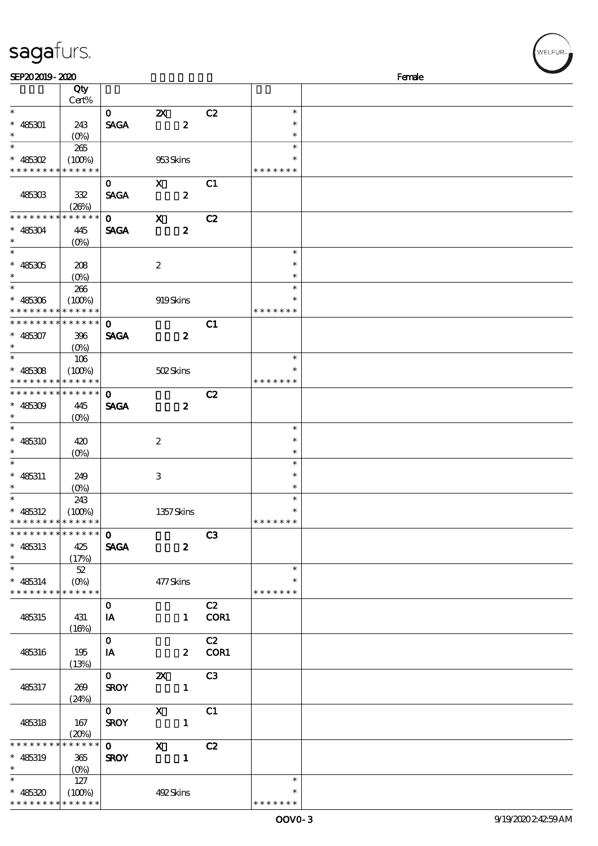## sagafurs.

| SEP202019-2020              |                   |              |                           |        |               | Female |
|-----------------------------|-------------------|--------------|---------------------------|--------|---------------|--------|
|                             | Qty               |              |                           |        |               |        |
|                             | Cert%             |              |                           |        |               |        |
| $\ast$                      |                   | $\mathbf{O}$ | $\boldsymbol{\mathsf{Z}}$ | C2     | $\ast$        |        |
| $* 485301$                  | 243               | <b>SAGA</b>  | $\boldsymbol{z}$          |        | $\ast$        |        |
| $\ast$                      | $(O\%)$           |              |                           |        | $\ast$        |        |
| $\ast$                      | 265               |              |                           |        | $\ast$        |        |
|                             |                   |              |                           |        | $\ast$        |        |
| $* 485302$                  | (100%)            |              | 953Skins                  |        |               |        |
| * * * * * * * *             | * * * * * *       |              |                           |        | * * * * * * * |        |
|                             |                   | $\mathbf{O}$ | $\mathbf{x}$              | C1     |               |        |
| 485303                      | 332               | <b>SAGA</b>  | $\boldsymbol{z}$          |        |               |        |
|                             | (20%)             |              |                           |        |               |        |
| * * * * * * * *             | * * * * * *       | $\mathbf{O}$ | $\mathbf x$               | C2     |               |        |
| $* 485304$                  | 445               | <b>SAGA</b>  | $\boldsymbol{z}$          |        |               |        |
| $\ast$                      | (O <sub>0</sub> ) |              |                           |        |               |        |
| $\overline{\phantom{0}}$    |                   |              |                           |        | $\ast$        |        |
| $^*$ 485305 $\,$            | 208               |              | $\boldsymbol{2}$          |        | $\ast$        |        |
| $\ast$                      |                   |              |                           |        | $\ast$        |        |
| $\ast$                      | $(O\%)$           |              |                           |        | $\ast$        |        |
|                             | 266               |              |                           |        |               |        |
| $* 485306$                  | (100%)            |              | 919Skins                  |        | $\ast$        |        |
| * * * * * * * * * * * * * * |                   |              |                           |        | * * * * * * * |        |
| * * * * * * * *             | * * * * * *       | $\mathbf 0$  |                           | C1     |               |        |
| $* 485307$                  | 396               | <b>SAGA</b>  | $\boldsymbol{z}$          |        |               |        |
| $\ast$                      | $(O\%)$           |              |                           |        |               |        |
| $\overline{\ast}$           | 106               |              |                           |        | $\ast$        |        |
| $* 485308$                  | (100%)            |              | 502Skins                  |        | $\ast$        |        |
| * * * * * * * *             | * * * * * *       |              |                           |        | * * * * * * * |        |
| * * * * * * * *             | * * * * * *       | $\mathbf 0$  |                           | C2     |               |        |
|                             |                   |              |                           |        |               |        |
| $* 485309$<br>$\ast$        | 445               | <b>SAGA</b>  | $\boldsymbol{z}$          |        |               |        |
|                             | $(O\% )$          |              |                           |        |               |        |
| $\ast$                      |                   |              |                           |        | $\ast$        |        |
| $* 485310$                  | 420               |              | $\boldsymbol{2}$          |        | $\ast$        |        |
| $\ast$                      | $(O\%)$           |              |                           |        | $\ast$        |        |
| $\ast$                      |                   |              |                           |        | $\ast$        |        |
| $* 485311$                  | 249               |              | 3                         |        | $\ast$        |        |
| $\ast$                      | $(O\%)$           |              |                           |        | $\ast$        |        |
|                             | 243               |              |                           |        | $\ast$        |        |
| $* 485312$                  | (100%)            |              | 1357Skins                 |        | $\ast$        |        |
| * * * * * * * * * * * * * * |                   |              |                           |        | *******       |        |
| * * * * * * * * * * * * * * |                   | $\mathbf{O}$ |                           | C3     |               |        |
| $* 485313$                  | 425               | <b>SAGA</b>  | $\boldsymbol{z}$          |        |               |        |
| $\ast$                      |                   |              |                           |        |               |        |
| $\ast$                      | (17%)             |              |                           |        |               |        |
|                             | 52                |              |                           |        | $\ast$        |        |
| $* 485314$                  | $(O\%)$           |              | 477Skins                  |        | $\ast$        |        |
| * * * * * * * *             | $******$          |              |                           |        | * * * * * * * |        |
|                             |                   | $\mathbf{O}$ |                           | C2     |               |        |
| 485315                      | 431               | IA           |                           | 1 COR1 |               |        |
|                             | (16%)             |              |                           |        |               |        |
|                             |                   | $\mathbf{O}$ |                           | C2     |               |        |
| 485316                      | 195               | IA           |                           | 2 COR1 |               |        |
|                             | (13%)             |              |                           |        |               |        |
|                             |                   | $\mathbf{O}$ | $\mathbf{X}$              | C3     |               |        |
|                             |                   |              |                           |        |               |        |
| 485317                      | 269               | <b>SROY</b>  | $\mathbf{1}$              |        |               |        |
|                             | (24%)             |              |                           |        |               |        |
|                             |                   | $\mathbf{O}$ | $\mathbf{x}$              | C1     |               |        |
| 485318                      | 167               | <b>SROY</b>  | $\mathbf{1}$              |        |               |        |
|                             | (20%)             |              |                           |        |               |        |
| * * * * * * *               | * * * * * *       | $\mathbf{O}$ | $\mathbf{x}$              | C2     |               |        |
| $* 485319$                  | 365               | <b>SROY</b>  | $\mathbf{1}$              |        |               |        |
| $\ast$                      | $(O\%)$           |              |                           |        |               |        |
| $\ast$                      | 127               |              |                           |        | $\ast$        |        |
| $* 485320$                  | (100%)            |              | 492Skins                  |        | ∗             |        |
| * * * * * * * * * * * * * * |                   |              |                           |        | * * * * * * * |        |
|                             |                   |              |                           |        |               |        |

VELFUR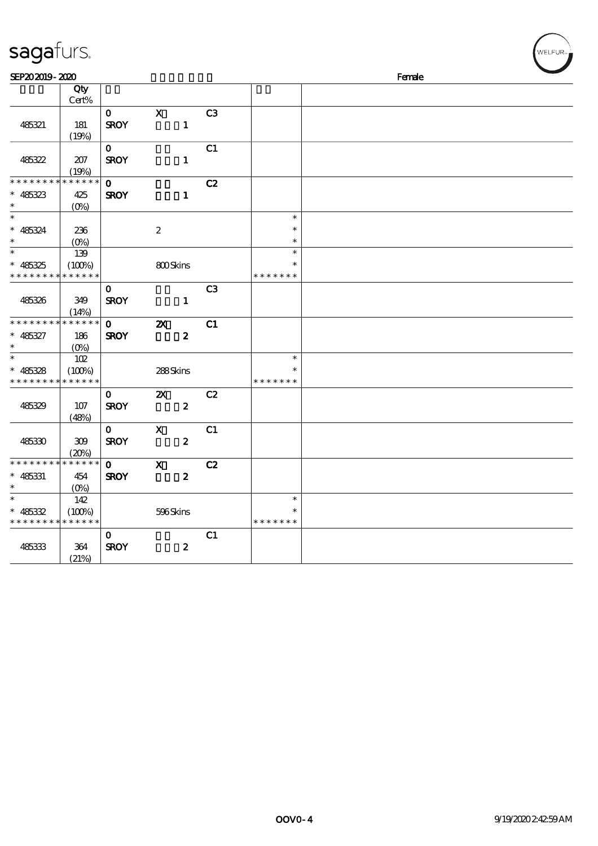| sagafurs.                                                                                      |                               |                             |                                               |                |                                   |        | WELFUR <sub>"</sub> |
|------------------------------------------------------------------------------------------------|-------------------------------|-----------------------------|-----------------------------------------------|----------------|-----------------------------------|--------|---------------------|
| SEP202019-2020                                                                                 |                               |                             |                                               |                |                                   | Female |                     |
|                                                                                                | Qty<br>Cert%                  |                             |                                               |                |                                   |        |                     |
| 485321                                                                                         | 181<br>(19%)                  | $\mathbf{O}$<br><b>SROY</b> | $\mathbf X$<br>$\mathbf{1}$                   | C <sub>3</sub> |                                   |        |                     |
| 485322                                                                                         | 207<br>(19%)                  | $\mathbf{O}$<br><b>SROY</b> | $\mathbf{1}$                                  | C1             |                                   |        |                     |
| * * * * * * * * <mark>* * * * * * *</mark><br>$* 485323$<br>$\ast$<br>$\overline{\phantom{a}}$ | 425<br>$(O\%)$                | $\mathbf{o}$<br><b>SROY</b> | $\mathbf{1}$                                  | C2             | $\ast$                            |        |                     |
| $* 485324$<br>$\ast$<br>$\overline{\phantom{a}}$                                               | 236<br>$(0\%)$                |                             | $\boldsymbol{2}$                              |                | $\ast$<br>$\ast$                  |        |                     |
| $* 485325$<br>* * * * * * * * <mark>* * * * * * *</mark>                                       | 139<br>(100%)                 |                             | 800Skins                                      |                | $\ast$<br>$\ast$<br>* * * * * * * |        |                     |
| 485326                                                                                         | 349<br>(14%)                  | $\mathbf{o}$<br><b>SROY</b> | $\blacksquare$                                | C <sub>3</sub> |                                   |        |                     |
| * * * * * * * *<br>$* 485327$<br>$\ast$                                                        | * * * * * *<br>186<br>$(O\%)$ | $\mathbf{o}$<br><b>SROY</b> | $\boldsymbol{\mathsf{z}}$<br>$\boldsymbol{z}$ | C1             |                                   |        |                     |
| $\ast$<br>485328<br>* * * * * * * * <mark>* * * * * *</mark>                                   | 102<br>(100%)                 |                             | 288Skins                                      |                | $\ast$<br>* * * * * * *           |        |                     |
| 485329                                                                                         | 107<br>(48%)                  | $\mathbf{O}$<br><b>SROY</b> | $\boldsymbol{\mathsf{z}}$<br>$\boldsymbol{z}$ | C2             |                                   |        |                     |
| 485330                                                                                         | 309<br>(20%)                  | $\mathbf{O}$<br><b>SROY</b> | $\mathbf X$<br>$\boldsymbol{z}$               | C1             |                                   |        |                     |
| * * * * * * * * <mark>* * * * * * *</mark><br>$* 485331$<br>$\ast$                             | 454<br>$(O\%)$                | $\mathbf{o}$<br><b>SROY</b> | $\boldsymbol{\mathsf{X}}$<br>$\boldsymbol{z}$ | C2             |                                   |        |                     |
| $\ast$<br>$* 485332$<br>* * * * * * * * <mark>* * * * * * *</mark>                             | 142<br>(100%)                 |                             | 596Skins                                      |                | $\ast$<br>$\ast$<br>* * * * * * * |        |                     |
| 485333                                                                                         | 364<br>(21%)                  | $\mathbf{o}$<br><b>SROY</b> | $\boldsymbol{z}$                              | C1             |                                   |        |                     |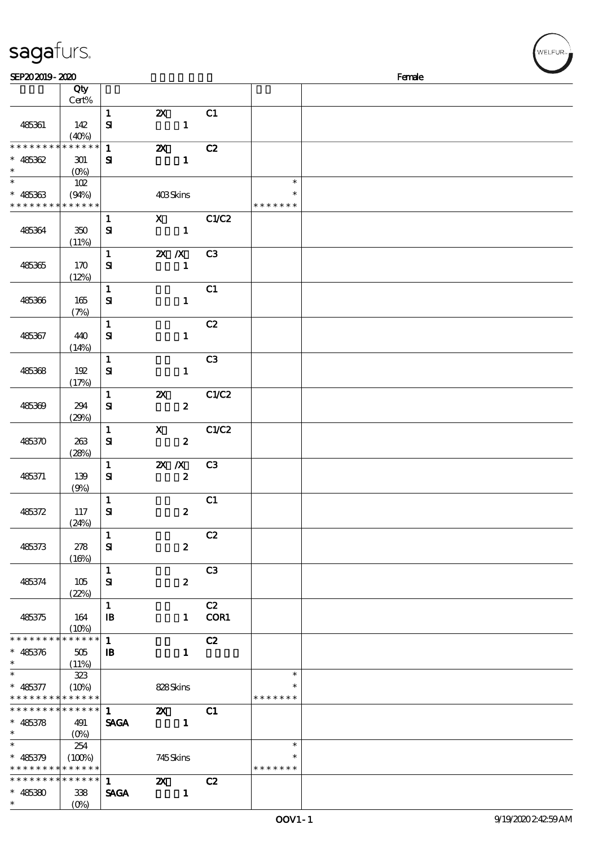| sagafurs.                                  |                   |              |                           |                |               | WELFUR <sub>**</sub> |
|--------------------------------------------|-------------------|--------------|---------------------------|----------------|---------------|----------------------|
| SEP202019-2020                             |                   |              |                           |                |               | Female               |
|                                            | Qty               |              |                           |                |               |                      |
|                                            | Cert%             |              |                           |                |               |                      |
|                                            |                   | $\mathbf{1}$ | $\boldsymbol{\mathsf{z}}$ | C1             |               |                      |
| 485361                                     | 142               | $\mathbf{S}$ | $\mathbf{1}$              |                |               |                      |
|                                            | (40%)             |              |                           |                |               |                      |
| * * * * * * * *                            | * * * * * *       | $\mathbf 1$  | $\boldsymbol{\mathsf{z}}$ | C2             |               |                      |
| $* 485362$                                 | 301               | $\mathbf{S}$ | $\mathbf{1}$              |                |               |                      |
| $\ast$                                     | (O <sub>0</sub> ) |              |                           |                |               |                      |
| $\ast$                                     | 102               |              |                           |                | $\ast$        |                      |
| $* 485363$                                 | (94%)             |              | 403Skins                  |                | $\ast$        |                      |
| * * * * * * *                              | * * * * * *       |              |                           |                | * * * * * * * |                      |
|                                            |                   | $\mathbf{1}$ | $\mathbf x$               | C1/C2          |               |                      |
| 485364                                     | 350               | $\mathbf{S}$ | $\mathbf{1}$              |                |               |                      |
|                                            | (11%)             |              |                           |                |               |                      |
|                                            |                   | $\mathbf 1$  | $X$ $N$                   | C <sub>3</sub> |               |                      |
| 485365                                     | 170               | ${\bf S}$    | $\mathbf{1}$              |                |               |                      |
|                                            | (12%)             |              |                           |                |               |                      |
|                                            |                   | $\mathbf{1}$ |                           | C1             |               |                      |
| 485366                                     | 165               | $\mathbf{S}$ | $\mathbf{1}$              |                |               |                      |
|                                            | (7%)              |              |                           |                |               |                      |
|                                            |                   | $\mathbf{1}$ |                           | C2             |               |                      |
| 485367                                     | 440               | ${\bf s}$    | $\mathbf{1}$              |                |               |                      |
|                                            | (14%)             |              |                           |                |               |                      |
|                                            |                   | $\mathbf{1}$ |                           | C <sub>3</sub> |               |                      |
| 485368                                     | 192               | ${\bf s}$    | $\mathbf{1}$              |                |               |                      |
|                                            | (17%)             |              |                           |                |               |                      |
|                                            |                   | $\mathbf{1}$ | $\pmb{\mathsf{Z}}$        | C1/C2          |               |                      |
| 485369                                     | 294               | $\mathbf{S}$ | $\pmb{2}$                 |                |               |                      |
|                                            | (29%)             |              |                           |                |               |                      |
|                                            |                   | $\mathbf 1$  | $\mathbf X$               | C1/C2          |               |                      |
| 485370                                     | 263               | ${\bf s}$    | $\pmb{2}$                 |                |               |                      |
|                                            | (28%)             |              |                           |                |               |                      |
|                                            |                   | $\mathbf{1}$ | $X$ $N$                   | C <sub>3</sub> |               |                      |
| 485371                                     | 139               | $\mathbf{S}$ | $\pmb{2}$                 |                |               |                      |
|                                            | (9%)              |              |                           |                |               |                      |
|                                            |                   | $\mathbf{1}$ |                           | C1             |               |                      |
| 485372                                     | 117               | ${\bf s}$    | $\boldsymbol{z}$          |                |               |                      |
|                                            | (24%)             |              |                           |                |               |                      |
|                                            |                   | $\mathbf{1}$ |                           | C2             |               |                      |
| 485373                                     | 278               | ${\bf S}$    | $\boldsymbol{z}$          |                |               |                      |
|                                            | (16%)             |              |                           |                |               |                      |
|                                            |                   | $\mathbf{1}$ |                           | C <sub>3</sub> |               |                      |
| 485374                                     | 105               | ${\bf s}$    | $\boldsymbol{z}$          |                |               |                      |
|                                            | (22%)             |              |                           |                |               |                      |
|                                            |                   | $\mathbf{1}$ |                           | C2             |               |                      |
| 485375                                     | 164               | $\mathbf{B}$ |                           | 1 COR1         |               |                      |
| **************                             | (10%)             | $\mathbf{1}$ |                           | C2             |               |                      |
|                                            |                   |              | $\mathbf{1}$              |                |               |                      |
| $* 485376$                                 | 505               | $\mathbf{B}$ |                           |                |               |                      |
| $\ast$                                     | (11%)<br>323      |              |                           |                | $\ast$        |                      |
| $* 485377$                                 | $(10\%)$          |              | 828Skins                  |                |               |                      |
| * * * * * * * * <mark>* * * * * *</mark> * |                   |              |                           |                | * * * * * * * |                      |
| * * * * * * * * * * * * * * *              |                   | $\mathbf 1$  | $\mathbf{z}$              | C1             |               |                      |
| $* 485378$                                 | 491               | <b>SAGA</b>  | $\sim$ 1                  |                |               |                      |
| $\ast$                                     | $(0\%)$           |              |                           |                |               |                      |
| $\ast$                                     | 254               |              |                           |                | $\ast$        |                      |
| * 485379 (100%)                            |                   |              | 745Skins                  |                | ∗             |                      |
| * * * * * * * * <mark>* * * * * *</mark>   |                   |              |                           |                | * * * * * * * |                      |
| ************** 1                           |                   |              | $\mathbf{z}$              | C2             |               |                      |

SAGA 1

\*\*

 $* 485380$  338

 $(0%)$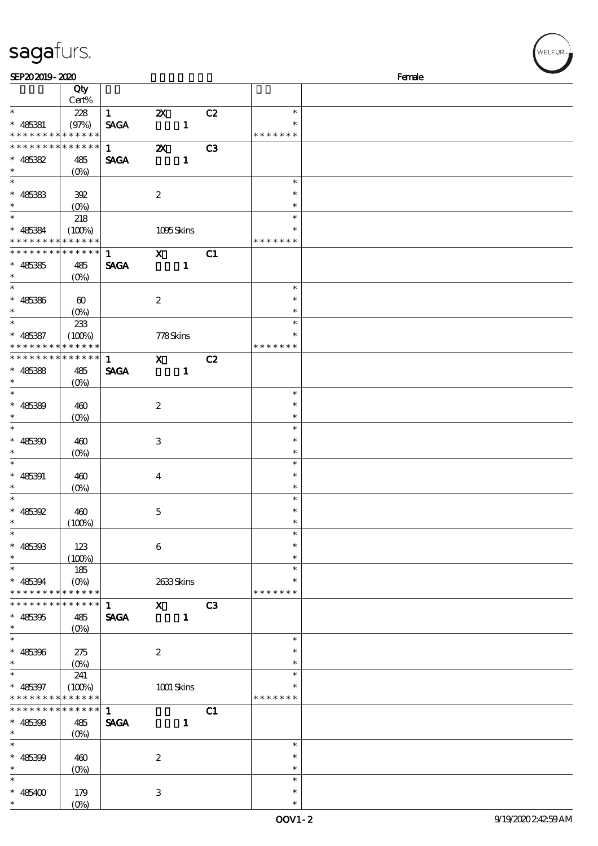| sagaturs.                                |           |                        |                           |              |    |               |        |
|------------------------------------------|-----------|------------------------|---------------------------|--------------|----|---------------|--------|
| SEP202019-2020                           |           |                        |                           |              |    |               | Female |
|                                          | Qty       |                        |                           |              |    |               |        |
|                                          | Cert%     |                        |                           |              |    |               |        |
| $\ast$                                   | 228       | $\mathbf{1}$           | $\boldsymbol{\mathsf{Z}}$ |              | C2 | $\ast$        |        |
| $* 485381$                               | (97%)     | <b>SAGA</b>            |                           | $\mathbf{1}$ |    | $\ast$        |        |
| * * * * * * * * * * * * * *              |           |                        |                           |              |    | * * * * * * * |        |
| * * * * * * * * * * * * * * *            |           | $1 \quad \blacksquare$ | $\mathbf{Z}$              |              | C3 |               |        |
| $* 485382$                               | 485       | <b>SAGA</b>            |                           | $\mathbf{1}$ |    |               |        |
|                                          | $(O\% )$  |                        |                           |              |    |               |        |
| $\ast$                                   |           |                        |                           |              |    | $\ast$        |        |
| $* 485383$                               | 392       |                        | $\boldsymbol{2}$          |              |    | $\ast$        |        |
|                                          |           |                        |                           |              |    | $\ast$        |        |
| $\ast$                                   | 218       |                        |                           |              |    | $\ast$        |        |
| * 485384 (100%)                          |           |                        |                           | 1095Skins    |    | $\ast$        |        |
| * * * * * * * * * * * * * *              |           |                        |                           |              |    | * * * * * * * |        |
| *************** 1                        |           |                        | $\mathbf{X}$              |              | C1 |               |        |
| $* 485385$                               | 485       | <b>SAGA</b>            |                           | $\mathbf{1}$ |    |               |        |
| $\ast$                                   | $(O\%)$   |                        |                           |              |    |               |        |
| $\ast$                                   |           |                        |                           |              |    | $\ast$        |        |
| $* 485386$                               | $\otimes$ |                        | $\boldsymbol{2}$          |              |    | $\ast$        |        |
|                                          |           |                        |                           |              |    | $\ast$        |        |
| $\ast$                                   | 233       |                        |                           |              |    | $\ast$        |        |
| $*$ 485387                               | $(100\%)$ |                        |                           | 778Skins     |    | $\ast$        |        |
| * * * * * * * * <mark>* * * * * *</mark> |           |                        |                           |              |    | * * * * * * * |        |
| ******** <mark>******</mark>             |           | $\blacksquare$         | $\mathbf{x}$              |              | C2 |               |        |
| $* 485388$                               | 485       | <b>SAGA</b>            |                           | $\mathbf{1}$ |    |               |        |
|                                          |           |                        |                           |              |    |               |        |
| $\ast$                                   |           |                        |                           |              |    | $\ast$        |        |
| $* 485389$                               | 460       |                        | $\boldsymbol{2}$          |              |    | $\ast$        |        |
|                                          | $(O\%)$   |                        |                           |              |    | $\ast$        |        |
|                                          |           |                        |                           |              |    | $\ast$        |        |
| $* 485300$                               | 460       |                        | 3                         |              |    | $\ast$        |        |

\* 485391 460

\* 485392 460

\* 485393 123

\* \* \* \* \* \* \* \* \* \* \* \* \*

\* \* \* \* \* \* \* \* \* \* \* \* \* \* \* 485395 485

\* 485396 275

\* \* \* \* \* \* \* \* \* \* \* \* \* \*

\* \* \* \* \* \* \* \* \* \* \* \* \* \* \* 485398 485

\* 485399 460

\* 485400 179

 $(0%)$ 

(0%)

 $(100%)$ 

 $(100%)$ 

185

(0%)

 $(0%)$ 

241

 $(O\%)$ 

 $(O<sub>0</sub>)$ 

 $(0%)$ 

4

5

6

1 X C3 SAGA 1

2

 $1$  C1 SAGA 1

2

3

(0%) 2633 Skins

 $(100%)$  1001 Skins

\*

\*

\*

\*

\*

\*

\*

\* \* 485394

\*

\*

\*

\*

\*

\*

\*

\*

\*

\* 485397

| Female |  |
|--------|--|

WELFUR

\*

\* \* \*

\* \* \*

> \* \* \*

\* \*

\* \* \*

\* \* \* \* \* \* \* \* \*

> \* \* \*

\* \*

\* \* \* \* \* \* \*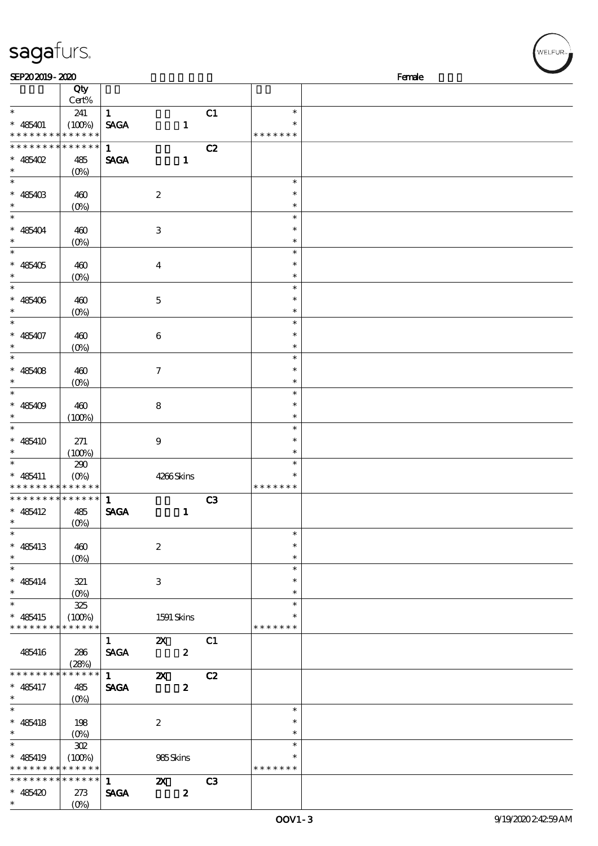| sagafurs.                                                    |                    |                        |                                            |    |                  | .<br>WELFUR <sub>™</sub> |
|--------------------------------------------------------------|--------------------|------------------------|--------------------------------------------|----|------------------|--------------------------|
| SEP202019-2020                                               |                    |                        |                                            |    |                  | Female                   |
|                                                              | Qty<br>Cert%       |                        |                                            |    |                  |                          |
| $\ast$                                                       | 241                | $\mathbf{1}$           |                                            | C1 | $\ast$           |                          |
| $* 485401$                                                   | (100%)             | <b>SAGA</b>            | $\mathbf{1}$                               |    | $\ast$           |                          |
| * * * * * * * * <mark>* * * * * *</mark>                     |                    |                        |                                            |    | * * * * * * *    |                          |
| * * * * * * * * * * * * * *                                  |                    | $\mathbf{1}$           |                                            | C2 |                  |                          |
| $* 485402$                                                   | 485                | <b>SAGA</b>            | $\mathbf{1}$                               |    |                  |                          |
| $\ast$<br>$\ast$                                             | (O <sub>0</sub> )  |                        |                                            |    | $\ast$           |                          |
| $* 485403$                                                   | 460                |                        | $\boldsymbol{2}$                           |    | $\ast$           |                          |
| $\ast$                                                       | $(0\%)$            |                        |                                            |    | $\ast$           |                          |
| $\ast$                                                       |                    |                        |                                            |    | $\ast$           |                          |
| $* 485404$                                                   | 460                |                        | $\,3$                                      |    | $\ast$           |                          |
| $\ast$                                                       | $(O\!/\!\delta)$   |                        |                                            |    | $\ast$           |                          |
| $\ast$                                                       |                    |                        |                                            |    | $\ast$<br>$\ast$ |                          |
| $* 485405$<br>$\ast$                                         | 460<br>$(0\%)$     |                        | $\boldsymbol{4}$                           |    | $\ast$           |                          |
| $\ast$                                                       |                    |                        |                                            |    | $\ast$           |                          |
| $* 485406$                                                   | 460                |                        | $\mathbf 5$                                |    | $\ast$           |                          |
| $\ast$                                                       | (0%)               |                        |                                            |    | $\ast$           |                          |
| $\ast$                                                       |                    |                        |                                            |    | $\ast$           |                          |
| $* 485407$<br>$\ast$                                         | 460                |                        | $\,6\,$                                    |    | $\ast$           |                          |
| $\ast$                                                       | $(O\!/\!\delta)$   |                        |                                            |    | $\ast$<br>$\ast$ |                          |
| $* 485408$                                                   | 460                |                        | 7                                          |    | $\ast$           |                          |
| $\ast$                                                       | $(0\%)$            |                        |                                            |    | $\ast$           |                          |
| $\ast$                                                       |                    |                        |                                            |    | $\ast$           |                          |
| $* 485409$                                                   | 460                |                        | $\bf 8$                                    |    | $\ast$           |                          |
| $\ast$                                                       | (100%)             |                        |                                            |    | $\ast$           |                          |
| $\ast$                                                       |                    |                        |                                            |    | $\ast$<br>$\ast$ |                          |
| $* 485410$<br>$\ast$                                         | 271<br>(100%)      |                        | $\boldsymbol{9}$                           |    | $\ast$           |                          |
| $\ast$                                                       | 290                |                        |                                            |    | $\ast$           |                          |
| $* 485411$                                                   | $(O\%)$            |                        | 4266Skins                                  |    | $\ast$           |                          |
| * * * * * * * * <mark>* * * * * * *</mark>                   |                    |                        |                                            |    | * * * * * * *    |                          |
| * * * * * * * * * * * * * * *                                |                    | $\mathbf{1}$           |                                            | C3 |                  |                          |
| $* 485412$<br>$\ast$                                         | 485                | <b>SAGA</b>            | $\mathbf{1}$                               |    |                  |                          |
| $\overline{\phantom{0}}$                                     | $(O\!/\!\!\delta)$ |                        |                                            |    | $\ast$           |                          |
| $* 485413$                                                   | 460                |                        | $\boldsymbol{2}$                           |    | $\ast$           |                          |
| $\ast$                                                       | $(0\%)$            |                        |                                            |    | $\ast$           |                          |
| $\overline{\phantom{0}}$                                     |                    |                        |                                            |    | $\ast$           |                          |
| $* 485414$                                                   | 321                |                        | $\ensuremath{\mathsf{3}}$                  |    | $\ast$           |                          |
| $\ast$<br>$\ast$                                             | 325                |                        |                                            |    | $\ast$<br>$\ast$ |                          |
| $* 485415$                                                   | (100%)             |                        | 1591 Skins                                 |    | $\ast$           |                          |
| * * * * * * * * <mark>* * * * * *</mark>                     |                    |                        |                                            |    | * * * * * * *    |                          |
|                                                              |                    | $\mathbf{1}$           | $\mathbf{x}$                               | C1 |                  |                          |
| 485416                                                       | 286                | <b>SAGA</b>            | $\boldsymbol{z}$                           |    |                  |                          |
|                                                              | (28%)              |                        |                                            |    |                  |                          |
| ********                                                     | * * * * * *        | $1 \quad \blacksquare$ | $\boldsymbol{\mathsf{X}}$                  | C2 |                  |                          |
| $* 485417$<br>$\ast$                                         | 485<br>$(0\%)$     | <b>SAGA</b>            | $\boldsymbol{z}$                           |    |                  |                          |
| $\ast$                                                       |                    |                        |                                            |    | $\ast$           |                          |
| $* 485418$                                                   | 198                |                        | $\boldsymbol{2}$                           |    | $\ast$           |                          |
| $\ast$                                                       |                    |                        |                                            |    | $\ast$           |                          |
| $\overline{\phantom{a}}$                                     | $302\,$            |                        |                                            |    | $\ast$           |                          |
| $* 485419$                                                   | $(100\%)$          |                        | 985Skins                                   |    | $\ast$           |                          |
| * * * * * * * * * * * * * *<br>* * * * * * * * * * * * * * * |                    |                        |                                            |    | * * * * * * *    |                          |
| $* 485420$                                                   | 273                | $1 -$<br><b>SAGA</b>   | $\mathbf{Z}$ C3<br>$\overline{\mathbf{z}}$ |    |                  |                          |
|                                                              |                    |                        |                                            |    |                  |                          |

\*

(0%)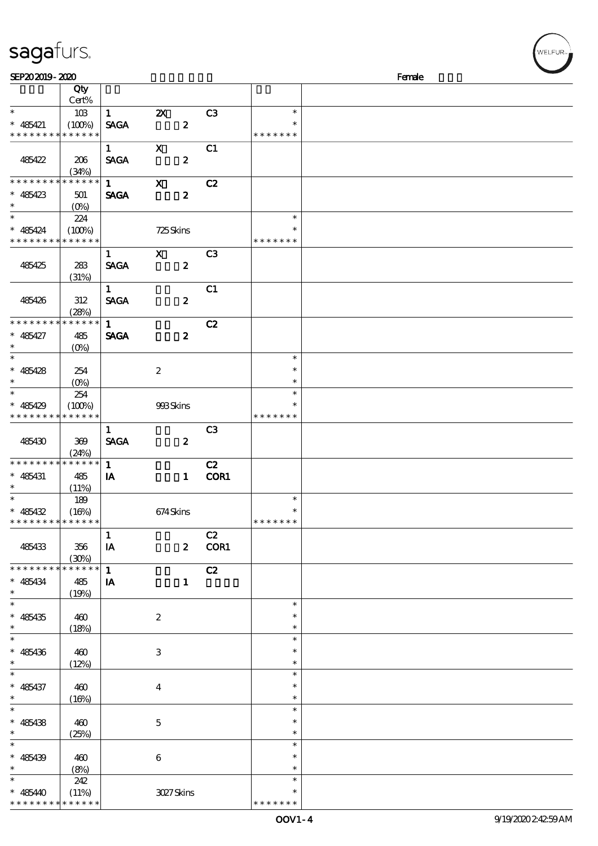| sagafurs. |  |
|-----------|--|
|           |  |

| $\ast$<br>$* 485421$ |                 | SEP202019-2020              |                        |                           |                  |                |               | Female |
|----------------------|-----------------|-----------------------------|------------------------|---------------------------|------------------|----------------|---------------|--------|
|                      |                 | Qty                         |                        |                           |                  |                |               |        |
|                      |                 | Cert%                       |                        |                           |                  |                |               |        |
|                      |                 | 103                         | $1 \quad \blacksquare$ | $\boldsymbol{\mathsf{X}}$ |                  | C <sub>3</sub> | $\ast$        |        |
|                      |                 | (100%)                      | <b>SAGA</b>            |                           | $\boldsymbol{z}$ |                | $\ast$        |        |
|                      |                 | * * * * * * * * * * * * * * |                        |                           |                  |                | * * * * * * * |        |
|                      |                 |                             | $\mathbf{1}$           | $\mathbf X$               |                  | C1             |               |        |
|                      |                 |                             |                        |                           |                  |                |               |        |
| 485422               |                 | 206                         | <b>SAGA</b>            |                           | $\boldsymbol{z}$ |                |               |        |
|                      |                 | (34%)                       |                        |                           |                  |                |               |        |
|                      |                 | * * * * * * * * * * * * * * | $\mathbf{1}$           | $\boldsymbol{\mathsf{X}}$ |                  | C2             |               |        |
|                      | $* 485423$      | 501                         | <b>SAGA</b>            |                           | $\boldsymbol{z}$ |                |               |        |
| $\ast$               |                 | $(O\%)$                     |                        |                           |                  |                |               |        |
| $\ast$               |                 | 224                         |                        |                           |                  |                | $\ast$        |        |
|                      | $* 485424$      | (100%)                      |                        | 725Skins                  |                  |                | $\ast$        |        |
|                      |                 | * * * * * * * * * * * * * * |                        |                           |                  |                | * * * * * * * |        |
|                      |                 |                             | 1                      | $\mathbf{X}$              |                  | C <sub>3</sub> |               |        |
|                      |                 |                             |                        |                           |                  |                |               |        |
|                      | 485425          | 283                         | <b>SAGA</b>            |                           | $\boldsymbol{2}$ |                |               |        |
|                      |                 | (31%)                       |                        |                           |                  |                |               |        |
|                      |                 |                             | 1                      |                           |                  | C1             |               |        |
|                      | 485426          | 312                         | <b>SAGA</b>            |                           | $\boldsymbol{z}$ |                |               |        |
|                      |                 | (28%)                       |                        |                           |                  |                |               |        |
|                      | * * * * * * * * | * * * * * *                 | 1                      |                           |                  | C2             |               |        |
|                      | $* 485427$      | 485                         | <b>SAGA</b>            |                           | $\boldsymbol{z}$ |                |               |        |
| $\ast$               |                 | $(O\%)$                     |                        |                           |                  |                |               |        |
| $\overline{\ast}$    |                 |                             |                        |                           |                  |                | $\ast$        |        |
|                      |                 |                             |                        |                           |                  |                |               |        |
|                      | $* 485428$      | 254                         |                        | $\boldsymbol{z}$          |                  |                | $\ast$        |        |
| $\ast$               |                 | $(0\%)$                     |                        |                           |                  |                | $\ast$        |        |
| $\ast$               |                 | 254                         |                        |                           |                  |                | $\ast$        |        |
|                      | $* 485429$      | (100%)                      |                        | 993Skins                  |                  |                | $\ast$        |        |
|                      |                 | * * * * * * * * * * * * * * |                        |                           |                  |                | * * * * * * * |        |
|                      |                 |                             | $\mathbf{1}$           |                           |                  | C <sub>3</sub> |               |        |
|                      | 485430          | 369                         | <b>SAGA</b>            |                           | $\boldsymbol{z}$ |                |               |        |
|                      |                 | (24%)                       |                        |                           |                  |                |               |        |
|                      |                 | * * * * * * * * * * * * * * | $\mathbf{1}$           |                           |                  | C2             |               |        |
|                      |                 |                             |                        |                           |                  |                |               |        |
| $* 485431$<br>$\ast$ |                 | 485                         | IA                     |                           | $\mathbf{1}$     | COR1           |               |        |
| $\ast$               |                 | (11%)                       |                        |                           |                  |                |               |        |
|                      |                 | 189                         |                        |                           |                  |                | $\ast$        |        |
|                      | $* 485432$      | (16%)                       |                        | 674Skins                  |                  |                | $\ast$        |        |
|                      |                 | **************              |                        |                           |                  |                | *******       |        |
|                      |                 |                             | $\mathbf{1}$           |                           |                  | C2             |               |        |
|                      | 485433          | 356                         | IA                     |                           | $\boldsymbol{z}$ | COR1           |               |        |
|                      |                 | (30%)                       |                        |                           |                  |                |               |        |
|                      | * * * * * * * * | * * * * * *                 | $\mathbf{1}$           |                           |                  | C2             |               |        |
|                      | $* 485434$      | 485                         | IA                     |                           | $\mathbf{1}$     |                |               |        |
| $\ast$               |                 | (19%)                       |                        |                           |                  |                |               |        |
| $\ast$               |                 |                             |                        |                           |                  |                | $\ast$        |        |
|                      |                 |                             |                        |                           |                  |                | ∗             |        |
|                      | $* 485435$      | 460                         |                        | $\boldsymbol{2}$          |                  |                |               |        |
| $\ast$               |                 | (18%)                       |                        |                           |                  |                | $\ast$        |        |
| $\ast$               |                 |                             |                        |                           |                  |                | $\ast$        |        |
|                      |                 | 460                         |                        | 3                         |                  |                | *             |        |
| $* 485436$           |                 | (12%)                       |                        |                           |                  |                | $\ast$        |        |
| $\ast$               |                 |                             |                        |                           |                  |                |               |        |
| $\ast$               |                 |                             |                        |                           |                  |                | $\ast$        |        |
|                      |                 |                             |                        |                           |                  |                | $\ast$        |        |
| $\ast$               | $* 485437$      | 460                         |                        | $\boldsymbol{4}$          |                  |                | $\ast$        |        |
| $\ast$               |                 | (16%)                       |                        |                           |                  |                | $\ast$        |        |
|                      |                 |                             |                        |                           |                  |                |               |        |
|                      | $* 485438$      | 460                         |                        | $\mathbf 5$               |                  |                | $\ast$        |        |
| $\ast$               |                 | (25%)                       |                        |                           |                  |                | $\ast$        |        |
| $\ast$               |                 |                             |                        |                           |                  |                | $\ast$        |        |
|                      | $* 485439$      | 460                         |                        | $\,6\,$                   |                  |                | $\ast$        |        |
| $\ast$               |                 | (8%)                        |                        |                           |                  |                | $\ast$        |        |
| $\ast$               |                 | 242                         |                        |                           |                  |                | $\ast$        |        |
|                      | $* 485440$      | (11%)                       |                        | 3027Skins                 |                  |                | *             |        |

**ELFUR**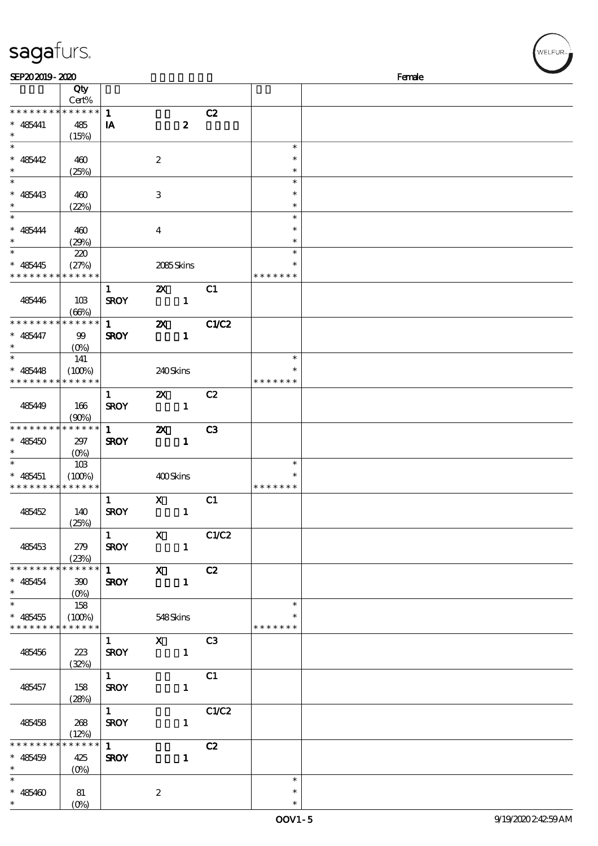| sagafurs.                                                |                         |                          |                                                        |                         |                         | WELFUR <sub>™</sub> |
|----------------------------------------------------------|-------------------------|--------------------------|--------------------------------------------------------|-------------------------|-------------------------|---------------------|
| SEP202019-2020                                           |                         |                          |                                                        |                         |                         | Female              |
|                                                          | Qty<br>Cert%            |                          |                                                        |                         |                         |                     |
| * * * * * * * *                                          | $* * * * * * *$         | $\mathbf{1}$             |                                                        | C2                      |                         |                     |
| $* 485441$                                               | 485                     | IA                       | $\boldsymbol{z}$                                       |                         |                         |                     |
| $\ast$                                                   | (15%)                   |                          |                                                        |                         |                         |                     |
| $\ast$                                                   |                         |                          |                                                        |                         | $\ast$                  |                     |
| $* 485442$<br>$\ast$                                     | 460<br>(25%)            |                          | $\boldsymbol{2}$                                       |                         | $\ast$<br>$\ast$        |                     |
| $\ast$                                                   |                         |                          |                                                        |                         | $\ast$                  |                     |
| $* 485443$                                               | 460                     |                          | $\,3$                                                  |                         | $\ast$                  |                     |
| $\ast$                                                   | (22%)                   |                          |                                                        |                         | $\ast$                  |                     |
| $\ast$                                                   |                         |                          |                                                        |                         | $\ast$                  |                     |
| $\hspace{0.1cm}^*$ 485444                                | 460                     |                          | $\bf{4}$                                               |                         | $\ast$                  |                     |
| $\ast$<br>$\ast$                                         | (29%)                   |                          |                                                        |                         | $\ast$<br>$\ast$        |                     |
| $* 485445$                                               | 220<br>(27%)            |                          | 2085Skins                                              |                         | $\ast$                  |                     |
| * * * * * * * *                                          | * * * * * *             |                          |                                                        |                         | * * * * * * *           |                     |
|                                                          |                         | $\mathbf{1}$             | $\boldsymbol{\mathsf{Z}}$                              | C1                      |                         |                     |
| 485446                                                   | 10B                     | <b>SROY</b>              | $\mathbf{1}$                                           |                         |                         |                     |
|                                                          | (66%)                   |                          |                                                        |                         |                         |                     |
| * * * * * * * * * * * * * * *                            |                         | $\mathbf{1}$             | $\boldsymbol{\mathsf{z}}$                              | C1/C2                   |                         |                     |
| $* 485447$<br>$\ast$                                     | 99<br>(O <sub>0</sub> ) | <b>SROY</b>              | $\mathbf{1}$                                           |                         |                         |                     |
|                                                          | 141                     |                          |                                                        |                         | $\ast$                  |                     |
| $* 485448$                                               | (100%)                  |                          | 240Skins                                               |                         |                         |                     |
| * * * * * * * *                                          | * * * * * *             |                          |                                                        |                         | * * * * * * *           |                     |
|                                                          |                         | $\mathbf{1}$             | $\boldsymbol{\alpha}$                                  | C2                      |                         |                     |
| 485449                                                   | 166<br>(90%)            | <b>SROY</b>              | $\mathbf{1}$                                           |                         |                         |                     |
| * * * * * * * *                                          | $******$                | $\mathbf{1}$             | $\boldsymbol{\mathsf{z}}$                              | C <sub>3</sub>          |                         |                     |
| $* 485450$                                               | 297                     | <b>SROY</b>              | $\mathbf{1}$                                           |                         |                         |                     |
| $\ast$                                                   | $(0\%)$                 |                          |                                                        |                         |                         |                     |
| $\ast$                                                   | 10B                     |                          |                                                        |                         | $\ast$                  |                     |
| $* 485451$<br>* * * * * * * * <mark>* * * * * * *</mark> | (100%)                  |                          | 400Skins                                               |                         | $\ast$<br>* * * * * * * |                     |
|                                                          |                         | $1$ X                    |                                                        | $\overline{\text{c}}$ 1 |                         |                     |
| 485452                                                   | 140                     | <b>SROY</b>              | $\mathbf{1}$                                           |                         |                         |                     |
|                                                          | (25%)                   |                          |                                                        |                         |                         |                     |
|                                                          |                         | $1$ and $1$              |                                                        | $X$ $C1/C2$             |                         |                     |
| 485453                                                   | 279                     | <b>SROY</b>              | $\blacksquare$                                         |                         |                         |                     |
| * * * * * * * *                                          | (23%)<br>******         |                          | $\overline{1}$ X                                       | C2                      |                         |                     |
| $* 485454$                                               | 300                     | <b>SROY</b>              | $\blacksquare$                                         |                         |                         |                     |
| $\ast$ and $\ast$                                        | $(O\!/\!\!\!\!\!\!\!o)$ |                          |                                                        |                         |                         |                     |
| $*$                                                      | 158                     |                          |                                                        |                         | $\ast$                  |                     |
| $* 485455$                                               | (100%)                  |                          | 548Skins                                               |                         |                         |                     |
| * * * * * * * * * * * * * *                              |                         | $1 \quad \blacksquare$   |                                                        |                         | * * * * * * *           |                     |
| 485456                                                   | 223                     | <b>SROY</b>              | $\begin{array}{c c}\n\hline\nX & C3 \\ 1\n\end{array}$ |                         |                         |                     |
|                                                          | (32%)                   |                          |                                                        |                         |                         |                     |
|                                                          |                         | $\overline{1}$           |                                                        | C <sub>1</sub>          |                         |                     |
| 485457                                                   | 158                     | <b>SROY</b>              | $\mathbf{1}$                                           |                         |                         |                     |
|                                                          | (28%)                   |                          |                                                        |                         |                         |                     |
| 485458                                                   | 268                     | $1 \quad$<br><b>SROY</b> | $\mathbf{1}$                                           | C1/C2                   |                         |                     |
|                                                          | (12%)                   |                          |                                                        |                         |                         |                     |
| * * * * * * * * * * * * * *                              |                         | $1 \quad \blacksquare$   |                                                        | C2                      |                         |                     |
| $* 485459$                                               | 425                     | <b>SROY</b>              | $\mathbf{1}$                                           |                         |                         |                     |
| $\ast$<br>$\ast$                                         | $(O\%)$                 |                          |                                                        |                         | $\ast$                  |                     |
| $* 485460$                                               | 81                      |                          | $\boldsymbol{2}$                                       |                         | $\ast$                  |                     |
| $*$                                                      | $(O\%)$                 |                          |                                                        |                         | $\ast$                  |                     |
|                                                          |                         |                          |                                                        |                         |                         |                     |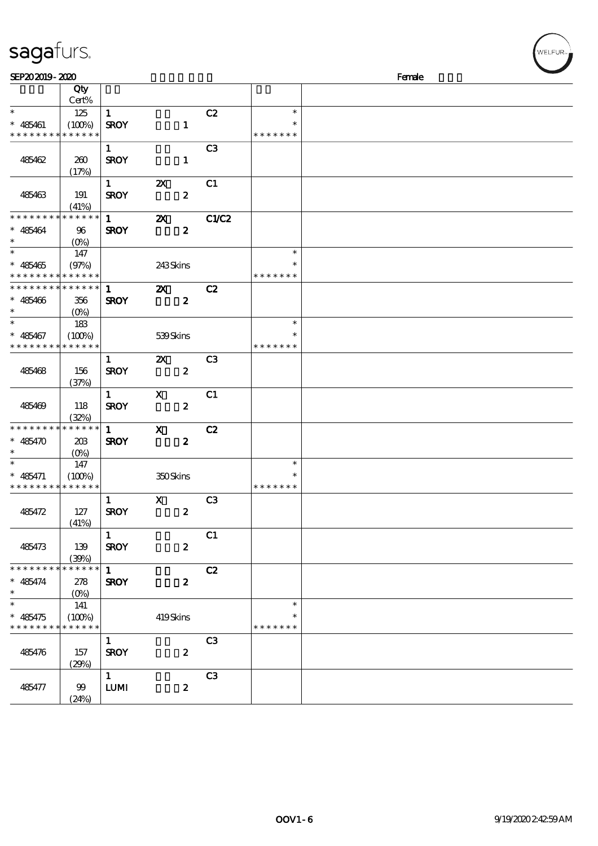| SEP202019-2020                |                      |                        |                           |                        |               | Female |  |
|-------------------------------|----------------------|------------------------|---------------------------|------------------------|---------------|--------|--|
|                               | Qty<br>Cert%         |                        |                           |                        |               |        |  |
| $\ast$                        | 125                  | $\mathbf{1}$           |                           | C2                     | $\ast$        |        |  |
| $* 485461$                    | (100%)               | <b>SROY</b>            |                           | $\mathbf{1}$           | $\ast$        |        |  |
| * * * * * * * *               | * * * * * *          |                        |                           |                        | * * * * * * * |        |  |
|                               |                      | $\mathbf{1}$           |                           | C <sub>3</sub>         |               |        |  |
| 485462                        | 260                  | <b>SROY</b>            |                           | $\mathbf{1}$           |               |        |  |
|                               | (17%)                |                        |                           |                        |               |        |  |
|                               |                      | $1 \quad \blacksquare$ | $\boldsymbol{\alpha}$     | C1                     |               |        |  |
| 485463                        | 191                  | <b>SROY</b>            |                           | $\boldsymbol{z}$       |               |        |  |
|                               | (41%)                |                        |                           |                        |               |        |  |
| * * * * * * * *               | * * * * * *          | $\mathbf{1}$           | $\boldsymbol{\mathsf{Z}}$ | C1/C2                  |               |        |  |
| $* 485464$                    | 96                   | <b>SROY</b>            |                           | $\boldsymbol{z}$       |               |        |  |
| $\ast$<br>$\overline{\ast}$   |                      |                        |                           |                        | $\ast$        |        |  |
|                               | 147                  |                        |                           |                        |               |        |  |
| $* 485465$<br>* * * * * * * * | (97%)<br>* * * * * * |                        | 243Skins                  |                        | * * * * * * * |        |  |
| * * * * * * * *               | * * * * * *          | $1 -$                  |                           | C2                     |               |        |  |
| $* 485466$                    |                      | <b>SROY</b>            | $\boldsymbol{\mathsf{Z}}$ | $\boldsymbol{z}$       |               |        |  |
| $\ast$                        | 356<br>$(O\% )$      |                        |                           |                        |               |        |  |
| $\overline{\phantom{0}}$      | 183                  |                        |                           |                        | $\ast$        |        |  |
| $* 485467$                    | (100%)               |                        | 539Skins                  |                        | $\ast$        |        |  |
| * * * * * * * *               | * * * * * *          |                        |                           |                        | * * * * * * * |        |  |
|                               |                      | $\mathbf{1}$           | $\boldsymbol{\mathsf{Z}}$ | C <sub>3</sub>         |               |        |  |
| 485468                        | 156                  | <b>SROY</b>            |                           | $\boldsymbol{z}$       |               |        |  |
|                               | (37%)                |                        |                           |                        |               |        |  |
|                               |                      | $\mathbf{1}$           | X                         | C1                     |               |        |  |
| 485469                        | 118                  | <b>SROY</b>            |                           | $\boldsymbol{z}$       |               |        |  |
|                               | (32%)                |                        |                           |                        |               |        |  |
| * * * * * * * *               | $* * * * * * *$      | $1 \quad$              | $\mathbf{x}$              | C2                     |               |        |  |
| $* 485470$                    | 20B                  | <b>SROY</b>            |                           | $\boldsymbol{z}$       |               |        |  |
| $\ast$                        | $(0\%)$              |                        |                           |                        |               |        |  |
|                               | 147                  |                        |                           |                        | $\ast$        |        |  |
| $* 485471$                    | (100%)               |                        | 350Skins                  |                        | $\ast$        |        |  |
| * * * * * * * *               | * * * * * *          |                        |                           |                        | * * * * * * * |        |  |
|                               |                      | $\mathbf{1}$           | $\mathbf x$               | C <sub>3</sub>         |               |        |  |
| 485472                        | 127                  | <b>SROY</b>            |                           | $\boldsymbol{z}$       |               |        |  |
|                               | (41%)                | $\mathbf{1}$           |                           |                        |               |        |  |
| 485473                        |                      | <b>SROY</b>            |                           | C1<br>$\boldsymbol{z}$ |               |        |  |
|                               | 139<br>(39%)         |                        |                           |                        |               |        |  |
| * * * * * * * *               | * * * * * *          | $\mathbf{1}$           |                           | C2                     |               |        |  |
| $* 485474$                    | 278                  | <b>SROY</b>            |                           | $\boldsymbol{z}$       |               |        |  |
| $\ast$                        | (O <sub>0</sub> )    |                        |                           |                        |               |        |  |
| $\ast$                        | 141                  |                        |                           |                        | $\ast$        |        |  |
| $* 485475$                    | (100%)               |                        | 419Skins                  |                        | $\ast$        |        |  |
| * * * * * * * *               | * * * * * *          |                        |                           |                        | * * * * * * * |        |  |
|                               |                      | $\mathbf{1}$           |                           | C <sub>3</sub>         |               |        |  |
| 485476                        | 157                  | <b>SROY</b>            |                           | $\boldsymbol{z}$       |               |        |  |
|                               | (29%)                |                        |                           |                        |               |        |  |
|                               |                      | $\mathbf{1}$           |                           | C <sub>3</sub>         |               |        |  |
| 485477                        | 99                   | <b>LUM</b>             |                           | $\boldsymbol{z}$       |               |        |  |

## sagafurs.

(24%)

WELFUR<sub>"</sub>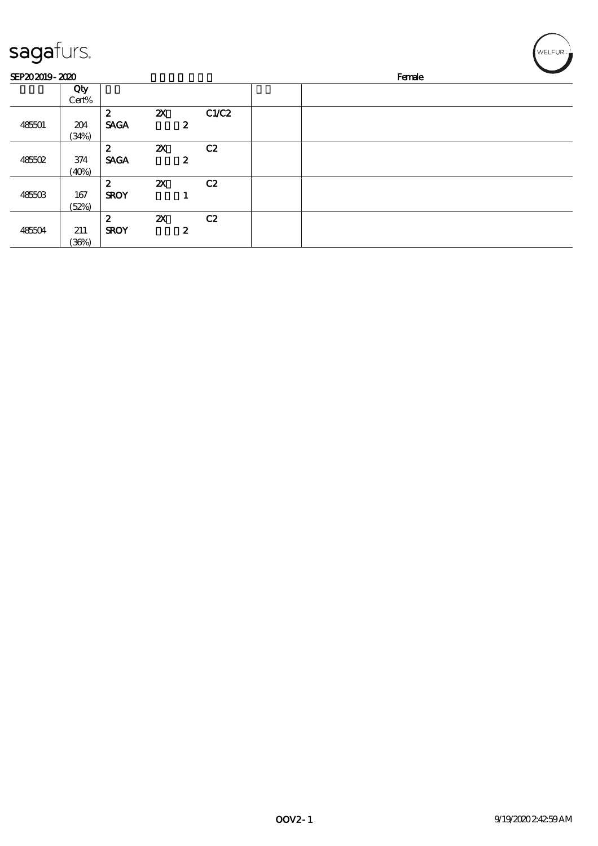| sagafurs.      |              |                  |                           |                  |       |  |        | WELFUR <sub>™</sub> |  |
|----------------|--------------|------------------|---------------------------|------------------|-------|--|--------|---------------------|--|
| SEP202019-2020 |              |                  |                           |                  |       |  | Female |                     |  |
|                | Qty<br>Cert% |                  |                           |                  |       |  |        |                     |  |
|                |              | $\boldsymbol{z}$ | $\boldsymbol{\mathsf{Z}}$ |                  | C1/C2 |  |        |                     |  |
| 485501         | 204<br>(34%) | <b>SAGA</b>      |                           | $\boldsymbol{2}$ |       |  |        |                     |  |
|                |              | $\boldsymbol{z}$ | $\boldsymbol{\mathsf{z}}$ |                  | C2    |  |        |                     |  |
| 485502         | 374          | <b>SAGA</b>      |                           | $\boldsymbol{z}$ |       |  |        |                     |  |
|                | (40%)        |                  |                           |                  |       |  |        |                     |  |
|                |              | $\boldsymbol{z}$ | $\boldsymbol{\mathsf{X}}$ |                  | C2    |  |        |                     |  |
| 485503         | 167          | <b>SROY</b>      |                           |                  |       |  |        |                     |  |
|                | (52%)        |                  |                           |                  |       |  |        |                     |  |
|                |              | $\boldsymbol{2}$ | $\boldsymbol{\mathsf{z}}$ |                  | C2    |  |        |                     |  |
| 485504         | 211          | <b>SROY</b>      |                           | $\boldsymbol{z}$ |       |  |        |                     |  |
|                | (36%)        |                  |                           |                  |       |  |        |                     |  |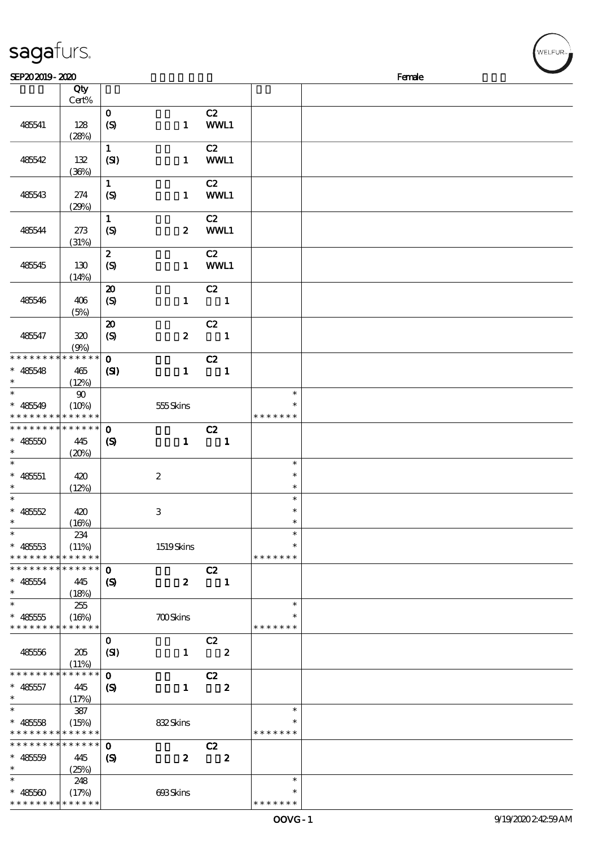| sagafurs.                                |              |                             |                  |                            |                  | WELFUR <sub>™</sub> |
|------------------------------------------|--------------|-----------------------------|------------------|----------------------------|------------------|---------------------|
| SEP202019-2020                           |              |                             |                  |                            |                  | Female              |
|                                          | Qty          |                             |                  |                            |                  |                     |
|                                          | Cert%        |                             |                  |                            |                  |                     |
|                                          |              | $\mathbf 0$                 |                  | C2                         |                  |                     |
| 485541                                   | 128          | $\boldsymbol{S}$            | $\mathbf{1}$     | WWL1                       |                  |                     |
|                                          | (28%)        |                             |                  |                            |                  |                     |
|                                          |              | $\mathbf{1}$                |                  | C2                         |                  |                     |
| 485542                                   | 132          | (SI)                        | $\mathbf{1}$     | WWL1                       |                  |                     |
|                                          | (36%)        |                             |                  |                            |                  |                     |
|                                          |              | $\mathbf{1}$                |                  | C2                         |                  |                     |
| 485543                                   | 274          | $\boldsymbol{S}$            | $\mathbf{1}$     | WWL1                       |                  |                     |
|                                          | (29%)        |                             |                  |                            |                  |                     |
|                                          |              | $\mathbf 1$                 |                  | C2                         |                  |                     |
| 485544                                   | 273          | (S)                         | $\boldsymbol{z}$ | WWL1                       |                  |                     |
|                                          | (31%)        |                             |                  |                            |                  |                     |
|                                          |              | $\pmb{2}$                   |                  | C2                         |                  |                     |
| 485545                                   | 130          | $\boldsymbol{S}$            | $\mathbf{1}$     | WWL1                       |                  |                     |
|                                          | (14%)        |                             |                  |                            |                  |                     |
| 485546                                   |              | $\boldsymbol{\mathsf{20}}$  |                  | C2<br>$\blacksquare$       |                  |                     |
|                                          | 406<br>(5%)  | $\boldsymbol{S}$            | $\mathbf{1}$     |                            |                  |                     |
|                                          |              | $\boldsymbol{\mathsf{20}}$  |                  | C2                         |                  |                     |
| 485547                                   | 320          | (S)                         | $\boldsymbol{z}$ | $\overline{\phantom{a}}$   |                  |                     |
|                                          | (9%)         |                             |                  |                            |                  |                     |
| * * * * * * * * * * * * * *              |              | $\mathbf{o}$                |                  | C2                         |                  |                     |
| $* 485548$                               | 465          | $\mathbf{C}$                | $\mathbf{1}$     | $\overline{\phantom{a}}$ 1 |                  |                     |
| $\ast$                                   | (12%)        |                             |                  |                            |                  |                     |
| $\ast$                                   | $\pmb{90}$   |                             |                  |                            | $\ast$           |                     |
| $* 485549$                               | (10%)        |                             | 555Skins         |                            | $\ast$           |                     |
| * * * * * * * * <mark>* * * * * *</mark> |              |                             |                  |                            | * * * * * * *    |                     |
| * * * * * * * * * * * * * *              |              | $\mathbf 0$                 |                  | C2                         |                  |                     |
| $* 48550$                                | 445          | $\boldsymbol{\mathrm{(S)}}$ | $\mathbf{1}$     | $\overline{\phantom{a}}$   |                  |                     |
| $\ast$                                   | (20%)        |                             |                  |                            |                  |                     |
|                                          |              |                             |                  |                            | $\ast$<br>$\ast$ |                     |
| $* 48551$<br>$\ast$                      | 420          |                             | $\boldsymbol{2}$ |                            | $\ast$           |                     |
| $\ast$                                   | (12%)        |                             |                  |                            | $\ast$           |                     |
| $* 48552$                                | 420          |                             | $\,3$            |                            | $\ast$           |                     |
| $\ast$                                   | (16%)        |                             |                  |                            | $\ast$           |                     |
| $\ast$                                   | 234          |                             |                  |                            | $\ast$           |                     |
| $* 48553$                                | (11%)        |                             | 1519Skins        |                            | *                |                     |
| * * * * * * * *                          | * * * * * *  |                             |                  |                            | * * * * * * *    |                     |
| * * * * * * * *                          | * * * * * *  | $\mathbf 0$                 |                  | C2                         |                  |                     |
| $* 485554$                               | 445          | (S)                         | $\boldsymbol{z}$ | $\overline{\phantom{a}}$   |                  |                     |
| $\ast$                                   | (18%)        |                             |                  |                            |                  |                     |
| $\ast$                                   | 255          |                             |                  |                            | $\ast$           |                     |
| $* 48555$                                | (16%)        |                             | <b>700Skins</b>  |                            |                  |                     |
| * * * * * * * * <mark>* * * * * *</mark> |              |                             |                  |                            | * * * * * * *    |                     |
|                                          |              | $\mathbf{O}$                |                  | C2                         |                  |                     |
| 485556                                   | 205<br>(11%) | (SI)                        | $\mathbf{1}$     | $\overline{\mathbf{2}}$    |                  |                     |
| * * * * * * * *                          | $******$     | $\mathbf{o}$                |                  |                            |                  |                     |
| $* 485557$                               | 445          | $\boldsymbol{\mathcal{S}}$  | $\mathbf{1}$     | C2<br>$\boldsymbol{z}$     |                  |                     |
| $\ast$                                   | (17%)        |                             |                  |                            |                  |                     |
| $\ast$                                   | 387          |                             |                  |                            | $\ast$           |                     |
| $* 48558$                                | (15%)        |                             | 832Skins         |                            | $\ast$           |                     |
| * * * * * * * * <mark>* * * * * *</mark> |              |                             |                  |                            | * * * * * * *    |                     |
| * * * * * * * *                          | * * * * * *  | $\mathbf 0$                 |                  | C2                         |                  |                     |
| $* 48559$                                | 445          | $\boldsymbol{\mathcal{S}}$  | $\boldsymbol{z}$ | $\overline{\mathbf{2}}$    |                  |                     |
| $\ast$                                   | (25%)        |                             |                  |                            |                  |                     |
| $\ast$                                   | 248          |                             |                  |                            | $\ast$           |                     |
| $* 485500$                               | (17%)        |                             | 693Skins         |                            | $\ast$           |                     |

\* \* \* \* \* \*

\* \* \* \* \* \* \* \* \* \* \* \*

\*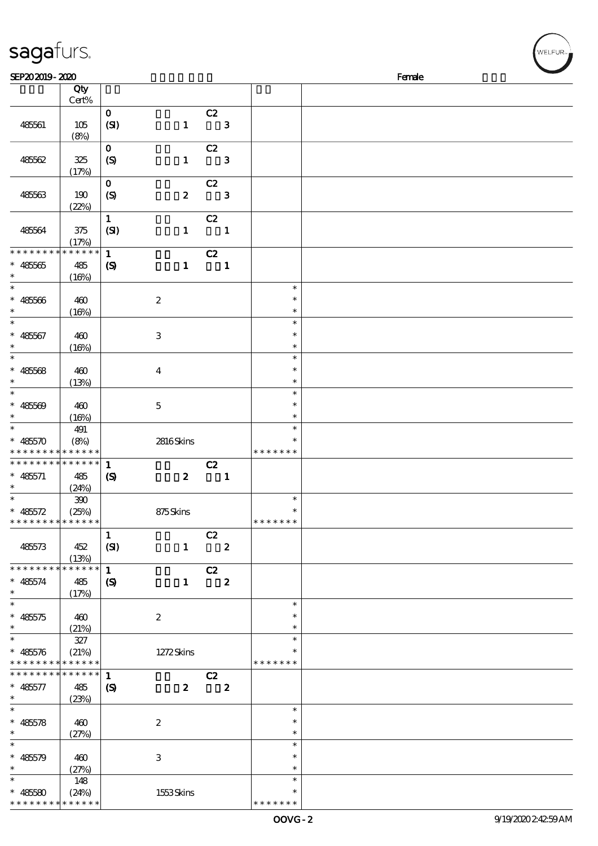| sagafurs.                                                                     |                                                   |                                            |                  |                                  |                  |                                   | WELFUR <sub>™</sub> |
|-------------------------------------------------------------------------------|---------------------------------------------------|--------------------------------------------|------------------|----------------------------------|------------------|-----------------------------------|---------------------|
| SEP202019-2020                                                                |                                                   |                                            |                  |                                  |                  |                                   | Female              |
|                                                                               | Qty<br>Cert%                                      |                                            |                  |                                  |                  |                                   |                     |
| 48561                                                                         | 105<br>(8%)                                       | $\mathbf{o}$<br>(SI)                       | $\mathbf{1}$     | C2<br>$\overline{\phantom{a}}$ 3 |                  |                                   |                     |
| 48562                                                                         | 325<br>(17%)                                      | $\mathbf 0$<br>(S)                         | $\mathbf{1}$     | C2                               | $\mathbf{3}$     |                                   |                     |
| 485563                                                                        | 190<br>(22%)                                      | $\mathbf 0$<br>$\boldsymbol{S}$            | $\boldsymbol{z}$ | C2                               | $\mathbf{3}$     |                                   |                     |
| 485564                                                                        | $375$<br>(17%)                                    | $\mathbf{1}$<br>(SI)                       | $\mathbf{1}$     | C2                               | $\mathbf{1}$     |                                   |                     |
| * * * * * * * *<br>$* 48565$<br>$\ast$                                        | * * * * * *<br>485<br>(16%)                       | $\mathbf 1$<br>$\boldsymbol{S}$            | $\mathbf{1}$     | C2                               | $\mathbf{1}$     |                                   |                     |
| $\ast$<br>$* 48566$<br>$\ast$                                                 | 460<br>(16%)                                      |                                            | $\boldsymbol{2}$ |                                  |                  | $\ast$<br>$\ast$<br>$\ast$        |                     |
| $\ast$<br>$* 48567$<br>$\ast$                                                 | 460<br>(16%)                                      |                                            | $\,3$            |                                  |                  | $\ast$<br>$\ast$<br>$\ast$        |                     |
| $\ast$<br>$* 48568$<br>$\ast$                                                 | 460<br>(13%)                                      |                                            | $\boldsymbol{4}$ |                                  |                  | $\ast$<br>$\ast$<br>$\ast$        |                     |
| $\ast$<br>$* 485609$<br>$\ast$                                                | 460<br>(16%)                                      |                                            | $\mathbf 5$      |                                  |                  | $\ast$<br>$\ast$<br>$\ast$        |                     |
| $\ast$<br>$* 48570$                                                           | 491<br>(8%)<br>* * * * * <mark>* * * * * *</mark> |                                            | 2816Skins        |                                  |                  | $\ast$<br>$\ast$<br>* * * * * * * |                     |
| * * * * * * * *<br>$* 485571$<br>$*$                                          | * * * * * *<br>485<br>(24%)                       | $\mathbf{1}$<br>$\boldsymbol{S}$           | $\boldsymbol{z}$ | C2                               | $\mathbf{1}$     |                                   |                     |
| $\ast$<br>$* 485572$<br>* * * * * * * *                                       | 390<br>(25%)<br>* * * * * *                       |                                            | 875Skins         |                                  |                  | $\ast$<br>$\ast$<br>* * * * * * * |                     |
| 485573                                                                        | 452<br>(13%)                                      | $\mathbf{1}$<br>(SI)                       | $\mathbf{1}$     | C2<br>$\overline{\mathbf{2}}$    |                  |                                   |                     |
| * * * * * * * *<br>$* 485574$<br>$\ast$                                       | * * * * * *<br>485<br>(17%)                       | $\mathbf{1}$<br>$\boldsymbol{\mathcal{S}}$ | $\mathbf{1}$     | C2<br>$\overline{\mathbf{2}}$    |                  |                                   |                     |
| $\ast$<br>$* 485575$<br>$\ast$                                                | 460<br>(21%)                                      |                                            | $\boldsymbol{2}$ |                                  |                  | $\ast$<br>$\ast$<br>$\ast$        |                     |
| $\overline{\ast}$<br>$* 485576$<br>* * * * * * * * <mark>* * * * * *</mark> * | 327<br>(21%)                                      |                                            | 1272Skins        |                                  |                  | $\ast$<br>$\ast$<br>* * * * * * * |                     |
| * * * * * * * *<br>$* 485577$<br>$\ast$                                       | $\ast\ast\ast\ast\ast\ast$<br>485<br>(23%)        | $\mathbf{1}$<br>$\boldsymbol{\mathcal{S}}$ | $\boldsymbol{z}$ | C2                               | $\boldsymbol{z}$ |                                   |                     |
| $\ast$<br>$* 485578$<br>$\ast$                                                | 460<br>(27%)                                      |                                            | $\boldsymbol{2}$ |                                  |                  | $\ast$<br>$\ast$<br>$\ast$        |                     |
| $\ast$<br>$* 485579$<br>$\ast$                                                | 460<br>(27%)                                      |                                            | $\,3$            |                                  |                  | $\ast$<br>$\ast$<br>$\ast$        |                     |
| $\ast$<br>$* 485580$                                                          | 148<br>(24%)                                      |                                            | 1553Skins        |                                  |                  | $\ast$<br>$\ast$                  |                     |

\* \* \* \* \* \*

\* \* \* \* \* \* \*

\* \* \* \* \*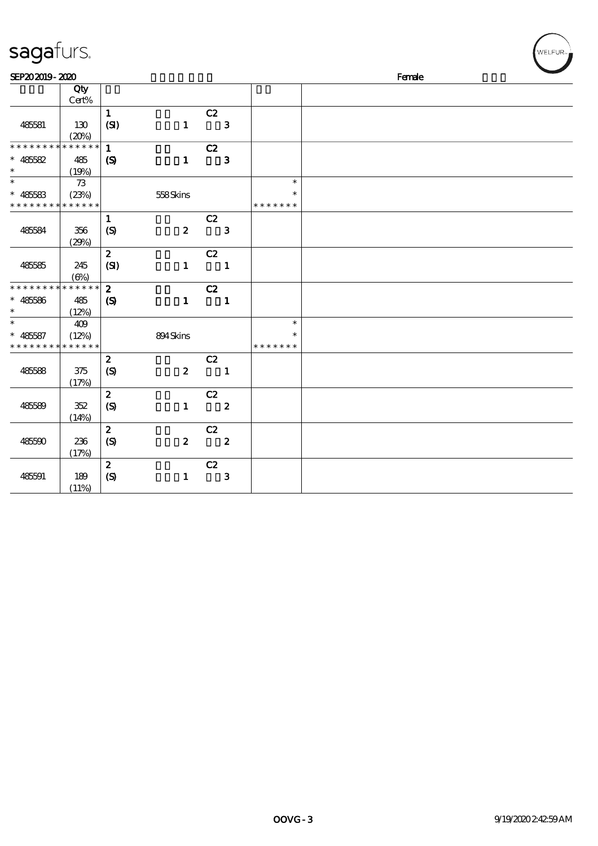| sagafurs.                                                |              |                            |                  |                                  |                         | WELFUR <sub>™</sub> |
|----------------------------------------------------------|--------------|----------------------------|------------------|----------------------------------|-------------------------|---------------------|
| SEP202019-2020                                           |              |                            |                  |                                  |                         | Female              |
|                                                          | Qty<br>Cert% |                            |                  |                                  |                         |                     |
| 485581                                                   | 130          | $\mathbf{1}$<br>(SI)       | $\mathbf{1}$     | C2<br>$\overline{\phantom{a}}$ 3 |                         |                     |
| * * * * * * * * * * * * * *                              | (20%)        | $\mathbf{1}$               |                  | C2                               |                         |                     |
| $* 485582$<br>$\ast$                                     | 485<br>(19%) | $\boldsymbol{\mathcal{S}}$ | $\mathbf{1}$     | $\mathbf{3}$                     |                         |                     |
| $\overline{\phantom{0}}$                                 | $73\,$       |                            |                  |                                  | $\ast$                  |                     |
| $* 485583$<br>* * * * * * * * <mark>* * * * * * *</mark> | (23%)        |                            | 558Skins         |                                  | $\ast$<br>* * * * * * * |                     |
|                                                          |              | $\mathbf{1}$               |                  | C2                               |                         |                     |
| 485584                                                   | 356<br>(29%) | (S)                        | $\boldsymbol{z}$ | $\overline{\phantom{a}}$ 3       |                         |                     |
|                                                          |              | $\boldsymbol{z}$           |                  | C2                               |                         |                     |
| 48585                                                    | 245<br>(6%)  | (SI)                       | $\mathbf{1}$     | $\blacksquare$                   |                         |                     |
| * * * * * * * * * * * * * *                              |              | $\boldsymbol{2}$           |                  | C2                               |                         |                     |
| $* 485586$<br>$\ast$                                     | 485<br>(12%) | $\boldsymbol{\mathcal{S}}$ | $\mathbf{1}$     | $\blacksquare$                   |                         |                     |
| $\ast$                                                   | 409          |                            |                  |                                  | $\ast$                  |                     |
| $* 485587$<br>* * * * * * * * <mark>* * * * * *</mark>   | (12%)        |                            | 894Skins         |                                  | $\ast$<br>* * * * * * * |                     |
|                                                          |              | $\boldsymbol{2}$           |                  | C2                               |                         |                     |
| 485588                                                   | 375<br>(17%) | (S)                        | $\boldsymbol{z}$ | $\blacksquare$                   |                         |                     |
|                                                          |              | $\pmb{2}$                  |                  | C2                               |                         |                     |
| 485589                                                   | 352<br>(14%) | $\boldsymbol{S}$           | $\mathbf{1}$     | $\overline{\mathbf{2}}$          |                         |                     |
|                                                          |              | $\boldsymbol{2}$           |                  | C2                               |                         |                     |
| 485590                                                   | 236<br>(17%) | (S)                        | $\boldsymbol{z}$ | $\overline{\mathbf{2}}$          |                         |                     |
|                                                          |              | $\boldsymbol{2}$           |                  | C2                               |                         |                     |
| 485591                                                   | 189<br>(11%) | (S)                        | $\mathbf{1}$     | $\mathbf{3}$                     |                         |                     |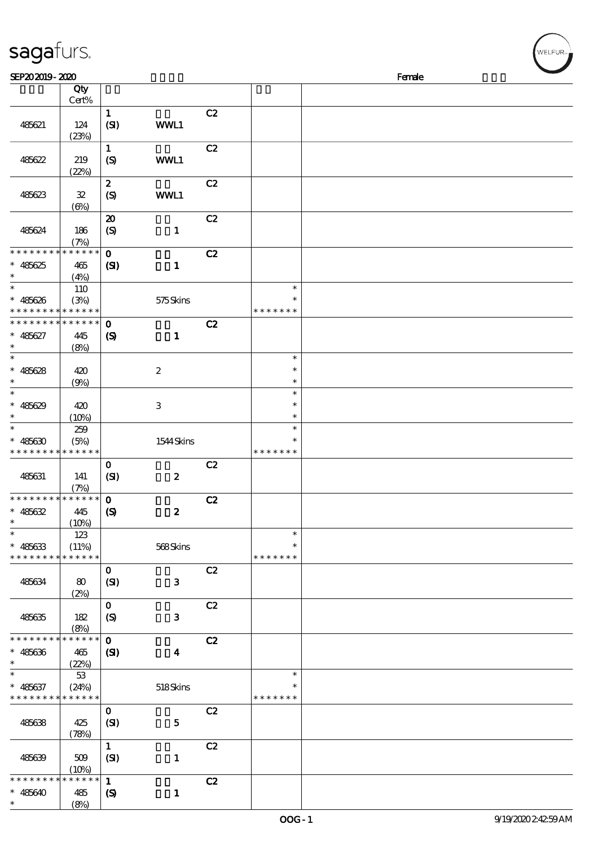| sagafurs.                                                        |                                                       |                                                |                  |    |                                   |        | WELFUR <sub>™</sub> |
|------------------------------------------------------------------|-------------------------------------------------------|------------------------------------------------|------------------|----|-----------------------------------|--------|---------------------|
| SEP202019-2020                                                   |                                                       |                                                |                  |    |                                   | Female |                     |
|                                                                  | Qty<br>Cert%                                          |                                                |                  |    |                                   |        |                     |
| 485621                                                           | 124<br>(23%)                                          | $\mathbf{1}$<br>(SI)                           | WWL1             | C2 |                                   |        |                     |
| 485622                                                           | 219<br>(22%)                                          | $\mathbf 1$<br>(S)                             | WWL1             | C2 |                                   |        |                     |
| 485623                                                           | ${\bf 3\!}$<br>$(\Theta)$                             | $\pmb{2}$<br>$\boldsymbol{S}$                  | WWL1             | C2 |                                   |        |                     |
| 485624                                                           | 186<br>(7%)                                           | $\boldsymbol{\mathsf{20}}$<br>$\boldsymbol{S}$ | $\mathbf{1}$     | C2 |                                   |        |                     |
| * * * * * * * *<br>$* 485625$<br>$\ast$                          | * * * * * *<br>465<br>(4%)                            | $\mathbf 0$<br>$\mathbf{C}$                    | $\mathbf{1}$     | C2 |                                   |        |                     |
| $\ast$<br>$\ast$<br>485626<br>* * * * *                          | 110<br>(3%)<br>* * * * * *                            |                                                | 575Skins         |    | $\ast$<br>$\ast$<br>* * * * * * * |        |                     |
| * * * * * * * *<br>$* 485627$<br>$\ast$                          | * * * * * *<br>445<br>(8%)                            | $\mathbf 0$<br>$\boldsymbol{\mathrm{(S)}}$     | $\mathbf 1$      | C2 |                                   |        |                     |
| $\ast$<br>$* 485628$<br>$\ast$                                   | 420<br>(9%)                                           |                                                | $\boldsymbol{2}$ |    | $\ast$<br>$\ast$<br>$\ast$        |        |                     |
| $\ast$<br>$* 485629$<br>$\ast$                                   | 420<br>(10%)                                          |                                                | $\,3$            |    | $\ast$<br>$\ast$<br>$\ast$        |        |                     |
| $\ast$<br>485630                                                 | 259<br>(5%)<br>* * * * * * * <mark>* * * * * *</mark> |                                                | 1544Skins        |    | $\ast$<br>$\ast$<br>* * * * * * * |        |                     |
| 485631                                                           | 141<br>(7%)                                           | $\mathbf{o}$<br>(SI)                           | $\boldsymbol{z}$ | C2 |                                   |        |                     |
| * * * * * * * *<br>$* 485632$<br>$\ast$                          | * * * * * *<br>445<br>(10%)                           | $\mathbf{o}$<br>$\boldsymbol{\mathrm{(S)}}$    | $\boldsymbol{z}$ | C2 |                                   |        |                     |
| $\ast$<br>$* 485633$<br>* * * * * * * * <mark>* * * * * *</mark> | 123<br>(11%)                                          |                                                | 568Skins         |    | $\ast$<br>$\ast$<br>* * * * * * * |        |                     |
| 485634                                                           | 80<br>(2%)                                            | $\mathbf{o}$<br>(SI)                           | $\mathbf{3}$     | C2 |                                   |        |                     |
| 485635                                                           | 182<br>(8%)                                           | $\mathbf{o}$<br>$\boldsymbol{S}$               | $\mathbf{3}$     | C2 |                                   |        |                     |
| * * * * * * * *<br>$* 485636$                                    | * * * * * *<br>465<br>(22%)                           | $\mathbf 0$<br>(S)                             | $\boldsymbol{4}$ | C2 |                                   |        |                     |
| $\ast$<br>$* 485637$<br>* * * * * * * *                          | $5\!3$<br>(24%)<br>* * * * * *                        |                                                | 518Skins         |    | $\ast$<br>* * * * * * *           |        |                     |
| 485638                                                           | 425<br>(78%)                                          | $\mathbf 0$<br>(SI)                            | $\mathbf{5}$     | C2 |                                   |        |                     |
| 485639                                                           | 509<br>(10%)                                          | $\mathbf{1}$<br>(SI)                           | $\mathbf{1}$     | C2 |                                   |        |                     |
| $* 485640$                                                       | * * * * * *<br>485                                    | $\mathbf{1}$<br>$\boldsymbol{\mathcal{S}}$     | $\mathbf{1}$     | C2 |                                   |        |                     |

\*\*

(8%)

 $(w$ ELFUR<sub><sup>N</sub></sub></sub></sup>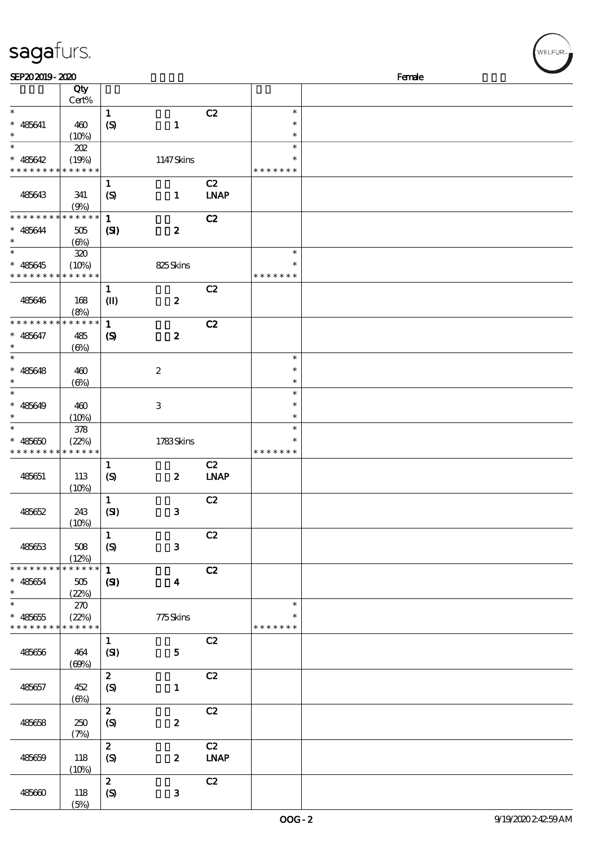| sagafurs.                   |                           |                  |                         |             |               | WELFUR <sub>™</sub> |
|-----------------------------|---------------------------|------------------|-------------------------|-------------|---------------|---------------------|
| SEP202019-2020              |                           |                  |                         |             |               | Female              |
|                             | Qty                       |                  |                         |             |               |                     |
|                             | Cert%                     |                  |                         |             |               |                     |
| $\ast$                      |                           | $\mathbf 1$      |                         | C2          | $\ast$        |                     |
| $* 485641$                  | 460                       | (S)              | $\mathbf{1}$            |             | $\ast$        |                     |
| $\ast$                      | (10%)                     |                  |                         |             | $\ast$        |                     |
| $\ast$                      | 202                       |                  |                         |             | $\ast$        |                     |
| $* 485642$                  | (19%)                     |                  | 1147Skins               |             | $\ast$        |                     |
| * * * * * * * *             | * * * * * *               |                  |                         |             | * * * * * * * |                     |
|                             |                           | $\mathbf{1}$     |                         | C2          |               |                     |
| 485643                      | 341                       | $\boldsymbol{S}$ | $\mathbf{1}$            | <b>LNAP</b> |               |                     |
|                             | (9%)                      |                  |                         |             |               |                     |
| * * * * * * * *             | * * * * * *               | $\mathbf{1}$     |                         | C2          |               |                     |
| $* 485644$                  | 505                       | (S)              | $\boldsymbol{z}$        |             |               |                     |
| $\ast$                      | (6%)                      |                  |                         |             |               |                     |
| $\ast$                      | 320                       |                  |                         |             | $\ast$        |                     |
| $* 485645$                  | (10%)                     |                  | 825Skins                |             | $\ast$        |                     |
| * * * * * * * *             | * * * * * *               |                  |                         |             | * * * * * * * |                     |
|                             |                           | $\mathbf{1}$     |                         | C2          |               |                     |
| 485646                      | 168                       | $\mathbf{I}$     | $\boldsymbol{z}$        |             |               |                     |
|                             | (8%)                      |                  |                         |             |               |                     |
| * * * * * * * *             | * * * * * *               | $\mathbf{1}$     |                         | C2          |               |                     |
| $* 485647$                  | 485                       | $\boldsymbol{S}$ | $\boldsymbol{z}$        |             |               |                     |
| $\ast$                      | $(\Theta)$                |                  |                         |             |               |                     |
| $\ast$                      |                           |                  |                         |             | $\ast$        |                     |
| $* 485648$                  | 460                       |                  | $\boldsymbol{2}$        |             | $\ast$        |                     |
| $\ast$                      | $(\Theta)$                |                  |                         |             | $\ast$        |                     |
| $\ast$                      |                           |                  |                         |             | $\ast$        |                     |
| $* 485649$                  | 460                       |                  | $\,3$                   |             | $\ast$        |                     |
| $\ast$                      | (10%)                     |                  |                         |             | $\ast$        |                     |
| $\ast$                      | 378                       |                  |                         |             | $\ast$        |                     |
| $* 485650$                  | (22%)                     |                  | 1783Skins               |             | $\ast$        |                     |
| ******* <mark>******</mark> |                           |                  |                         |             | * * * * * * * |                     |
|                             |                           | $\mathbf{1}$     |                         | C2          |               |                     |
| 485651                      | 113                       | (S)              | $\boldsymbol{z}$        | <b>LNAP</b> |               |                     |
|                             | (10%)                     |                  |                         |             |               |                     |
|                             |                           | $\mathbf{1}$     |                         | C2          |               |                     |
| 485652                      | 243                       | (SI)             | $\mathbf{3}$            |             |               |                     |
|                             | (10%)                     |                  |                         |             |               |                     |
|                             |                           | $\mathbf{1}$     |                         | C2          |               |                     |
| 485653                      | 508                       |                  | $\mathbf{3}$            |             |               |                     |
|                             |                           | (S)              |                         |             |               |                     |
| * * * * * * * *             | (12%)<br>* * * * * *      |                  |                         |             |               |                     |
|                             |                           | $\mathbf{1}$     |                         | C2          |               |                     |
| $* 485654$<br>$\ast$        | 505                       | (S)              | $\overline{\mathbf{4}}$ |             |               |                     |
| $\ast$                      | (22%)                     |                  |                         |             |               |                     |
|                             | 270                       |                  |                         |             | $\ast$        |                     |
| $* 485655$                  | (22%)                     |                  | 775Skins                |             | $\ast$        |                     |
|                             | * * * * * * * * * * * * * |                  |                         |             | * * * * * * * |                     |
|                             |                           | $\mathbf{1}$     |                         | C2          |               |                     |
| 485656                      | 464                       | (SI)             | 5 <sub>5</sub>          |             |               |                     |

485657 452

485658 250

485659 118

485660 118

 $(69%)$ 

 $\overline{c}$   $\overline{c}$   $\overline{c}$   $\overline{c}$   $\overline{c}$   $\overline{c}$   $\overline{c}$   $\overline{c}$   $\overline{c}$   $\overline{c}$   $\overline{c}$   $\overline{c}$   $\overline{c}$   $\overline{c}$   $\overline{c}$   $\overline{c}$   $\overline{c}$   $\overline{c}$   $\overline{c}$   $\overline{c}$   $\overline{c}$   $\overline{c}$   $\overline{c}$   $\overline{c}$   $\overline{$ 

 $\overline{c}$   $\overline{c}$   $\overline{c}$   $\overline{c}$   $\overline{c}$   $\overline{c}$   $\overline{c}$   $\overline{c}$   $\overline{c}$   $\overline{c}$   $\overline{c}$   $\overline{c}$   $\overline{c}$   $\overline{c}$   $\overline{c}$   $\overline{c}$   $\overline{c}$   $\overline{c}$   $\overline{c}$   $\overline{c}$   $\overline{c}$   $\overline{c}$   $\overline{c}$   $\overline{c}$   $\overline{$ 

 $\begin{array}{ccc} 2 & & C2 \\ (S) & & 2 & D \end{array}$ 

 $\overline{c}$   $\overline{c}$   $\overline{c}$   $\overline{c}$   $\overline{c}$   $\overline{c}$   $\overline{c}$   $\overline{c}$   $\overline{c}$   $\overline{c}$   $\overline{c}$   $\overline{c}$   $\overline{c}$   $\overline{c}$   $\overline{c}$   $\overline{c}$   $\overline{c}$   $\overline{c}$   $\overline{c}$   $\overline{c}$   $\overline{c}$   $\overline{c}$   $\overline{c}$   $\overline{c}$   $\overline{$ 

2 LNAP

 $(S)$  1

 $(S)$  2

 $(S)$  3

 $(6%)$ 

(7%)

 $(10%)$ 

 $(5%)$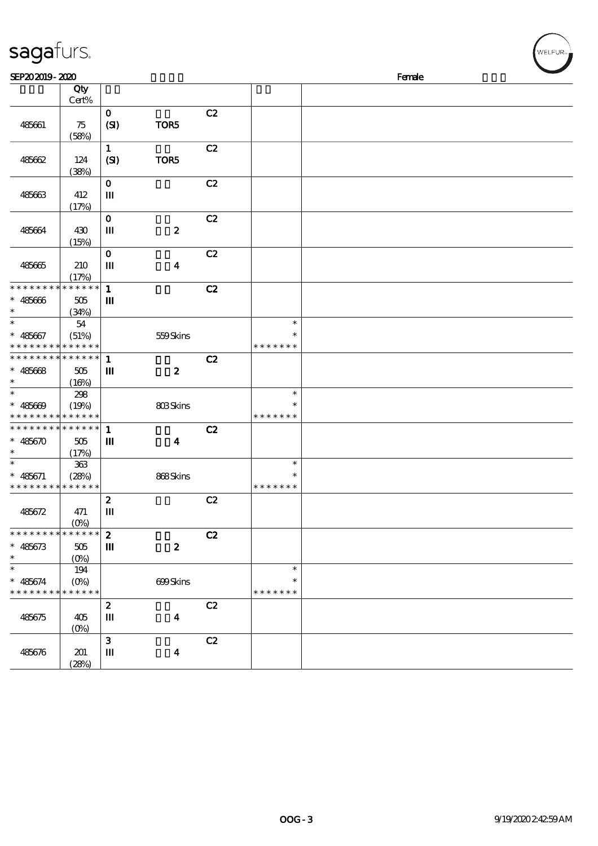| sagafurs.                                                     |                        |                  |                  |    |               |        | WELFUR <sub>72</sub> |
|---------------------------------------------------------------|------------------------|------------------|------------------|----|---------------|--------|----------------------|
| SEP202019-2020                                                |                        |                  |                  |    |               | Female |                      |
|                                                               | Qty                    |                  |                  |    |               |        |                      |
|                                                               | Cert%                  |                  |                  |    |               |        |                      |
|                                                               |                        | $\mathbf 0$      |                  | C2 |               |        |                      |
| 485661                                                        | 75                     | (SI)             | TOR5             |    |               |        |                      |
|                                                               | (58%)                  |                  |                  |    |               |        |                      |
|                                                               |                        | $\mathbf{1}$     |                  | C2 |               |        |                      |
| 485662                                                        | 124                    | (SI)             | TOR5             |    |               |        |                      |
|                                                               | (38%)                  | $\mathbf 0$      |                  | C2 |               |        |                      |
| 485663                                                        | 412                    | Ш                |                  |    |               |        |                      |
|                                                               | (17%)                  |                  |                  |    |               |        |                      |
|                                                               |                        | $\mathbf{o}$     |                  | C2 |               |        |                      |
| 485664                                                        | 430                    | Ш                | $\pmb{2}$        |    |               |        |                      |
|                                                               | (15%)                  |                  |                  |    |               |        |                      |
|                                                               |                        | $\mathbf 0$      |                  | C2 |               |        |                      |
| 485665                                                        | 210                    | Ш                | $\boldsymbol{4}$ |    |               |        |                      |
|                                                               | (17%)                  |                  |                  |    |               |        |                      |
| * * * * * * * *                                               | $******$               | $\mathbf{1}$     |                  | C2 |               |        |                      |
| $* 485666$                                                    | 505                    | Ш                |                  |    |               |        |                      |
| $\ast$                                                        | (34%)                  |                  |                  |    |               |        |                      |
| $\ast$                                                        | $54\,$                 |                  |                  |    | $\ast$        |        |                      |
| $* 485667$                                                    | (51%)                  |                  | 559Skins         |    | $\ast$        |        |                      |
| * * * * * * * * <mark>* * * * * *</mark><br>*************** 1 |                        |                  |                  |    | * * * * * * * |        |                      |
|                                                               |                        |                  |                  | C2 |               |        |                      |
| $* 485668$<br>$\ast$                                          | $505\,$<br>(16%)       | $\mathbf m$      | $\boldsymbol{z}$ |    |               |        |                      |
| $\ast$                                                        | 298                    |                  |                  |    | $\ast$        |        |                      |
| $* 485609$                                                    | (19%)                  |                  | 803Skins         |    | ∗             |        |                      |
| * * * * * * * * <mark>* * * * * *</mark> *                    |                        |                  |                  |    | * * * * * * * |        |                      |
| * * * * * * * * * * * * * *                                   |                        | $\mathbf{1}$     |                  | C2 |               |        |                      |
| $* 485670$                                                    | 505                    | Ш                | $\boldsymbol{4}$ |    |               |        |                      |
| $\ast$                                                        | (17%)                  |                  |                  |    |               |        |                      |
| $\ast$                                                        | 363                    |                  |                  |    | $\ast$        |        |                      |
| $* 485671$                                                    | (28%)                  |                  | 868Skins         |    | $\ast$        |        |                      |
| * * * * * * * * * * * * * *                                   |                        |                  |                  |    | * * * * * * * |        |                      |
|                                                               |                        | $\boldsymbol{z}$ |                  | C2 |               |        |                      |
| 485672                                                        | 471                    | $\mathbf{m}$     |                  |    |               |        |                      |
| * * * * * * * *                                               | $(O\%)$<br>* * * * * * | $\boldsymbol{2}$ |                  | C2 |               |        |                      |
| $* 485673$                                                    | 505                    | $\mathbf{m}$     | $\boldsymbol{2}$ |    |               |        |                      |
| $\ast$                                                        | $(0\%)$                |                  |                  |    |               |        |                      |
| $\ast$                                                        | 194                    |                  |                  |    | $\ast$        |        |                      |
| $* 485674$                                                    | $(0\%)$                |                  | 699Skins         |    | $\ast$        |        |                      |
| * * * * * * * * <mark>* * * * * *</mark>                      |                        |                  |                  |    | * * * * * * * |        |                      |
|                                                               |                        | $\boldsymbol{z}$ |                  | C2 |               |        |                      |
| 485675                                                        | 405                    | $\mathbf{m}$     | $\boldsymbol{4}$ |    |               |        |                      |
|                                                               | $(0\%)$                |                  |                  |    |               |        |                      |
|                                                               |                        | 3                |                  | C2 |               |        |                      |
| 485676                                                        | 201                    | Ш                | $\boldsymbol{4}$ |    |               |        |                      |
|                                                               | (28%)                  |                  |                  |    |               |        |                      |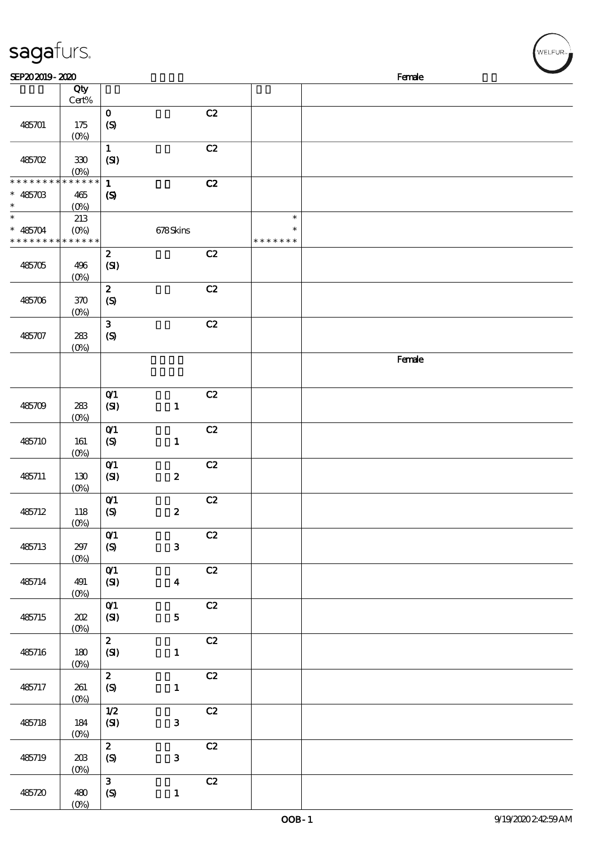| sagafurs.                                           |                               |                                                 |                  |               |                                   |  |        | WELFUR <sub>™</sub> |
|-----------------------------------------------------|-------------------------------|-------------------------------------------------|------------------|---------------|-----------------------------------|--|--------|---------------------|
| SEP202019-2020                                      |                               |                                                 |                  |               |                                   |  | Female |                     |
|                                                     | Qty<br>$Cert\%$               |                                                 |                  |               |                                   |  |        |                     |
| 485701                                              | 175<br>(0%)                   | $\mathbf 0$<br>(S)                              |                  | C2            |                                   |  |        |                     |
| 485702                                              | $330\,$<br>$(0\%)$            | $\mathbf 1$<br>(SI)                             |                  | C2            |                                   |  |        |                     |
| * * * * * * * * * * * * * *<br>$* 485703$<br>$\ast$ | $465$<br>$(O\%)$              | $\mathbf{1}$<br>$\pmb{\mathcal{S}}$             |                  | C2            |                                   |  |        |                     |
| $\ast$<br>$* 485704$<br>* * * * * * * *             | 213<br>$(O\%)$<br>* * * * * * |                                                 | 678Skins         |               | $\ast$<br>$\ast$<br>* * * * * * * |  |        |                     |
| 485705                                              | 496<br>$(0\%)$                | $\pmb{2}$<br>(SI)                               |                  | C2            |                                   |  |        |                     |
| 485706                                              | 370<br>$(0\%)$                | $\boldsymbol{2}$<br>$\boldsymbol{\mathrm{(S)}}$ |                  | C2            |                                   |  |        |                     |
| 485707                                              | ${\bf 2\!}$<br>$(0\%)$        | $\mathbf{3}$<br>$\pmb{\in}$                     |                  | $\mathbf{C2}$ |                                   |  |        |                     |
|                                                     |                               |                                                 |                  |               |                                   |  | Female |                     |
| 485709                                              | 283<br>$(0\%)$                | $O$ $1$<br>(SI)                                 | $\mathbf{1}$     | C2            |                                   |  |        |                     |
| 485710                                              | 161<br>(0%                    | $O$ $1$<br>$\pmb{\text{(S)}}$                   | $\mathbf{1}$     | C2            |                                   |  |        |                     |
| 485711                                              | 130<br>$(0\%)$                | $O$ $1$<br>(SI)                                 | $\boldsymbol{2}$ | C2            |                                   |  |        |                     |
| 485712                                              | 118<br>$(0\%)$                | $O$ $1$<br>$\pmb{\in}$                          | $\boldsymbol{z}$ | C2            |                                   |  |        |                     |
| 485713                                              | 297<br>$(0\%)$                | $O1$<br>$\pmb{\text{(S)}}$                      | $\mathbf{3}$     | C2            |                                   |  |        |                     |
| 485714                                              | 491<br>$(0\%)$                | $O$ 1<br>(SI)                                   | $\boldsymbol{4}$ | C2            |                                   |  |        |                     |
| 485715                                              | 202<br>$(0\%)$                | $O$ <sup><math>\prime</math></sup><br>(SI)      | ${\bf 5}$        | C2            |                                   |  |        |                     |
| 485716                                              | 180<br>$(0\%)$                | $\mathbf{z}$<br>(SI)                            | $\mathbf{1}$     | C2            |                                   |  |        |                     |
| 485717                                              | 261<br>$(0\%)$                | $\mathbf{z}$<br>$\pmb{\text{(S)}}$              | $\mathbf{1}$     | C2            |                                   |  |        |                     |
| 485718                                              | 184<br>(0%)                   | $1/2$<br>(SI)                                   | $\mathbf{3}$     | C2            |                                   |  |        |                     |
| 485719                                              | 20B<br>(0%)                   | $\mathbf{z}$<br>(S)                             | ${\bf 3}$        | C2            |                                   |  |        |                     |
| 485720                                              | 480                           | $\mathbf{3}$<br>$\pmb{\text{(S)}}$              | $\mathbf 1$      | C2            |                                   |  |        |                     |

(0%)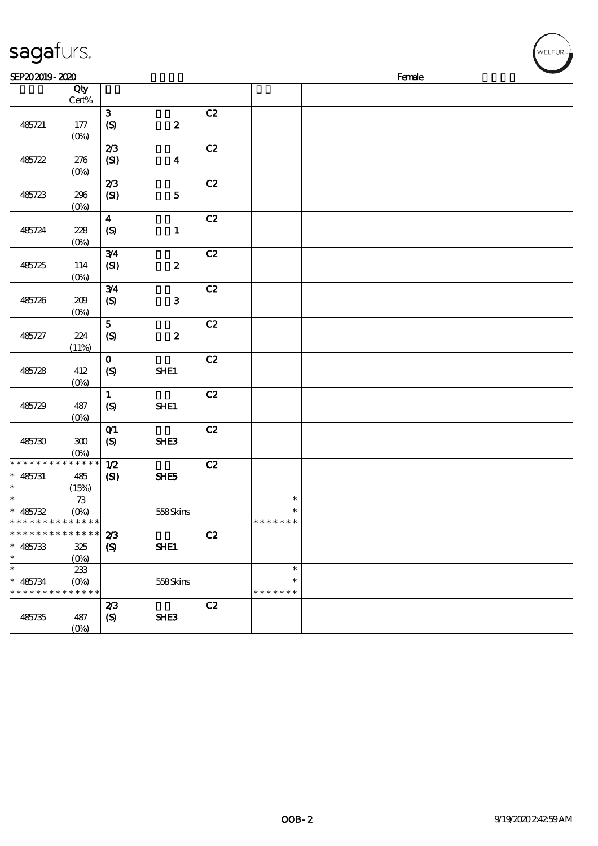| sagafurs.                   |                   |                    |                  |    |               |        | WELFUR <sub>™</sub> |
|-----------------------------|-------------------|--------------------|------------------|----|---------------|--------|---------------------|
| SEP202019-2020              |                   |                    |                  |    |               | Female |                     |
|                             | $\overline{Q}$ ty |                    |                  |    |               |        |                     |
|                             | Cert%             |                    |                  |    |               |        |                     |
|                             |                   | $\mathbf{3}$       |                  | C2 |               |        |                     |
| 485721                      | 177               | (S)                | $\pmb{2}$        |    |               |        |                     |
|                             | $(0\%)$           | 2/3                |                  | C2 |               |        |                     |
| 485722                      | 276               | (SI)               | $\boldsymbol{4}$ |    |               |        |                     |
|                             | $(0\%)$           |                    |                  |    |               |        |                     |
|                             |                   | 2/3                |                  | C2 |               |        |                     |
| 485723                      | 296               | (SI)               | ${\bf 5}$        |    |               |        |                     |
|                             | $(0\%)$           |                    |                  |    |               |        |                     |
|                             |                   | $\boldsymbol{4}$   |                  | C2 |               |        |                     |
| 485724                      | 228               | $\boldsymbol{S}$   | $\mathbf{1}$     |    |               |        |                     |
|                             | $(0\%)$           |                    |                  |    |               |        |                     |
|                             |                   | 3/4                |                  | C2 |               |        |                     |
| 485725                      | 114<br>$(0\%)$    | (SI)               | $\pmb{2}$        |    |               |        |                     |
|                             |                   | 3/4                |                  | C2 |               |        |                     |
| 485726                      | 209               | $\pmb{\text{(S)}}$ | ${\bf 3}$        |    |               |        |                     |
|                             | $(0\%)$           |                    |                  |    |               |        |                     |
|                             |                   | ${\bf 5}$          |                  | C2 |               |        |                     |
| 485727                      | 224               | $\pmb{\in}$        | $\boldsymbol{2}$ |    |               |        |                     |
|                             | (11%)             |                    |                  |    |               |        |                     |
|                             |                   | $\mathbf O$        |                  | C2 |               |        |                     |
| 485728                      | 412               | $\boldsymbol{S}$   | SHE1             |    |               |        |                     |
|                             | $(0\%)$           | $\mathbf 1$        |                  | C2 |               |        |                     |
| 485729                      | 487               | $\boldsymbol{S}$   | SHE1             |    |               |        |                     |
|                             | $(O_0)$           |                    |                  |    |               |        |                     |
|                             |                   | $O$ $1$            |                  | C2 |               |        |                     |
| 485730                      | $300\,$           | $\pmb{\infty}$     | SHE3             |    |               |        |                     |
| * * * * * * * * * * * * * * | $(0\%)$           |                    |                  |    |               |        |                     |
| $* 485731$                  | 485               | 1/2<br>(S)         | SHE5             | C2 |               |        |                     |
| $\ast$                      | (15%)             |                    |                  |    |               |        |                     |
| $\ast$                      | 73                |                    |                  |    | $\ast$        |        |                     |
| $* 485732$                  | $(O\%)$           |                    | 558Skins         |    | $\ast$        |        |                     |
| * * * * * * * * * * * * * * |                   |                    |                  |    | * * * * * * * |        |                     |
| * * * * * * * * * * * * * * |                   | 2/3                |                  | C2 |               |        |                     |
| $* 485733$                  | 325               | $\boldsymbol{S}$   | SHE1             |    |               |        |                     |
| $\ast$<br>$\ast$            | $(O\%)$           |                    |                  |    | $\ast$        |        |                     |
| $* 485734$                  | 233<br>$(O\%)$    |                    | 558Skins         |    | $\ast$        |        |                     |
| * * * * * * * * * * * * * * |                   |                    |                  |    | * * * * * * * |        |                     |
|                             |                   | 2/3                |                  | C2 |               |        |                     |
| 485735                      | 487               | (S)                | SHE3             |    |               |        |                     |
|                             | $(O\%)$           |                    |                  |    |               |        |                     |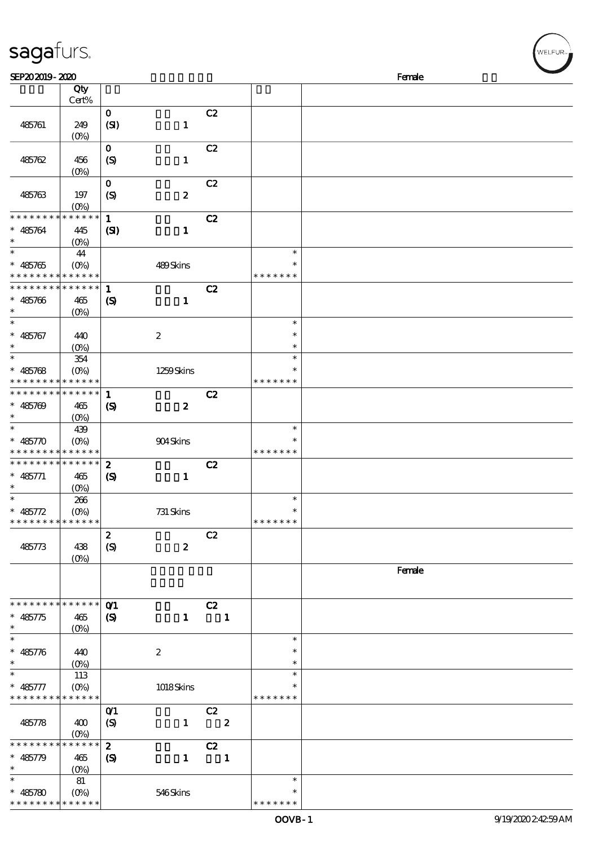| sagafurs.                                                |                                         |                                                |                  |    |              |                                   | WELFUR <sub>™</sub> |
|----------------------------------------------------------|-----------------------------------------|------------------------------------------------|------------------|----|--------------|-----------------------------------|---------------------|
| SEP202019-2020                                           |                                         |                                                |                  |    |              |                                   | Female              |
|                                                          | Qty<br>Cert%                            |                                                |                  |    |              |                                   |                     |
| 485761                                                   | 249<br>$(0\%)$                          | $\mathbf 0$<br>(SI)                            | $\mathbf{1}$     | C2 |              |                                   |                     |
| 485762                                                   | 456<br>$(0\%)$                          | $\mathbf 0$<br>(S)                             | $\mathbf{1}$     | C2 |              |                                   |                     |
| 485763                                                   | 197<br>$(O\%)$                          | $\mathbf 0$<br>$\boldsymbol{S}$                | $\boldsymbol{z}$ | C2 |              |                                   |                     |
| * * * * * * * *<br>$* 485764$                            | * * * * * *<br>445<br>$(O\%)$           | $\mathbf{1}$<br>(S)                            | $\mathbf{I}$     | C2 |              |                                   |                     |
| $\ast$<br>$* 485765$<br>* * * * * * * *                  | 44<br>$(O\%)$<br>* * * * * *            |                                                | 489Skins         |    |              | $\ast$<br>$\ast$<br>* * * * * * * |                     |
| * * * * * * * *<br>$* 485766$<br>$\ast$                  | * * * * * *<br>465<br>$(O\%)$           | $\mathbf{1}$<br>$\boldsymbol{\mathcal{S}}$     | $\mathbf{1}$     | C2 |              |                                   |                     |
| $\ast$<br>$* 485767$<br>$\ast$                           | 440<br>(O <sub>0</sub> )                |                                                | $\boldsymbol{2}$ |    |              | $\ast$<br>$\ast$<br>$\ast$        |                     |
| $\ast$<br>$* 485768$<br>* * * * *                        | 354<br>(O <sub>0</sub> )<br>* * * * * * |                                                | 1259Skins        |    |              | $\ast$<br>* * * * * * *           |                     |
| * * * * * * * *<br>$* 485709$                            | * * * * * *<br>465<br>$(O\%)$           | $\mathbf{1}$<br>$\boldsymbol{\mathcal{S}}$     | $\boldsymbol{z}$ | C2 |              |                                   |                     |
| $\ast$<br>$* 485770$                                     | 439<br>$(O\%)$<br>* * * * * * * * * * * |                                                | 904Skins         |    |              | $\ast$<br>∗<br>* * * * * * *      |                     |
| * * * * * * * *<br>$* 485771$<br>$*$                     | * * * * * *<br>465<br>(0%)              | $\boldsymbol{z}$<br>$\boldsymbol{\mathcal{S}}$ | $\mathbf{1}$     | C2 |              |                                   |                     |
| $\ast$<br>$* 485772$<br>* * * * * * * * * * * * * *      | 266<br>$(O\%)$                          |                                                | 731 Skins        |    |              | $\ast$<br>$\ast$<br>* * * * * * * |                     |
| 485773                                                   | 438<br>$(0\%)$                          | $\boldsymbol{z}$<br>(S)                        | $\boldsymbol{z}$ | C2 |              |                                   |                     |
|                                                          |                                         |                                                |                  |    |              |                                   | Female              |
| * * * * * * * * <mark>* * * * * * *</mark><br>$* 485775$ | 465<br>$(O\%)$                          | $O$ $1$<br>$\boldsymbol{\mathrm{(S)}}$         | $\mathbf{1}$     | C2 | $\mathbf{1}$ |                                   |                     |
| $\overline{\phantom{1}}$<br>$* 485776$<br>$\ast$         | 440<br>$(O\%)$                          |                                                | $\boldsymbol{2}$ |    |              | $\ast$<br>$\ast$<br>$\ast$        |                     |
| $\ast$<br>$* 485777$<br>* * * * * * * *                  | 113<br>$(O\% )$<br>* * * * * *          |                                                | 1018Skins        |    |              | $\ast$<br>$\ast$<br>* * * * * * * |                     |
| 485778                                                   | 400<br>$(O\%)$                          | O(1)<br>(S)                                    | $\mathbf{1}$     | C2 | $\mathbf{2}$ |                                   |                     |
| * * * * * * * *<br>$* 485779$<br>$\ast$                  | * * * * * *<br>465<br>(O <sub>0</sub> ) | $\boldsymbol{z}$<br>$\boldsymbol{S}$           | $\mathbf{1}$     | C2 | $\mathbf{1}$ |                                   |                     |
| $\ast$<br>$* 485780$                                     | 81<br>$(O\%)$                           |                                                | 546Skins         |    |              | $\ast$<br>$\ast$                  |                     |

\* \* \* \* \* \*

\* \* \* \* \* \*

\* \* \* \* \*